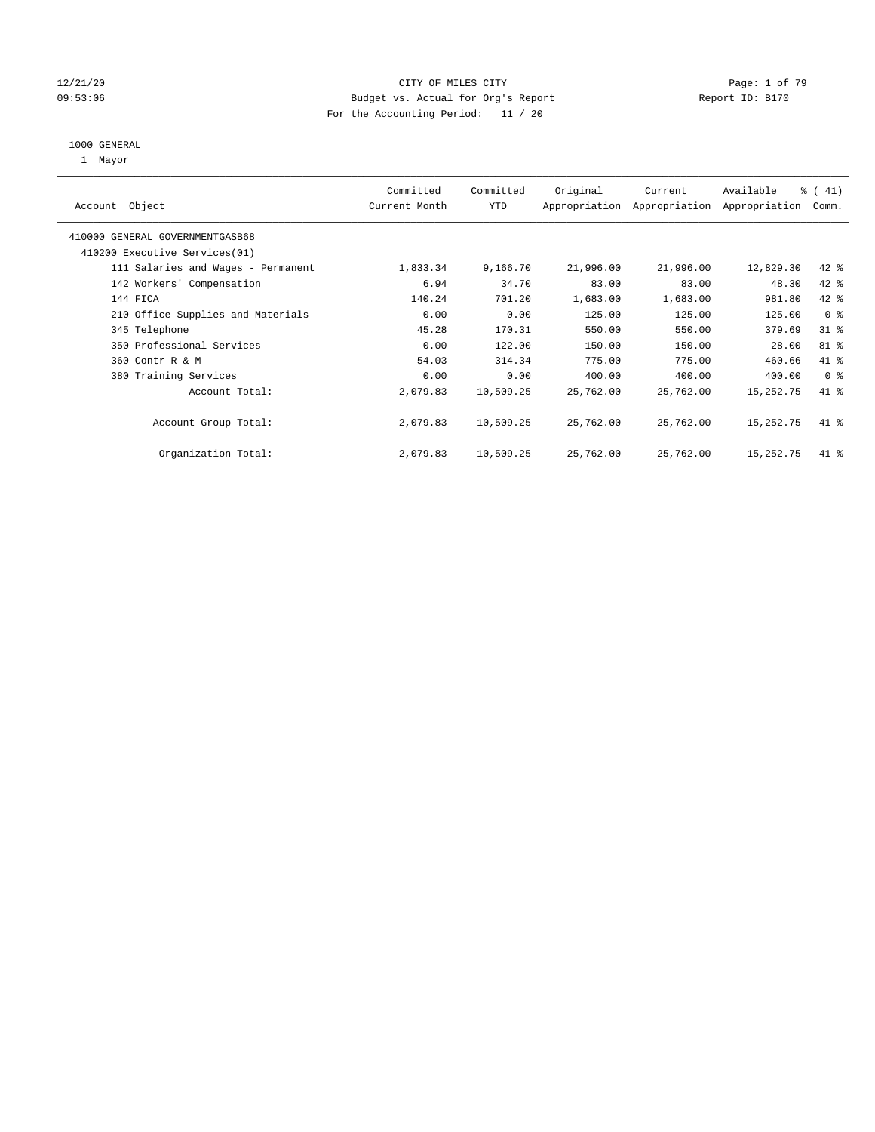#### 12/21/20 CITY OF MILES CITY Page: 1 of 79 09:53:06 Budget vs. Actual for Org's Report Changer Report ID: B170 For the Accounting Period: 11 / 20

#### 1000 GENERAL

1 Mayor

| Object<br>Account                  | Committed<br>Current Month | Committed<br><b>YTD</b> | Original  | Current<br>Appropriation Appropriation | Available<br>Appropriation | % (41)<br>Comm. |
|------------------------------------|----------------------------|-------------------------|-----------|----------------------------------------|----------------------------|-----------------|
| 410000 GENERAL GOVERNMENTGASB68    |                            |                         |           |                                        |                            |                 |
| 410200 Executive Services (01)     |                            |                         |           |                                        |                            |                 |
| 111 Salaries and Wages - Permanent | 1,833.34                   | 9,166.70                | 21,996.00 | 21,996.00                              | 12,829.30                  | $42$ %          |
| 142 Workers' Compensation          | 6.94                       | 34.70                   | 83.00     | 83.00                                  | 48.30                      | 42 %            |
| 144 FICA                           | 140.24                     | 701.20                  | 1,683.00  | 1,683.00                               | 981.80                     | 42 %            |
| 210 Office Supplies and Materials  | 0.00                       | 0.00                    | 125.00    | 125.00                                 | 125.00                     | 0 <sup>8</sup>  |
| 345 Telephone                      | 45.28                      | 170.31                  | 550.00    | 550.00                                 | 379.69                     | $31$ %          |
| 350 Professional Services          | 0.00                       | 122.00                  | 150.00    | 150.00                                 | 28.00                      | 81 %            |
| 360 Contr R & M                    | 54.03                      | 314.34                  | 775.00    | 775.00                                 | 460.66                     | 41 %            |
| 380 Training Services              | 0.00                       | 0.00                    | 400.00    | 400.00                                 | 400.00                     | 0 <sub>8</sub>  |
| Account Total:                     | 2,079.83                   | 10,509.25               | 25,762.00 | 25,762.00                              | 15,252.75                  | 41 %            |
| Account Group Total:               | 2,079.83                   | 10,509.25               | 25,762.00 | 25,762.00                              | 15,252.75                  | 41 %            |
| Organization Total:                | 2,079.83                   | 10,509.25               | 25,762.00 | 25,762.00                              | 15,252.75                  | $41$ %          |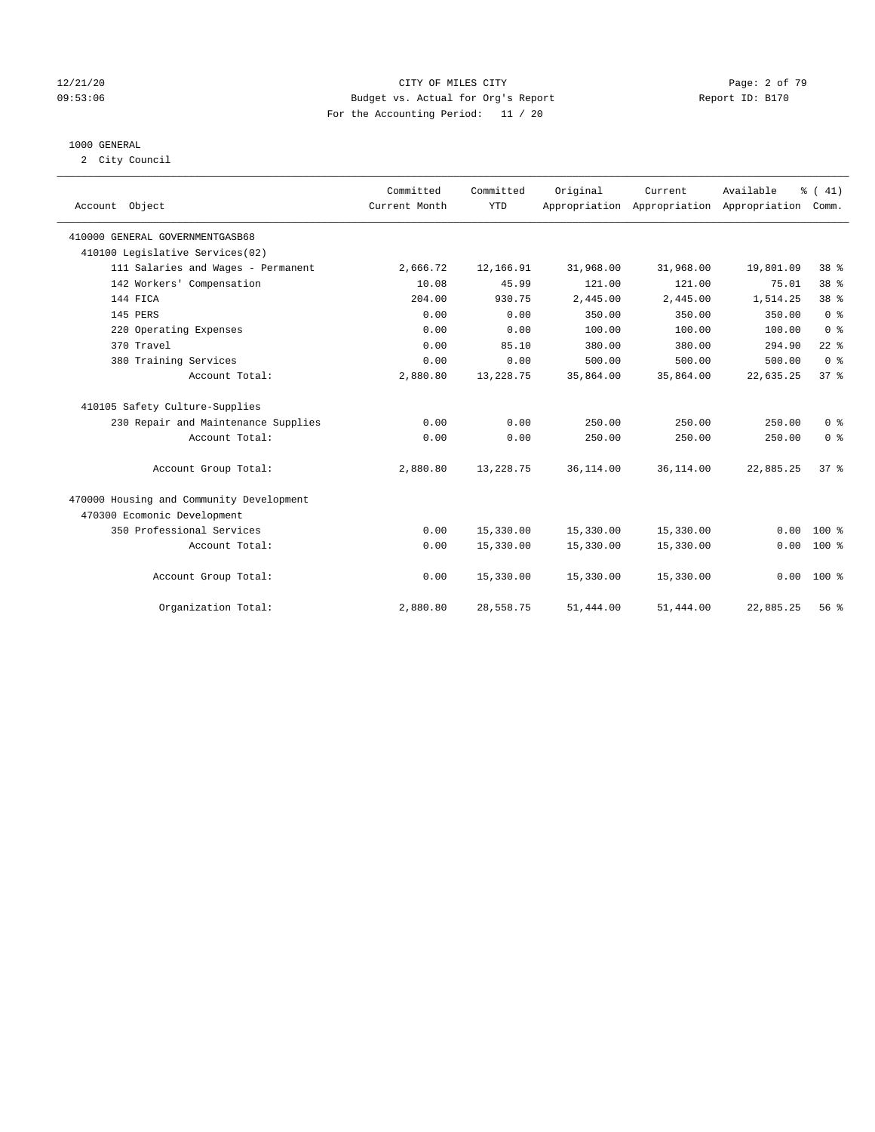#### 12/21/20 CITY OF MILES CITY Page: 2 of 79 09:53:06 Budget vs. Actual for Org's Report Changer Report ID: B170 For the Accounting Period: 11 / 20

### 1000 GENERAL

2 City Council

| Account Object                           | Committed<br>Current Month | Committed<br><b>YTD</b> | Original  | Current<br>Appropriation Appropriation Appropriation | Available | % (41)<br>Comm. |
|------------------------------------------|----------------------------|-------------------------|-----------|------------------------------------------------------|-----------|-----------------|
| 410000 GENERAL GOVERNMENTGASB68          |                            |                         |           |                                                      |           |                 |
| 410100 Legislative Services(02)          |                            |                         |           |                                                      |           |                 |
| 111 Salaries and Wages - Permanent       | 2,666.72                   | 12,166.91               | 31,968.00 | 31,968.00                                            | 19,801.09 | 38 %            |
| 142 Workers' Compensation                | 10.08                      | 45.99                   | 121.00    | 121.00                                               | 75.01     | 38 <sup>8</sup> |
| 144 FICA                                 | 204.00                     | 930.75                  | 2,445.00  | 2,445.00                                             | 1,514.25  | 38 <sup>8</sup> |
| 145 PERS                                 | 0.00                       | 0.00                    | 350.00    | 350.00                                               | 350.00    | 0 <sup>8</sup>  |
| 220 Operating Expenses                   | 0.00                       | 0.00                    | 100.00    | 100.00                                               | 100.00    | 0 <sup>8</sup>  |
| 370 Travel                               | 0.00                       | 85.10                   | 380.00    | 380.00                                               | 294.90    | $22$ $%$        |
| 380 Training Services                    | 0.00                       | 0.00                    | 500.00    | 500.00                                               | 500.00    | 0 <sup>8</sup>  |
| Account Total:                           | 2,880.80                   | 13,228.75               | 35,864.00 | 35,864.00                                            | 22,635.25 | 37 <sup>8</sup> |
| 410105 Safety Culture-Supplies           |                            |                         |           |                                                      |           |                 |
| 230 Repair and Maintenance Supplies      | 0.00                       | 0.00                    | 250.00    | 250.00                                               | 250.00    | 0 <sup>8</sup>  |
| Account Total:                           | 0.00                       | 0.00                    | 250.00    | 250.00                                               | 250.00    | 0 <sup>8</sup>  |
| Account Group Total:                     | 2,880.80                   | 13,228.75               | 36,114.00 | 36,114.00                                            | 22,885.25 | 37%             |
| 470000 Housing and Community Development |                            |                         |           |                                                      |           |                 |
| 470300 Ecomonic Development              |                            |                         |           |                                                      |           |                 |
| 350 Professional Services                | 0.00                       | 15,330.00               | 15,330.00 | 15,330.00                                            | 0.00      | $100*$          |
| Account Total:                           | 0.00                       | 15,330.00               | 15,330.00 | 15,330.00                                            | 0.00      | $100*$          |
| Account Group Total:                     | 0.00                       | 15,330.00               | 15,330.00 | 15,330.00                                            | 0.00      | $100*$          |
| Organization Total:                      | 2,880.80                   | 28,558.75               | 51,444.00 | 51,444.00                                            | 22,885.25 | 56%             |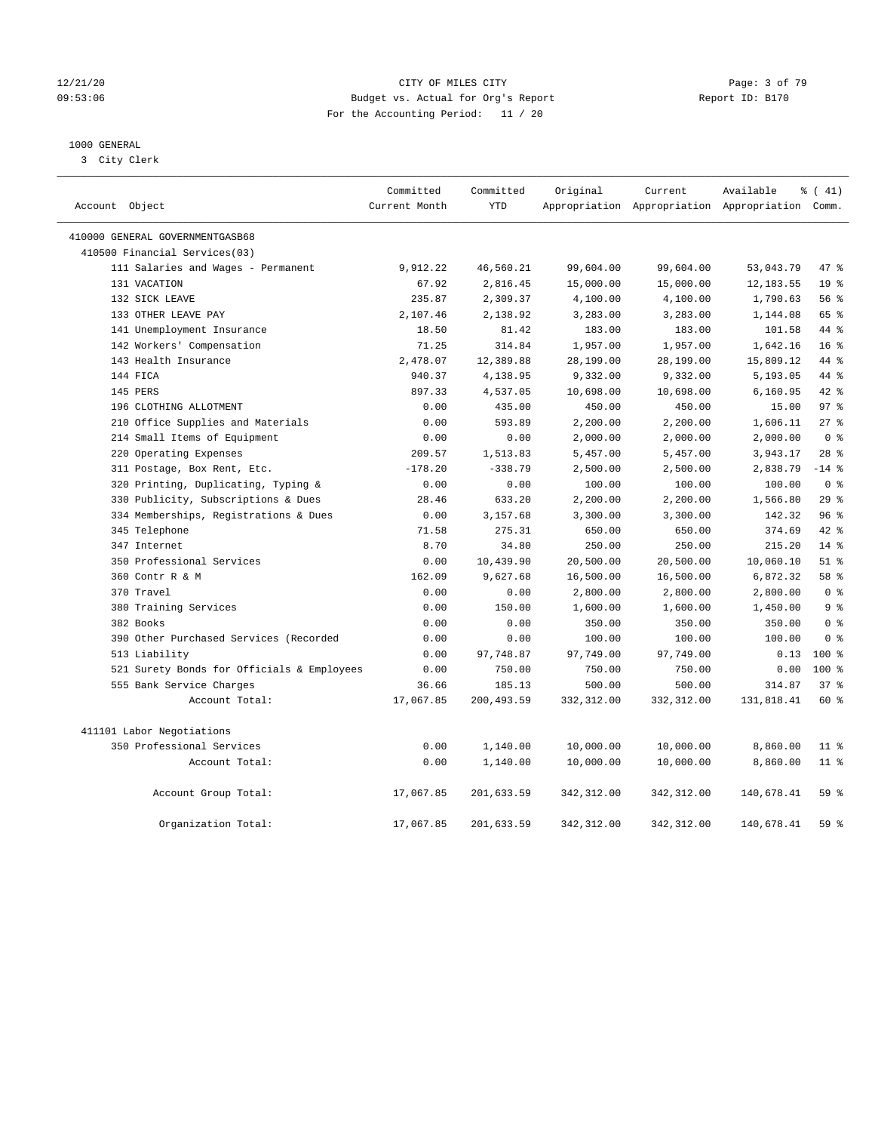#### 12/21/20 CITY OF MILES CITY Page: 3 of 79 09:53:06 Budget vs. Actual for Org's Report Changer Report ID: B170 For the Accounting Period: 11 / 20

## 1000 GENERAL

3 City Clerk

| Account Object                             | Committed<br>Current Month | Committed<br><b>YTD</b> | Original     | Current      | Available<br>Appropriation Appropriation Appropriation Comm. | % (41)          |
|--------------------------------------------|----------------------------|-------------------------|--------------|--------------|--------------------------------------------------------------|-----------------|
| 410000 GENERAL GOVERNMENTGASB68            |                            |                         |              |              |                                                              |                 |
| 410500 Financial Services(03)              |                            |                         |              |              |                                                              |                 |
| 111 Salaries and Wages - Permanent         | 9,912.22                   | 46,560.21               | 99,604.00    | 99,604.00    | 53,043.79                                                    | 47.8            |
| 131 VACATION                               | 67.92                      | 2,816.45                | 15,000.00    | 15,000.00    | 12, 183.55                                                   | 19 <sup>°</sup> |
| 132 SICK LEAVE                             | 235.87                     | 2,309.37                | 4,100.00     | 4,100.00     | 1,790.63                                                     | 56%             |
| 133 OTHER LEAVE PAY                        | 2,107.46                   | 2,138.92                | 3,283.00     | 3,283.00     | 1,144.08                                                     | 65 %            |
| 141 Unemployment Insurance                 | 18.50                      | 81.42                   | 183.00       | 183.00       | 101.58                                                       | 44 %            |
| 142 Workers' Compensation                  | 71.25                      | 314.84                  | 1,957.00     | 1,957.00     | 1,642.16                                                     | 16 <sup>°</sup> |
| 143 Health Insurance                       | 2,478.07                   | 12,389.88               | 28,199.00    | 28,199.00    | 15,809.12                                                    | 44 %            |
| 144 FICA                                   | 940.37                     | 4,138.95                | 9,332.00     | 9,332.00     | 5,193.05                                                     | 44 %            |
| 145 PERS                                   | 897.33                     | 4,537.05                | 10,698.00    | 10,698.00    | 6,160.95                                                     | $42$ %          |
| 196 CLOTHING ALLOTMENT                     | 0.00                       | 435.00                  | 450.00       | 450.00       | 15.00                                                        | 97 <sub>8</sub> |
| 210 Office Supplies and Materials          | 0.00                       | 593.89                  | 2,200.00     | 2,200.00     | 1,606.11                                                     | 27%             |
| 214 Small Items of Equipment               | 0.00                       | 0.00                    | 2,000.00     | 2,000.00     | 2,000.00                                                     | 0 <sup>8</sup>  |
| 220 Operating Expenses                     | 209.57                     | 1,513.83                | 5,457.00     | 5,457.00     | 3,943.17                                                     | $28$ %          |
| 311 Postage, Box Rent, Etc.                | $-178.20$                  | $-338.79$               | 2,500.00     | 2,500.00     | 2,838.79                                                     | $-14$ %         |
| 320 Printing, Duplicating, Typing &        | 0.00                       | 0.00                    | 100.00       | 100.00       | 100.00                                                       | 0 <sup>8</sup>  |
| 330 Publicity, Subscriptions & Dues        | 28.46                      | 633.20                  | 2,200.00     | 2,200.00     | 1,566.80                                                     | 29%             |
| 334 Memberships, Registrations & Dues      | 0.00                       | 3,157.68                | 3,300.00     | 3,300.00     | 142.32                                                       | 96%             |
| 345 Telephone                              | 71.58                      | 275.31                  | 650.00       | 650.00       | 374.69                                                       | 42 %            |
| 347 Internet                               | 8.70                       | 34.80                   | 250.00       | 250.00       | 215.20                                                       | 14%             |
| 350 Professional Services                  | 0.00                       | 10,439.90               | 20,500.00    | 20,500.00    | 10,060.10                                                    | $51$ %          |
| 360 Contr R & M                            | 162.09                     | 9,627.68                | 16,500.00    | 16,500.00    | 6,872.32                                                     | 58 %            |
| 370 Travel                                 | 0.00                       | 0.00                    | 2,800.00     | 2,800.00     | 2,800.00                                                     | 0 <sup>8</sup>  |
| 380 Training Services                      | 0.00                       | 150.00                  | 1,600.00     | 1,600.00     | 1,450.00                                                     | 9 %             |
| 382 Books                                  | 0.00                       | 0.00                    | 350.00       | 350.00       | 350.00                                                       | 0 <sup>8</sup>  |
| 390 Other Purchased Services (Recorded     | 0.00                       | 0.00                    | 100.00       | 100.00       | 100.00                                                       | 0 <sup>°</sup>  |
| 513 Liability                              | 0.00                       | 97,748.87               | 97,749.00    | 97,749.00    | 0.13                                                         | $100*$          |
| 521 Surety Bonds for Officials & Employees | 0.00                       | 750.00                  | 750.00       | 750.00       | 0.00                                                         | $100*$          |
| 555 Bank Service Charges                   | 36.66                      | 185.13                  | 500.00       | 500.00       | 314.87                                                       | 378             |
| Account Total:                             | 17,067.85                  | 200,493.59              | 332,312.00   | 332,312.00   | 131,818.41                                                   | 60 %            |
| 411101 Labor Negotiations                  |                            |                         |              |              |                                                              |                 |
| 350 Professional Services                  | 0.00                       | 1,140.00                | 10,000.00    | 10,000.00    | 8,860.00                                                     | $11*$           |
| Account Total:                             | 0.00                       | 1,140.00                | 10,000.00    | 10,000.00    | 8,860.00                                                     | $11$ %          |
| Account Group Total:                       | 17,067.85                  | 201,633.59              | 342,312.00   | 342,312.00   | 140,678.41                                                   | 59%             |
| Organization Total:                        | 17,067.85                  | 201,633.59              | 342, 312, 00 | 342, 312, 00 | 140,678.41                                                   | 59 %            |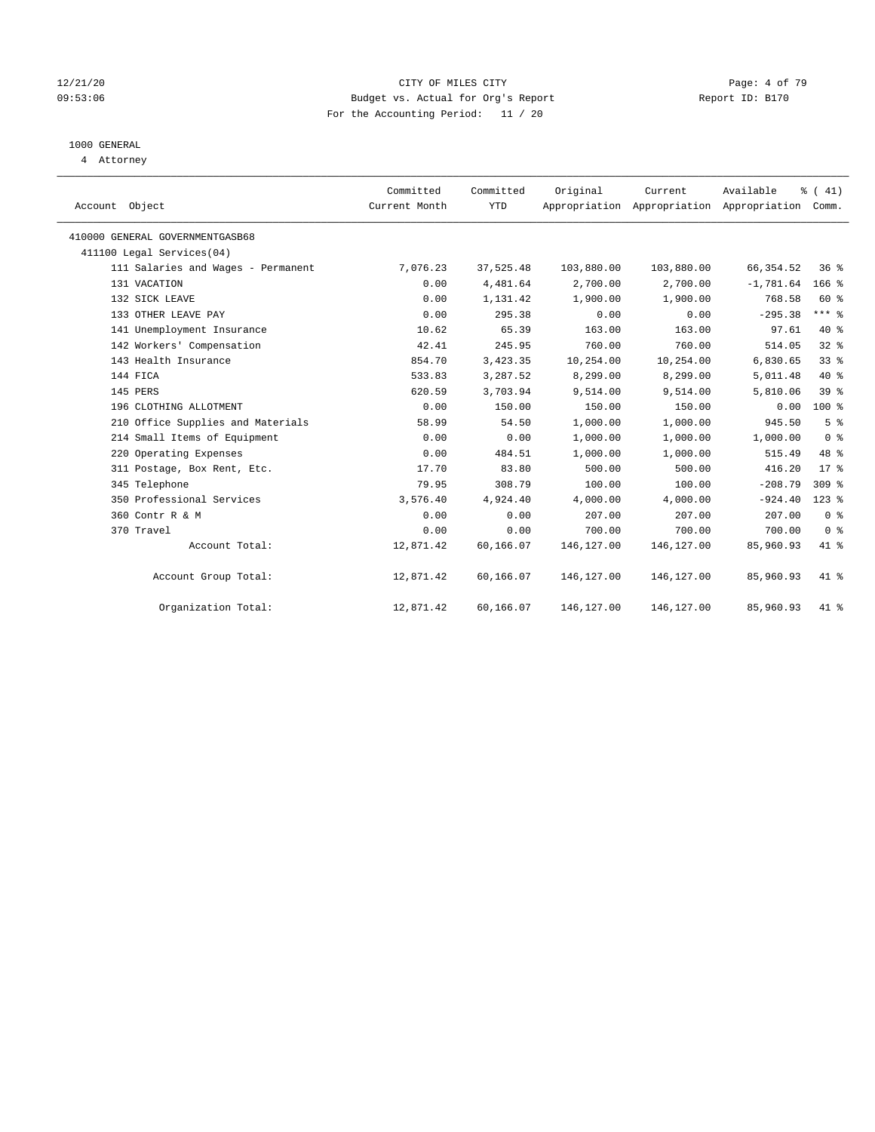#### 12/21/20 CITY OF MILES CITY Page: 4 of 79 09:53:06 Budget vs. Actual for Org's Report Changer Report ID: B170 For the Accounting Period: 11 / 20

## 1000 GENERAL

4 Attorney

| Account Object                     | Committed<br>Current Month | Committed<br><b>YTD</b> | Original   | Current<br>Appropriation Appropriation Appropriation Comm. | Available   | $\frac{1}{6}$ ( 41) |
|------------------------------------|----------------------------|-------------------------|------------|------------------------------------------------------------|-------------|---------------------|
| 410000 GENERAL GOVERNMENTGASB68    |                            |                         |            |                                                            |             |                     |
| 411100 Legal Services(04)          |                            |                         |            |                                                            |             |                     |
| 111 Salaries and Wages - Permanent | 7,076.23                   | 37,525.48               | 103,880.00 | 103,880.00                                                 | 66, 354.52  | $36*$               |
| 131 VACATION                       | 0.00                       | 4,481.64                | 2,700.00   | 2,700.00                                                   | $-1,781.64$ | $166$ %             |
| 132 SICK LEAVE                     | 0.00                       | 1,131.42                | 1,900.00   | 1,900.00                                                   | 768.58      | 60 %                |
| 133 OTHER LEAVE PAY                | 0.00                       | 295.38                  | 0.00       | 0.00                                                       | $-295.38$   | $***$ $\frac{6}{5}$ |
| 141 Unemployment Insurance         | 10.62                      | 65.39                   | 163.00     | 163.00                                                     | 97.61       | 40 %                |
| 142 Workers' Compensation          | 42.41                      | 245.95                  | 760.00     | 760.00                                                     | 514.05      | $32$ $%$            |
| 143 Health Insurance               | 854.70                     | 3,423.35                | 10,254.00  | 10,254.00                                                  | 6,830.65    | 33%                 |
| 144 FICA                           | 533.83                     | 3,287.52                | 8,299.00   | 8,299.00                                                   | 5,011.48    | 40 %                |
| 145 PERS                           | 620.59                     | 3,703.94                | 9,514.00   | 9,514.00                                                   | 5,810.06    | 39%                 |
| 196 CLOTHING ALLOTMENT             | 0.00                       | 150.00                  | 150.00     | 150.00                                                     | 0.00        | $100*$              |
| 210 Office Supplies and Materials  | 58.99                      | 54.50                   | 1,000.00   | 1,000.00                                                   | 945.50      | 5 <sup>°</sup>      |
| 214 Small Items of Equipment       | 0.00                       | 0.00                    | 1,000.00   | 1,000.00                                                   | 1,000.00    | 0 <sup>8</sup>      |
| 220 Operating Expenses             | 0.00                       | 484.51                  | 1,000.00   | 1,000.00                                                   | 515.49      | 48 %                |
| 311 Postage, Box Rent, Etc.        | 17.70                      | 83.80                   | 500.00     | 500.00                                                     | 416.20      | $17*$               |
| 345 Telephone                      | 79.95                      | 308.79                  | 100.00     | 100.00                                                     | $-208.79$   | $309$ %             |
| 350 Professional Services          | 3,576.40                   | 4,924.40                | 4,000.00   | 4,000.00                                                   | $-924.40$   | $123$ $%$           |
| 360 Contr R & M                    | 0.00                       | 0.00                    | 207.00     | 207.00                                                     | 207.00      | 0 <sup>8</sup>      |
| 370 Travel                         | 0.00                       | 0.00                    | 700.00     | 700.00                                                     | 700.00      | 0 <sup>8</sup>      |
| Account Total:                     | 12,871.42                  | 60,166.07               | 146,127.00 | 146, 127.00                                                | 85,960.93   | 41 %                |
| Account Group Total:               | 12,871.42                  | 60,166.07               | 146,127.00 | 146,127.00                                                 | 85,960.93   | 41.8                |
| Organization Total:                | 12,871.42                  | 60,166.07               | 146,127.00 | 146,127.00                                                 | 85,960.93   | 41 %                |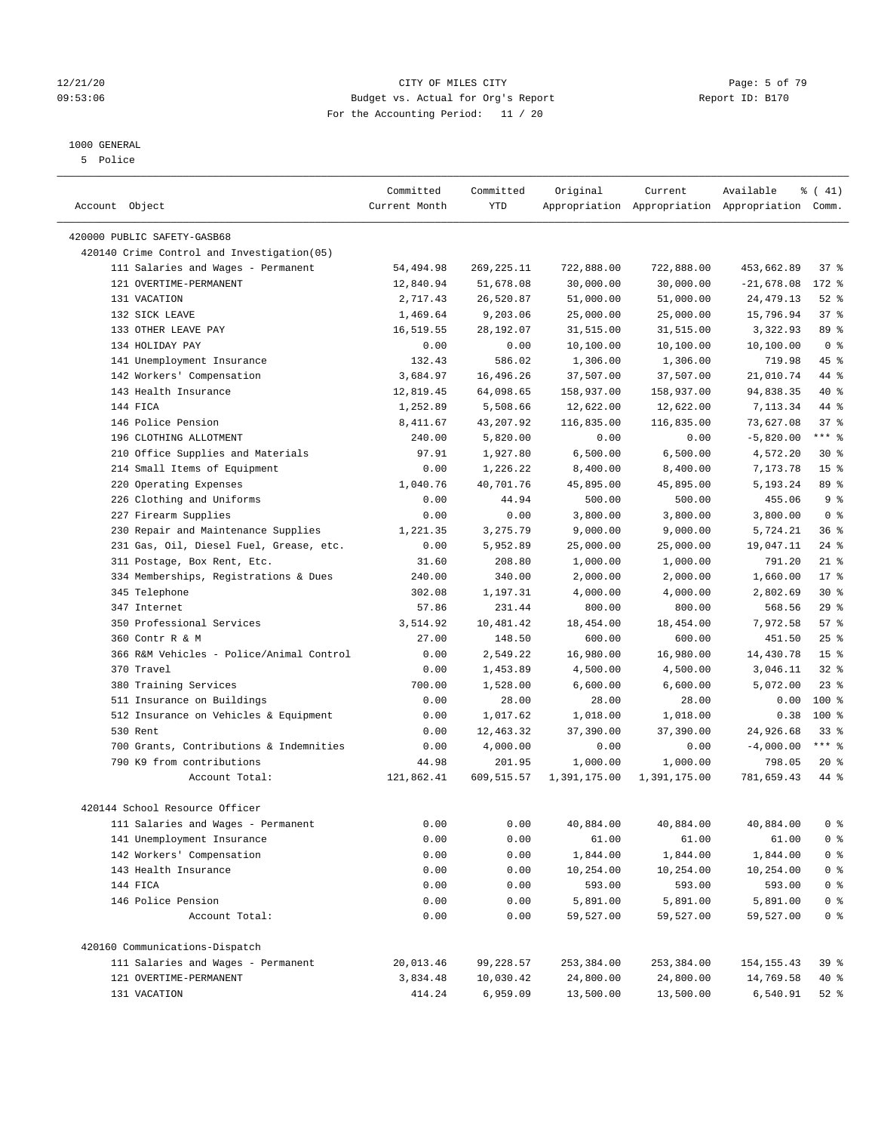#### 12/21/20 CITY OF MILES CITY Page: 5 of 79 09:53:06 Budget vs. Actual for Org's Report Report ID: B170 For the Accounting Period: 11 / 20

————————————————————————————————————————————————————————————————————————————————————————————————————————————————————————————————————

## 1000 GENERAL

5 Police

|                                                                           | Committed             | Committed      | Original               | Current                | Available                                       | $\frac{1}{6}$ ( 41) |
|---------------------------------------------------------------------------|-----------------------|----------------|------------------------|------------------------|-------------------------------------------------|---------------------|
| Account Object                                                            | Current Month         | YTD            |                        |                        | Appropriation Appropriation Appropriation Comm. |                     |
|                                                                           |                       |                |                        |                        |                                                 |                     |
| 420000 PUBLIC SAFETY-GASB68<br>420140 Crime Control and Investigation(05) |                       |                |                        |                        |                                                 |                     |
| 111 Salaries and Wages - Permanent                                        | 54,494.98             | 269,225.11     | 722,888.00             | 722,888.00             | 453,662.89                                      | 37 %                |
| 121 OVERTIME-PERMANENT                                                    | 12,840.94             | 51,678.08      | 30,000.00              | 30,000.00              | $-21,678.08$                                    | $172$ $\frac{6}{5}$ |
| 131 VACATION                                                              | 2,717.43              | 26,520.87      |                        |                        | 24, 479. 13                                     | $52$ $%$            |
| 132 SICK LEAVE                                                            |                       | 9,203.06       | 51,000.00              | 51,000.00              | 15,796.94                                       | 37%                 |
| 133 OTHER LEAVE PAY                                                       | 1,469.64<br>16,519.55 | 28,192.07      | 25,000.00<br>31,515.00 | 25,000.00<br>31,515.00 | 3,322.93                                        | 89 %                |
| 134 HOLIDAY PAY                                                           |                       |                |                        | 10,100.00              |                                                 | 0 <sup>8</sup>      |
|                                                                           | 0.00                  | 0.00<br>586.02 | 10,100.00              |                        | 10,100.00<br>719.98                             | 45 %                |
| 141 Unemployment Insurance<br>142 Workers' Compensation                   | 132.43                |                | 1,306.00               | 1,306.00               |                                                 | 44 %                |
|                                                                           | 3,684.97              | 16,496.26      | 37,507.00              | 37,507.00              | 21,010.74                                       |                     |
| 143 Health Insurance                                                      | 12,819.45             | 64,098.65      | 158,937.00             | 158,937.00             | 94,838.35                                       | 40 %                |
| 144 FICA                                                                  | 1,252.89              | 5,508.66       | 12,622.00              | 12,622.00              | 7,113.34                                        | 44 %                |
| 146 Police Pension                                                        | 8,411.67              | 43,207.92      | 116,835.00             | 116,835.00             | 73,627.08                                       | 37%                 |
| 196 CLOTHING ALLOTMENT                                                    | 240.00                | 5,820.00       | 0.00                   | 0.00                   | $-5,820.00$                                     | *** 응               |
| 210 Office Supplies and Materials                                         | 97.91                 | 1,927.80       | 6,500.00               | 6,500.00               | 4,572.20                                        | $30*$               |
| 214 Small Items of Equipment                                              | 0.00                  | 1,226.22       | 8,400.00               | 8,400.00               | 7,173.78                                        | 15 <sup>°</sup>     |
| 220 Operating Expenses                                                    | 1,040.76              | 40,701.76      | 45,895.00              | 45,895.00              | 5,193.24                                        | 89 %                |
| 226 Clothing and Uniforms                                                 | 0.00                  | 44.94          | 500.00                 | 500.00                 | 455.06                                          | 9 <sup>°</sup>      |
| 227 Firearm Supplies                                                      | 0.00                  | 0.00           | 3,800.00               | 3,800.00               | 3,800.00                                        | 0 <sup>8</sup>      |
| 230 Repair and Maintenance Supplies                                       | 1,221.35              | 3,275.79       | 9,000.00               | 9,000.00               | 5,724.21                                        | 36%                 |
| 231 Gas, Oil, Diesel Fuel, Grease, etc.                                   | 0.00                  | 5,952.89       | 25,000.00              | 25,000.00              | 19,047.11                                       | $24$ %              |
| 311 Postage, Box Rent, Etc.                                               | 31.60                 | 208.80         | 1,000.00               | 1,000.00               | 791.20                                          | $21$ %              |
| 334 Memberships, Registrations & Dues                                     | 240.00                | 340.00         | 2,000.00               | 2,000.00               | 1,660.00                                        | $17*$               |
| 345 Telephone                                                             | 302.08                | 1,197.31       | 4,000.00               | 4,000.00               | 2,802.69                                        | $30*$               |
| 347 Internet                                                              | 57.86                 | 231.44         | 800.00                 | 800.00                 | 568.56                                          | 29%                 |
| 350 Professional Services                                                 | 3,514.92              | 10,481.42      | 18,454.00              | 18,454.00              | 7,972.58                                        | 57%                 |
| 360 Contr R & M                                                           | 27.00                 | 148.50         | 600.00                 | 600.00                 | 451.50                                          | $25$ %              |
| 366 R&M Vehicles - Police/Animal Control                                  | 0.00                  | 2,549.22       | 16,980.00              | 16,980.00              | 14,430.78                                       | 15 <sup>°</sup>     |
| 370 Travel                                                                | 0.00                  | 1,453.89       | 4,500.00               | 4,500.00               | 3,046.11                                        | $32$ $%$            |
| 380 Training Services                                                     | 700.00                | 1,528.00       | 6,600.00               | 6,600.00               | 5,072.00                                        | $23$ $%$            |
| 511 Insurance on Buildings                                                | 0.00                  | 28.00          | 28.00                  | 28.00                  | 0.00                                            | 100 %               |
| 512 Insurance on Vehicles & Equipment                                     | 0.00                  | 1,017.62       | 1,018.00               | 1,018.00               | 0.38                                            | 100%                |
| 530 Rent                                                                  | 0.00                  | 12,463.32      | 37,390.00              | 37,390.00              | 24,926.68                                       | $33$ $%$            |
| 700 Grants, Contributions & Indemnities                                   | 0.00                  | 4,000.00       | 0.00                   | 0.00                   | $-4,000.00$                                     | *** %               |
| 790 K9 from contributions                                                 | 44.98                 | 201.95         | 1,000.00               | 1,000.00               | 798.05                                          | $20*$               |
| Account Total:                                                            | 121,862.41            | 609,515.57     | 1,391,175.00           | 1,391,175.00           | 781,659.43                                      | 44 %                |
| 420144 School Resource Officer                                            |                       |                |                        |                        |                                                 |                     |
| 111 Salaries and Wages - Permanent                                        | 0.00                  | 0.00           | 40,884.00              | 40,884.00              | 40,884.00                                       | 0 <sup>8</sup>      |
| 141 Unemployment Insurance                                                | 0.00                  | 0.00           | 61.00                  | 61.00                  | 61.00                                           | 0 <sup>8</sup>      |
| 142 Workers' Compensation                                                 | 0.00                  | 0.00           | 1,844.00               | 1,844.00               | 1,844.00                                        | 0 <sup>8</sup>      |
| 143 Health Insurance                                                      | 0.00                  | 0.00           | 10,254.00              | 10,254.00              | 10,254.00                                       | $0$ %               |
| 144 FICA                                                                  | 0.00                  | 0.00           | 593.00                 | 593.00                 | 593.00                                          | 0 <sup>8</sup>      |
| 146 Police Pension                                                        | 0.00                  | 0.00           | 5,891.00               | 5,891.00               | 5,891.00                                        | 0 <sup>8</sup>      |
| Account Total:                                                            | 0.00                  | 0.00           | 59,527.00              | 59,527.00              | 59,527.00                                       | 0 <sup>8</sup>      |
|                                                                           |                       |                |                        |                        |                                                 |                     |
| 420160 Communications-Dispatch                                            |                       |                |                        |                        |                                                 |                     |
| 111 Salaries and Wages - Permanent                                        | 20,013.46             | 99,228.57      | 253,384.00             | 253,384.00             | 154, 155.43                                     | 39 %                |
| 121 OVERTIME-PERMANENT                                                    | 3,834.48              | 10,030.42      | 24,800.00              | 24,800.00              | 14,769.58                                       | 40 %                |
| 131 VACATION                                                              | 414.24                | 6,959.09       | 13,500.00              | 13,500.00              | 6,540.91                                        | 52 %                |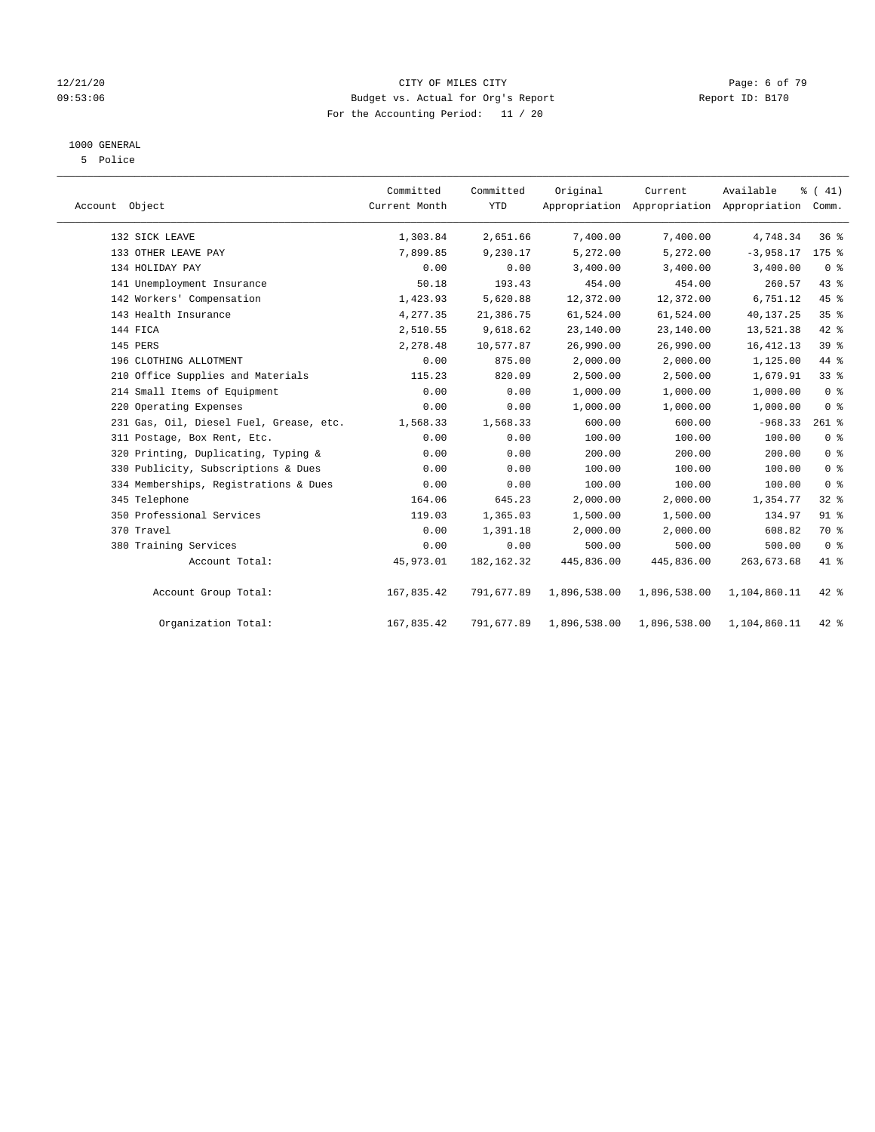#### 12/21/20 CITY OF MILES CITY Page: 6 of 79 09:53:06 Budget vs. Actual for Org's Report Report ID: B170 For the Accounting Period: 11 / 20

### 1000 GENERAL

5 Police

| Account Object                          | Committed<br>Current Month | Committed<br>YTD | Original     | Current<br>Appropriation Appropriation Appropriation Comm. | Available    | % (41)          |  |
|-----------------------------------------|----------------------------|------------------|--------------|------------------------------------------------------------|--------------|-----------------|--|
| 132 SICK LEAVE                          | 1,303.84                   | 2,651.66         | 7,400.00     | 7,400.00                                                   | 4,748.34     | 36%             |  |
| 133 OTHER LEAVE PAY                     | 7,899.85                   | 9,230.17         | 5,272.00     | 5,272.00                                                   | $-3,958.17$  | $175$ %         |  |
| 134 HOLIDAY PAY                         | 0.00                       | 0.00             | 3,400.00     | 3,400.00                                                   | 3,400.00     | 0 <sup>8</sup>  |  |
| 141 Unemployment Insurance              | 50.18                      | 193.43           | 454.00       | 454.00                                                     | 260.57       | 43 %            |  |
| 142 Workers' Compensation               | 1,423.93                   | 5,620.88         | 12,372.00    | 12,372.00                                                  | 6,751.12     | $45$ %          |  |
| 143 Health Insurance                    | 4,277.35                   | 21,386.75        | 61,524.00    | 61,524.00                                                  | 40,137.25    | 35%             |  |
| 144 FICA                                | 2,510.55                   | 9,618.62         | 23,140.00    | 23,140.00                                                  | 13,521.38    | 42 %            |  |
| 145 PERS                                | 2,278.48                   | 10,577.87        | 26,990.00    | 26,990.00                                                  | 16, 412.13   | 39 <sup>°</sup> |  |
| 196 CLOTHING ALLOTMENT                  | 0.00                       | 875.00           | 2,000.00     | 2,000.00                                                   | 1,125.00     | 44 %            |  |
| 210 Office Supplies and Materials       | 115.23                     | 820.09           | 2,500.00     | 2,500.00                                                   | 1,679.91     | 33%             |  |
| 214 Small Items of Equipment            | 0.00                       | 0.00             | 1,000.00     | 1,000.00                                                   | 1,000.00     | 0 <sup>8</sup>  |  |
| 220 Operating Expenses                  | 0.00                       | 0.00             | 1,000.00     | 1,000.00                                                   | 1,000.00     | 0 <sup>8</sup>  |  |
| 231 Gas, Oil, Diesel Fuel, Grease, etc. | 1,568.33                   | 1,568.33         | 600.00       | 600.00                                                     | $-968.33$    | $261$ %         |  |
| 311 Postage, Box Rent, Etc.             | 0.00                       | 0.00             | 100.00       | 100.00                                                     | 100.00       | 0 <sup>8</sup>  |  |
| 320 Printing, Duplicating, Typing &     | 0.00                       | 0.00             | 200.00       | 200.00                                                     | 200.00       | 0 <sup>8</sup>  |  |
| 330 Publicity, Subscriptions & Dues     | 0.00                       | 0.00             | 100.00       | 100.00                                                     | 100.00       | 0 <sup>8</sup>  |  |
| 334 Memberships, Registrations & Dues   | 0.00                       | 0.00             | 100.00       | 100.00                                                     | 100.00       | 0 <sup>8</sup>  |  |
| 345 Telephone                           | 164.06                     | 645.23           | 2,000.00     | 2,000.00                                                   | 1,354.77     | 32%             |  |
| 350 Professional Services               | 119.03                     | 1,365.03         | 1,500.00     | 1,500.00                                                   | 134.97       | 91 %            |  |
| 370 Travel                              | 0.00                       | 1,391.18         | 2,000.00     | 2,000.00                                                   | 608.82       | 70 %            |  |
| 380 Training Services                   | 0.00                       | 0.00             | 500.00       | 500.00                                                     | 500.00       | 0 <sup>8</sup>  |  |
| Account Total:                          | 45,973.01                  | 182, 162.32      | 445,836.00   | 445,836.00                                                 | 263,673.68   | 41 %            |  |
| Account Group Total:                    | 167,835.42                 | 791,677.89       | 1,896,538.00 | 1,896,538.00                                               | 1,104,860.11 | $42$ %          |  |
| Organization Total:                     | 167,835.42                 | 791,677.89       | 1,896,538.00 | 1,896,538.00                                               | 1,104,860.11 | $42$ %          |  |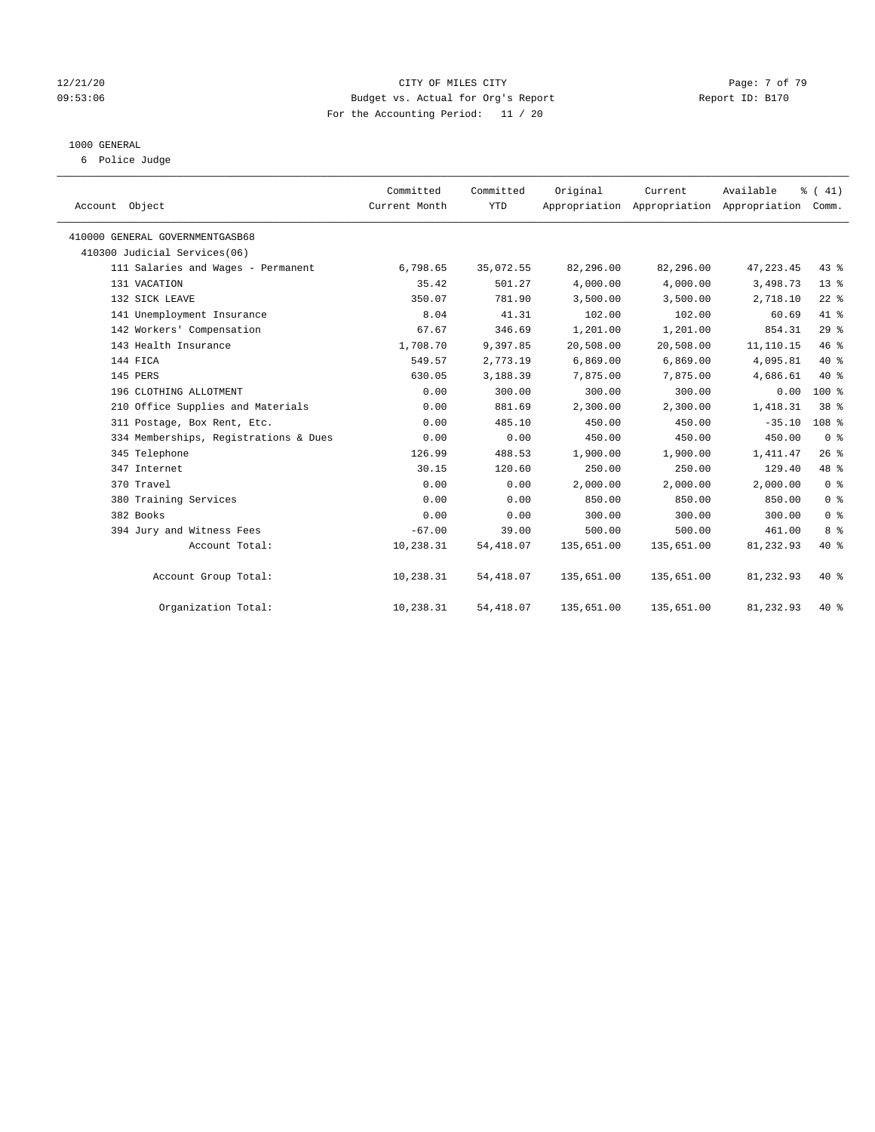#### 12/21/20 CITY OF MILES CITY Page: 7 of 79 09:53:06 Budget vs. Actual for Org's Report Report ID: B170 For the Accounting Period: 11 / 20

#### 1000 GENERAL

6 Police Judge

|                                       |                            |                         |            |                                                      | Available  |                  |
|---------------------------------------|----------------------------|-------------------------|------------|------------------------------------------------------|------------|------------------|
| Account Object                        | Committed<br>Current Month | Committed<br><b>YTD</b> | Original   | Current<br>Appropriation Appropriation Appropriation |            | % (41)<br>Comm.  |
|                                       |                            |                         |            |                                                      |            |                  |
| 410000 GENERAL GOVERNMENTGASB68       |                            |                         |            |                                                      |            |                  |
| 410300 Judicial Services(06)          |                            |                         |            |                                                      |            |                  |
| 111 Salaries and Wages - Permanent    | 6,798.65                   | 35,072.55               | 82,296.00  | 82,296.00                                            | 47, 223.45 | $43$ %           |
| 131 VACATION                          | 35.42                      | 501.27                  | 4,000.00   | 4,000.00                                             | 3,498.73   | 13 <sup>°</sup>  |
| 132 SICK LEAVE                        | 350.07                     | 781.90                  | 3,500.00   | 3,500.00                                             | 2,718.10   | $22$ %           |
| 141 Unemployment Insurance            | 8.04                       | 41.31                   | 102.00     | 102.00                                               | 60.69      | 41 %             |
| 142 Workers' Compensation             | 67.67                      | 346.69                  | 1,201.00   | 1,201.00                                             | 854.31     | 29%              |
| 143 Health Insurance                  | 1,708.70                   | 9,397.85                | 20,508.00  | 20,508.00                                            | 11,110.15  | 46%              |
| 144 FICA                              | 549.57                     | 2,773.19                | 6,869.00   | 6,869.00                                             | 4,095.81   | $40*$            |
| 145 PERS                              | 630.05                     | 3,188.39                | 7,875.00   | 7,875.00                                             | 4,686.61   | $40*$            |
| 196 CLOTHING ALLOTMENT                | 0.00                       | 300.00                  | 300.00     | 300.00                                               | 0.00       | 100 %            |
| 210 Office Supplies and Materials     | 0.00                       | 881.69                  | 2,300.00   | 2,300.00                                             | 1,418.31   | 38 <sup>8</sup>  |
| 311 Postage, Box Rent, Etc.           | 0.00                       | 485.10                  | 450.00     | 450.00                                               | $-35.10$   | 108 <sup>8</sup> |
| 334 Memberships, Registrations & Dues | 0.00                       | 0.00                    | 450.00     | 450.00                                               | 450.00     | 0 <sup>8</sup>   |
| 345 Telephone                         | 126.99                     | 488.53                  | 1,900.00   | 1,900.00                                             | 1,411.47   | 26%              |
| 347 Internet                          | 30.15                      | 120.60                  | 250.00     | 250.00                                               | 129.40     | 48 %             |
| 370 Travel                            | 0.00                       | 0.00                    | 2,000.00   | 2,000.00                                             | 2,000.00   | 0 <sup>8</sup>   |
| 380 Training Services                 | 0.00                       | 0.00                    | 850.00     | 850.00                                               | 850.00     | 0 <sup>8</sup>   |
| 382 Books                             | 0.00                       | 0.00                    | 300.00     | 300.00                                               | 300.00     | 0 <sup>8</sup>   |
| 394 Jury and Witness Fees             | $-67.00$                   | 39.00                   | 500.00     | 500.00                                               | 461.00     | 8 %              |
| Account Total:                        | 10,238.31                  | 54, 418.07              | 135,651.00 | 135,651.00                                           | 81,232.93  | $40*$            |
|                                       |                            |                         |            |                                                      |            |                  |
| Account Group Total:                  | 10,238.31                  | 54,418.07               | 135,651.00 | 135,651.00                                           | 81,232.93  | $40*$            |
| Organization Total:                   | 10,238.31                  | 54, 418.07              | 135,651.00 | 135,651.00                                           | 81,232.93  | $40*$            |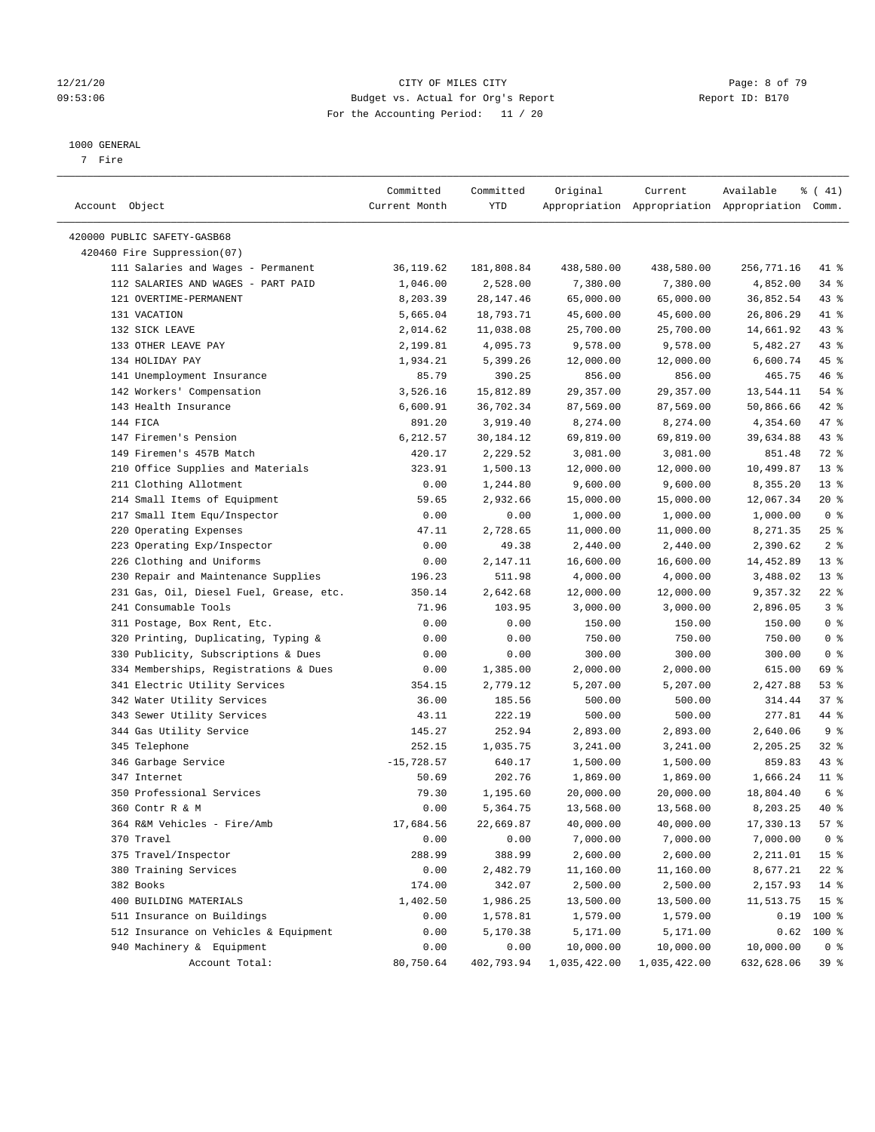#### 12/21/20 CITY OF MILES CITY Page: 8 of 79 09:53:06 Budget vs. Actual for Org's Report Changer Report ID: B170 For the Accounting Period: 11 / 20

————————————————————————————————————————————————————————————————————————————————————————————————————————————————————————————————————

#### 1000 GENERAL

7 Fire

|                                                              | Committed     | Committed  | Original              | Current      | Available                                       | $\frac{1}{6}$ ( 41)     |
|--------------------------------------------------------------|---------------|------------|-----------------------|--------------|-------------------------------------------------|-------------------------|
| Account Object                                               | Current Month | YTD        |                       |              | Appropriation Appropriation Appropriation Comm. |                         |
| 420000 PUBLIC SAFETY-GASB68                                  |               |            |                       |              |                                                 |                         |
| 420460 Fire Suppression(07)                                  |               |            |                       |              |                                                 |                         |
| 111 Salaries and Wages - Permanent                           | 36,119.62     | 181,808.84 | 438,580.00            | 438,580.00   | 256,771.16                                      | 41 %                    |
| 112 SALARIES AND WAGES - PART PAID                           | 1,046.00      | 2,528.00   | 7,380.00              | 7,380.00     | 4,852.00                                        | 34 %                    |
| 121 OVERTIME-PERMANENT                                       | 8,203.39      | 28,147.46  | 65,000.00             | 65,000.00    | 36,852.54                                       | $43$ %                  |
| 131 VACATION                                                 | 5,665.04      | 18,793.71  | 45,600.00             | 45,600.00    | 26,806.29                                       | 41 %                    |
| 132 SICK LEAVE                                               | 2,014.62      | 11,038.08  | 25,700.00             | 25,700.00    | 14,661.92                                       | $43$ %                  |
| 133 OTHER LEAVE PAY                                          | 2,199.81      | 4,095.73   | 9,578.00              | 9,578.00     | 5,482.27                                        | $43$ %                  |
| 134 HOLIDAY PAY                                              | 1,934.21      | 5,399.26   | 12,000.00             | 12,000.00    | 6,600.74                                        | 45 %                    |
| 141 Unemployment Insurance                                   | 85.79         | 390.25     | 856.00                | 856.00       | 465.75                                          | 46 %                    |
| 142 Workers' Compensation                                    | 3,526.16      | 15,812.89  | 29,357.00             | 29,357.00    | 13,544.11                                       | $54$ %                  |
| 143 Health Insurance                                         | 6,600.91      | 36,702.34  | 87,569.00             | 87,569.00    | 50,866.66                                       | $42$ %                  |
| 144 FICA                                                     | 891.20        | 3,919.40   | 8,274.00              | 8,274.00     | 4,354.60                                        | 47 %                    |
| 147 Firemen's Pension                                        | 6,212.57      | 30,184.12  | 69,819.00             | 69,819.00    | 39,634.88                                       | $43$ %                  |
| 149 Firemen's 457B Match                                     | 420.17        | 2,229.52   | 3,081.00              | 3,081.00     | 851.48                                          | 72 %                    |
| 210 Office Supplies and Materials                            | 323.91        |            |                       |              |                                                 | $13*$                   |
|                                                              |               | 1,500.13   | 12,000.00<br>9,600.00 | 12,000.00    | 10,499.87                                       | $13*$                   |
| 211 Clothing Allotment                                       | 0.00          | 1,244.80   |                       | 9,600.00     | 8,355.20                                        |                         |
| 214 Small Items of Equipment<br>217 Small Item Equ/Inspector | 59.65         | 2,932.66   | 15,000.00             | 15,000.00    | 12,067.34                                       | $20*$<br>0 <sup>8</sup> |
|                                                              | 0.00          | 0.00       | 1,000.00              | 1,000.00     | 1,000.00                                        |                         |
| 220 Operating Expenses                                       | 47.11         | 2,728.65   | 11,000.00             | 11,000.00    | 8,271.35                                        | $25$ %                  |
| 223 Operating Exp/Inspector                                  | 0.00          | 49.38      | 2,440.00              | 2,440.00     | 2,390.62                                        | 2 <sup>8</sup>          |
| 226 Clothing and Uniforms                                    | 0.00          | 2,147.11   | 16,600.00             | 16,600.00    | 14,452.89                                       | $13*$                   |
| 230 Repair and Maintenance Supplies                          | 196.23        | 511.98     | 4,000.00              | 4,000.00     | 3,488.02                                        | $13*$                   |
| 231 Gas, Oil, Diesel Fuel, Grease, etc.                      | 350.14        | 2,642.68   | 12,000.00             | 12,000.00    | 9,357.32                                        | $22$ %                  |
| 241 Consumable Tools                                         | 71.96         | 103.95     | 3,000.00              | 3,000.00     | 2,896.05                                        | 3%                      |
| 311 Postage, Box Rent, Etc.                                  | 0.00          | 0.00       | 150.00                | 150.00       | 150.00                                          | 0 <sup>8</sup>          |
| 320 Printing, Duplicating, Typing &                          | 0.00          | 0.00       | 750.00                | 750.00       | 750.00                                          | 0 <sup>8</sup>          |
| 330 Publicity, Subscriptions & Dues                          | 0.00          | 0.00       | 300.00                | 300.00       | 300.00                                          | 0 <sup>8</sup>          |
| 334 Memberships, Registrations & Dues                        | 0.00          | 1,385.00   | 2,000.00              | 2,000.00     | 615.00                                          | 69 %                    |
| 341 Electric Utility Services                                | 354.15        | 2,779.12   | 5,207.00              | 5,207.00     | 2,427.88                                        | 53%                     |
| 342 Water Utility Services                                   | 36.00         | 185.56     | 500.00                | 500.00       | 314.44                                          | 37%                     |
| 343 Sewer Utility Services                                   | 43.11         | 222.19     | 500.00                | 500.00       | 277.81                                          | 44 %                    |
| 344 Gas Utility Service                                      | 145.27        | 252.94     | 2,893.00              | 2,893.00     | 2,640.06                                        | 9 <sub>8</sub>          |
| 345 Telephone                                                | 252.15        | 1,035.75   | 3,241.00              | 3,241.00     | 2,205.25                                        | $32$ $%$                |
| 346 Garbage Service                                          | $-15,728.57$  | 640.17     | 1,500.00              | 1,500.00     | 859.83                                          | $43$ %                  |
| 347 Internet                                                 | 50.69         | 202.76     | 1,869.00              | 1,869.00     | 1,666.24                                        | $11$ %                  |
| 350 Professional Services                                    | 79.30         | 1,195.60   | 20,000.00             | 20,000.00    | 18,804.40                                       | 6 %                     |
| 360 Contr R & M                                              | 0.00          | 5,364.75   | 13,568.00             | 13,568.00    | 8,203.25                                        | 40 %                    |
| 364 R&M Vehicles - Fire/Amb                                  | 17,684.56     | 22,669.87  | 40,000.00             | 40,000.00    | 17,330.13                                       | 57%                     |
| 370 Travel                                                   | 0.00          | 0.00       | 7,000.00              | 7,000.00     | 7,000.00                                        | 0 <sup>8</sup>          |
| 375 Travel/Inspector                                         | 288.99        | 388.99     | 2,600.00              | 2,600.00     | 2,211.01                                        | 15 <sup>°</sup>         |
| 380 Training Services                                        | 0.00          | 2,482.79   | 11,160.00             | 11,160.00    | 8,677.21                                        | $22$ %                  |
| 382 Books                                                    | 174.00        | 342.07     | 2,500.00              | 2,500.00     | 2,157.93                                        | 14 %                    |
| 400 BUILDING MATERIALS                                       | 1,402.50      | 1,986.25   | 13,500.00             | 13,500.00    | 11,513.75                                       | 15 <sup>°</sup>         |
| 511 Insurance on Buildings                                   | 0.00          | 1,578.81   | 1,579.00              | 1,579.00     | 0.19                                            | 100 %                   |
| 512 Insurance on Vehicles & Equipment                        | 0.00          | 5,170.38   | 5,171.00              | 5,171.00     | 0.62                                            | $100$ %                 |
| 940 Machinery & Equipment                                    | 0.00          | 0.00       | 10,000.00             | 10,000.00    | 10,000.00                                       | 0 <sup>8</sup>          |
| Account Total:                                               | 80,750.64     | 402,793.94 | 1,035,422.00          | 1,035,422.00 | 632,628.06                                      | 39%                     |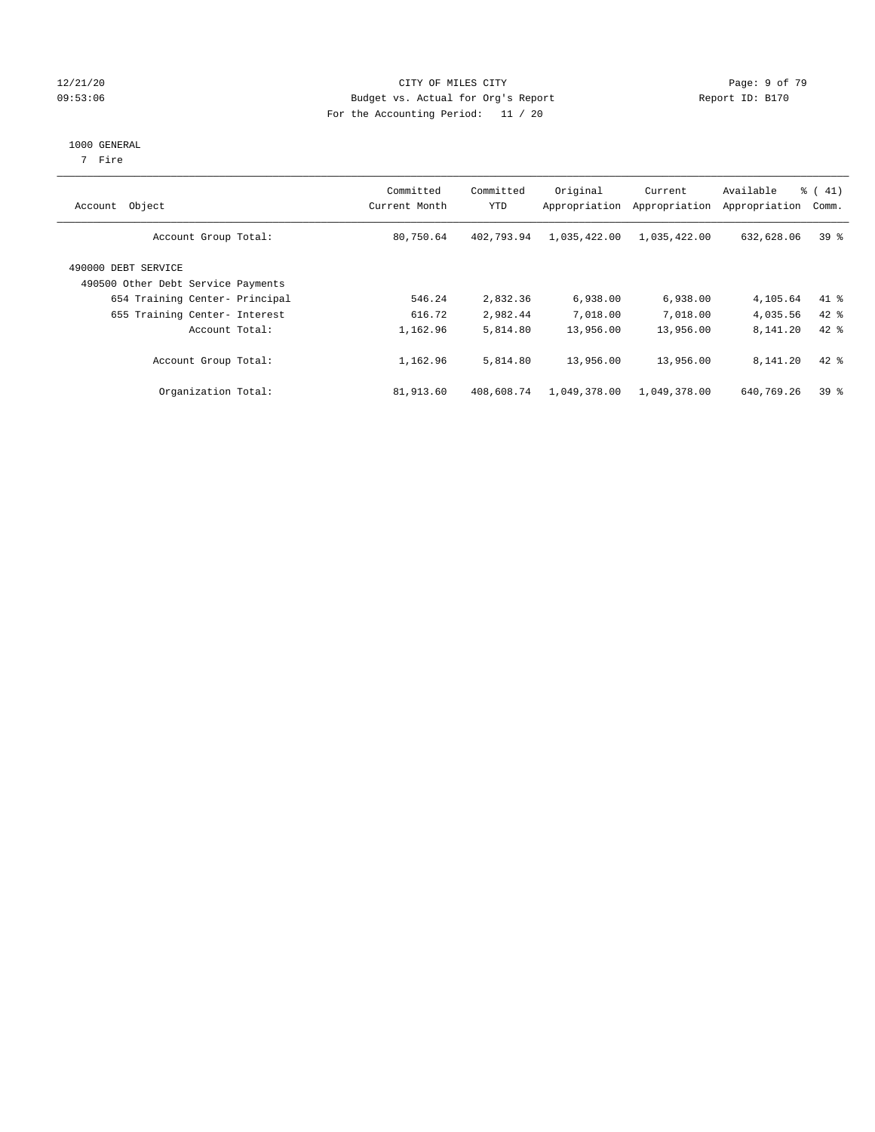#### 12/21/20 CITY OF MILES CITY Page: 9 of 79 09:53:06 Budget vs. Actual for Org's Report Changer Report ID: B170 For the Accounting Period: 11 / 20

#### 1000 GENERAL

7 Fire

| Object<br>Account                                         | Committed<br>Current Month | Committed<br><b>YTD</b> | Original<br>Appropriation | Current<br>Appropriation | Available<br>Appropriation | $\frac{1}{6}$ (41)<br>Comm. |
|-----------------------------------------------------------|----------------------------|-------------------------|---------------------------|--------------------------|----------------------------|-----------------------------|
| Account Group Total:                                      | 80,750.64                  | 402,793.94              | 1,035,422.00              | 1,035,422.00             | 632,628.06                 | 39 <sup>°</sup>             |
| 490000 DEBT SERVICE<br>490500 Other Debt Service Payments |                            |                         |                           |                          |                            |                             |
| 654 Training Center- Principal                            | 546.24                     | 2,832.36                | 6,938.00                  | 6,938.00                 | 4,105.64                   | $41$ %                      |
| 655 Training Center- Interest                             | 616.72                     | 2,982.44                | 7,018.00                  | 7,018.00                 | 4,035.56                   | $42$ %                      |
| Account Total:                                            | 1,162.96                   | 5,814.80                | 13,956.00                 | 13,956.00                | 8,141.20                   | $42*$                       |
| Account Group Total:                                      | 1,162.96                   | 5,814.80                | 13,956.00                 | 13,956.00                | 8,141.20                   | $42$ %                      |
| Organization Total:                                       | 81,913.60                  | 408,608.74              | 1,049,378.00              | 1,049,378.00             | 640,769.26                 | 39 <sup>°</sup>             |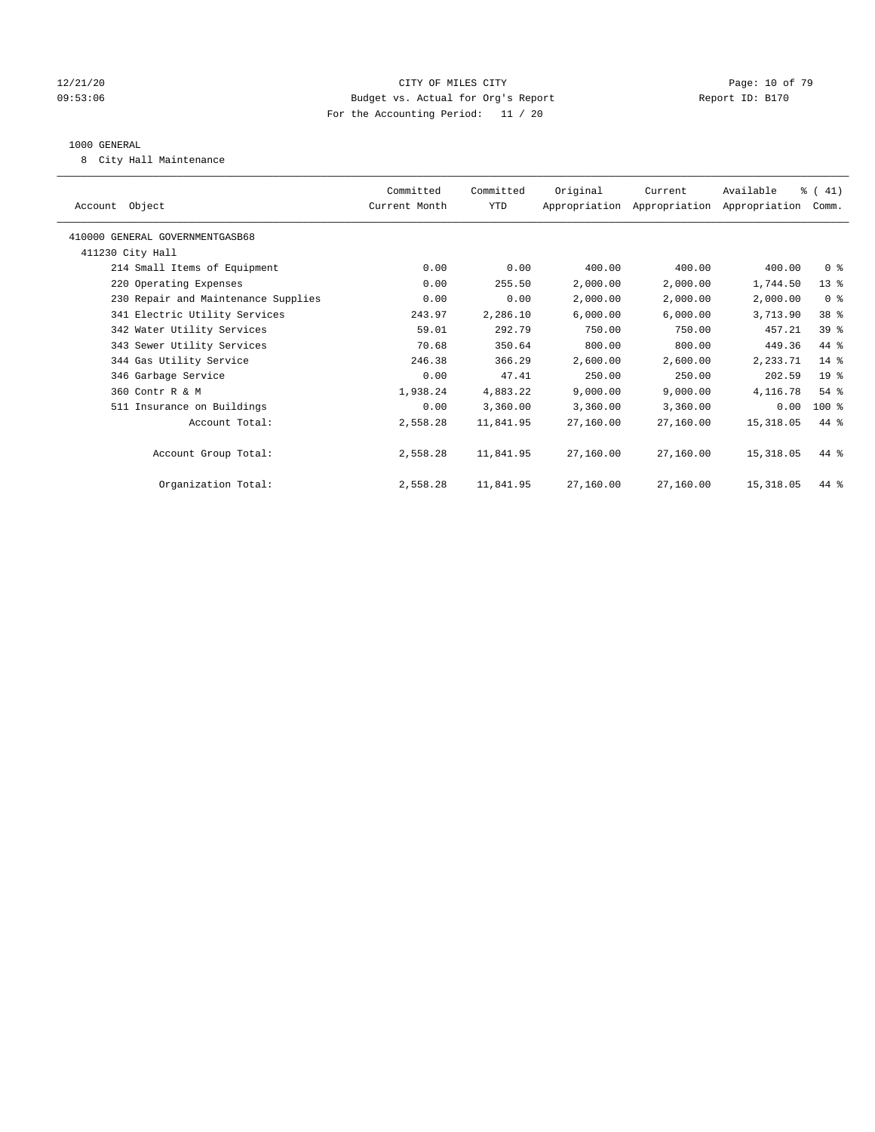#### 12/21/20 **Page: 10 of 79** CITY OF MILES CITY **CITY** CITY **Page: 10 of 79** 09:53:06 Budget vs. Actual for Org's Report Changer Report ID: B170 For the Accounting Period: 11 / 20

#### 1000 GENERAL

8 City Hall Maintenance

| Account Object                      | Committed<br>Current Month | Committed<br>YTD | Original  | Current<br>Appropriation Appropriation Appropriation | Available   | % (41)<br>Comm. |  |
|-------------------------------------|----------------------------|------------------|-----------|------------------------------------------------------|-------------|-----------------|--|
| 410000 GENERAL GOVERNMENTGASB68     |                            |                  |           |                                                      |             |                 |  |
| 411230 City Hall                    |                            |                  |           |                                                      |             |                 |  |
| 214 Small Items of Equipment        | 0.00                       | 0.00             | 400.00    | 400.00                                               | 400.00      | 0 <sup>8</sup>  |  |
| 220 Operating Expenses              | 0.00                       | 255.50           | 2,000.00  | 2,000.00                                             | 1,744.50    | $13*$           |  |
| 230 Repair and Maintenance Supplies | 0.00                       | 0.00             | 2,000.00  | 2,000.00                                             | 2,000.00    | 0 <sup>8</sup>  |  |
| 341 Electric Utility Services       | 243.97                     | 2,286.10         | 6,000.00  | 6,000.00                                             | 3,713.90    | 38 <sup>8</sup> |  |
| 342 Water Utility Services          | 59.01                      | 292.79           | 750.00    | 750.00                                               | 457.21      | 39 %            |  |
| 343 Sewer Utility Services          | 70.68                      | 350.64           | 800.00    | 800.00                                               | 449.36      | 44 %            |  |
| 344 Gas Utility Service             | 246.38                     | 366.29           | 2,600.00  | 2,600.00                                             | 2,233.71    | 14 %            |  |
| 346 Garbage Service                 | 0.00                       | 47.41            | 250.00    | 250.00                                               | 202.59      | $19*$           |  |
| 360 Contr R & M                     | 1,938.24                   | 4,883.22         | 9,000.00  | 9,000.00                                             | 4,116.78    | $54$ %          |  |
| 511 Insurance on Buildings          | 0.00                       | 3,360.00         | 3,360.00  | 3,360.00                                             | 0.00        | $100$ %         |  |
| Account Total:                      | 2,558.28                   | 11,841.95        | 27,160.00 | 27,160.00                                            | 15,318.05   | 44 %            |  |
|                                     |                            |                  |           |                                                      |             |                 |  |
| Account Group Total:                | 2,558.28                   | 11,841.95        | 27,160.00 | 27,160.00                                            | 15,318.05   | 44 %            |  |
|                                     |                            |                  |           |                                                      |             |                 |  |
| Organization Total:                 | 2,558.28                   | 11,841.95        | 27,160.00 | 27,160.00                                            | 15, 318, 05 | 44 %            |  |
|                                     |                            |                  |           |                                                      |             |                 |  |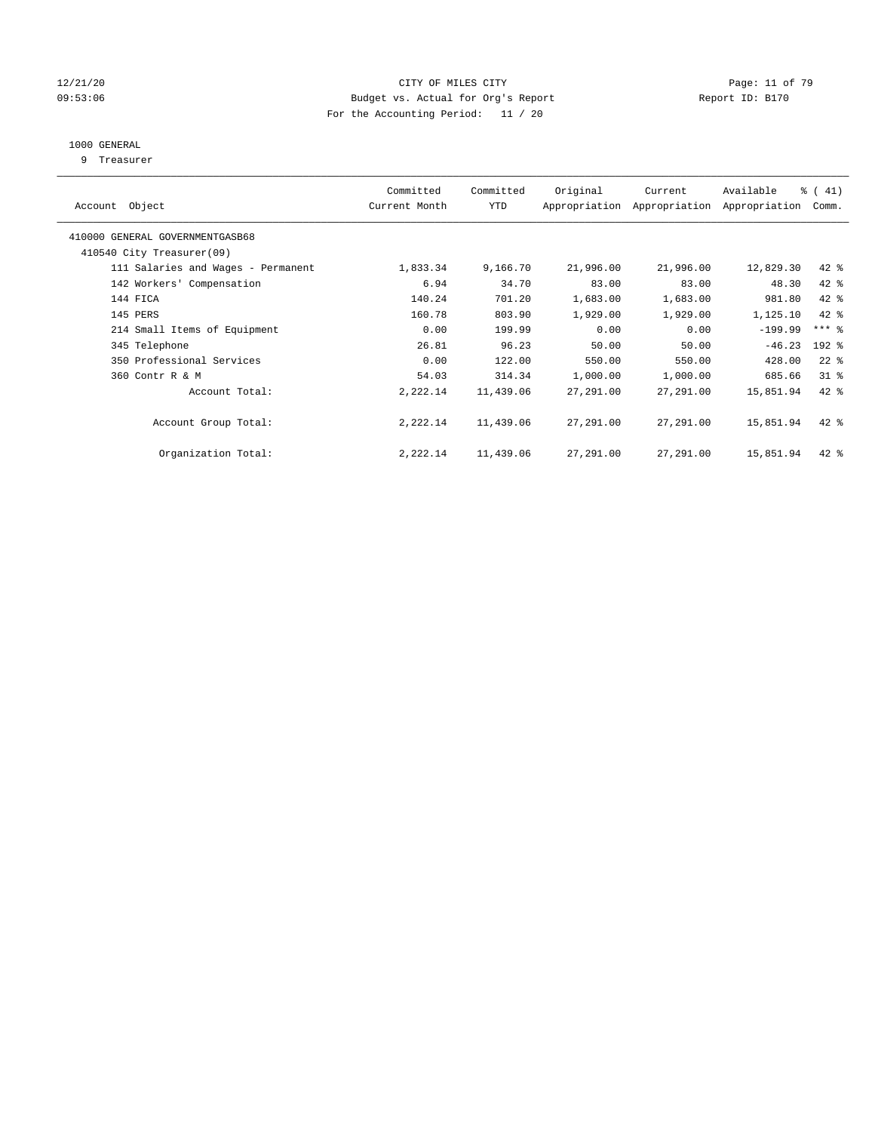#### 12/21/20 **Page: 11 of 79** CITY OF MILES CITY **CITY** CITY **Page: 11 of 79** 09:53:06 Budget vs. Actual for Org's Report Changer Report ID: B170 For the Accounting Period: 11 / 20

## 1000 GENERAL

9 Treasurer

| Object<br>Account                  | Committed<br>Current Month | Committed<br><b>YTD</b> | Original  | Current<br>Appropriation Appropriation | Available<br>Appropriation | % (41)<br>Comm.     |
|------------------------------------|----------------------------|-------------------------|-----------|----------------------------------------|----------------------------|---------------------|
| 410000 GENERAL GOVERNMENTGASB68    |                            |                         |           |                                        |                            |                     |
| 410540 City Treasurer(09)          |                            |                         |           |                                        |                            |                     |
| 111 Salaries and Wages - Permanent | 1,833.34                   | 9,166.70                | 21,996.00 | 21,996.00                              | 12,829.30                  | $42$ %              |
| 142 Workers' Compensation          | 6.94                       | 34.70                   | 83.00     | 83.00                                  | 48.30                      | 42 %                |
| 144 FICA                           | 140.24                     | 701.20                  | 1,683.00  | 1,683.00                               | 981.80                     | 42 %                |
| 145 PERS                           | 160.78                     | 803.90                  | 1,929.00  | 1,929.00                               | 1,125.10                   | 42 %                |
| 214 Small Items of Equipment       | 0.00                       | 199.99                  | 0.00      | 0.00                                   | $-199.99$                  | $***$ $\frac{6}{5}$ |
| 345 Telephone                      | 26.81                      | 96.23                   | 50.00     | 50.00                                  | $-46.23$                   | $192$ %             |
| 350 Professional Services          | 0.00                       | 122.00                  | 550.00    | 550.00                                 | 428.00                     | $22$ %              |
| 360 Contr R & M                    | 54.03                      | 314.34                  | 1,000.00  | 1,000.00                               | 685.66                     | $31$ %              |
| Account Total:                     | 2,222.14                   | 11,439.06               | 27,291.00 | 27,291.00                              | 15,851.94                  | 42 %                |
| Account Group Total:               | 2,222.14                   | 11,439.06               | 27,291.00 | 27,291.00                              | 15,851.94                  | $42$ %              |
| Organization Total:                | 2,222.14                   | 11,439.06               | 27,291.00 | 27,291.00                              | 15,851.94                  | $42$ %              |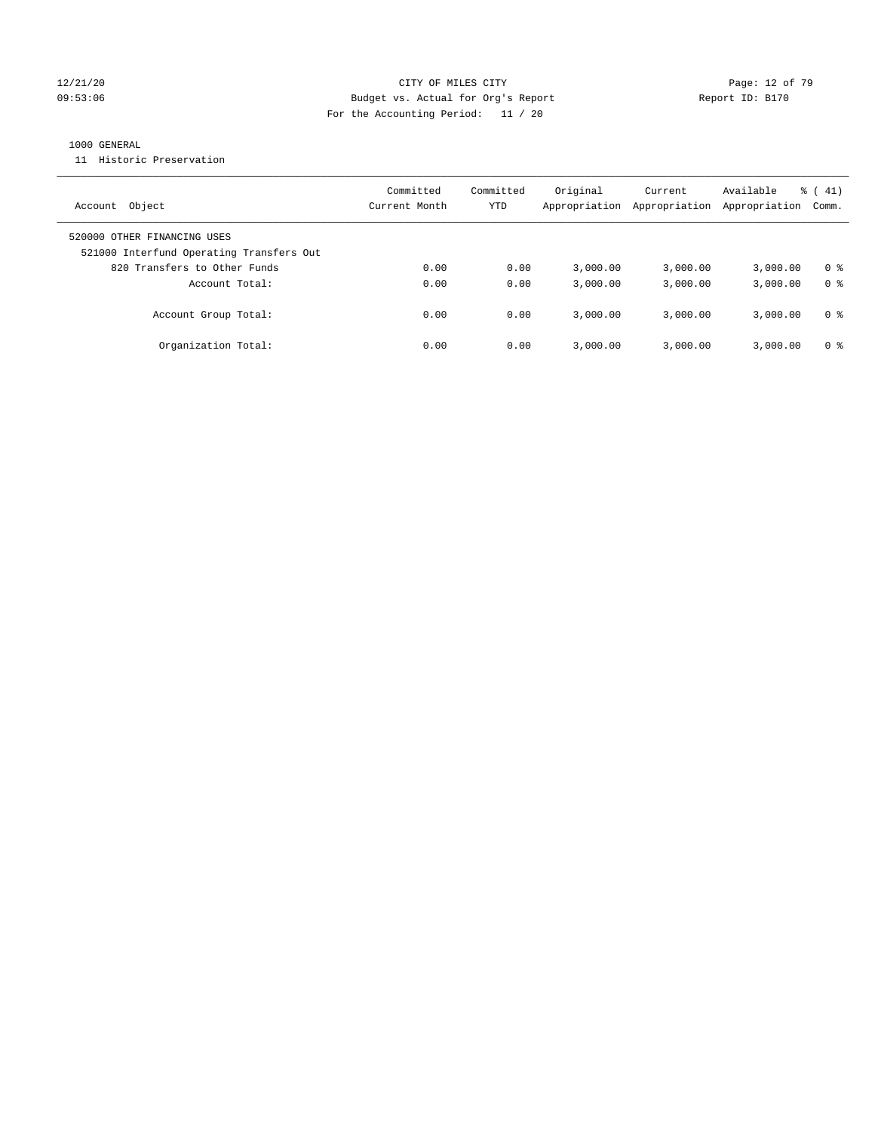#### 12/21/20 **Page: 12 of 79** CITY OF MILES CITY **CITY** CITY **Page: 12 of 79** Page: 12 of 79 09:53:06 Budget vs. Actual for Org's Report Report ID: B170 For the Accounting Period: 11 / 20

### 1000 GENERAL

11 Historic Preservation

| Object<br>Account                                                       | Committed<br>Current Month | Committed<br>YTD | Original<br>Appropriation | Current<br>Appropriation | Available<br>Appropriation | $\frac{1}{6}$ ( 41)<br>Comm. |
|-------------------------------------------------------------------------|----------------------------|------------------|---------------------------|--------------------------|----------------------------|------------------------------|
| 520000 OTHER FINANCING USES<br>521000 Interfund Operating Transfers Out |                            |                  |                           |                          |                            |                              |
| 820 Transfers to Other Funds                                            | 0.00                       | 0.00             | 3.000.00                  | 3,000.00                 | 3,000.00                   | 0 %                          |
| Account Total:                                                          | 0.00                       | 0.00             | 3,000.00                  | 3,000.00                 | 3,000.00                   | 0 <sup>8</sup>               |
| Account Group Total:                                                    | 0.00                       | 0.00             | 3.000.00                  | 3,000.00                 | 3,000.00                   | 0 %                          |
| Organization Total:                                                     | 0.00                       | 0.00             | 3.000.00                  | 3,000.00                 | 3,000.00                   | 0 %                          |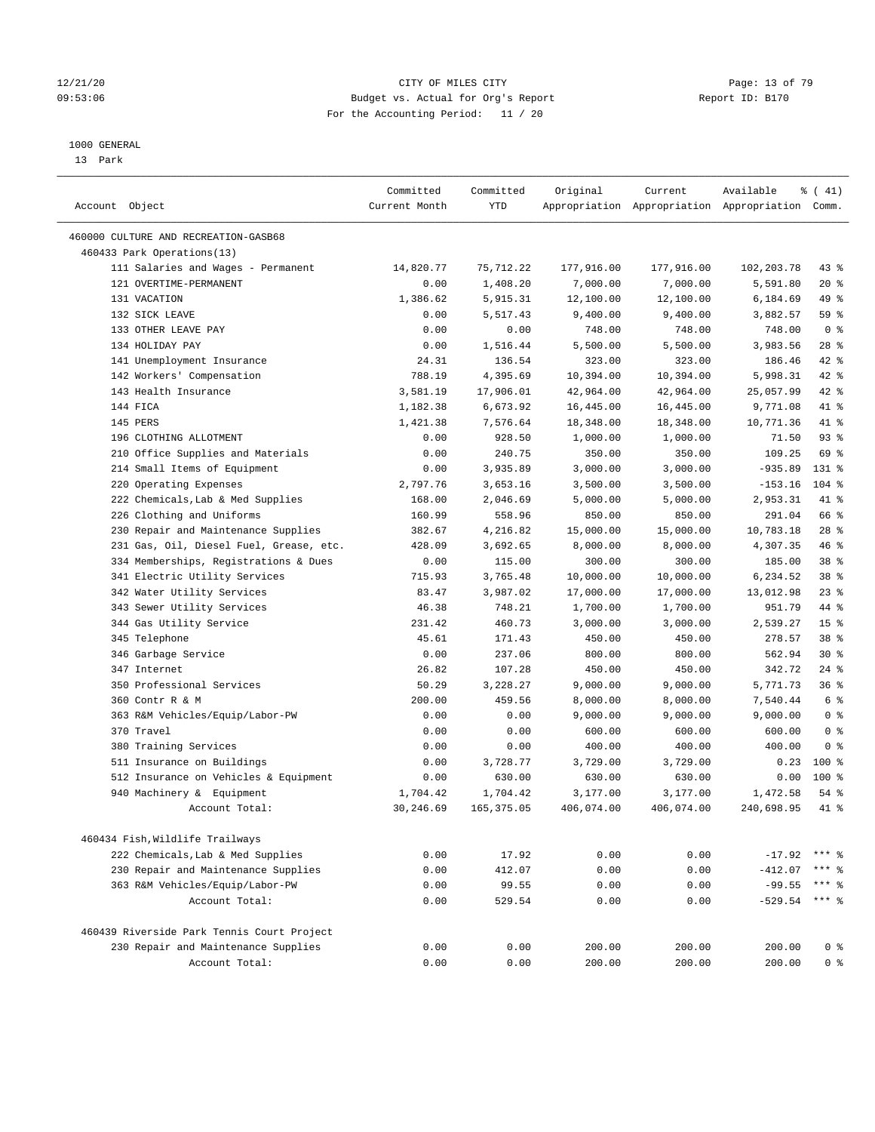#### 12/21/20 **Page: 13 of 79** CITY OF MILES CITY **CITY** CITY **Page: 13 of 79** 09:53:06 Budget vs. Actual for Org's Report Report ID: B170 For the Accounting Period: 11 / 20

————————————————————————————————————————————————————————————————————————————————————————————————————————————————————————————————————

#### 1000 GENERAL

13 Park

|                                            | Committed     | Committed   | Original   | Current    | Available                                       | % (41)          |
|--------------------------------------------|---------------|-------------|------------|------------|-------------------------------------------------|-----------------|
| Account Object                             | Current Month | YTD         |            |            | Appropriation Appropriation Appropriation Comm. |                 |
| 460000 CULTURE AND RECREATION-GASB68       |               |             |            |            |                                                 |                 |
| 460433 Park Operations(13)                 |               |             |            |            |                                                 |                 |
| 111 Salaries and Wages - Permanent         | 14,820.77     | 75,712.22   | 177,916.00 | 177,916.00 | 102,203.78                                      | 43 %            |
| 121 OVERTIME-PERMANENT                     | 0.00          | 1,408.20    | 7,000.00   | 7,000.00   | 5,591.80                                        | $20*$           |
| 131 VACATION                               | 1,386.62      | 5,915.31    | 12,100.00  | 12,100.00  | 6,184.69                                        | 49 %            |
| 132 SICK LEAVE                             | 0.00          | 5,517.43    | 9,400.00   | 9,400.00   | 3,882.57                                        | 59 %            |
| 133 OTHER LEAVE PAY                        | 0.00          | 0.00        | 748.00     | 748.00     | 748.00                                          | 0 <sup>8</sup>  |
| 134 HOLIDAY PAY                            | 0.00          | 1,516.44    | 5,500.00   | 5,500.00   | 3,983.56                                        | $28$ %          |
| 141 Unemployment Insurance                 | 24.31         | 136.54      | 323.00     | 323.00     | 186.46                                          | 42 %            |
| 142 Workers' Compensation                  | 788.19        | 4,395.69    | 10,394.00  | 10,394.00  | 5,998.31                                        | 42 %            |
| 143 Health Insurance                       | 3,581.19      | 17,906.01   | 42,964.00  | 42,964.00  | 25,057.99                                       | 42 %            |
| 144 FICA                                   | 1,182.38      | 6,673.92    | 16,445.00  | 16,445.00  | 9,771.08                                        | 41 %            |
| 145 PERS                                   | 1,421.38      | 7,576.64    | 18,348.00  | 18,348.00  | 10,771.36                                       | 41 %            |
| 196 CLOTHING ALLOTMENT                     | 0.00          | 928.50      | 1,000.00   | 1,000.00   | 71.50                                           | 93%             |
| 210 Office Supplies and Materials          | 0.00          | 240.75      | 350.00     | 350.00     | 109.25                                          | 69 %            |
| 214 Small Items of Equipment               | 0.00          | 3,935.89    | 3,000.00   | 3,000.00   | $-935.89$                                       | 131 %           |
| 220 Operating Expenses                     | 2,797.76      | 3,653.16    | 3,500.00   | 3,500.00   | $-153.16$                                       | $104$ %         |
| 222 Chemicals, Lab & Med Supplies          | 168.00        | 2,046.69    | 5,000.00   | 5,000.00   | 2,953.31                                        | 41 %            |
| 226 Clothing and Uniforms                  | 160.99        | 558.96      | 850.00     | 850.00     | 291.04                                          | 66 %            |
| 230 Repair and Maintenance Supplies        | 382.67        | 4,216.82    | 15,000.00  | 15,000.00  | 10,783.18                                       | $28$ %          |
| 231 Gas, Oil, Diesel Fuel, Grease, etc.    | 428.09        | 3,692.65    | 8,000.00   | 8,000.00   | 4,307.35                                        | 46 %            |
| 334 Memberships, Registrations & Dues      | 0.00          | 115.00      | 300.00     | 300.00     | 185.00                                          | 38 %            |
| 341 Electric Utility Services              | 715.93        | 3,765.48    | 10,000.00  | 10,000.00  | 6,234.52                                        | 38 %            |
| 342 Water Utility Services                 | 83.47         | 3,987.02    | 17,000.00  | 17,000.00  | 13,012.98                                       | $23$ $%$        |
| 343 Sewer Utility Services                 | 46.38         | 748.21      | 1,700.00   | 1,700.00   | 951.79                                          | 44 %            |
| 344 Gas Utility Service                    | 231.42        | 460.73      | 3,000.00   | 3,000.00   | 2,539.27                                        | 15 <sup>°</sup> |
| 345 Telephone                              | 45.61         | 171.43      | 450.00     | 450.00     | 278.57                                          | 38 %            |
| 346 Garbage Service                        | 0.00          | 237.06      | 800.00     | 800.00     | 562.94                                          | $30*$           |
| 347 Internet                               | 26.82         | 107.28      | 450.00     | 450.00     | 342.72                                          | $24$ %          |
| 350 Professional Services                  | 50.29         | 3,228.27    | 9,000.00   | 9,000.00   | 5,771.73                                        | 36%             |
| 360 Contr R & M                            | 200.00        | 459.56      | 8,000.00   | 8,000.00   | 7,540.44                                        | 6 %             |
| 363 R&M Vehicles/Equip/Labor-PW            | 0.00          | 0.00        | 9,000.00   | 9,000.00   | 9,000.00                                        | 0 <sup>8</sup>  |
| 370 Travel                                 | 0.00          | 0.00        | 600.00     | 600.00     | 600.00                                          | 0 <sup>8</sup>  |
| 380 Training Services                      | 0.00          | 0.00        | 400.00     | 400.00     | 400.00                                          | 0 <sup>8</sup>  |
| 511 Insurance on Buildings                 | 0.00          | 3,728.77    | 3,729.00   | 3,729.00   | 0.23                                            | $100*$          |
| 512 Insurance on Vehicles & Equipment      | 0.00          | 630.00      | 630.00     | 630.00     | 0.00                                            | $100*$          |
| 940 Machinery & Equipment                  | 1,704.42      | 1,704.42    | 3,177.00   | 3,177.00   | 1,472.58                                        | $54$ %          |
| Account Total:                             | 30,246.69     | 165, 375.05 | 406,074.00 | 406,074.00 | 240,698.95                                      | 41 %            |
|                                            |               |             |            |            |                                                 |                 |
| 460434 Fish, Wildlife Trailways            |               |             |            |            |                                                 |                 |
| 222 Chemicals, Lab & Med Supplies          | 0.00          | 17.92       | 0.00       | 0.00       | $-17.92$                                        |                 |
| 230 Repair and Maintenance Supplies        | 0.00          | 412.07      | 0.00       | 0.00       | $-412.07$                                       | ** 응            |
| 363 R&M Vehicles/Equip/Labor-PW            | 0.00          | 99.55       | 0.00       | 0.00       | $-99.55$                                        | *** 응           |
| Account Total:                             | 0.00          | 529.54      | 0.00       | 0.00       | $-529.54$                                       | $***$ $8$       |
| 460439 Riverside Park Tennis Court Project |               |             |            |            |                                                 |                 |
| 230 Repair and Maintenance Supplies        | 0.00          | 0.00        | 200.00     | 200.00     | 200.00                                          | 0 <sup>8</sup>  |
| Account Total:                             | 0.00          | 0.00        | 200.00     | 200.00     | 200.00                                          | 0 <sup>8</sup>  |
|                                            |               |             |            |            |                                                 |                 |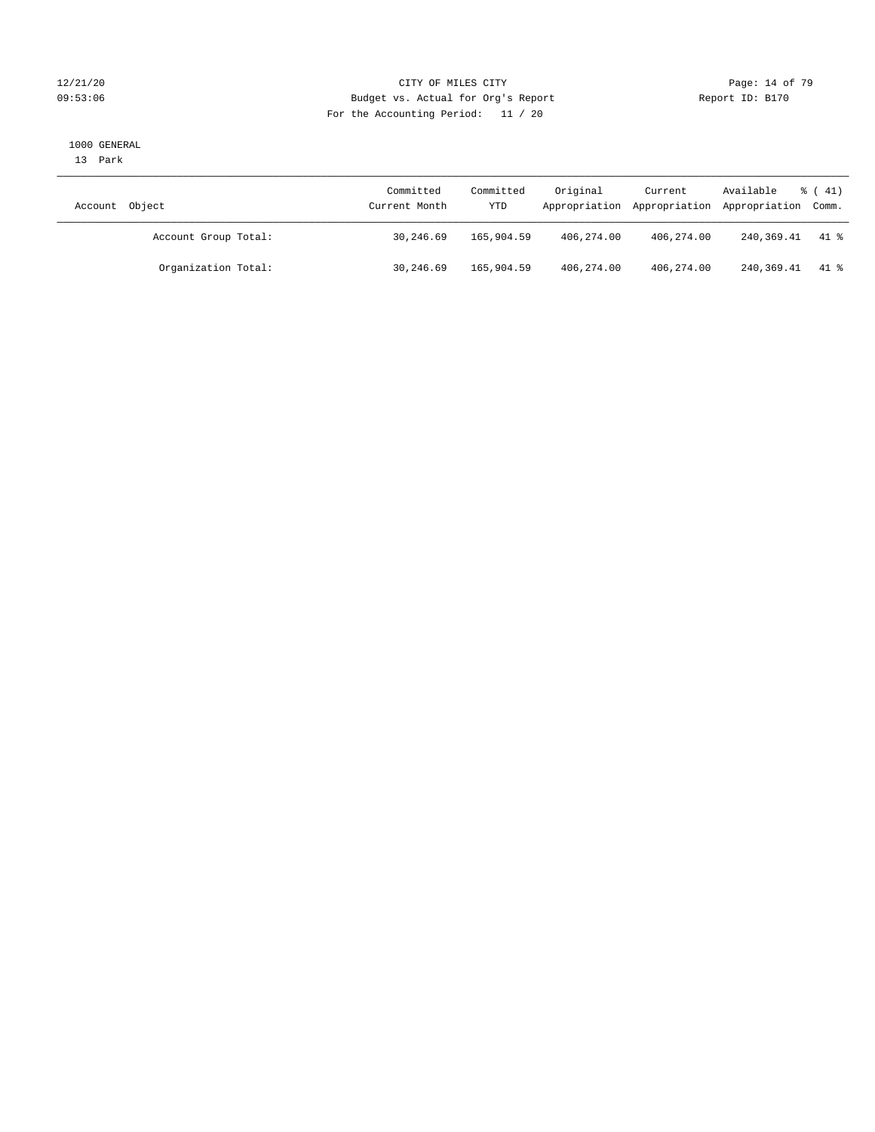### 12/21/20 **Page: 14 of 79** CITY OF MILES CITY **CITY** CITY **Page: 14 of 79** 09:53:06 Budget vs. Actual for Org's Report Report ID: B170 For the Accounting Period: 11 / 20

#### 1000 GENERAL

13 Park

| Account Object       | Committed<br>Current Month | Committed<br>YTD | Original   | Current    | Available<br>Appropriation Appropriation Appropriation Comm. | $\frac{1}{6}$ ( 41) |
|----------------------|----------------------------|------------------|------------|------------|--------------------------------------------------------------|---------------------|
| Account Group Total: | 30,246.69                  | 165,904.59       | 406,274.00 | 406,274.00 | 240,369.41                                                   | 41 %                |
| Organization Total:  | 30,246.69                  | 165,904.59       | 406,274.00 | 406,274.00 | 240,369.41                                                   | 41 %                |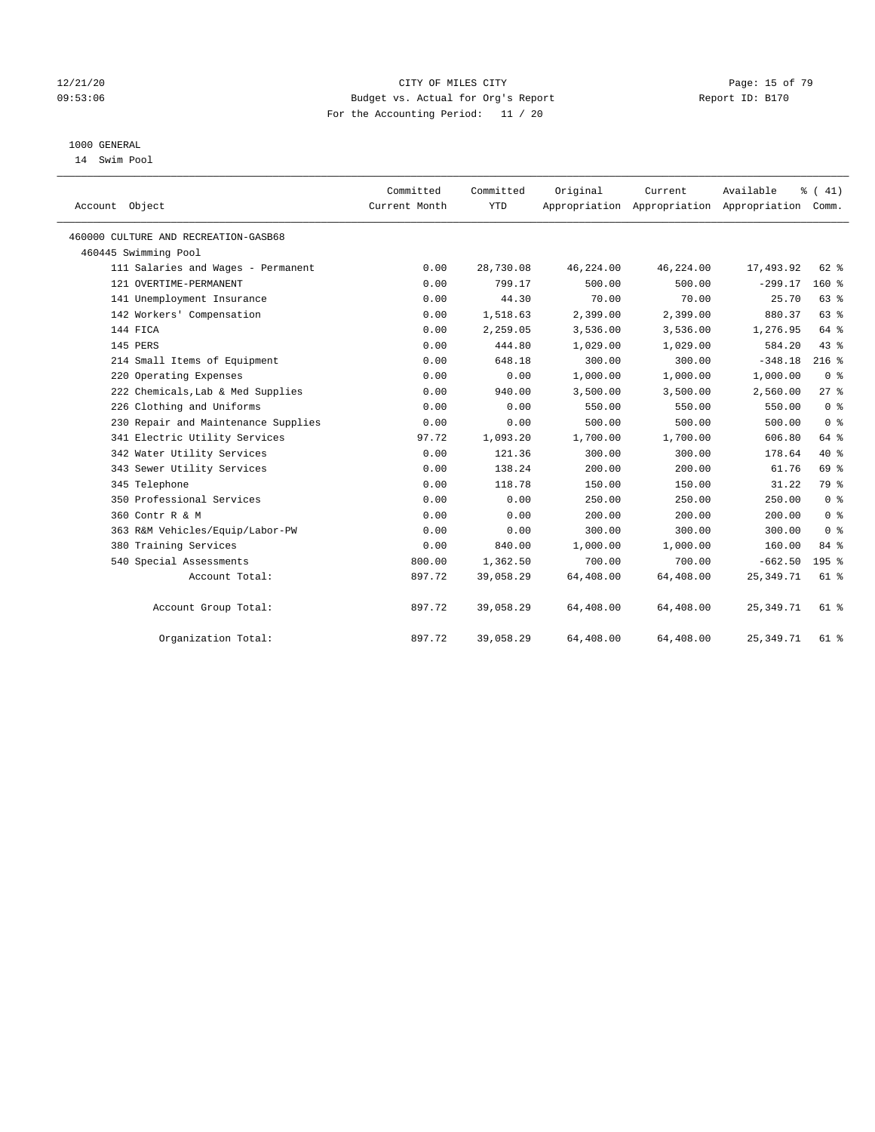#### 12/21/20 **Page: 15 of 79** CITY OF MILES CITY **CITY** CITY **Page: 15 of 79** 09:53:06 Budget vs. Actual for Org's Report Report ID: B170 For the Accounting Period: 11 / 20

## 1000 GENERAL

14 Swim Pool

| Account Object                       | Committed<br>Current Month | Committed<br><b>YTD</b> | Original  | Current<br>Appropriation Appropriation Appropriation | Available   | % (41)<br>Comm. |
|--------------------------------------|----------------------------|-------------------------|-----------|------------------------------------------------------|-------------|-----------------|
| 460000 CULTURE AND RECREATION-GASB68 |                            |                         |           |                                                      |             |                 |
| 460445 Swimming Pool                 |                            |                         |           |                                                      |             |                 |
| 111 Salaries and Wages - Permanent   | 0.00                       | 28,730.08               | 46,224.00 | 46,224.00                                            | 17,493.92   | 62 %            |
| 121 OVERTIME-PERMANENT               | 0.00                       | 799.17                  | 500.00    | 500.00                                               | $-299.17$   | $160*$          |
| 141 Unemployment Insurance           | 0.00                       | 44.30                   | 70.00     | 70.00                                                | 25.70       | 63%             |
| 142 Workers' Compensation            | 0.00                       | 1,518.63                | 2,399.00  | 2,399.00                                             | 880.37      | 63%             |
| 144 FICA                             | 0.00                       | 2,259.05                | 3,536.00  | 3,536.00                                             | 1,276.95    | 64 %            |
| 145 PERS                             | 0.00                       | 444.80                  | 1,029.00  | 1,029.00                                             | 584.20      | 43.8            |
| 214 Small Items of Equipment         | 0.00                       | 648.18                  | 300.00    | 300.00                                               | $-348.18$   | $216$ %         |
| 220 Operating Expenses               | 0.00                       | 0.00                    | 1,000.00  | 1,000.00                                             | 1,000.00    | 0 <sup>8</sup>  |
| 222 Chemicals, Lab & Med Supplies    | 0.00                       | 940.00                  | 3,500.00  | 3,500.00                                             | 2,560.00    | $27$ $%$        |
| 226 Clothing and Uniforms            | 0.00                       | 0.00                    | 550.00    | 550.00                                               | 550.00      | 0 <sup>8</sup>  |
| 230 Repair and Maintenance Supplies  | 0.00                       | 0.00                    | 500.00    | 500.00                                               | 500.00      | 0 <sup>8</sup>  |
| 341 Electric Utility Services        | 97.72                      | 1,093.20                | 1,700.00  | 1,700.00                                             | 606.80      | 64 %            |
| 342 Water Utility Services           | 0.00                       | 121.36                  | 300.00    | 300.00                                               | 178.64      | $40*$           |
| 343 Sewer Utility Services           | 0.00                       | 138.24                  | 200.00    | 200.00                                               | 61.76       | 69 %            |
| 345 Telephone                        | 0.00                       | 118.78                  | 150.00    | 150.00                                               | 31.22       | 79 %            |
| 350 Professional Services            | 0.00                       | 0.00                    | 250.00    | 250.00                                               | 250.00      | 0 <sup>8</sup>  |
| 360 Contr R & M                      | 0.00                       | 0.00                    | 200.00    | 200.00                                               | 200.00      | 0 <sup>8</sup>  |
| 363 R&M Vehicles/Equip/Labor-PW      | 0.00                       | 0.00                    | 300.00    | 300.00                                               | 300.00      | 0 <sup>8</sup>  |
| 380 Training Services                | 0.00                       | 840.00                  | 1,000.00  | 1,000.00                                             | 160.00      | 84 %            |
| 540 Special Assessments              | 800.00                     | 1,362.50                | 700.00    | 700.00                                               | $-662.50$   | $195$ %         |
| Account Total:                       | 897.72                     | 39,058.29               | 64,408.00 | 64,408.00                                            | 25, 349. 71 | 61 %            |
| Account Group Total:                 | 897.72                     | 39,058.29               | 64,408.00 | 64,408.00                                            | 25, 349. 71 | 61 %            |
| Organization Total:                  | 897.72                     | 39,058.29               | 64,408.00 | 64,408.00                                            | 25, 349.71  | 61 %            |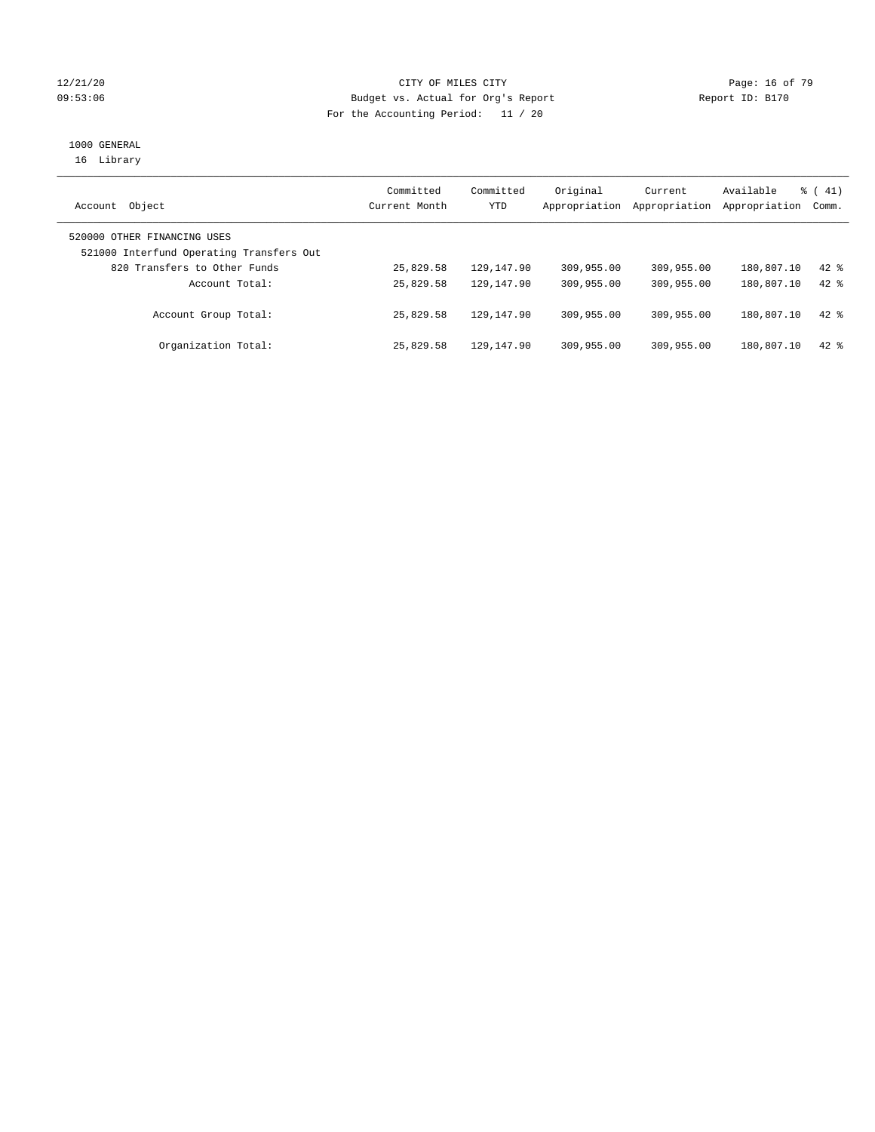#### 12/21/20 **Page: 16 of 79** CITY OF MILES CITY **CITY** CITY **Page: 16 of 79** 09:53:06 Budget vs. Actual for Org's Report Changer Report ID: B170 For the Accounting Period: 11 / 20

# 1000 GENERAL

16 Library

| Object<br>Account                                                       | Committed<br>Current Month | Committed<br>YTD | Original<br>Appropriation | Current<br>Appropriation | Available<br>Appropriation | $\frac{1}{6}$ ( 41)<br>Comm. |
|-------------------------------------------------------------------------|----------------------------|------------------|---------------------------|--------------------------|----------------------------|------------------------------|
| 520000 OTHER FINANCING USES<br>521000 Interfund Operating Transfers Out |                            |                  |                           |                          |                            |                              |
| 820 Transfers to Other Funds                                            | 25,829.58                  | 129,147.90       | 309,955.00                | 309,955.00               | 180,807.10                 | $42$ $%$                     |
| Account Total:                                                          | 25,829.58                  | 129,147.90       | 309,955.00                | 309,955.00               | 180,807.10                 | $42*$                        |
| Account Group Total:                                                    | 25,829.58                  | 129,147.90       | 309,955.00                | 309,955.00               | 180,807.10                 | $42$ $%$                     |
| Organization Total:                                                     | 25,829.58                  | 129,147.90       | 309,955.00                | 309,955.00               | 180,807.10                 | $42*$                        |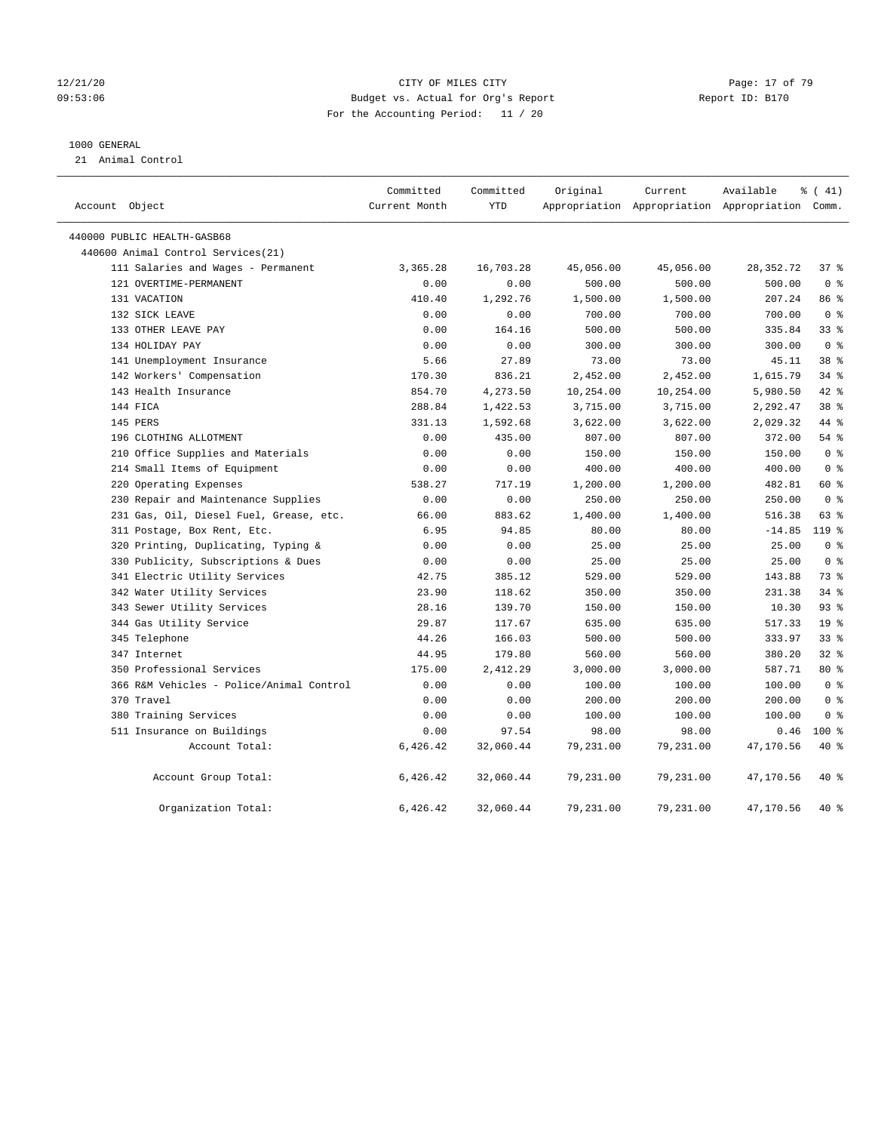#### 12/21/20 **Page: 17 of 79** CITY OF MILES CITY **CITY** Page: 17 of 79 09:53:06 Budget vs. Actual for Org's Report Report ID: B170 For the Accounting Period: 11 / 20

#### 1000 GENERAL

21 Animal Control

| Account Object                           | Committed<br>Current Month | Committed<br>YTD | Original  | Current   | Available<br>Appropriation Appropriation Appropriation Comm. | $\frac{1}{6}$ ( 41) |  |
|------------------------------------------|----------------------------|------------------|-----------|-----------|--------------------------------------------------------------|---------------------|--|
| 440000 PUBLIC HEALTH-GASB68              |                            |                  |           |           |                                                              |                     |  |
| 440600 Animal Control Services(21)       |                            |                  |           |           |                                                              |                     |  |
| 111 Salaries and Wages - Permanent       | 3,365.28                   | 16,703.28        | 45,056.00 | 45,056.00 | 28, 352. 72                                                  | 37%                 |  |
| 121 OVERTIME-PERMANENT                   | 0.00                       | 0.00             | 500.00    | 500.00    | 500.00                                                       | 0 <sup>8</sup>      |  |
| 131 VACATION                             | 410.40                     | 1,292.76         | 1,500.00  | 1,500.00  | 207.24                                                       | 86 %                |  |
| 132 SICK LEAVE                           | 0.00                       | 0.00             | 700.00    | 700.00    | 700.00                                                       | 0 <sup>8</sup>      |  |
| 133 OTHER LEAVE PAY                      | 0.00                       | 164.16           | 500.00    | 500.00    | 335.84                                                       | 33%                 |  |
| 134 HOLIDAY PAY                          | 0.00                       | 0.00             | 300.00    | 300.00    | 300.00                                                       | 0 <sup>8</sup>      |  |
| 141 Unemployment Insurance               | 5.66                       | 27.89            | 73.00     | 73.00     | 45.11                                                        | 38 %                |  |
| 142 Workers' Compensation                | 170.30                     | 836.21           | 2,452.00  | 2,452.00  | 1,615.79                                                     | 34%                 |  |
| 143 Health Insurance                     | 854.70                     | 4,273.50         | 10,254.00 | 10,254.00 | 5,980.50                                                     | 42 %                |  |
| 144 FICA                                 | 288.84                     | 1,422.53         | 3,715.00  | 3,715.00  | 2,292.47                                                     | 38 <sup>8</sup>     |  |
| 145 PERS                                 | 331.13                     | 1,592.68         | 3,622.00  | 3,622.00  | 2,029.32                                                     | 44 %                |  |
| 196 CLOTHING ALLOTMENT                   | 0.00                       | 435.00           | 807.00    | 807.00    | 372.00                                                       | 54%                 |  |
| 210 Office Supplies and Materials        | 0.00                       | 0.00             | 150.00    | 150.00    | 150.00                                                       | 0 <sup>8</sup>      |  |
| 214 Small Items of Equipment             | 0.00                       | 0.00             | 400.00    | 400.00    | 400.00                                                       | 0 <sup>8</sup>      |  |
| 220 Operating Expenses                   | 538.27                     | 717.19           | 1,200.00  | 1,200.00  | 482.81                                                       | 60 %                |  |
| 230 Repair and Maintenance Supplies      | 0.00                       | 0.00             | 250.00    | 250.00    | 250.00                                                       | 0 <sup>8</sup>      |  |
| 231 Gas, Oil, Diesel Fuel, Grease, etc.  | 66.00                      | 883.62           | 1,400.00  | 1,400.00  | 516.38                                                       | 63 %                |  |
| 311 Postage, Box Rent, Etc.              | 6.95                       | 94.85            | 80.00     | 80.00     | $-14.85$                                                     | $119*$              |  |
| 320 Printing, Duplicating, Typing &      | 0.00                       | 0.00             | 25.00     | 25.00     | 25.00                                                        | 0 <sup>8</sup>      |  |
| 330 Publicity, Subscriptions & Dues      | 0.00                       | 0.00             | 25.00     | 25.00     | 25.00                                                        | 0 <sup>8</sup>      |  |
| 341 Electric Utility Services            | 42.75                      | 385.12           | 529.00    | 529.00    | 143.88                                                       | 73 %                |  |
| 342 Water Utility Services               | 23.90                      | 118.62           | 350.00    | 350.00    | 231.38                                                       | $34$ %              |  |
| 343 Sewer Utility Services               | 28.16                      | 139.70           | 150.00    | 150.00    | 10.30                                                        | 93%                 |  |
| 344 Gas Utility Service                  | 29.87                      | 117.67           | 635.00    | 635.00    | 517.33                                                       | 19 <sup>°</sup>     |  |
| 345 Telephone                            | 44.26                      | 166.03           | 500.00    | 500.00    | 333.97                                                       | 33%                 |  |
| 347 Internet                             | 44.95                      | 179.80           | 560.00    | 560.00    | 380.20                                                       | 32%                 |  |
| 350 Professional Services                | 175.00                     | 2,412.29         | 3,000.00  | 3,000.00  | 587.71                                                       | 80 %                |  |
| 366 R&M Vehicles - Police/Animal Control | 0.00                       | 0.00             | 100.00    | 100.00    | 100.00                                                       | 0 <sup>8</sup>      |  |
| 370 Travel                               | 0.00                       | 0.00             | 200.00    | 200.00    | 200.00                                                       | 0 <sup>8</sup>      |  |
| 380 Training Services                    | 0.00                       | 0.00             | 100.00    | 100.00    | 100.00                                                       | 0 <sup>8</sup>      |  |
| 511 Insurance on Buildings               | 0.00                       | 97.54            | 98.00     | 98.00     | 0.46                                                         | $100*$              |  |
| Account Total:                           | 6,426.42                   | 32,060.44        | 79,231.00 | 79,231.00 | 47,170.56                                                    | 40 %                |  |
| Account Group Total:                     | 6,426.42                   | 32,060.44        | 79,231.00 | 79,231.00 | 47,170.56                                                    | 40 %                |  |
| Organization Total:                      | 6,426.42                   | 32,060.44        | 79,231.00 | 79,231.00 | 47,170.56                                                    | 40 %                |  |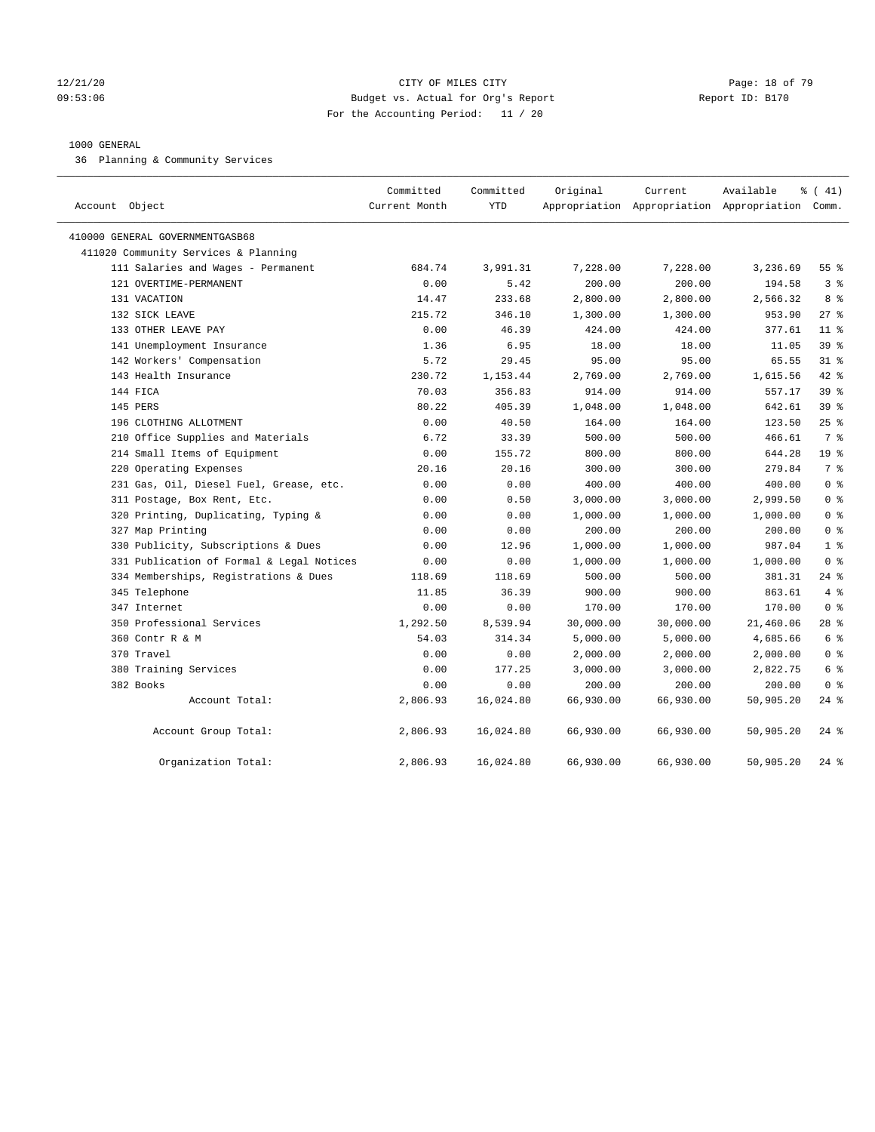#### 12/21/20 **Page: 18 of 79** CITY OF MILES CITY **CITY** CITY **Page: 18 of 79** 09:53:06 Budget vs. Actual for Org's Report Report ID: B170 For the Accounting Period: 11 / 20

#### 1000 GENERAL

36 Planning & Community Services

| Account Object                            | Committed<br>Current Month | Committed<br><b>YTD</b> | Original  | Current   | Available<br>Appropriation Appropriation Appropriation Comm. | % (41)             |
|-------------------------------------------|----------------------------|-------------------------|-----------|-----------|--------------------------------------------------------------|--------------------|
| 410000 GENERAL GOVERNMENTGASB68           |                            |                         |           |           |                                                              |                    |
| 411020 Community Services & Planning      |                            |                         |           |           |                                                              |                    |
| 111 Salaries and Wages - Permanent        | 684.74                     | 3,991.31                | 7,228.00  | 7,228.00  | 3,236.69                                                     | $55$ $\frac{6}{3}$ |
| 121 OVERTIME-PERMANENT                    | 0.00                       | 5.42                    | 200.00    | 200.00    | 194.58                                                       | 3 <sup>°</sup>     |
| 131 VACATION                              | 14.47                      | 233.68                  | 2,800.00  | 2,800.00  | 2,566.32                                                     | 8 %                |
| 132 SICK LEAVE                            | 215.72                     | 346.10                  | 1,300.00  | 1,300.00  | 953.90                                                       | $27$ %             |
| 133 OTHER LEAVE PAY                       | 0.00                       | 46.39                   | 424.00    | 424.00    | 377.61                                                       | $11$ %             |
| 141 Unemployment Insurance                | 1.36                       | 6.95                    | 18.00     | 18.00     | 11.05                                                        | 39 <sup>8</sup>    |
| 142 Workers' Compensation                 | 5.72                       | 29.45                   | 95.00     | 95.00     | 65.55                                                        | 31.8               |
| 143 Health Insurance                      | 230.72                     | 1,153.44                | 2,769.00  | 2,769.00  | 1,615.56                                                     | $42$ $%$           |
| 144 FICA                                  | 70.03                      | 356.83                  | 914.00    | 914.00    | 557.17                                                       | 39 %               |
| 145 PERS                                  | 80.22                      | 405.39                  | 1,048.00  | 1,048.00  | 642.61                                                       | 39%                |
| 196 CLOTHING ALLOTMENT                    | 0.00                       | 40.50                   | 164.00    | 164.00    | 123.50                                                       | 25%                |
| 210 Office Supplies and Materials         | 6.72                       | 33.39                   | 500.00    | 500.00    | 466.61                                                       | 7 %                |
| 214 Small Items of Equipment              | 0.00                       | 155.72                  | 800.00    | 800.00    | 644.28                                                       | 19 <sup>°</sup>    |
| 220 Operating Expenses                    | 20.16                      | 20.16                   | 300.00    | 300.00    | 279.84                                                       | 7 <sup>°</sup>     |
| 231 Gas, Oil, Diesel Fuel, Grease, etc.   | 0.00                       | 0.00                    | 400.00    | 400.00    | 400.00                                                       | 0 <sup>8</sup>     |
| 311 Postage, Box Rent, Etc.               | 0.00                       | 0.50                    | 3,000.00  | 3,000.00  | 2,999.50                                                     | 0 <sup>8</sup>     |
| 320 Printing, Duplicating, Typing &       | 0.00                       | 0.00                    | 1,000.00  | 1,000.00  | 1,000.00                                                     | 0 <sup>8</sup>     |
| 327 Map Printing                          | 0.00                       | 0.00                    | 200.00    | 200.00    | 200.00                                                       | 0 <sup>8</sup>     |
| 330 Publicity, Subscriptions & Dues       | 0.00                       | 12.96                   | 1,000.00  | 1,000.00  | 987.04                                                       | 1 <sup>8</sup>     |
| 331 Publication of Formal & Legal Notices | 0.00                       | 0.00                    | 1,000.00  | 1,000.00  | 1,000.00                                                     | 0 <sup>8</sup>     |
| 334 Memberships, Registrations & Dues     | 118.69                     | 118.69                  | 500.00    | 500.00    | 381.31                                                       | $24$ %             |
| 345 Telephone                             | 11.85                      | 36.39                   | 900.00    | 900.00    | 863.61                                                       | 4%                 |
| 347 Internet                              | 0.00                       | 0.00                    | 170.00    | 170.00    | 170.00                                                       | 0 <sup>8</sup>     |
| 350 Professional Services                 | 1,292.50                   | 8,539.94                | 30,000.00 | 30,000.00 | 21,460.06                                                    | $28$ %             |
| 360 Contr R & M                           | 54.03                      | 314.34                  | 5,000.00  | 5,000.00  | 4,685.66                                                     | 6 %                |
| 370 Travel                                | 0.00                       | 0.00                    | 2,000.00  | 2,000.00  | 2,000.00                                                     | 0 <sup>8</sup>     |
| 380 Training Services                     | 0.00                       | 177.25                  | 3,000.00  | 3,000.00  | 2,822.75                                                     | 6 %                |
| 382 Books                                 | 0.00                       | 0.00                    | 200.00    | 200.00    | 200.00                                                       | 0 <sup>8</sup>     |
| Account Total:                            | 2,806.93                   | 16,024.80               | 66,930.00 | 66,930.00 | 50,905.20                                                    | $24$ %             |
| Account Group Total:                      | 2,806.93                   | 16,024.80               | 66,930.00 | 66,930.00 | 50,905.20                                                    | $24$ %             |
| Organization Total:                       | 2,806.93                   | 16,024.80               | 66,930.00 | 66,930.00 | 50,905.20                                                    | $24$ %             |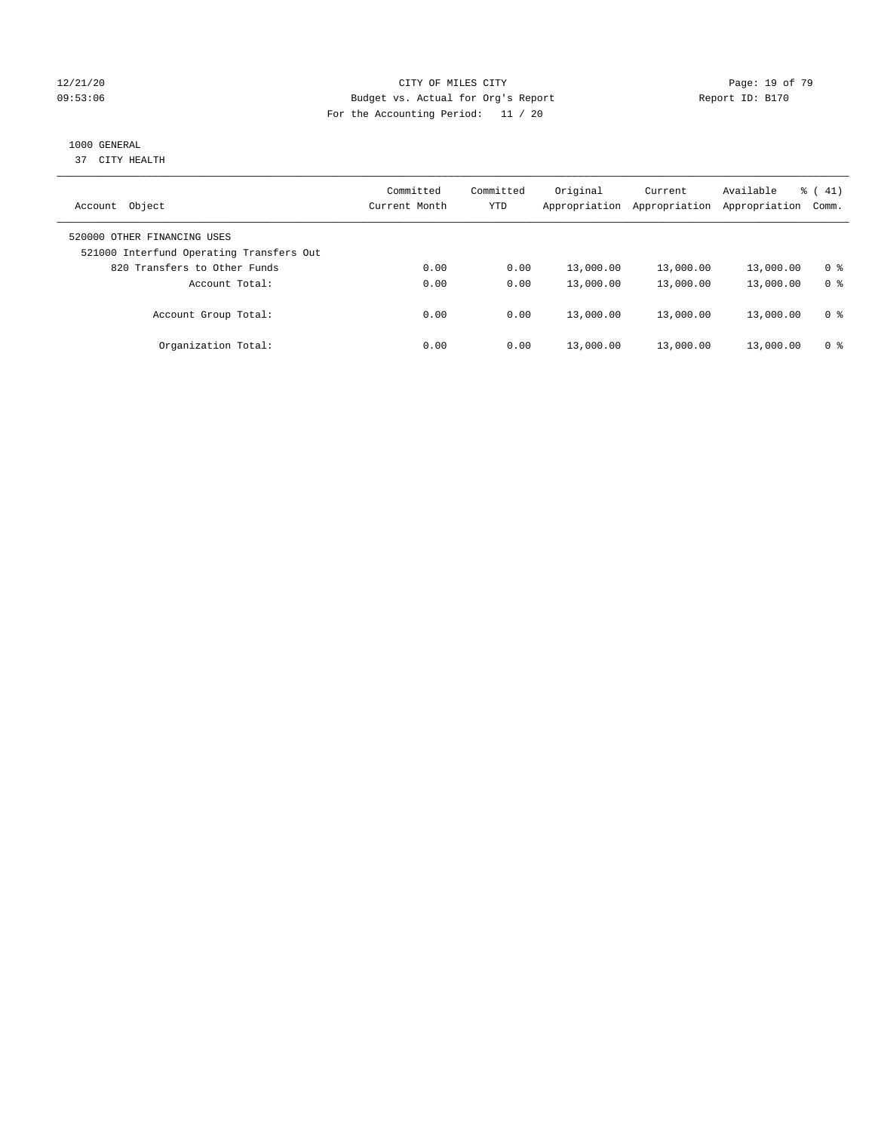#### 12/21/20 **Page: 19 of 79** CITY OF MILES CITY **CITY** CITY **Page: 19 of 79** Page: 19 of 79 09:53:06 Budget vs. Actual for Org's Report Changer Report ID: B170 For the Accounting Period: 11 / 20

## 1000 GENERAL

37 CITY HEALTH

| Object<br>Account                                                       | Committed<br>Current Month | Committed<br>YTD | Original<br>Appropriation | Current<br>Appropriation | Available<br>Appropriation | 41)<br>ී (<br>Comm. |
|-------------------------------------------------------------------------|----------------------------|------------------|---------------------------|--------------------------|----------------------------|---------------------|
| 520000 OTHER FINANCING USES<br>521000 Interfund Operating Transfers Out |                            |                  |                           |                          |                            |                     |
| 820 Transfers to Other Funds                                            | 0.00                       | 0.00             | 13,000.00                 | 13,000.00                | 13,000.00                  | 0 %                 |
| Account Total:                                                          | 0.00                       | 0.00             | 13,000.00                 | 13,000.00                | 13,000.00                  | 0 <sup>8</sup>      |
| Account Group Total:                                                    | 0.00                       | 0.00             | 13,000.00                 | 13,000.00                | 13,000.00                  | 0 %                 |
| Organization Total:                                                     | 0.00                       | 0.00             | 13,000.00                 | 13,000.00                | 13,000.00                  | 0 %                 |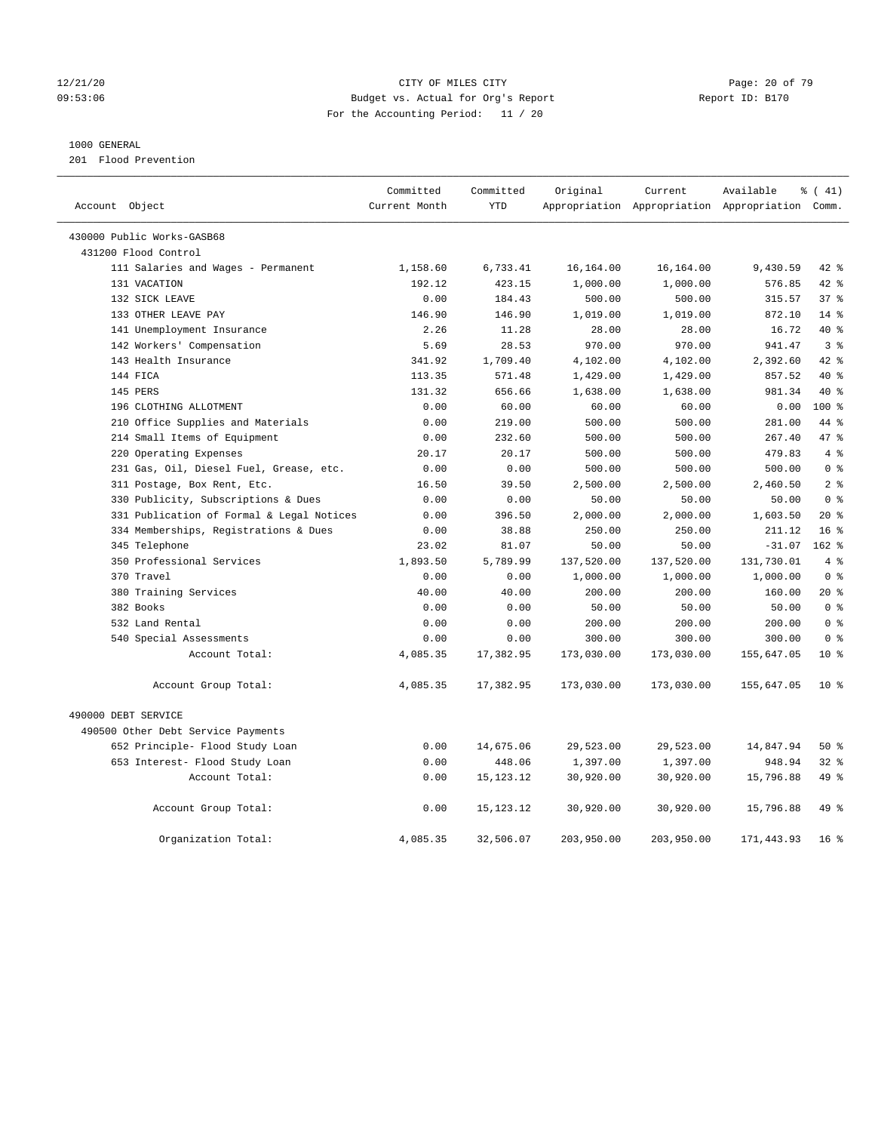#### 12/21/20 Page: 20 of 79 09:53:06 Budget vs. Actual for Org's Report Report ID: B170 For the Accounting Period: 11 / 20

### 1000 GENERAL

201 Flood Prevention

| Account Object |                                           | Committed<br>Current Month | Committed<br><b>YTD</b> | Original   | Current    | Available<br>Appropriation Appropriation Appropriation Comm. | $\frac{1}{6}$ ( 41) |  |
|----------------|-------------------------------------------|----------------------------|-------------------------|------------|------------|--------------------------------------------------------------|---------------------|--|
|                |                                           |                            |                         |            |            |                                                              |                     |  |
|                | 430000 Public Works-GASB68                |                            |                         |            |            |                                                              |                     |  |
|                | 431200 Flood Control                      |                            |                         |            |            |                                                              |                     |  |
|                | 111 Salaries and Wages - Permanent        | 1,158.60                   | 6,733.41                | 16,164.00  | 16,164.00  | 9,430.59                                                     | 42 %                |  |
|                | 131 VACATION                              | 192.12                     | 423.15                  | 1,000.00   | 1,000.00   | 576.85                                                       | $42$ $%$            |  |
|                | 132 SICK LEAVE                            | 0.00                       | 184.43                  | 500.00     | 500.00     | 315.57                                                       | 37 <sup>8</sup>     |  |
|                | 133 OTHER LEAVE PAY                       | 146.90                     | 146.90                  | 1,019.00   | 1,019.00   | 872.10                                                       | $14*$               |  |
|                | 141 Unemployment Insurance                | 2.26                       | 11.28                   | 28.00      | 28.00      | 16.72                                                        | $40*$               |  |
|                | 142 Workers' Compensation                 | 5.69                       | 28.53                   | 970.00     | 970.00     | 941.47                                                       | 3 <sup>8</sup>      |  |
|                | 143 Health Insurance                      | 341.92                     | 1,709.40                | 4,102.00   | 4,102.00   | 2,392.60                                                     | $42$ %              |  |
|                | 144 FICA                                  | 113.35                     | 571.48                  | 1,429.00   | 1,429.00   | 857.52                                                       | $40*$               |  |
|                | 145 PERS                                  | 131.32                     | 656.66                  | 1,638.00   | 1,638.00   | 981.34                                                       | $40*$               |  |
|                | 196 CLOTHING ALLOTMENT                    | 0.00                       | 60.00                   | 60.00      | 60.00      | 0.00                                                         | $100*$              |  |
|                | 210 Office Supplies and Materials         | 0.00                       | 219.00                  | 500.00     | 500.00     | 281.00                                                       | 44 %                |  |
|                | 214 Small Items of Equipment              | 0.00                       | 232.60                  | 500.00     | 500.00     | 267.40                                                       | 47.8                |  |
|                | 220 Operating Expenses                    | 20.17                      | 20.17                   | 500.00     | 500.00     | 479.83                                                       | 4%                  |  |
|                | 231 Gas, Oil, Diesel Fuel, Grease, etc.   | 0.00                       | 0.00                    | 500.00     | 500.00     | 500.00                                                       | 0 <sup>8</sup>      |  |
|                | 311 Postage, Box Rent, Etc.               | 16.50                      | 39.50                   | 2,500.00   | 2,500.00   | 2,460.50                                                     | 2 <sup>8</sup>      |  |
|                | 330 Publicity, Subscriptions & Dues       | 0.00                       | 0.00                    | 50.00      | 50.00      | 50.00                                                        | 0 <sup>8</sup>      |  |
|                | 331 Publication of Formal & Legal Notices | 0.00                       | 396.50                  | 2,000.00   | 2,000.00   | 1,603.50                                                     | $20*$               |  |
|                | 334 Memberships, Registrations & Dues     | 0.00                       | 38.88                   | 250.00     | 250.00     | 211.12                                                       | 16 <sup>8</sup>     |  |
|                | 345 Telephone                             | 23.02                      | 81.07                   | 50.00      | 50.00      | $-31.07$                                                     | $162$ %             |  |
|                | 350 Professional Services                 | 1,893.50                   | 5,789.99                | 137,520.00 | 137,520.00 | 131,730.01                                                   | 4%                  |  |
|                | 370 Travel                                | 0.00                       | 0.00                    | 1,000.00   | 1,000.00   | 1,000.00                                                     | 0 <sup>8</sup>      |  |
|                | 380 Training Services                     | 40.00                      | 40.00                   | 200.00     | 200.00     | 160.00                                                       | $20*$               |  |
|                | 382 Books                                 | 0.00                       | 0.00                    | 50.00      | 50.00      | 50.00                                                        | 0 <sup>8</sup>      |  |
|                | 532 Land Rental                           | 0.00                       | 0.00                    | 200.00     | 200.00     | 200.00                                                       | 0 <sup>8</sup>      |  |
|                | 540 Special Assessments                   | 0.00                       | 0.00                    | 300.00     | 300.00     | 300.00                                                       | 0 <sup>8</sup>      |  |
|                | Account Total:                            | 4,085.35                   | 17,382.95               | 173,030.00 | 173,030.00 | 155,647.05                                                   | $10*$               |  |
|                | Account Group Total:                      | 4,085.35                   | 17,382.95               | 173,030.00 | 173,030.00 | 155,647.05                                                   | 10 <sub>8</sub>     |  |
|                | 490000 DEBT SERVICE                       |                            |                         |            |            |                                                              |                     |  |
|                | 490500 Other Debt Service Payments        |                            |                         |            |            |                                                              |                     |  |
|                | 652 Principle- Flood Study Loan           | 0.00                       | 14,675.06               | 29,523.00  | 29,523.00  | 14,847.94                                                    | 50%                 |  |
|                | 653 Interest- Flood Study Loan            | 0.00                       | 448.06                  | 1,397.00   | 1,397.00   | 948.94                                                       | 32%                 |  |
|                | Account Total:                            | 0.00                       | 15, 123. 12             | 30,920.00  | 30,920.00  | 15,796.88                                                    | 49 %                |  |
|                | Account Group Total:                      | 0.00                       | 15, 123. 12             | 30,920.00  | 30,920.00  | 15,796.88                                                    | 49 %                |  |
|                | Organization Total:                       | 4,085.35                   | 32,506.07               | 203,950.00 | 203,950.00 | 171,443.93                                                   | 16 <sup>8</sup>     |  |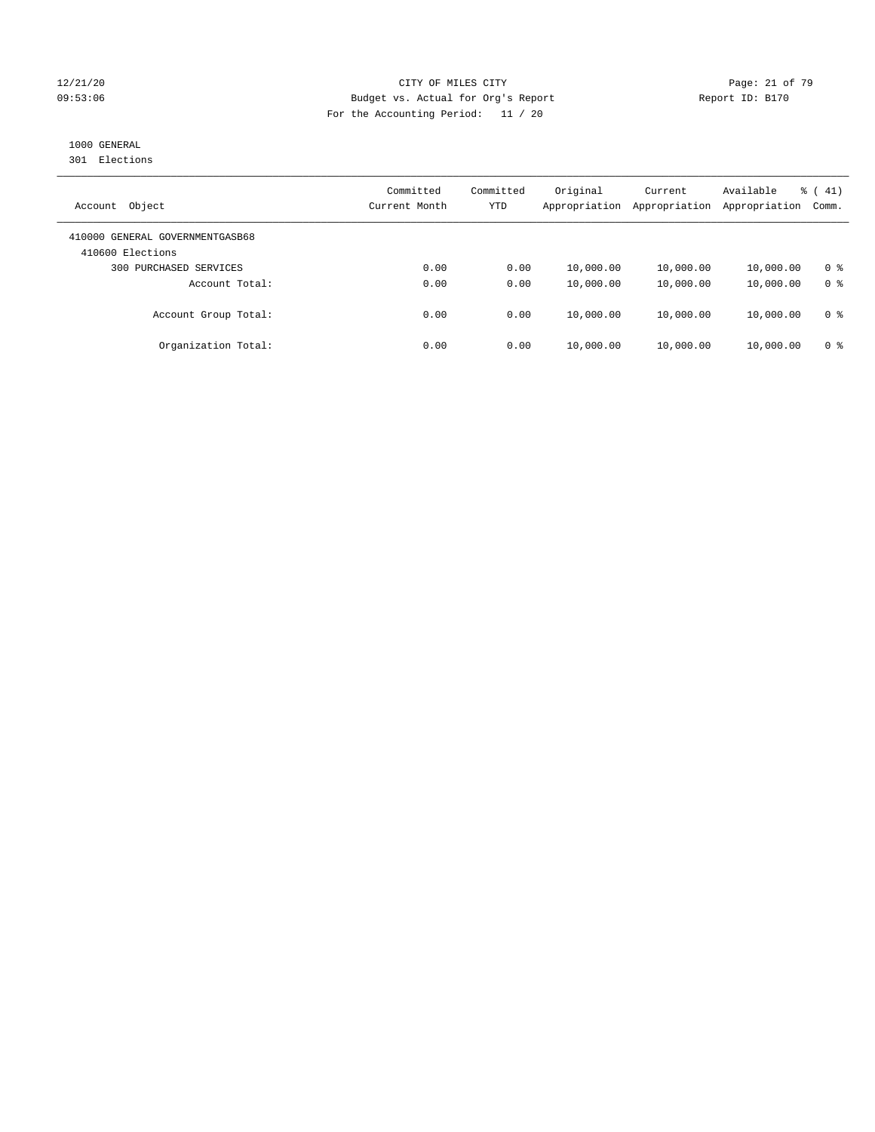#### 12/21/20 Page: 21 of 79 09:53:06 Budget vs. Actual for Org's Report Changer Report ID: B170 For the Accounting Period: 11 / 20

# 1000 GENERAL

301 Elections

| Object<br>Account                                   | Committed<br>Current Month | Committed<br>YTD | Original<br>Appropriation | Current<br>Appropriation | Available<br>Appropriation | % (41)<br>Comm. |
|-----------------------------------------------------|----------------------------|------------------|---------------------------|--------------------------|----------------------------|-----------------|
| 410000 GENERAL GOVERNMENTGASB68<br>410600 Elections |                            |                  |                           |                          |                            |                 |
| 300 PURCHASED SERVICES                              | 0.00                       | 0.00             | 10,000.00                 | 10,000.00                | 10,000.00                  | 0 <sup>8</sup>  |
| Account Total:                                      | 0.00                       | 0.00             | 10,000.00                 | 10,000.00                | 10,000.00                  | 0 <sup>8</sup>  |
| Account Group Total:                                | 0.00                       | 0.00             | 10,000.00                 | 10,000.00                | 10,000.00                  | 0 <sup>8</sup>  |
| Organization Total:                                 | 0.00                       | 0.00             | 10,000.00                 | 10,000.00                | 10,000.00                  | 0 <sup>8</sup>  |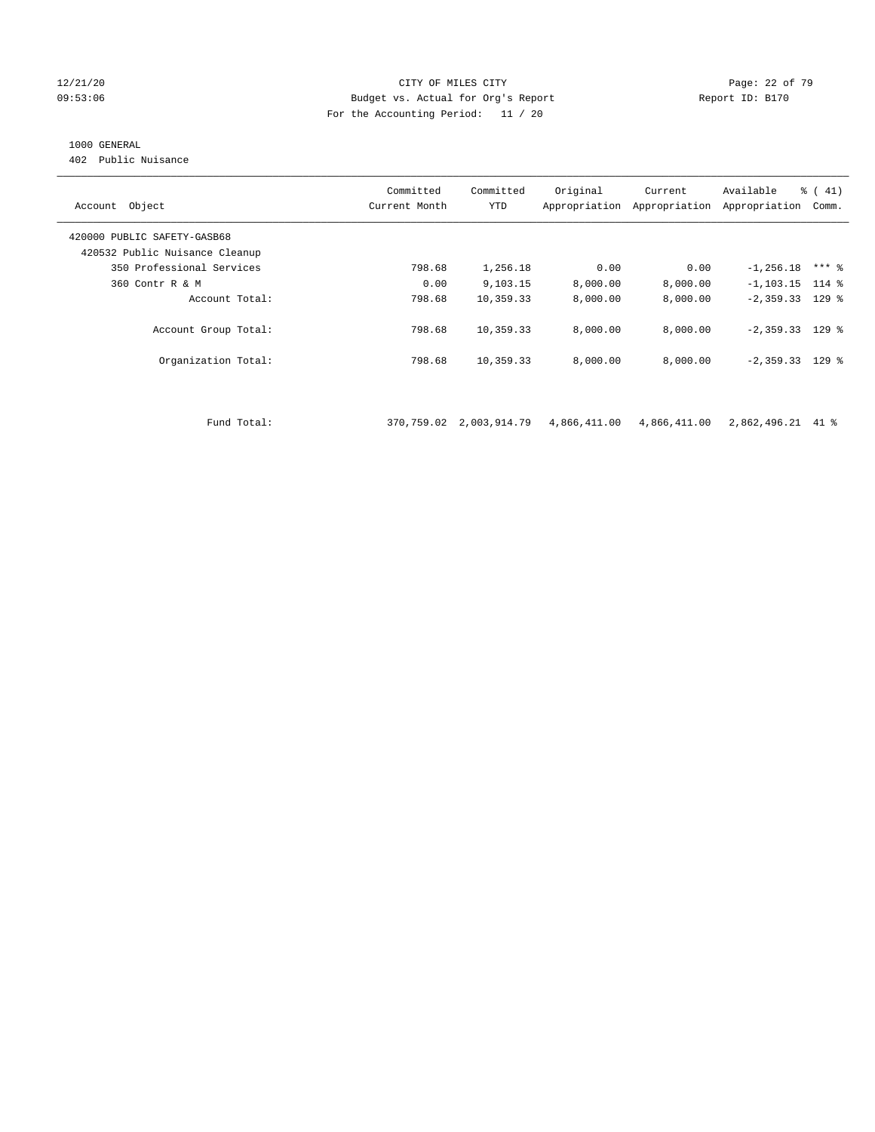#### 12/21/20 **Page: 22 of 79** CITY OF MILES CITY **CITY Page: 22 of 79** 09:53:06 Budget vs. Actual for Org's Report Report ID: B170 For the Accounting Period: 11 / 20

## 1000 GENERAL

402 Public Nuisance

| Account Object                 | Committed<br>Current Month | Committed<br><b>YTD</b>    | Original     | Current<br>Appropriation Appropriation | Available<br>Appropriation | % (41)<br>Comm. |
|--------------------------------|----------------------------|----------------------------|--------------|----------------------------------------|----------------------------|-----------------|
| 420000 PUBLIC SAFETY-GASB68    |                            |                            |              |                                        |                            |                 |
| 420532 Public Nuisance Cleanup |                            |                            |              |                                        |                            |                 |
| 350 Professional Services      | 798.68                     | 1,256.18                   | 0.00         | 0.00                                   | $-1, 256.18$               | $***$ %         |
| 360 Contr R & M                | 0.00                       | 9,103.15                   | 8,000.00     | 8,000.00                               | $-1, 103.15$ 114 %         |                 |
| Account Total:                 | 798.68                     | 10,359.33                  | 8,000.00     | 8,000.00                               | $-2,359.33$ 129 %          |                 |
| Account Group Total:           | 798.68                     | 10,359.33                  | 8,000.00     | 8,000.00                               | $-2,359.33$ 129 %          |                 |
| Organization Total:            | 798.68                     | 10,359.33                  | 8,000.00     | 8,000.00                               | $-2,359.33$ 129 %          |                 |
|                                |                            |                            |              |                                        |                            |                 |
| Fund Total:                    |                            | 370, 759.02 2, 003, 914.79 | 4,866,411.00 | 4,866,411.00                           | 2,862,496.21 41 %          |                 |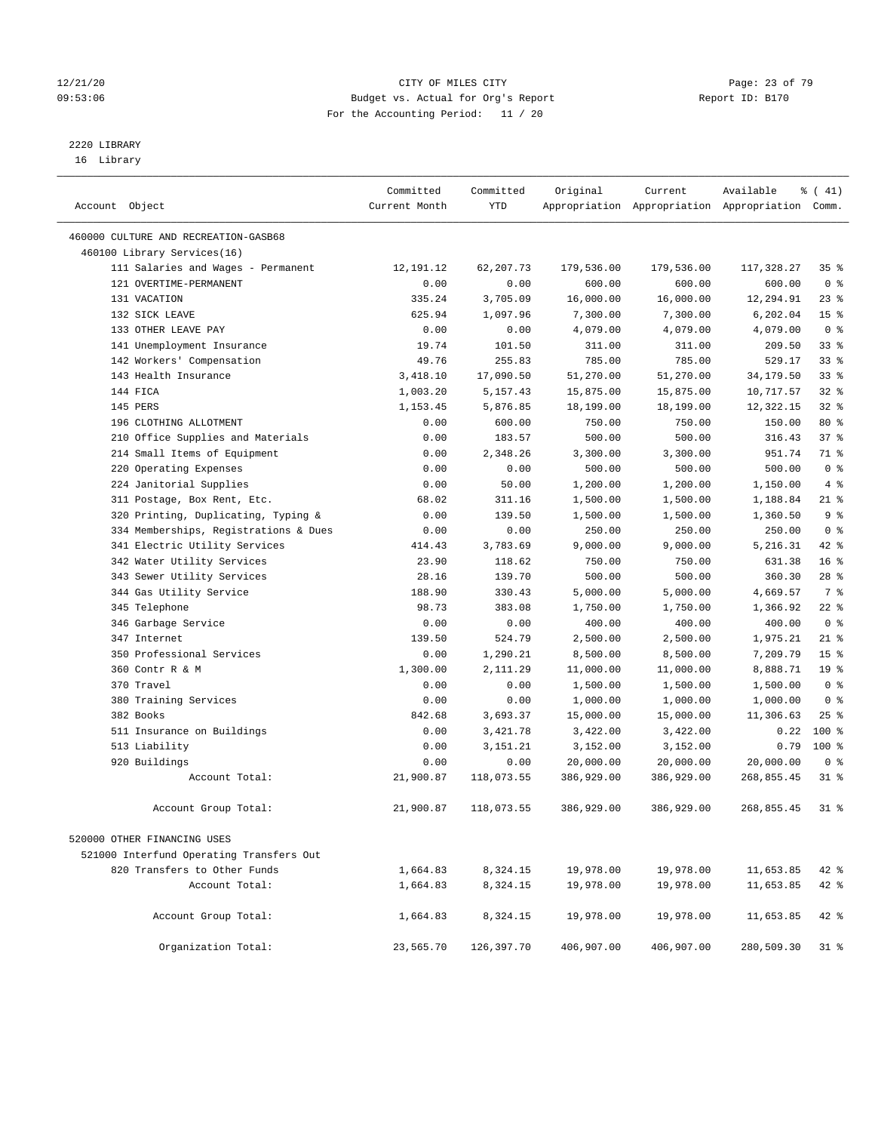#### 12/21/20 Page: 23 of 79 09:53:06 Budget vs. Actual for Org's Report Report ID: B170 For the Accounting Period: 11 / 20

————————————————————————————————————————————————————————————————————————————————————————————————————————————————————————————————————

# 2220 LIBRARY

16 Library

|                |                                          | Committed     | Committed  | Original   | Current    | Available                                       | % (41)          |
|----------------|------------------------------------------|---------------|------------|------------|------------|-------------------------------------------------|-----------------|
| Account Object |                                          | Current Month | <b>YTD</b> |            |            | Appropriation Appropriation Appropriation Comm. |                 |
|                | 460000 CULTURE AND RECREATION-GASB68     |               |            |            |            |                                                 |                 |
|                | 460100 Library Services(16)              |               |            |            |            |                                                 |                 |
|                | 111 Salaries and Wages - Permanent       | 12,191.12     | 62,207.73  | 179,536.00 | 179,536.00 | 117,328.27                                      | 35%             |
|                | 121 OVERTIME-PERMANENT                   | 0.00          | 0.00       | 600.00     | 600.00     | 600.00                                          | 0 <sup>8</sup>  |
|                | 131 VACATION                             | 335.24        | 3,705.09   | 16,000.00  | 16,000.00  | 12,294.91                                       | $23$ $%$        |
|                | 132 SICK LEAVE                           | 625.94        | 1,097.96   | 7,300.00   | 7,300.00   | 6,202.04                                        | 15 <sup>°</sup> |
|                | 133 OTHER LEAVE PAY                      | 0.00          | 0.00       | 4,079.00   | 4,079.00   | 4,079.00                                        | 0 <sup>8</sup>  |
|                | 141 Unemployment Insurance               | 19.74         | 101.50     | 311.00     | 311.00     | 209.50                                          | 33%             |
|                | 142 Workers' Compensation                | 49.76         | 255.83     | 785.00     | 785.00     | 529.17                                          | 33%             |
|                | 143 Health Insurance                     | 3,418.10      | 17,090.50  | 51,270.00  | 51,270.00  | 34,179.50                                       | 33%             |
|                | 144 FICA                                 | 1,003.20      | 5,157.43   | 15,875.00  | 15,875.00  | 10,717.57                                       | 32%             |
|                | 145 PERS                                 | 1,153.45      | 5,876.85   | 18,199.00  | 18,199.00  | 12,322.15                                       | 32%             |
|                | 196 CLOTHING ALLOTMENT                   | 0.00          | 600.00     | 750.00     | 750.00     | 150.00                                          | 80 %            |
|                | 210 Office Supplies and Materials        | 0.00          | 183.57     | 500.00     | 500.00     | 316.43                                          | 37%             |
|                | 214 Small Items of Equipment             | 0.00          | 2,348.26   | 3,300.00   | 3,300.00   | 951.74                                          | 71 %            |
|                | 220 Operating Expenses                   | 0.00          | 0.00       | 500.00     | 500.00     | 500.00                                          | 0 <sup>8</sup>  |
|                | 224 Janitorial Supplies                  | 0.00          | 50.00      | 1,200.00   | 1,200.00   | 1,150.00                                        | 4%              |
|                | 311 Postage, Box Rent, Etc.              | 68.02         | 311.16     | 1,500.00   | 1,500.00   | 1,188.84                                        | $21$ %          |
|                | 320 Printing, Duplicating, Typing &      | 0.00          | 139.50     | 1,500.00   | 1,500.00   | 1,360.50                                        | 9 <sup>°</sup>  |
|                | 334 Memberships, Registrations & Dues    | 0.00          | 0.00       | 250.00     | 250.00     | 250.00                                          | 0 <sup>8</sup>  |
|                | 341 Electric Utility Services            | 414.43        | 3,783.69   | 9,000.00   | 9,000.00   | 5,216.31                                        | 42 %            |
|                | 342 Water Utility Services               | 23.90         | 118.62     | 750.00     | 750.00     | 631.38                                          | 16 <sup>°</sup> |
|                | 343 Sewer Utility Services               | 28.16         | 139.70     | 500.00     | 500.00     | 360.30                                          | $28$ %          |
|                | 344 Gas Utility Service                  | 188.90        | 330.43     | 5,000.00   | 5,000.00   | 4,669.57                                        | 7 %             |
|                | 345 Telephone                            | 98.73         | 383.08     | 1,750.00   | 1,750.00   | 1,366.92                                        | $22$ %          |
|                | 346 Garbage Service                      | 0.00          | 0.00       | 400.00     | 400.00     | 400.00                                          | 0 <sup>8</sup>  |
|                | 347 Internet                             | 139.50        | 524.79     | 2,500.00   | 2,500.00   | 1,975.21                                        | $21$ %          |
|                | 350 Professional Services                | 0.00          | 1,290.21   | 8,500.00   | 8,500.00   | 7,209.79                                        | 15 <sup>°</sup> |
|                | 360 Contr R & M                          | 1,300.00      | 2,111.29   | 11,000.00  | 11,000.00  | 8,888.71                                        | 19 <sup>°</sup> |
|                | 370 Travel                               | 0.00          | 0.00       | 1,500.00   | 1,500.00   | 1,500.00                                        | 0 <sup>8</sup>  |
|                | 380 Training Services                    | 0.00          | 0.00       | 1,000.00   | 1,000.00   | 1,000.00                                        | 0 <sup>8</sup>  |
|                | 382 Books                                | 842.68        | 3,693.37   | 15,000.00  | 15,000.00  | 11,306.63                                       | 25%             |
|                | 511 Insurance on Buildings               | 0.00          | 3,421.78   | 3,422.00   | 3,422.00   | 0.22                                            | $100*$          |
|                | 513 Liability                            | 0.00          | 3,151.21   | 3,152.00   | 3,152.00   | 0.79                                            | $100$ %         |
|                | 920 Buildings                            | 0.00          | 0.00       | 20,000.00  | 20,000.00  | 20,000.00                                       | 0 <sup>8</sup>  |
|                | Account Total:                           | 21,900.87     | 118,073.55 | 386,929.00 | 386,929.00 | 268,855.45                                      | $31$ %          |
|                | Account Group Total:                     | 21,900.87     | 118,073.55 | 386,929.00 | 386,929.00 | 268,855.45                                      | $31$ %          |
|                | 520000 OTHER FINANCING USES              |               |            |            |            |                                                 |                 |
|                | 521000 Interfund Operating Transfers Out |               |            |            |            |                                                 |                 |
|                | 820 Transfers to Other Funds             | 1,664.83      | 8,324.15   | 19,978.00  | 19,978.00  | 11,653.85                                       | $42$ %          |
|                | Account Total:                           | 1,664.83      | 8,324.15   | 19,978.00  | 19,978.00  | 11,653.85                                       | 42 %            |
|                |                                          |               |            |            |            |                                                 |                 |
|                | Account Group Total:                     | 1,664.83      | 8,324.15   | 19,978.00  | 19,978.00  | 11,653.85                                       | $42$ %          |
|                | Organization Total:                      | 23,565.70     | 126,397.70 | 406,907.00 | 406,907.00 | 280,509.30                                      | $31$ %          |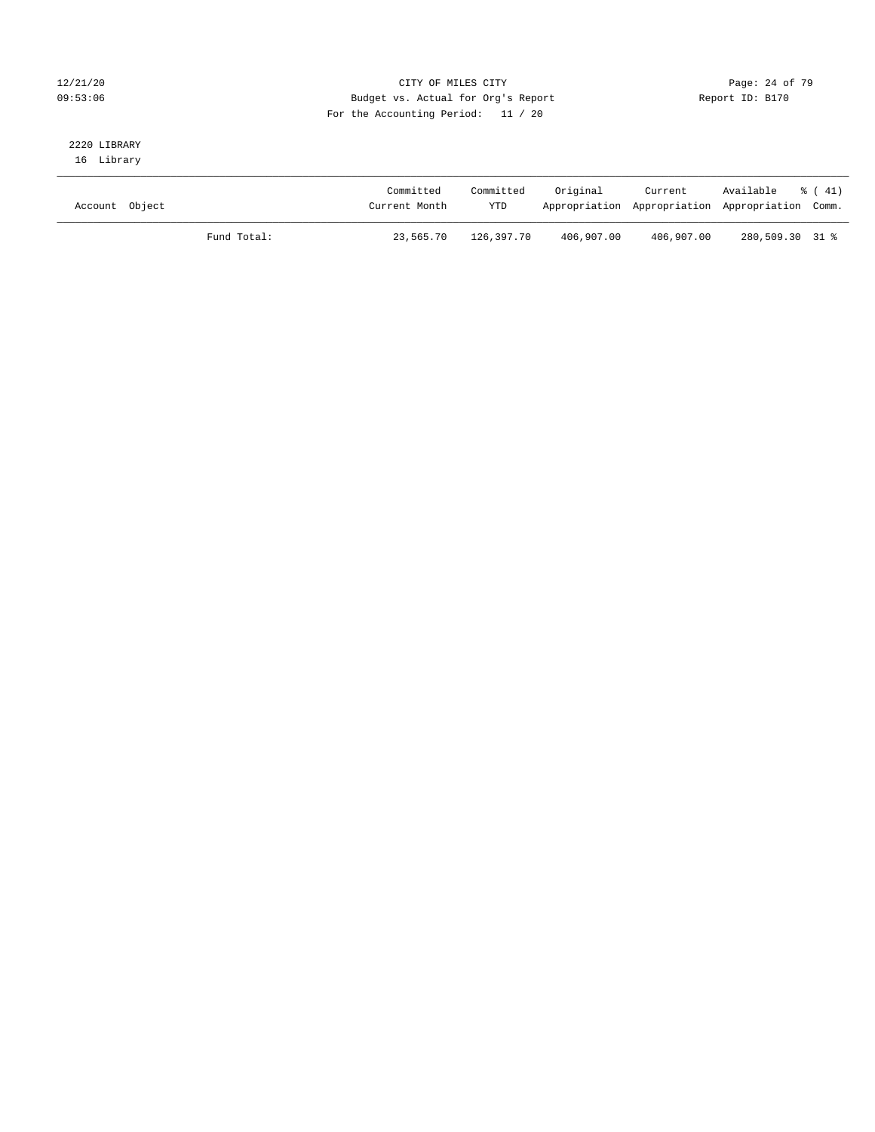### 12/21/20 **Page: 24 of 79** CITY OF MILES CITY **CITY** CITY **Page: 24 of 79** 09:53:06 Budget vs. Actual for Org's Report Report ID: B170 For the Accounting Period: 11 / 20

# 2220 LIBRARY

16 Library

| Account Object |             | Committed<br>Current Month | Committed<br><b>YTD</b> | Original   | Current<br>Appropriation Appropriation Appropriation Comm. | Available       | $\frac{1}{6}$ (41) |
|----------------|-------------|----------------------------|-------------------------|------------|------------------------------------------------------------|-----------------|--------------------|
|                | Fund Total: | 23,565.70                  | 126,397.70              | 406,907.00 | 406,907.00                                                 | 280,509.30 31 % |                    |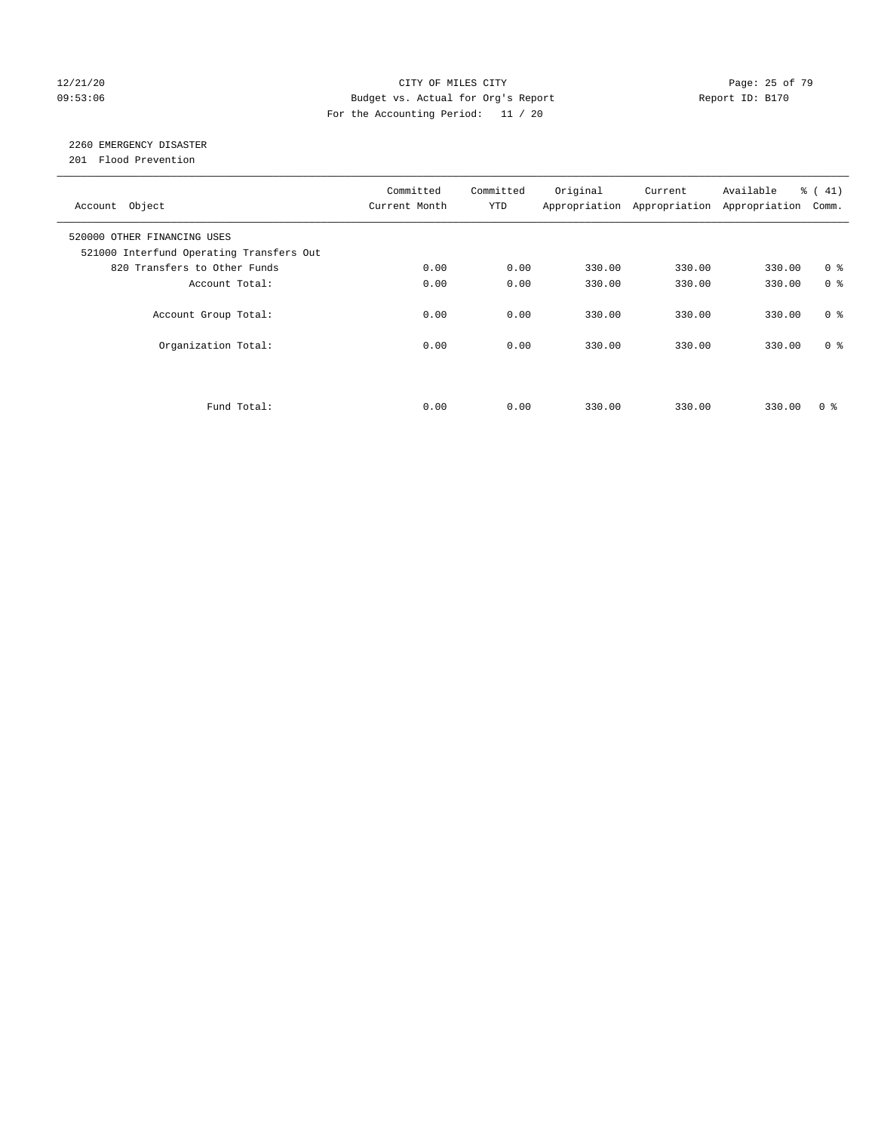#### 12/21/20 Page: 25 of 79 09:53:06 Budget vs. Actual for Org's Report Changer Report ID: B170 For the Accounting Period: 11 / 20

# 2260 EMERGENCY DISASTER

201 Flood Prevention

| Account Object                                                          | Committed<br>Current Month | Committed<br><b>YTD</b> | Original | Current<br>Appropriation Appropriation | Available<br>Appropriation | % (41)<br>Comm. |
|-------------------------------------------------------------------------|----------------------------|-------------------------|----------|----------------------------------------|----------------------------|-----------------|
| 520000 OTHER FINANCING USES<br>521000 Interfund Operating Transfers Out |                            |                         |          |                                        |                            |                 |
| 820 Transfers to Other Funds                                            | 0.00                       | 0.00                    | 330.00   | 330.00                                 | 330.00                     | 0 <sup>8</sup>  |
| Account Total:                                                          | 0.00                       | 0.00                    | 330.00   | 330.00                                 | 330.00                     | 0 <sup>8</sup>  |
| Account Group Total:                                                    | 0.00                       | 0.00                    | 330.00   | 330.00                                 | 330.00                     | 0 <sup>8</sup>  |
| Organization Total:                                                     | 0.00                       | 0.00                    | 330.00   | 330.00                                 | 330.00                     | 0 <sup>8</sup>  |
|                                                                         |                            |                         |          |                                        |                            |                 |
| Fund Total:                                                             | 0.00                       | 0.00                    | 330.00   | 330.00                                 | 330.00                     | 0 %             |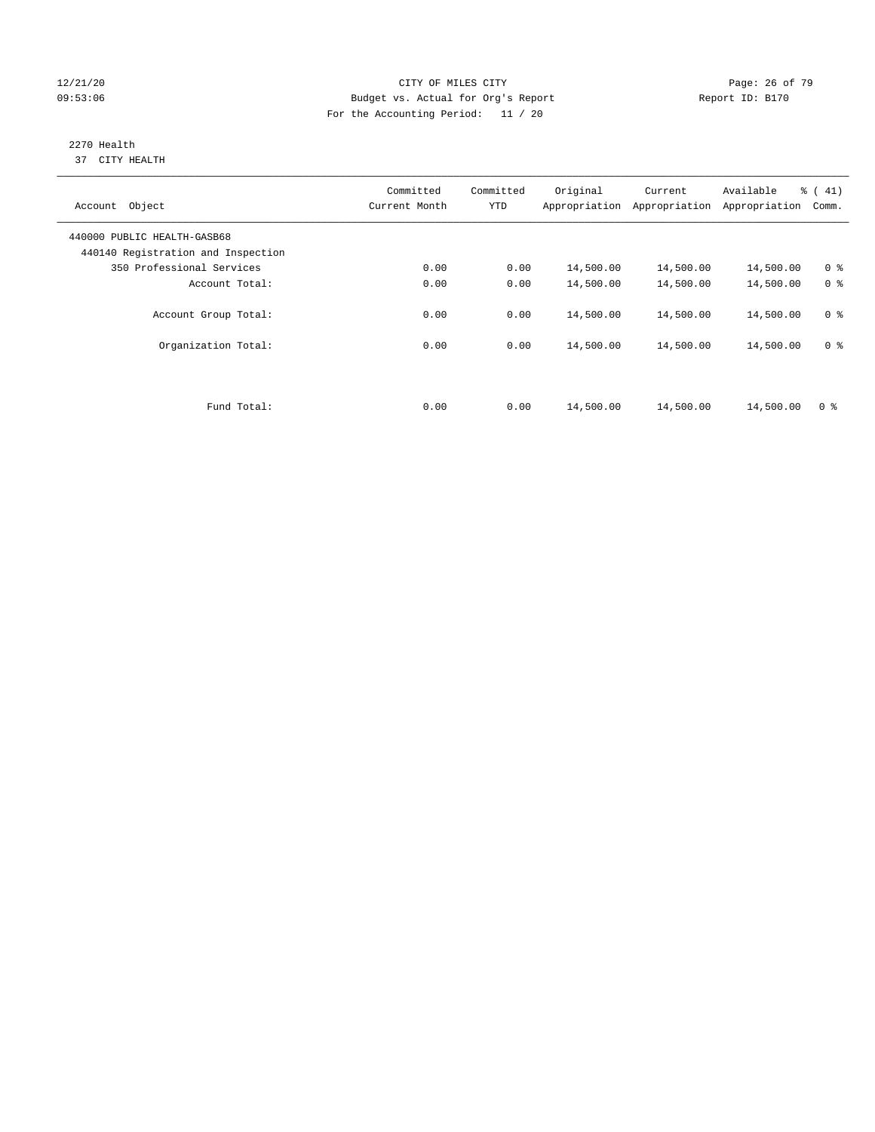#### 12/21/20 **Page: 26 of 79** CITY OF MILES CITY **CITY** CITY **Page: 26 of 79** 09:53:06 Budget vs. Actual for Org's Report Changer Report ID: B170 For the Accounting Period: 11 / 20

#### 2270 Health 37 CITY HEALTH

| Account Object                                                    | Committed<br>Current Month | Committed<br><b>YTD</b> | Original  | Current<br>Appropriation Appropriation | Available<br>Appropriation | % (41)<br>Comm. |
|-------------------------------------------------------------------|----------------------------|-------------------------|-----------|----------------------------------------|----------------------------|-----------------|
| 440000 PUBLIC HEALTH-GASB68<br>440140 Registration and Inspection |                            |                         |           |                                        |                            |                 |
| 350 Professional Services                                         | 0.00                       | 0.00                    | 14,500.00 | 14,500.00                              | 14,500.00                  | 0 <sup>8</sup>  |
| Account Total:                                                    | 0.00                       | 0.00                    | 14,500.00 | 14,500.00                              | 14,500.00                  | 0 <sup>8</sup>  |
| Account Group Total:                                              | 0.00                       | 0.00                    | 14,500.00 | 14,500.00                              | 14,500.00                  | 0 <sup>8</sup>  |
| Organization Total:                                               | 0.00                       | 0.00                    | 14,500.00 | 14,500.00                              | 14,500.00                  | 0 <sup>8</sup>  |
|                                                                   |                            |                         |           |                                        |                            |                 |
| Fund Total:                                                       | 0.00                       | 0.00                    | 14,500.00 | 14,500.00                              | 14,500.00                  | 0 <sup>8</sup>  |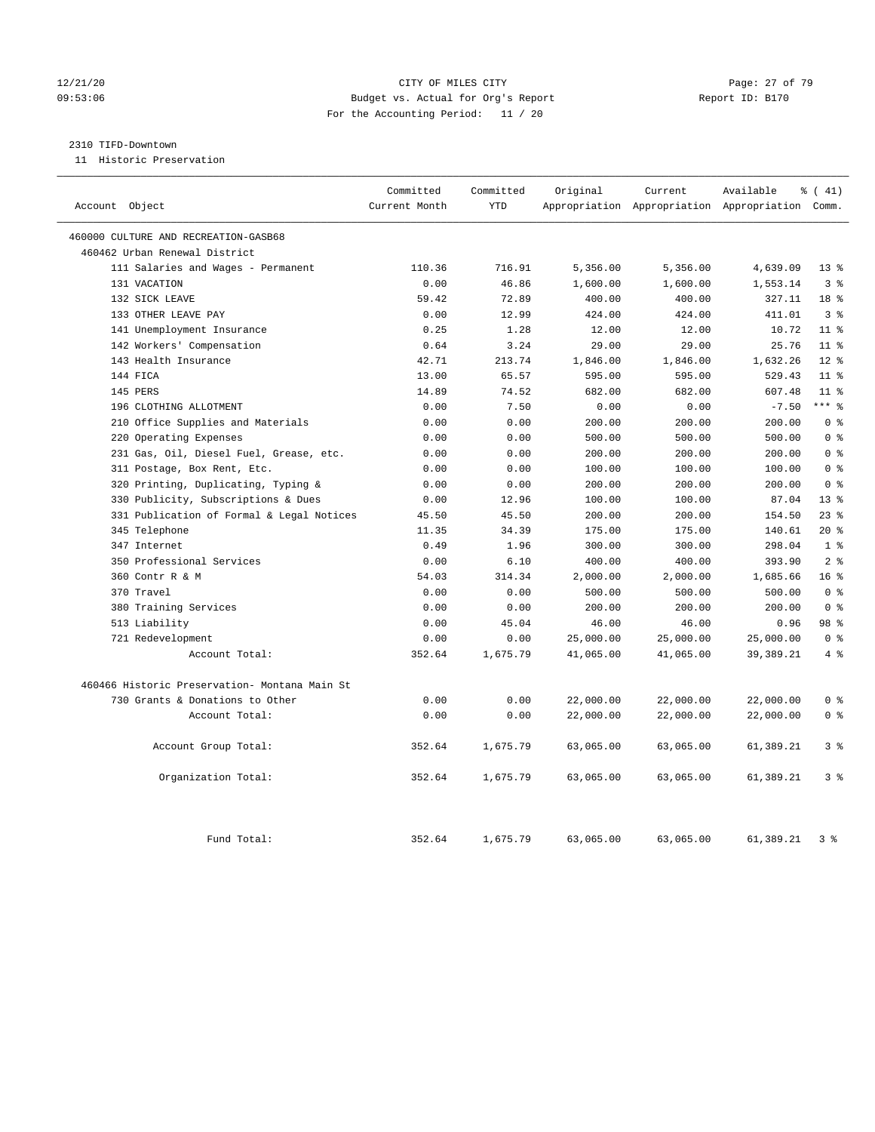#### 12/21/20 **Page: 27 of 79** CITY OF MILES CITY **CITY Page: 27 of 79** 09:53:06 Budget vs. Actual for Org's Report Report ID: B170 For the Accounting Period: 11 / 20

#### 2310 TIFD-Downtown

11 Historic Preservation

| Account Object                                | Committed<br>Current Month | Committed<br><b>YTD</b> | Original  | Current   | Available<br>Appropriation Appropriation Appropriation Comm. | $\frac{1}{6}$ ( 41) |
|-----------------------------------------------|----------------------------|-------------------------|-----------|-----------|--------------------------------------------------------------|---------------------|
|                                               |                            |                         |           |           |                                                              |                     |
| 460000 CULTURE AND RECREATION-GASB68          |                            |                         |           |           |                                                              |                     |
| 460462 Urban Renewal District                 |                            |                         |           |           |                                                              |                     |
| 111 Salaries and Wages - Permanent            | 110.36                     | 716.91                  | 5,356.00  | 5,356.00  | 4,639.09                                                     | $13*$               |
| 131 VACATION                                  | 0.00                       | 46.86                   | 1,600.00  | 1,600.00  | 1,553.14                                                     | 3 <sup>8</sup>      |
| 132 SICK LEAVE                                | 59.42                      | 72.89                   | 400.00    | 400.00    | 327.11                                                       | 18 <sup>8</sup>     |
| 133 OTHER LEAVE PAY                           | 0.00                       | 12.99                   | 424.00    | 424.00    | 411.01                                                       | 3 <sup>8</sup>      |
| 141 Unemployment Insurance                    | 0.25                       | 1.28                    | 12.00     | 12.00     | 10.72                                                        | 11 <sup>8</sup>     |
| 142 Workers' Compensation                     | 0.64                       | 3.24                    | 29.00     | 29.00     | 25.76                                                        | $11$ %              |
| 143 Health Insurance                          | 42.71                      | 213.74                  | 1,846.00  | 1,846.00  | 1,632.26                                                     | $12*$               |
| 144 FICA                                      | 13.00                      | 65.57                   | 595.00    | 595.00    | 529.43                                                       | 11 <sup>°</sup>     |
| 145 PERS                                      | 14.89                      | 74.52                   | 682.00    | 682.00    | 607.48                                                       | 11 <sup>°</sup>     |
| 196 CLOTHING ALLOTMENT                        | 0.00                       | 7.50                    | 0.00      | 0.00      | $-7.50$                                                      | $***$ 8             |
| 210 Office Supplies and Materials             | 0.00                       | 0.00                    | 200.00    | 200.00    | 200.00                                                       | 0 <sup>8</sup>      |
| 220 Operating Expenses                        | 0.00                       | 0.00                    | 500.00    | 500.00    | 500.00                                                       | 0 <sup>8</sup>      |
| 231 Gas, Oil, Diesel Fuel, Grease, etc.       | 0.00                       | 0.00                    | 200.00    | 200.00    | 200.00                                                       | 0 <sup>8</sup>      |
| 311 Postage, Box Rent, Etc.                   | 0.00                       | 0.00                    | 100.00    | 100.00    | 100.00                                                       | 0 <sup>8</sup>      |
| 320 Printing, Duplicating, Typing &           | 0.00                       | 0.00                    | 200.00    | 200.00    | 200.00                                                       | 0 <sup>8</sup>      |
| 330 Publicity, Subscriptions & Dues           | 0.00                       | 12.96                   | 100.00    | 100.00    | 87.04                                                        | 13 <sup>8</sup>     |
| 331 Publication of Formal & Legal Notices     | 45.50                      | 45.50                   | 200.00    | 200.00    | 154.50                                                       | $23$ $%$            |
| 345 Telephone                                 | 11.35                      | 34.39                   | 175.00    | 175.00    | 140.61                                                       | $20*$               |
| 347 Internet                                  | 0.49                       | 1.96                    | 300.00    | 300.00    | 298.04                                                       | 1 <sup>8</sup>      |
| 350 Professional Services                     | 0.00                       | 6.10                    | 400.00    | 400.00    | 393.90                                                       | 2 <sup>8</sup>      |
| 360 Contr R & M                               | 54.03                      | 314.34                  | 2,000.00  | 2,000.00  | 1,685.66                                                     | 16 <sup>°</sup>     |
| 370 Travel                                    | 0.00                       | 0.00                    | 500.00    | 500.00    | 500.00                                                       | 0 <sup>8</sup>      |
| 380 Training Services                         | 0.00                       | 0.00                    | 200.00    | 200.00    | 200.00                                                       | 0 <sup>8</sup>      |
| 513 Liability                                 | 0.00                       | 45.04                   | 46.00     | 46.00     | 0.96                                                         | 98 %                |
| 721 Redevelopment                             | 0.00                       | 0.00                    | 25,000.00 | 25,000.00 | 25,000.00                                                    | 0 <sup>8</sup>      |
| Account Total:                                | 352.64                     | 1,675.79                | 41,065.00 | 41,065.00 | 39, 389. 21                                                  | $4\degree$          |
| 460466 Historic Preservation- Montana Main St |                            |                         |           |           |                                                              |                     |
| 730 Grants & Donations to Other               | 0.00                       | 0.00                    | 22,000.00 | 22,000.00 | 22,000.00                                                    | 0 <sup>8</sup>      |
| Account Total:                                | 0.00                       | 0.00                    | 22,000.00 | 22,000.00 | 22,000.00                                                    | 0 <sup>8</sup>      |
| Account Group Total:                          | 352.64                     | 1,675.79                | 63,065.00 | 63,065.00 | 61,389.21                                                    | 3 <sup>°</sup>      |
| Organization Total:                           | 352.64                     | 1,675.79                | 63,065.00 | 63,065.00 | 61,389.21                                                    | 3%                  |
| Fund Total:                                   | 352.64                     | 1,675.79                | 63,065.00 | 63,065.00 | 61,389.21                                                    | 3 <sup>8</sup>      |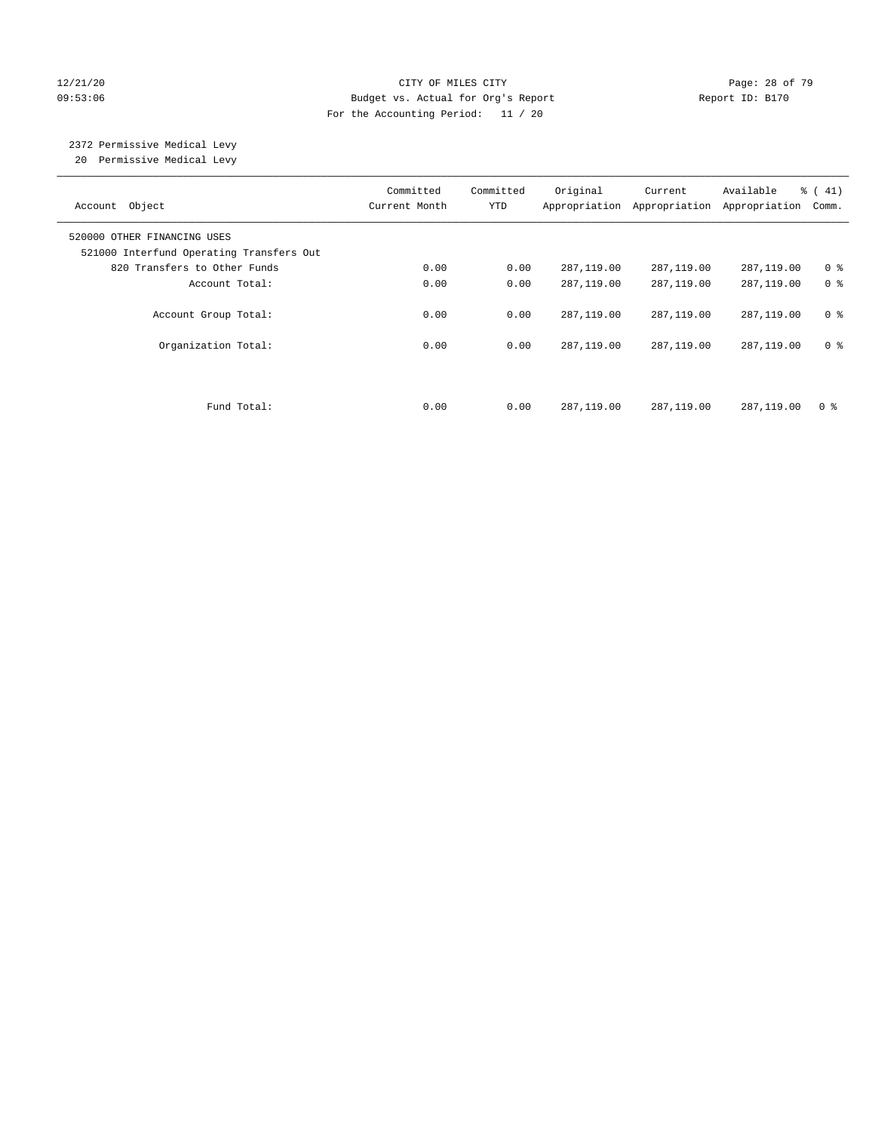#### 12/21/20 **Page: 28 of 79** CITY OF MILES CITY **CITY** Page: 28 of 79 09:53:06 Budget vs. Actual for Org's Report Report ID: B170 For the Accounting Period: 11 / 20

#### 2372 Permissive Medical Levy 20 Permissive Medical Levy

———————————————————————————————————————————————————————————————————————————————————————————————————————————————————————————————————— Committed Committed Original Current Available % ( 41) Account Object **Current Month** YTD Appropriation Appropriation Appropriation Comm. ———————————————————————————————————————————————————————————————————————————————————————————————————————————————————————————————————— 520000 OTHER FINANCING USES 521000 Interfund Operating Transfers Out 820 Transfers to Other Funds 0.00 0.00 287,119.00 287,119.00 287,119.00 0 % Account Total:  $0.00$  0.00 287,119.00 287,119.00 287,119.00 0 % Account Group Total: 0.00 0.00 287,119.00 287,119.00 287,119.00 0 % Organization Total: 0.00 0.00 287,119.00 287,119.00 287,119.00 0 % Fund Total: 0.00 0.00 287,119.00 287,119.00 287,119.00 0 %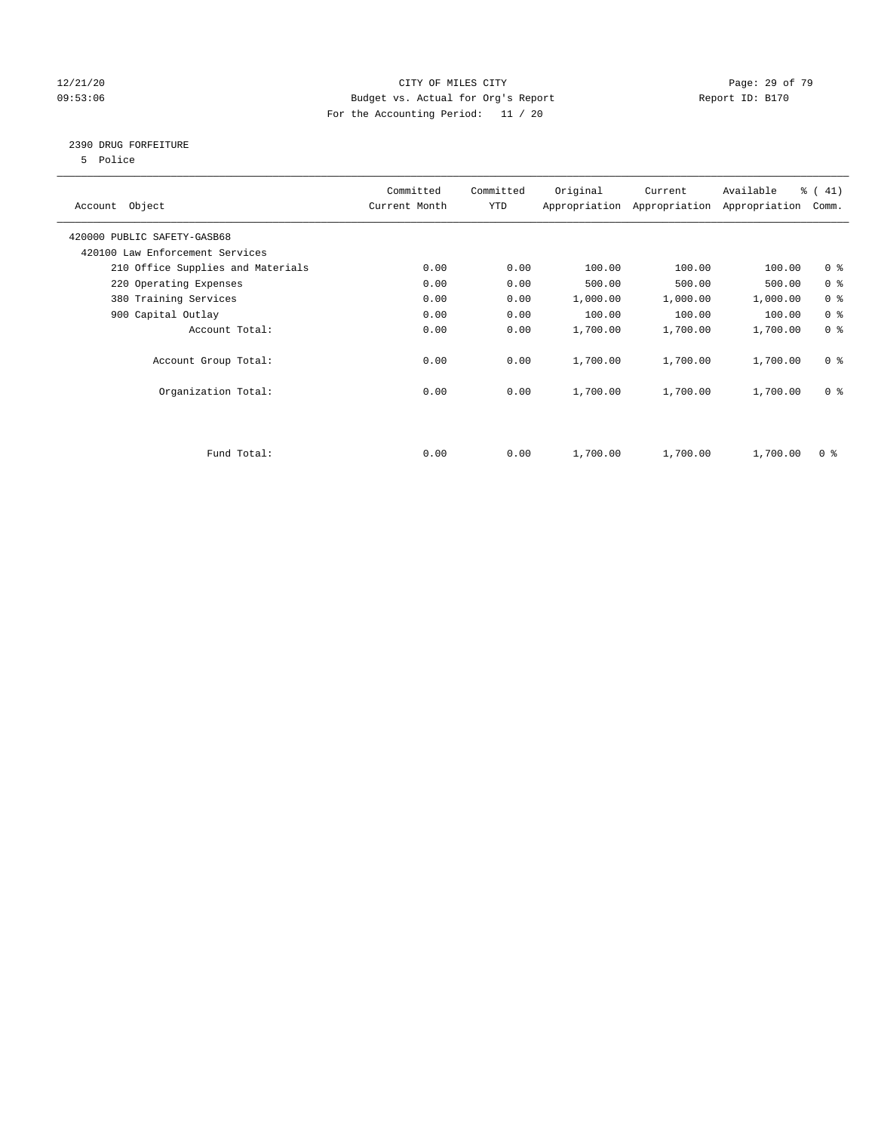### 12/21/20 Page: 29 of 79 09:53:06 Budget vs. Actual for Org's Report Changer Report ID: B170 For the Accounting Period: 11 / 20

### 2390 DRUG FORFEITURE

5 Police

| Account Object                    | Committed<br>Current Month | Committed<br>YTD | Original | Current<br>Appropriation Appropriation | Available<br>Appropriation | % (41)<br>Comm. |
|-----------------------------------|----------------------------|------------------|----------|----------------------------------------|----------------------------|-----------------|
| 420000 PUBLIC SAFETY-GASB68       |                            |                  |          |                                        |                            |                 |
| 420100 Law Enforcement Services   |                            |                  |          |                                        |                            |                 |
| 210 Office Supplies and Materials | 0.00                       | 0.00             | 100.00   | 100.00                                 | 100.00                     | 0 <sub>8</sub>  |
| 220 Operating Expenses            | 0.00                       | 0.00             | 500.00   | 500.00                                 | 500.00                     | 0 <sup>8</sup>  |
| 380 Training Services             | 0.00                       | 0.00             | 1,000.00 | 1,000.00                               | 1,000.00                   | 0 <sup>8</sup>  |
| 900 Capital Outlay                | 0.00                       | 0.00             | 100.00   | 100.00                                 | 100.00                     | 0 <sup>8</sup>  |
| Account Total:                    | 0.00                       | 0.00             | 1,700.00 | 1,700.00                               | 1,700.00                   | 0 <sup>8</sup>  |
| Account Group Total:              | 0.00                       | 0.00             | 1,700.00 | 1,700.00                               | 1,700.00                   | 0 <sup>8</sup>  |
| Organization Total:               | 0.00                       | 0.00             | 1,700.00 | 1,700.00                               | 1,700.00                   | 0 <sup>8</sup>  |
|                                   |                            |                  |          |                                        |                            |                 |
| Fund Total:                       | 0.00                       | 0.00             | 1,700.00 | 1,700.00                               | 1,700.00                   | 0 %             |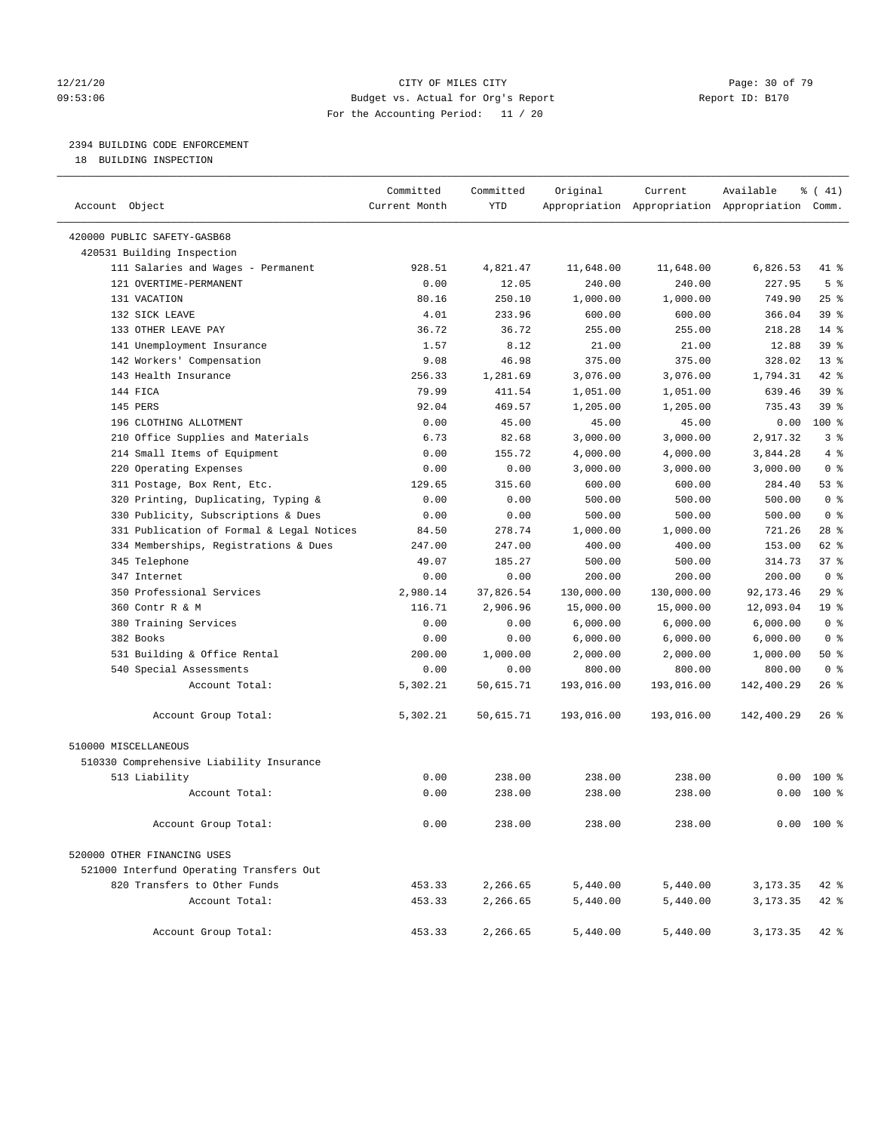#### 12/21/20 Page: 30 of 79 09:53:06 Budget vs. Actual for Org's Report Report ID: B170 For the Accounting Period: 11 / 20

## 2394 BUILDING CODE ENFORCEMENT

18 BUILDING INSPECTION

| Account Object                            | Committed<br>Current Month | Committed<br><b>YTD</b> | Original   | Current    | Available<br>Appropriation Appropriation Appropriation Comm. | % (41)          |
|-------------------------------------------|----------------------------|-------------------------|------------|------------|--------------------------------------------------------------|-----------------|
| 420000 PUBLIC SAFETY-GASB68               |                            |                         |            |            |                                                              |                 |
| 420531 Building Inspection                |                            |                         |            |            |                                                              |                 |
| 111 Salaries and Wages - Permanent        | 928.51                     | 4,821.47                | 11,648.00  | 11,648.00  | 6,826.53                                                     | 41 %            |
| 121 OVERTIME-PERMANENT                    | 0.00                       | 12.05                   | 240.00     | 240.00     | 227.95                                                       | 5 <sup>°</sup>  |
| 131 VACATION                              | 80.16                      | 250.10                  | 1,000.00   | 1,000.00   | 749.90                                                       | 25%             |
| 132 SICK LEAVE                            | 4.01                       | 233.96                  | 600.00     | 600.00     | 366.04                                                       | 39 <sup>8</sup> |
| 133 OTHER LEAVE PAY                       | 36.72                      | 36.72                   | 255.00     | 255.00     | 218.28                                                       | $14*$           |
| 141 Unemployment Insurance                | 1.57                       | 8.12                    | 21.00      | 21.00      | 12.88                                                        | 39 %            |
| 142 Workers' Compensation                 | 9.08                       | 46.98                   | 375.00     | 375.00     | 328.02                                                       | 13 <sup>°</sup> |
| 143 Health Insurance                      | 256.33                     | 1,281.69                | 3,076.00   | 3,076.00   | 1,794.31                                                     | 42 %            |
| 144 FICA                                  | 79.99                      | 411.54                  | 1,051.00   | 1,051.00   | 639.46                                                       | 39 <sup>8</sup> |
| 145 PERS                                  | 92.04                      | 469.57                  | 1,205.00   | 1,205.00   | 735.43                                                       | 39 <sup>8</sup> |
| 196 CLOTHING ALLOTMENT                    | 0.00                       | 45.00                   | 45.00      | 45.00      | 0.00                                                         | 100 %           |
| 210 Office Supplies and Materials         | 6.73                       | 82.68                   | 3,000.00   | 3,000.00   | 2,917.32                                                     | 3 <sup>8</sup>  |
| 214 Small Items of Equipment              | 0.00                       | 155.72                  | 4,000.00   | 4,000.00   | 3,844.28                                                     | 4%              |
| 220 Operating Expenses                    | 0.00                       | 0.00                    | 3,000.00   | 3,000.00   | 3,000.00                                                     | 0 <sup>8</sup>  |
| 311 Postage, Box Rent, Etc.               | 129.65                     | 315.60                  | 600.00     | 600.00     | 284.40                                                       | 53%             |
| 320 Printing, Duplicating, Typing &       | 0.00                       | 0.00                    | 500.00     | 500.00     | 500.00                                                       | 0 <sup>8</sup>  |
| 330 Publicity, Subscriptions & Dues       | 0.00                       | 0.00                    | 500.00     | 500.00     | 500.00                                                       | 0 <sup>8</sup>  |
| 331 Publication of Formal & Legal Notices | 84.50                      | 278.74                  | 1,000.00   | 1,000.00   | 721.26                                                       | $28$ %          |
| 334 Memberships, Registrations & Dues     | 247.00                     | 247.00                  | 400.00     | 400.00     | 153.00                                                       | $62$ $%$        |
| 345 Telephone                             | 49.07                      | 185.27                  | 500.00     | 500.00     | 314.73                                                       | 37 <sup>8</sup> |
| 347 Internet                              | 0.00                       | 0.00                    | 200.00     | 200.00     | 200.00                                                       | 0 <sup>8</sup>  |
| 350 Professional Services                 | 2,980.14                   | 37,826.54               | 130,000.00 | 130,000.00 | 92, 173. 46                                                  | 29%             |
| 360 Contr R & M                           | 116.71                     | 2,906.96                | 15,000.00  | 15,000.00  | 12,093.04                                                    | 19 <sup>°</sup> |
| 380 Training Services                     | 0.00                       | 0.00                    | 6,000.00   | 6,000.00   | 6,000.00                                                     | 0 <sup>8</sup>  |
| 382 Books                                 | 0.00                       | 0.00                    | 6,000.00   | 6,000.00   | 6,000.00                                                     | 0 <sup>8</sup>  |
| 531 Building & Office Rental              | 200.00                     | 1,000.00                | 2,000.00   | 2,000.00   | 1,000.00                                                     | 50%             |
| 540 Special Assessments                   | 0.00                       | 0.00                    | 800.00     | 800.00     | 800.00                                                       | 0 <sup>8</sup>  |
| Account Total:                            | 5,302.21                   | 50,615.71               | 193,016.00 | 193,016.00 | 142,400.29                                                   | $26$ %          |
|                                           |                            |                         |            |            |                                                              |                 |
| Account Group Total:                      | 5,302.21                   | 50,615.71               | 193,016.00 | 193,016.00 | 142,400.29                                                   | $26$ %          |
| 510000 MISCELLANEOUS                      |                            |                         |            |            |                                                              |                 |
| 510330 Comprehensive Liability Insurance  |                            |                         |            |            |                                                              |                 |
| 513 Liability                             | 0.00                       | 238.00                  | 238.00     | 238.00     | 0.00                                                         | $100*$          |
| Account Total:                            | 0.00                       | 238.00                  | 238.00     | 238.00     | 0.00                                                         | $100*$          |
|                                           |                            |                         |            |            |                                                              |                 |
| Account Group Total:                      | 0.00                       | 238.00                  | 238.00     | 238.00     |                                                              | $0.00$ 100 %    |
| 520000 OTHER FINANCING USES               |                            |                         |            |            |                                                              |                 |
| 521000 Interfund Operating Transfers Out  |                            |                         |            |            |                                                              |                 |
| 820 Transfers to Other Funds              | 453.33                     | 2,266.65                | 5,440.00   | 5,440.00   | 3,173.35                                                     | 42 %            |
| Account Total:                            | 453.33                     | 2,266.65                | 5,440.00   | 5,440.00   | 3,173.35                                                     | $42$ %          |
| Account Group Total:                      | 453.33                     | 2,266.65                | 5,440.00   | 5,440.00   | 3,173.35                                                     | $42$ %          |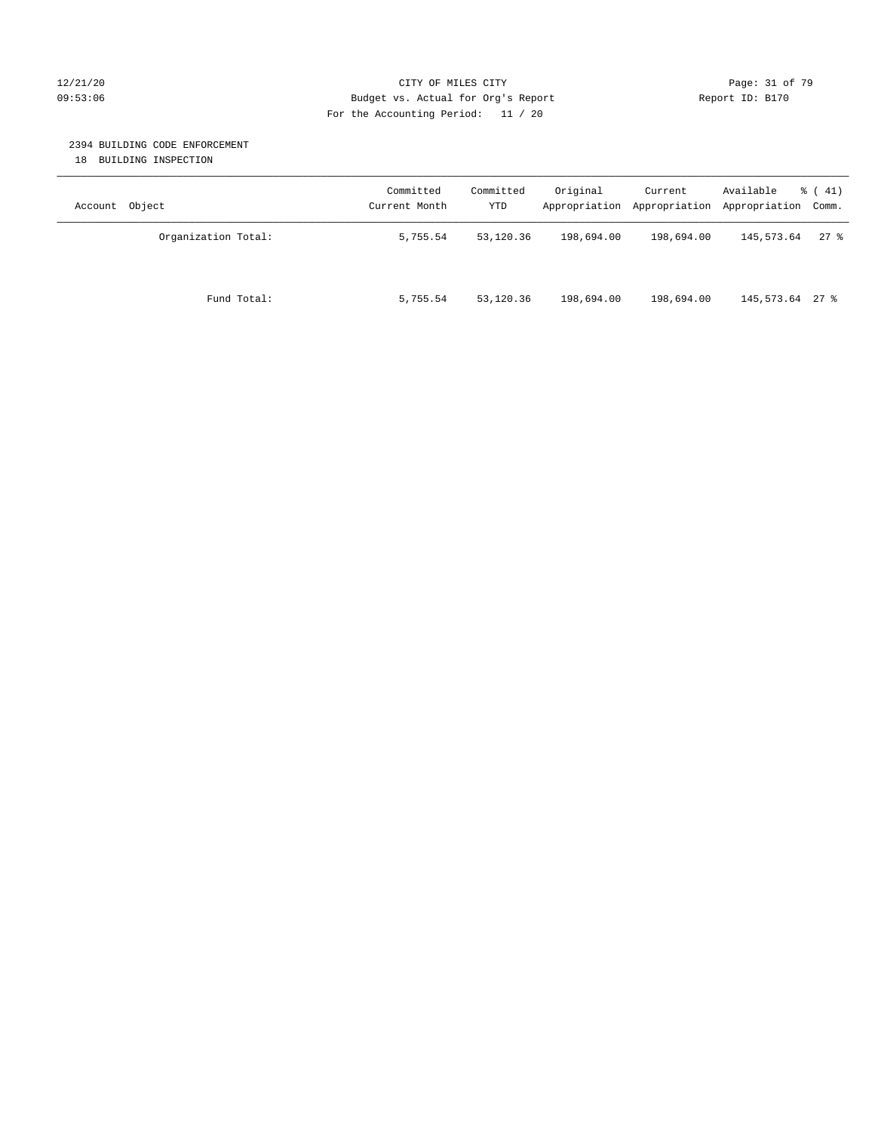#### 12/21/20 Page: 31 of 79 09:53:06 Budget vs. Actual for Org's Report Report ID: B170 For the Accounting Period: 11 / 20

### 2394 BUILDING CODE ENFORCEMENT

18 BUILDING INSPECTION

| Account Object      | Committed<br>Current Month | Committed<br>YTD | Original   | Current<br>Appropriation Appropriation | Available<br>Appropriation Comm. | $\frac{1}{6}$ ( 41) |
|---------------------|----------------------------|------------------|------------|----------------------------------------|----------------------------------|---------------------|
| Organization Total: | 5,755.54                   | 53,120.36        | 198,694.00 | 198,694.00                             | 145,573.64                       | 278                 |
| Fund Total:         | 5,755.54                   | 53,120.36        | 198,694.00 | 198,694.00                             | 145,573.64 27 %                  |                     |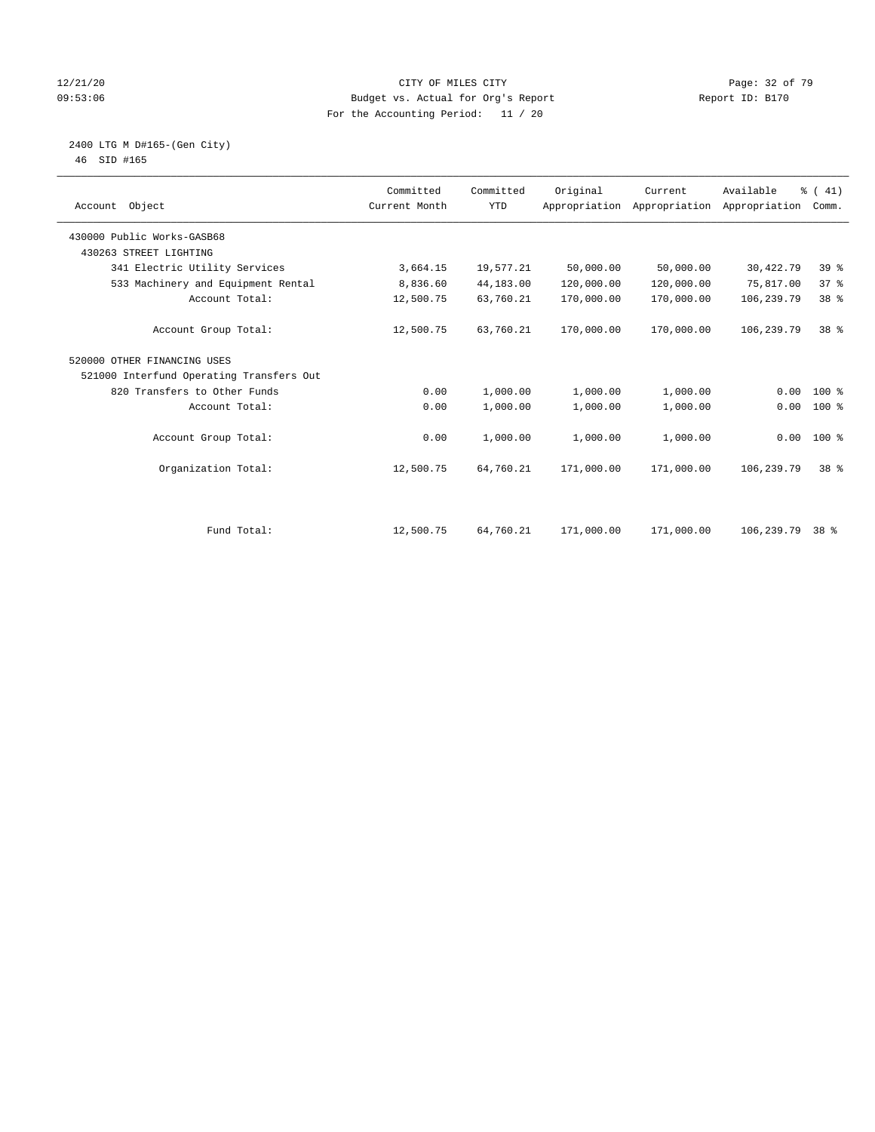#### 12/21/20 Page: 32 of 79 09:53:06 Budget vs. Actual for Org's Report Report ID: B170 For the Accounting Period: 11 / 20

#### 2400 LTG M D#165-(Gen City) 46 SID #165

| Account Object                           | Committed<br>Current Month | Committed<br><b>YTD</b> | Original   | Current<br>Appropriation Appropriation | Available<br>Appropriation | % (41)<br>Comm. |  |
|------------------------------------------|----------------------------|-------------------------|------------|----------------------------------------|----------------------------|-----------------|--|
| 430000 Public Works-GASB68               |                            |                         |            |                                        |                            |                 |  |
| 430263 STREET LIGHTING                   |                            |                         |            |                                        |                            |                 |  |
| 341 Electric Utility Services            | 3,664.15                   | 19,577.21               | 50,000.00  | 50,000.00                              | 30,422.79                  | 39 %            |  |
| 533 Machinery and Equipment Rental       | 8,836.60                   | 44,183.00               | 120,000.00 | 120,000.00                             | 75,817.00                  | 37%             |  |
| Account Total:                           | 12,500.75                  | 63,760.21               | 170,000.00 | 170,000.00                             | 106,239.79                 | 38 %            |  |
| Account Group Total:                     | 12,500.75                  | 63,760.21               | 170,000.00 | 170,000.00                             | 106,239.79                 | $38*$           |  |
| 520000 OTHER FINANCING USES              |                            |                         |            |                                        |                            |                 |  |
| 521000 Interfund Operating Transfers Out |                            |                         |            |                                        |                            |                 |  |
| 820 Transfers to Other Funds             | 0.00                       | 1,000.00                | 1,000.00   | 1,000.00                               | 0.00                       | $100*$          |  |
| Account Total:                           | 0.00                       | 1,000.00                | 1,000.00   | 1,000.00                               | 0.00                       | $100$ %         |  |
| Account Group Total:                     | 0.00                       | 1,000.00                | 1,000.00   | 1,000.00                               |                            | $0.00 100$ %    |  |
| Organization Total:                      | 12,500.75                  | 64,760.21               | 171,000.00 | 171,000.00                             | 106,239.79                 | 38 %            |  |
|                                          |                            |                         |            |                                        |                            |                 |  |
| Fund Total:                              | 12,500.75                  | 64,760.21               | 171,000.00 | 171,000.00                             | 106,239.79                 | $38*$           |  |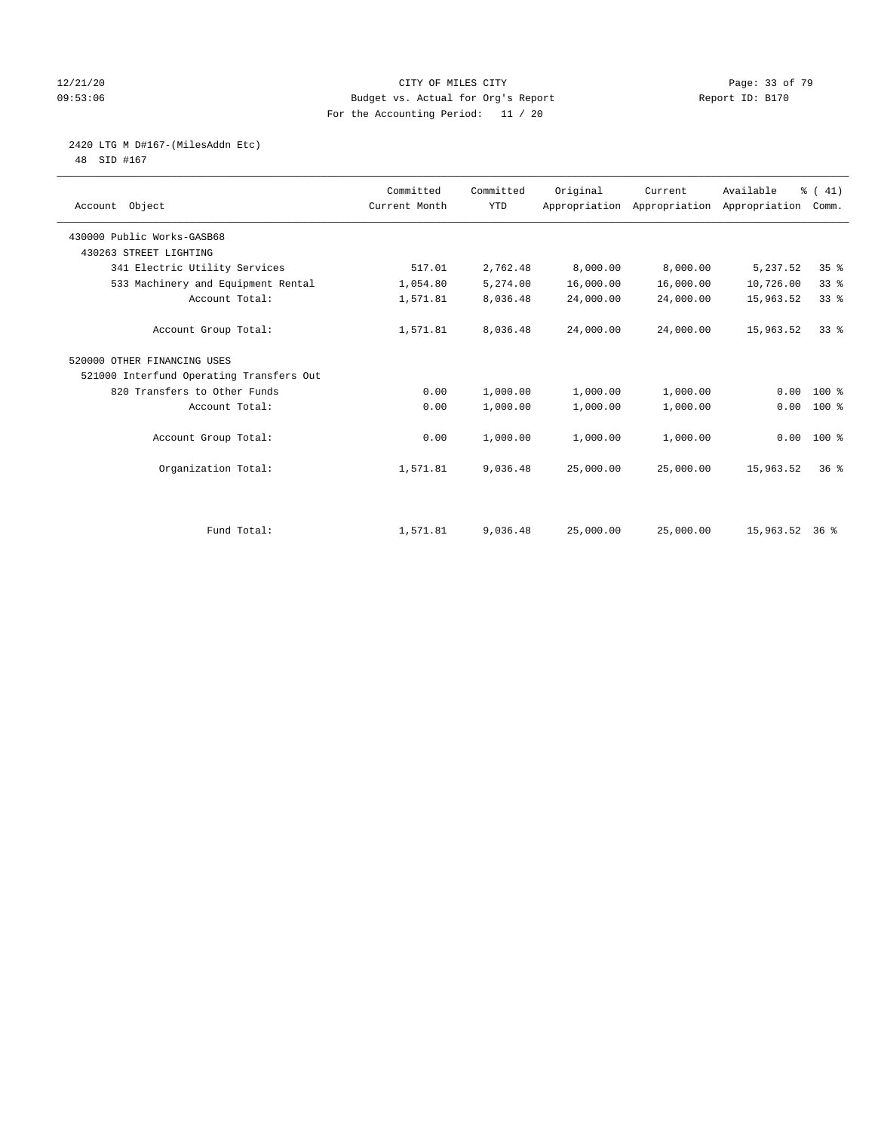#### 12/21/20 Page: 33 of 79 09:53:06 Budget vs. Actual for Org's Report Changer Report ID: B170 For the Accounting Period: 11 / 20

# 2420 LTG M D#167-(MilesAddn Etc)

48 SID #167

| Account Object                           | Committed<br>Current Month | Committed<br><b>YTD</b> | Original  | Current<br>Appropriation Appropriation Appropriation | Available      | % (41)<br>Comm. |
|------------------------------------------|----------------------------|-------------------------|-----------|------------------------------------------------------|----------------|-----------------|
| 430000 Public Works-GASB68               |                            |                         |           |                                                      |                |                 |
| 430263 STREET LIGHTING                   |                            |                         |           |                                                      |                |                 |
| 341 Electric Utility Services            | 517.01                     | 2,762.48                | 8,000.00  | 8,000.00                                             | 5,237.52       | 35%             |
| 533 Machinery and Equipment Rental       | 1,054.80                   | 5,274.00                | 16,000.00 | 16,000.00                                            | 10,726.00      | 33%             |
| Account Total:                           | 1,571.81                   | 8,036.48                | 24,000.00 | 24,000.00                                            | 15,963.52      | 33%             |
| Account Group Total:                     | 1,571.81                   | 8,036.48                | 24,000.00 | 24,000.00                                            | 15,963.52      | 338             |
| 520000 OTHER FINANCING USES              |                            |                         |           |                                                      |                |                 |
| 521000 Interfund Operating Transfers Out |                            |                         |           |                                                      |                |                 |
| 820 Transfers to Other Funds             | 0.00                       | 1,000.00                | 1,000.00  | 1,000.00                                             | 0.00           | $100*$          |
| Account Total:                           | 0.00                       | 1,000.00                | 1,000.00  | 1,000.00                                             | 0.00           | 100 %           |
| Account Group Total:                     | 0.00                       | 1,000.00                | 1,000.00  | 1,000.00                                             |                | $0.00 100$ %    |
| Organization Total:                      | 1,571.81                   | 9,036.48                | 25,000.00 | 25,000.00                                            | 15,963.52      | 36 <sup>8</sup> |
|                                          |                            |                         |           |                                                      |                |                 |
| Fund Total:                              | 1,571.81                   | 9,036.48                | 25,000.00 | 25,000.00                                            | 15,963.52 36 % |                 |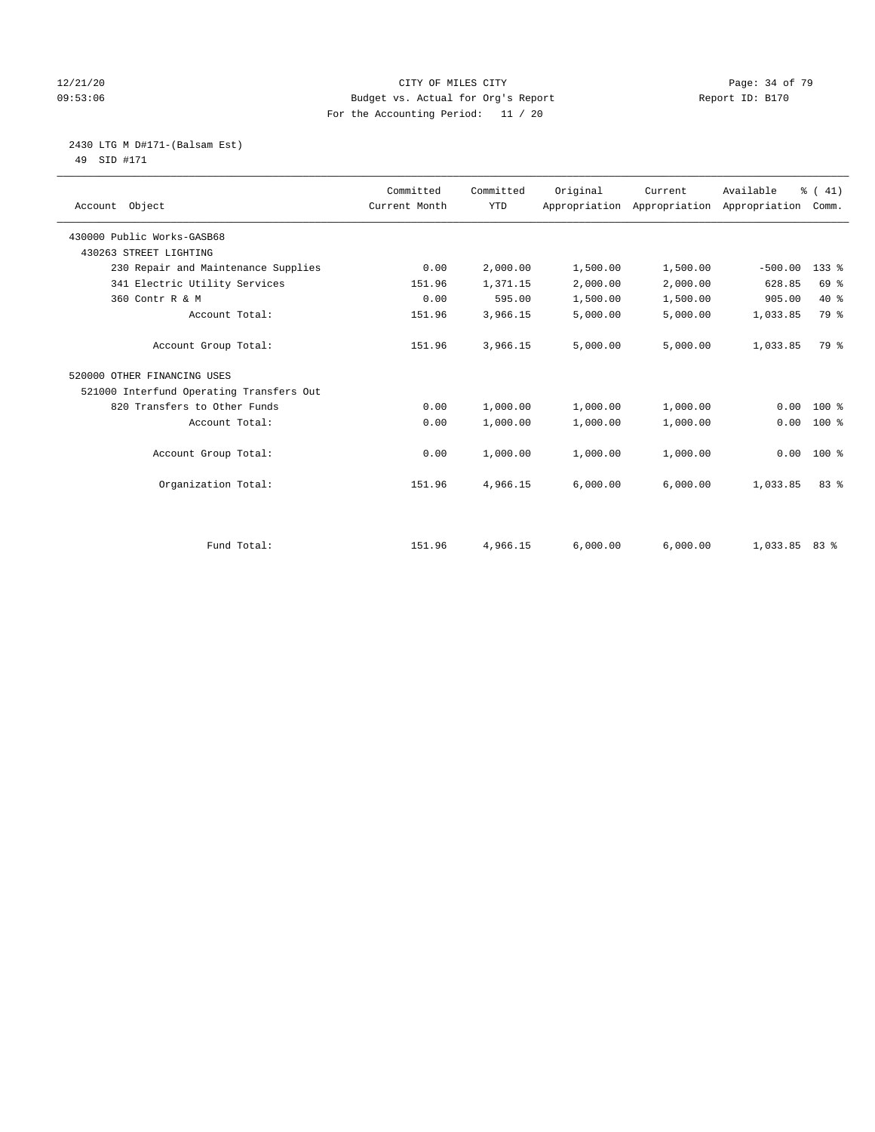#### 12/21/20 Page: 34 of 79 09:53:06 Budget vs. Actual for Org's Report Changer Report ID: B170 For the Accounting Period: 11 / 20

 2430 LTG M D#171-(Balsam Est) 49 SID #171

| Account Object                           | Committed<br>Current Month | Committed<br><b>YTD</b> | Original | Current  | Available<br>Appropriation Appropriation Appropriation Comm. | $\frac{1}{6}$ ( 41) |
|------------------------------------------|----------------------------|-------------------------|----------|----------|--------------------------------------------------------------|---------------------|
| 430000 Public Works-GASB68               |                            |                         |          |          |                                                              |                     |
| 430263 STREET LIGHTING                   |                            |                         |          |          |                                                              |                     |
| 230 Repair and Maintenance Supplies      | 0.00                       | 2,000.00                | 1,500.00 | 1,500.00 | $-500.00$                                                    | $133$ $%$           |
| 341 Electric Utility Services            | 151.96                     | 1,371.15                | 2,000.00 | 2,000.00 | 628.85                                                       | 69 %                |
| 360 Contr R & M                          | 0.00                       | 595.00                  | 1,500.00 | 1,500.00 | 905.00                                                       | $40*$               |
| Account Total:                           | 151.96                     | 3,966.15                | 5,000.00 | 5,000.00 | 1,033.85                                                     | 79 %                |
| Account Group Total:                     | 151.96                     | 3,966.15                | 5,000.00 | 5,000.00 | 1,033.85                                                     | 79 %                |
| 520000 OTHER FINANCING USES              |                            |                         |          |          |                                                              |                     |
| 521000 Interfund Operating Transfers Out |                            |                         |          |          |                                                              |                     |
| 820 Transfers to Other Funds             | 0.00                       | 1,000.00                | 1,000.00 | 1,000.00 | 0.00                                                         | $100*$              |
| Account Total:                           | 0.00                       | 1,000.00                | 1,000.00 | 1,000.00 | 0.00                                                         | $100*$              |
| Account Group Total:                     | 0.00                       | 1,000.00                | 1,000.00 | 1,000.00 | 0.00                                                         | 100 %               |
| Organization Total:                      | 151.96                     | 4,966.15                | 6,000.00 | 6,000.00 | 1,033.85                                                     | 83%                 |
|                                          |                            |                         |          |          |                                                              |                     |
| Fund Total:                              | 151.96                     | 4,966.15                | 6,000.00 | 6.000.00 | $1,033.85$ 83 %                                              |                     |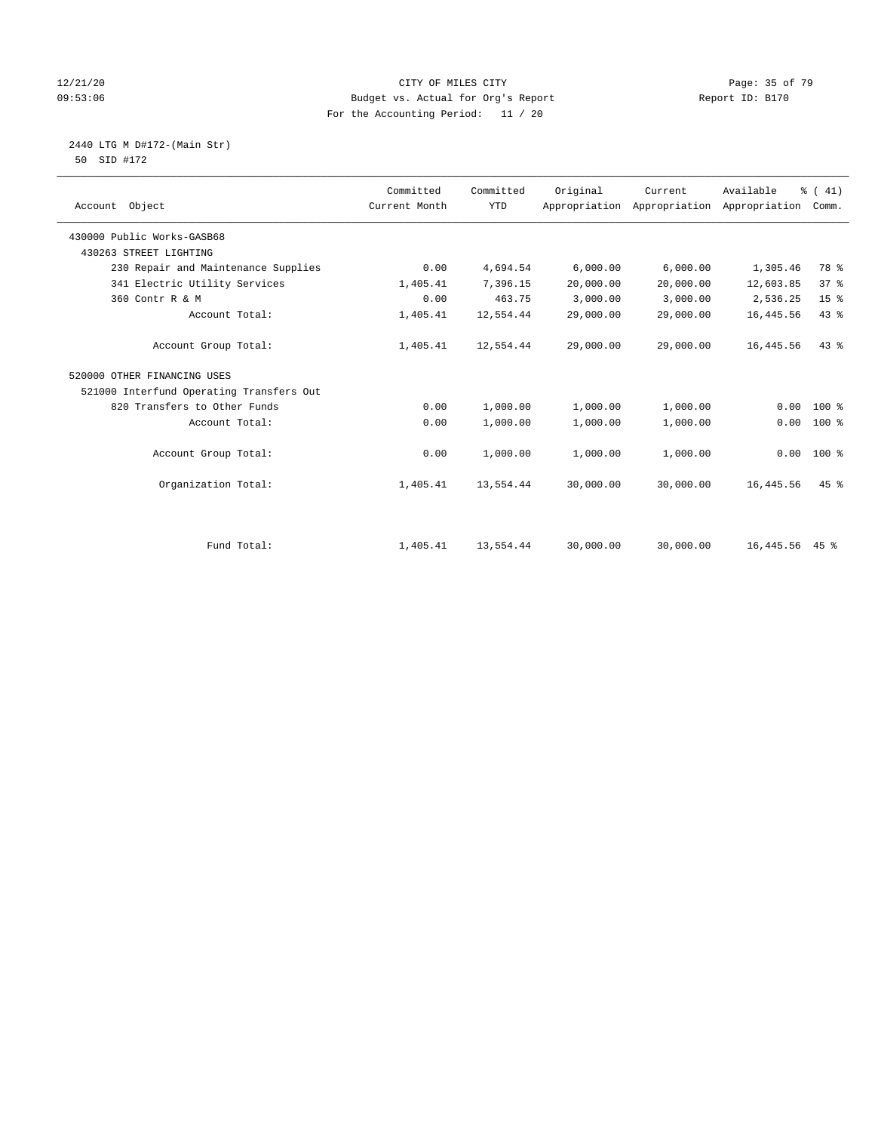#### 12/21/20 **Page: 35 of 79** CITY OF MILES CITY **CITY Page: 35 of 79** 09:53:06 Budget vs. Actual for Org's Report Report ID: B170 For the Accounting Period: 11 / 20

 2440 LTG M D#172-(Main Str) 50 SID #172

| Account Object                           | Committed<br>Current Month | Committed<br><b>YTD</b> | Original  | Current<br>Appropriation Appropriation | Available<br>Appropriation | % (41)<br>Comm. |
|------------------------------------------|----------------------------|-------------------------|-----------|----------------------------------------|----------------------------|-----------------|
| 430000 Public Works-GASB68               |                            |                         |           |                                        |                            |                 |
| 430263 STREET LIGHTING                   |                            |                         |           |                                        |                            |                 |
| 230 Repair and Maintenance Supplies      | 0.00                       | 4,694.54                | 6,000.00  | 6,000.00                               | 1,305.46                   | 78 %            |
| 341 Electric Utility Services            | 1,405.41                   | 7,396.15                | 20,000.00 | 20,000.00                              | 12,603.85                  | 37%             |
| 360 Contr R & M                          | 0.00                       | 463.75                  | 3,000.00  | 3,000.00                               | 2,536.25                   | 15 <sup>°</sup> |
| Account Total:                           | 1,405.41                   | 12,554.44               | 29,000.00 | 29,000.00                              | 16, 445.56                 | 43%             |
| Account Group Total:                     | 1,405.41                   | 12,554.44               | 29,000.00 | 29,000.00                              | 16,445.56                  | 43%             |
| 520000 OTHER FINANCING USES              |                            |                         |           |                                        |                            |                 |
| 521000 Interfund Operating Transfers Out |                            |                         |           |                                        |                            |                 |
| 820 Transfers to Other Funds             | 0.00                       | 1,000.00                | 1,000.00  | 1,000.00                               | 0.00                       | $100$ %         |
| Account Total:                           | 0.00                       | 1,000.00                | 1,000.00  | 1,000.00                               | 0.00                       | $100*$          |
| Account Group Total:                     | 0.00                       | 1,000.00                | 1,000.00  | 1,000.00                               | 0.00                       | $100*$          |
| Organization Total:                      | 1,405.41                   | 13,554.44               | 30,000.00 | 30,000.00                              | 16, 445.56                 | $45$ $%$        |
|                                          |                            |                         |           |                                        |                            |                 |
| Fund Total:                              | 1,405.41                   | 13,554.44               | 30,000.00 | 30,000.00                              | 16, 445.56 45 %            |                 |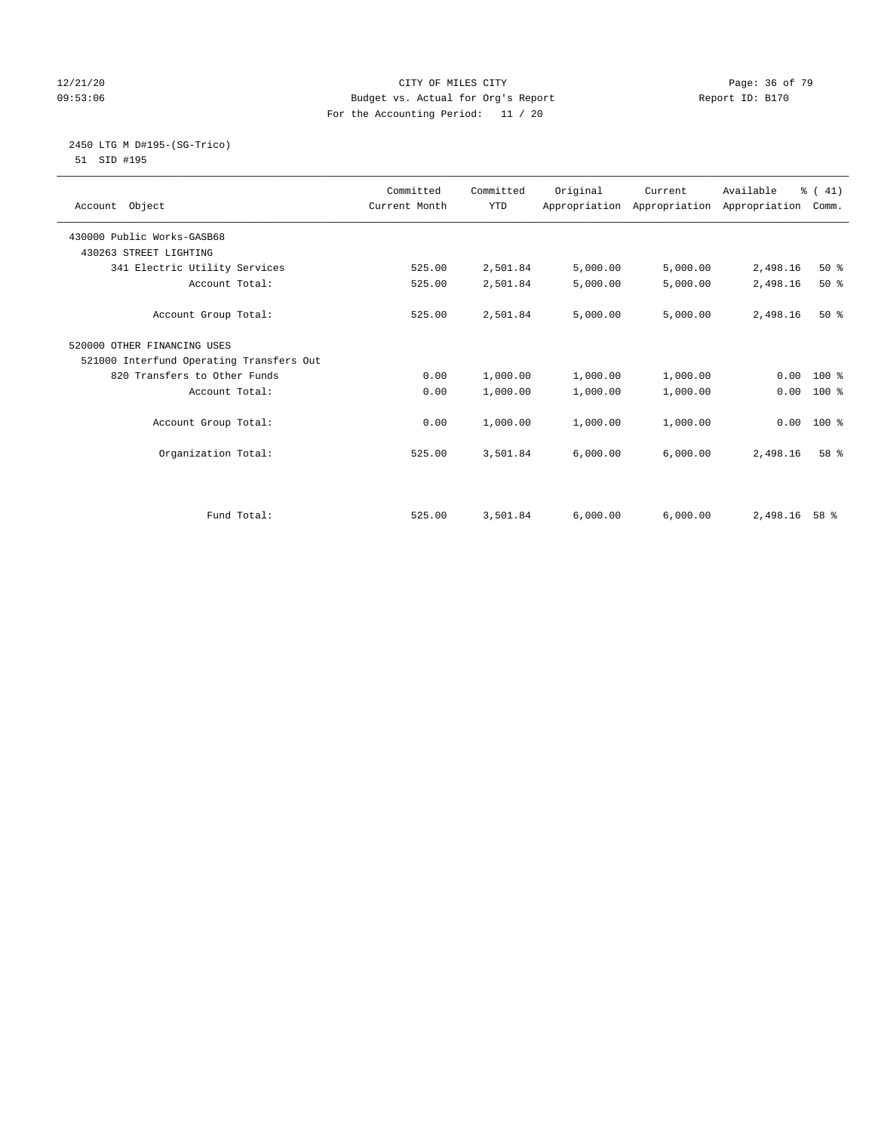#### 12/21/20 Page: 36 of 79 09:53:06 Budget vs. Actual for Org's Report Changer Report ID: B170 For the Accounting Period: 11 / 20

#### 2450 LTG M D#195-(SG-Trico) 51 SID #195

| Account Object                           | Committed<br>Current Month | Committed<br><b>YTD</b> | Original | Current<br>Appropriation Appropriation Appropriation | Available | % (41)<br>Comm. |
|------------------------------------------|----------------------------|-------------------------|----------|------------------------------------------------------|-----------|-----------------|
| 430000 Public Works-GASB68               |                            |                         |          |                                                      |           |                 |
| 430263 STREET LIGHTING                   |                            |                         |          |                                                      |           |                 |
| 341 Electric Utility Services            | 525.00                     | 2,501.84                | 5,000.00 | 5,000.00                                             | 2,498.16  | $50*$           |
| Account Total:                           | 525.00                     | 2,501.84                | 5,000.00 | 5,000.00                                             | 2,498.16  | $50*$           |
| Account Group Total:                     | 525.00                     | 2,501.84                | 5,000.00 | 5,000.00                                             | 2,498.16  | $50*$           |
| 520000 OTHER FINANCING USES              |                            |                         |          |                                                      |           |                 |
| 521000 Interfund Operating Transfers Out |                            |                         |          |                                                      |           |                 |
| 820 Transfers to Other Funds             | 0.00                       | 1,000.00                | 1,000.00 | 1,000.00                                             | 0.00      | $100*$          |
| Account Total:                           | 0.00                       | 1,000.00                | 1,000.00 | 1,000.00                                             | 0.00      | 100 %           |
| Account Group Total:                     | 0.00                       | 1,000.00                | 1,000.00 | 1,000.00                                             | 0.00      | $100*$          |
| Organization Total:                      | 525.00                     | 3,501.84                | 6,000.00 | 6,000.00                                             | 2,498.16  | 58 %            |
|                                          |                            |                         |          |                                                      |           |                 |
| Fund Total:                              | 525.00                     | 3,501.84                | 6.000.00 | 6.000.00                                             | 2,498.16  | 58 %            |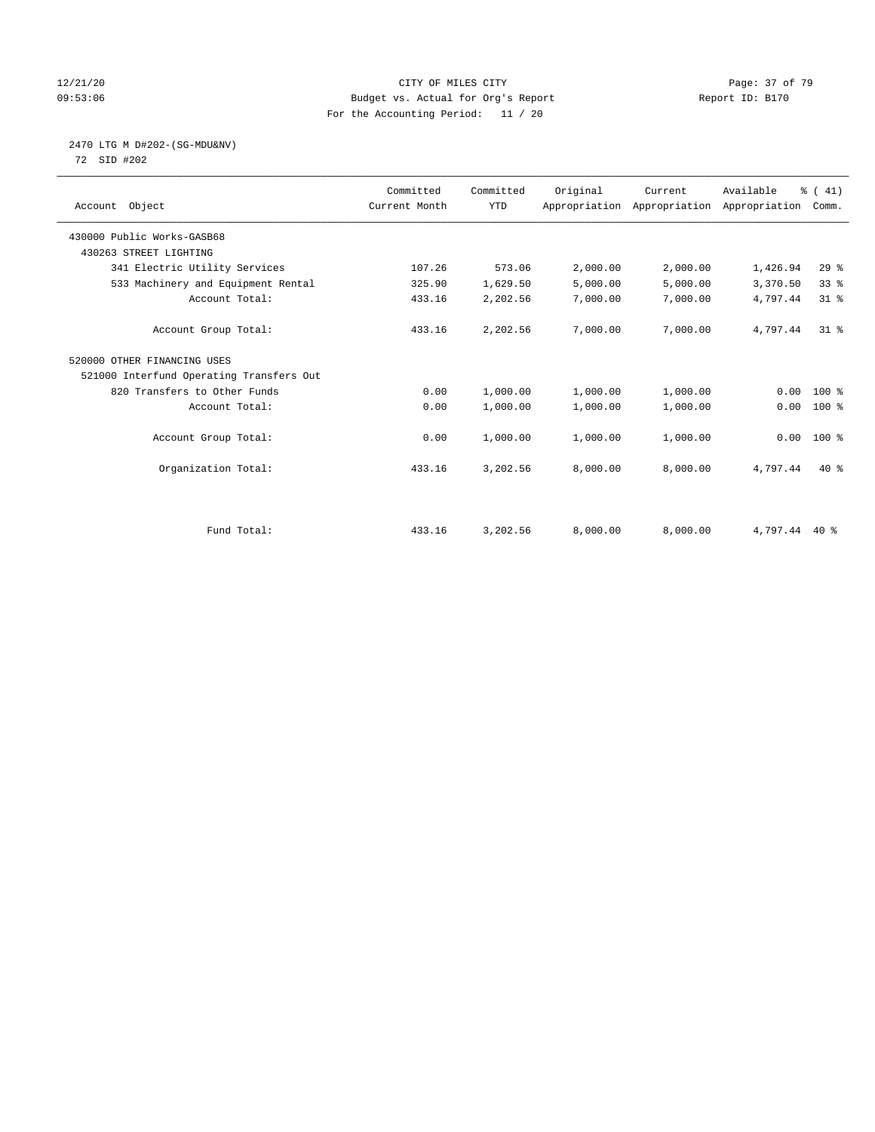### 12/21/20 Page: 37 of 79 09:53:06 Budget vs. Actual for Org's Report Report ID: B170 For the Accounting Period: 11 / 20

# 2470 LTG M D#202-(SG-MDU&NV)

72 SID #202

| Account Object                           | Committed<br>Current Month | Committed<br><b>YTD</b> | Original | Current  | Available<br>Appropriation Appropriation Appropriation | % (41)<br>Comm. |
|------------------------------------------|----------------------------|-------------------------|----------|----------|--------------------------------------------------------|-----------------|
| 430000 Public Works-GASB68               |                            |                         |          |          |                                                        |                 |
| 430263 STREET LIGHTING                   |                            |                         |          |          |                                                        |                 |
| 341 Electric Utility Services            | 107.26                     | 573.06                  | 2,000.00 | 2,000.00 | 1,426.94                                               | $29$ $%$        |
| 533 Machinery and Equipment Rental       | 325.90                     | 1,629.50                | 5,000.00 | 5,000.00 | 3,370.50                                               | 33%             |
| Account Total:                           | 433.16                     | 2,202.56                | 7,000.00 | 7,000.00 | 4,797.44                                               | $31$ %          |
| Account Group Total:                     | 433.16                     | 2,202.56                | 7,000.00 | 7,000.00 | 4,797.44                                               | $31*$           |
| 520000 OTHER FINANCING USES              |                            |                         |          |          |                                                        |                 |
| 521000 Interfund Operating Transfers Out |                            |                         |          |          |                                                        |                 |
| 820 Transfers to Other Funds             | 0.00                       | 1,000.00                | 1,000.00 | 1,000.00 | 0.00                                                   | $100*$          |
| Account Total:                           | 0.00                       | 1,000.00                | 1,000.00 | 1,000.00 | 0.00                                                   | 100 %           |
| Account Group Total:                     | 0.00                       | 1,000.00                | 1,000.00 | 1,000.00 |                                                        | $0.00 100$ %    |
| Organization Total:                      | 433.16                     | 3,202.56                | 8,000.00 | 8,000.00 | 4,797.44                                               | $40*$           |
|                                          |                            |                         |          |          |                                                        |                 |
| Fund Total:                              | 433.16                     | 3,202.56                | 8,000.00 | 8,000.00 | 4,797.44 40 %                                          |                 |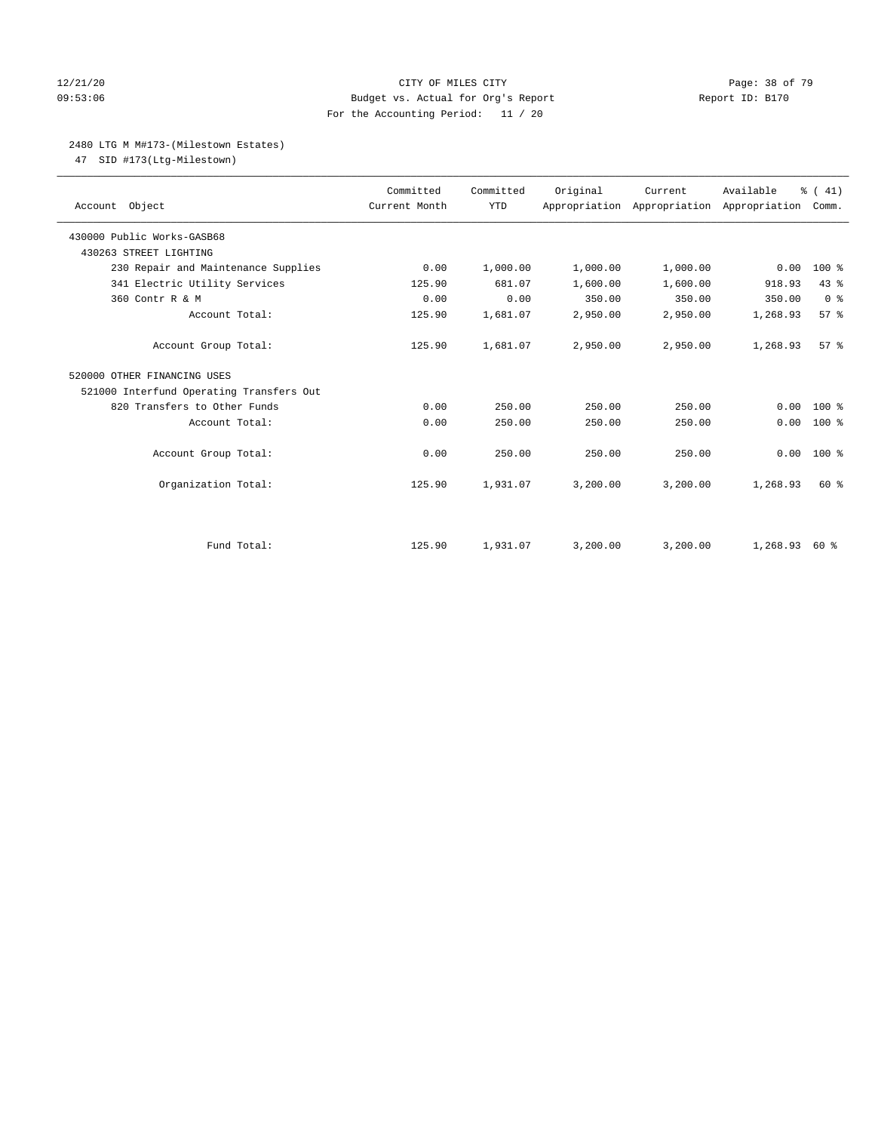### 12/21/20 **Page: 38 of 79** CITY OF MILES CITY **CITY** Page: 38 of 79 09:53:06 Budget vs. Actual for Org's Report Changer Report ID: B170 For the Accounting Period: 11 / 20

# 2480 LTG M M#173-(Milestown Estates)

47 SID #173(Ltg-Milestown)

| Account Object                           | Committed<br>Current Month | Committed<br><b>YTD</b> | Original | Current<br>Appropriation Appropriation Appropriation | Available | % (41)<br>Comm. |
|------------------------------------------|----------------------------|-------------------------|----------|------------------------------------------------------|-----------|-----------------|
| 430000 Public Works-GASB68               |                            |                         |          |                                                      |           |                 |
| 430263 STREET LIGHTING                   |                            |                         |          |                                                      |           |                 |
| 230 Repair and Maintenance Supplies      | 0.00                       | 1,000.00                | 1,000.00 | 1,000.00                                             | 0.00      | $100*$          |
| 341 Electric Utility Services            | 125.90                     | 681.07                  | 1,600.00 | 1,600.00                                             | 918.93    | 43.8            |
| 360 Contr R & M                          | 0.00                       | 0.00                    | 350.00   | 350.00                                               | 350.00    | 0 <sup>8</sup>  |
| Account Total:                           | 125.90                     | 1,681.07                | 2,950.00 | 2,950.00                                             | 1,268.93  | 57%             |
| Account Group Total:                     | 125.90                     | 1,681.07                | 2,950.00 | 2,950.00                                             | 1,268.93  | 57%             |
| 520000 OTHER FINANCING USES              |                            |                         |          |                                                      |           |                 |
| 521000 Interfund Operating Transfers Out |                            |                         |          |                                                      |           |                 |
| 820 Transfers to Other Funds             | 0.00                       | 250.00                  | 250.00   | 250.00                                               | 0.00      | 100 %           |
| Account Total:                           | 0.00                       | 250.00                  | 250.00   | 250.00                                               | 0.00      | $100*$          |
| Account Group Total:                     | 0.00                       | 250.00                  | 250.00   | 250.00                                               | 0.00      | $100*$          |
| Organization Total:                      | 125.90                     | 1,931.07                | 3,200.00 | 3,200.00                                             | 1,268.93  | 60 %            |
|                                          |                            |                         |          |                                                      |           |                 |
| Fund Total:                              | 125.90                     | 1,931.07                | 3,200.00 | 3,200.00                                             | 1,268.93  | 60 %            |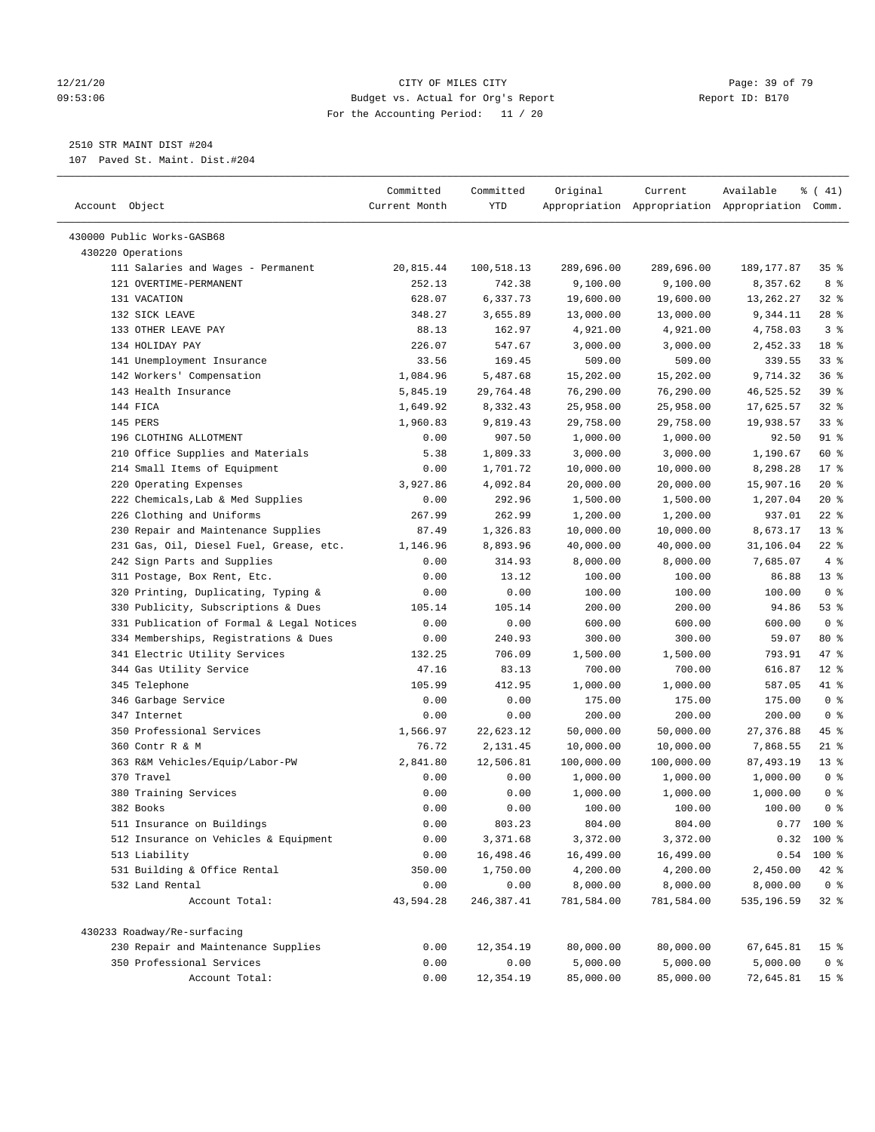### 12/21/20 **Page: 39 of 79** CITY OF MILES CITY **CITY Page: 39 of 79** 09:53:06 Budget vs. Actual for Org's Report Changer Report ID: B170 For the Accounting Period: 11 / 20

————————————————————————————————————————————————————————————————————————————————————————————————————————————————————————————————————

# 2510 STR MAINT DIST #204

107 Paved St. Maint. Dist.#204

|                                                                    | Committed     | Committed     | Original           | Current               | Available                                       | $\frac{1}{6}$ ( 41) |
|--------------------------------------------------------------------|---------------|---------------|--------------------|-----------------------|-------------------------------------------------|---------------------|
| Account Object                                                     | Current Month | YTD           |                    |                       | Appropriation Appropriation Appropriation Comm. |                     |
|                                                                    |               |               |                    |                       |                                                 |                     |
| 430000 Public Works-GASB68<br>430220 Operations                    |               |               |                    |                       |                                                 |                     |
| 111 Salaries and Wages - Permanent                                 | 20,815.44     | 100,518.13    | 289,696.00         | 289,696.00            | 189, 177.87                                     | 35%                 |
| 121 OVERTIME-PERMANENT                                             | 252.13        | 742.38        | 9,100.00           | 9,100.00              | 8,357.62                                        | 8 %                 |
| 131 VACATION                                                       | 628.07        | 6,337.73      | 19,600.00          | 19,600.00             | 13,262.27                                       | $32$ $%$            |
| 132 SICK LEAVE                                                     | 348.27        | 3,655.89      | 13,000.00          | 13,000.00             | 9,344.11                                        | $28$ %              |
| 133 OTHER LEAVE PAY                                                | 88.13         | 162.97        | 4,921.00           | 4,921.00              | 4,758.03                                        | 3 <sup>8</sup>      |
| 134 HOLIDAY PAY                                                    | 226.07        | 547.67        | 3,000.00           | 3,000.00              | 2,452.33                                        | 18 %                |
| 141 Unemployment Insurance                                         | 33.56         | 169.45        | 509.00             | 509.00                | 339.55                                          | 33%                 |
| 142 Workers' Compensation                                          | 1,084.96      | 5,487.68      | 15,202.00          | 15,202.00             | 9,714.32                                        | 36%                 |
| 143 Health Insurance                                               | 5,845.19      | 29,764.48     | 76,290.00          | 76,290.00             | 46,525.52                                       | 39%                 |
| 144 FICA                                                           | 1,649.92      | 8,332.43      | 25,958.00          | 25,958.00             | 17,625.57                                       | 32%                 |
| 145 PERS                                                           | 1,960.83      | 9,819.43      | 29,758.00          | 29,758.00             | 19,938.57                                       | 33%                 |
| 196 CLOTHING ALLOTMENT                                             | 0.00          | 907.50        | 1,000.00           | 1,000.00              | 92.50                                           | 91 %                |
| 210 Office Supplies and Materials                                  | 5.38          | 1,809.33      | 3,000.00           | 3,000.00              | 1,190.67                                        | 60 %                |
| 214 Small Items of Equipment                                       | 0.00          | 1,701.72      | 10,000.00          | 10,000.00             | 8,298.28                                        | $17*$               |
| 220 Operating Expenses                                             | 3,927.86      | 4,092.84      | 20,000.00          | 20,000.00             | 15,907.16                                       | $20*$               |
| 222 Chemicals, Lab & Med Supplies                                  | 0.00          | 292.96        | 1,500.00           | 1,500.00              | 1,207.04                                        | $20*$               |
| 226 Clothing and Uniforms                                          | 267.99        | 262.99        | 1,200.00           | 1,200.00              | 937.01                                          | $22$ %              |
| 230 Repair and Maintenance Supplies                                | 87.49         | 1,326.83      | 10,000.00          | 10,000.00             | 8,673.17                                        | $13*$               |
| 231 Gas, Oil, Diesel Fuel, Grease, etc.                            |               | 8,893.96      |                    |                       |                                                 | $22$ %              |
|                                                                    | 1,146.96      |               | 40,000.00          | 40,000.00<br>8,000.00 | 31,106.04                                       | 4%                  |
| 242 Sign Parts and Supplies                                        | 0.00          | 314.93        | 8,000.00<br>100.00 |                       | 7,685.07                                        | $13*$               |
| 311 Postage, Box Rent, Etc.<br>320 Printing, Duplicating, Typing & | 0.00          | 13.12<br>0.00 |                    | 100.00<br>100.00      | 86.88<br>100.00                                 | 0 <sup>8</sup>      |
|                                                                    | 0.00          |               | 100.00             |                       |                                                 |                     |
| 330 Publicity, Subscriptions & Dues                                | 105.14        | 105.14        | 200.00             | 200.00                | 94.86                                           | 53%                 |
| 331 Publication of Formal & Legal Notices                          | 0.00          | 0.00          | 600.00             | 600.00                | 600.00                                          | 0 <sup>8</sup>      |
| 334 Memberships, Registrations & Dues                              | 0.00          | 240.93        | 300.00             | 300.00                | 59.07                                           | 80 %                |
| 341 Electric Utility Services                                      | 132.25        | 706.09        | 1,500.00           | 1,500.00              | 793.91                                          | 47 %                |
| 344 Gas Utility Service                                            | 47.16         | 83.13         | 700.00             | 700.00                | 616.87                                          | $12*$               |
| 345 Telephone                                                      | 105.99        | 412.95        | 1,000.00           | 1,000.00              | 587.05                                          | 41 %                |
| 346 Garbage Service                                                | 0.00          | 0.00          | 175.00             | 175.00                | 175.00                                          | 0 <sup>8</sup>      |
| 347 Internet                                                       | 0.00          | 0.00          | 200.00             | 200.00                | 200.00                                          | 0 <sup>8</sup>      |
| 350 Professional Services                                          | 1,566.97      | 22,623.12     | 50,000.00          | 50,000.00             | 27, 376.88                                      | 45 %                |
| 360 Contr R & M                                                    | 76.72         | 2,131.45      | 10,000.00          | 10,000.00             | 7,868.55                                        | $21$ %              |
| 363 R&M Vehicles/Equip/Labor-PW                                    | 2,841.80      | 12,506.81     | 100,000.00         | 100,000.00            | 87,493.19                                       | $13*$               |
| 370 Travel                                                         | 0.00          | 0.00          | 1,000.00           | 1,000.00              | 1,000.00                                        | 0 <sup>8</sup>      |
| 380 Training Services                                              | 0.00          | 0.00          | 1,000.00           | 1,000.00              | 1,000.00                                        | 0 <sup>8</sup>      |
| 382 Books                                                          | 0.00          | 0.00          | 100.00             | 100.00                | 100.00                                          | 0 <sup>8</sup>      |
| 511 Insurance on Buildings                                         | 0.00          | 803.23        | 804.00             | 804.00                |                                                 | $0.77$ 100 %        |
| 512 Insurance on Vehicles & Equipment                              | 0.00          | 3,371.68      | 3,372.00           | 3,372.00              |                                                 | $0.32$ 100 %        |
| 513 Liability                                                      | 0.00          | 16,498.46     | 16,499.00          | 16,499.00             | 0.54                                            | 100 %               |
| 531 Building & Office Rental                                       | 350.00        | 1,750.00      | 4,200.00           | 4,200.00              | 2,450.00                                        | 42 %                |
| 532 Land Rental                                                    | 0.00          | 0.00          | 8,000.00           | 8,000.00              | 8,000.00                                        | 0 <sup>8</sup>      |
| Account Total:                                                     | 43,594.28     | 246,387.41    | 781,584.00         | 781,584.00            | 535,196.59                                      | $32$ $%$            |
| 430233 Roadway/Re-surfacing                                        |               |               |                    |                       |                                                 |                     |
| 230 Repair and Maintenance Supplies                                | 0.00          | 12,354.19     | 80,000.00          | 80,000.00             | 67,645.81                                       | 15 <sup>°</sup>     |
| 350 Professional Services                                          | 0.00          | 0.00          | 5,000.00           | 5,000.00              | 5,000.00                                        | 0 <sup>8</sup>      |
| Account Total:                                                     | 0.00          | 12,354.19     | 85,000.00          | 85,000.00             | 72,645.81                                       | 15 <sup>°</sup>     |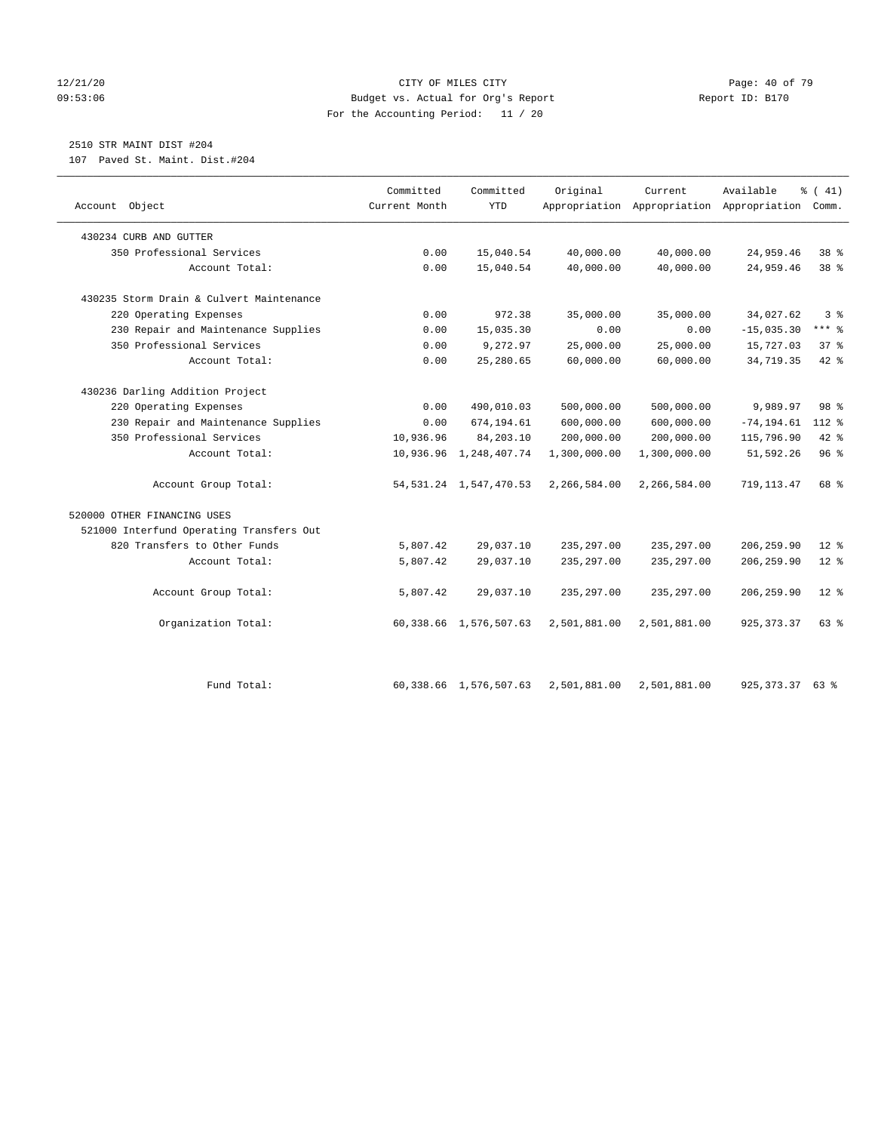### 12/21/20 **Page: 40 of 79** CITY OF MILES CITY **CITY Page: 40 of 79** 09:53:06 Budget vs. Actual for Org's Report Report ID: B170 For the Accounting Period: 11 / 20

# 2510 STR MAINT DIST #204

107 Paved St. Maint. Dist.#204

| Account Object                           | Committed<br>Current Month | Committed<br><b>YTD</b>     | Original     | Current      | Available<br>Appropriation Appropriation Appropriation | % (41)<br>Comm. |
|------------------------------------------|----------------------------|-----------------------------|--------------|--------------|--------------------------------------------------------|-----------------|
| 430234 CURB AND GUTTER                   |                            |                             |              |              |                                                        |                 |
| 350 Professional Services                | 0.00                       | 15,040.54                   | 40,000.00    | 40,000.00    | 24,959.46                                              | 38 %            |
| Account Total:                           | 0.00                       | 15,040.54                   | 40,000.00    | 40,000.00    | 24,959.46                                              | 38 <sup>8</sup> |
| 430235 Storm Drain & Culvert Maintenance |                            |                             |              |              |                                                        |                 |
| 220 Operating Expenses                   | 0.00                       | 972.38                      | 35,000.00    | 35,000.00    | 34,027.62                                              | 3 <sup>8</sup>  |
| 230 Repair and Maintenance Supplies      | 0.00                       | 15,035.30                   | 0.00         | 0.00         | $-15,035.30$                                           | $***$ $-$       |
| 350 Professional Services                | 0.00                       | 9,272.97                    | 25,000.00    | 25,000.00    | 15,727.03                                              | 37%             |
| Account Total:                           | 0.00                       | 25,280.65                   | 60,000.00    | 60,000.00    | 34,719.35                                              | $42$ %          |
| 430236 Darling Addition Project          |                            |                             |              |              |                                                        |                 |
| 220 Operating Expenses                   | 0.00                       | 490,010.03                  | 500,000.00   | 500,000.00   | 9,989.97                                               | 98 %            |
| 230 Repair and Maintenance Supplies      | 0.00                       | 674,194.61                  | 600,000.00   | 600,000.00   | $-74, 194.61$                                          | $112*$          |
| 350 Professional Services                | 10,936.96                  | 84,203.10                   | 200,000.00   | 200,000.00   | 115,796.90                                             | $42$ %          |
| Account Total:                           |                            | 10,936.96 1,248,407.74      | 1,300,000.00 | 1,300,000.00 | 51,592.26                                              | 96%             |
| Account Group Total:                     |                            | 54, 531. 24 1, 547, 470. 53 | 2,266,584.00 | 2,266,584.00 | 719, 113.47                                            | 68 %            |
| 520000 OTHER FINANCING USES              |                            |                             |              |              |                                                        |                 |
| 521000 Interfund Operating Transfers Out |                            |                             |              |              |                                                        |                 |
| 820 Transfers to Other Funds             | 5,807.42                   | 29,037.10                   | 235, 297.00  | 235, 297.00  | 206, 259.90                                            | $12*$           |
| Account Total:                           | 5,807.42                   | 29,037.10                   | 235, 297.00  | 235, 297.00  | 206, 259.90                                            | $12*$           |
| Account Group Total:                     | 5,807.42                   | 29,037.10                   | 235, 297.00  | 235, 297.00  | 206, 259.90                                            | $12$ $\approx$  |
| Organization Total:                      |                            | 60, 338.66 1, 576, 507.63   | 2,501,881.00 | 2,501,881.00 | 925, 373.37                                            | 63 %            |
| Fund Total:                              |                            | 60, 338.66 1, 576, 507.63   | 2,501,881.00 | 2,501,881.00 | 925, 373. 37 63 %                                      |                 |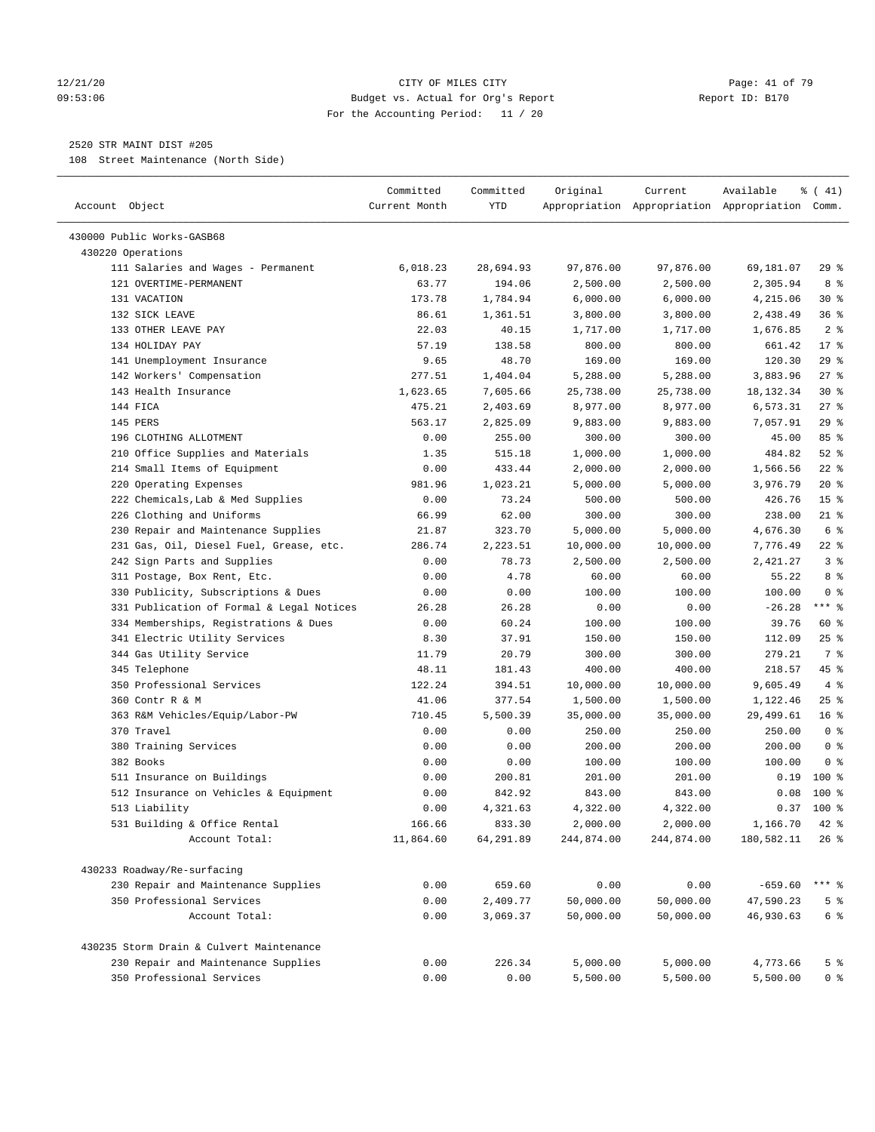### 12/21/20 Page: 41 of 79 09:53:06 Budget vs. Actual for Org's Report Changer Report ID: B170 For the Accounting Period: 11 / 20

————————————————————————————————————————————————————————————————————————————————————————————————————————————————————————————————————

## 2520 STR MAINT DIST #205

108 Street Maintenance (North Side)

|                                           | Committed     | Committed | Original   | Current    | Available                                       | ៖ ( 41)         |
|-------------------------------------------|---------------|-----------|------------|------------|-------------------------------------------------|-----------------|
| Account Object                            | Current Month | YTD       |            |            | Appropriation Appropriation Appropriation Comm. |                 |
| 430000 Public Works-GASB68                |               |           |            |            |                                                 |                 |
| 430220 Operations                         |               |           |            |            |                                                 |                 |
| 111 Salaries and Wages - Permanent        | 6,018.23      | 28,694.93 | 97,876.00  | 97,876.00  | 69,181.07                                       | 29%             |
| 121 OVERTIME-PERMANENT                    | 63.77         | 194.06    | 2,500.00   | 2,500.00   | 2,305.94                                        | 8 %             |
| 131 VACATION                              | 173.78        | 1,784.94  | 6,000.00   | 6,000.00   | 4,215.06                                        | $30*$           |
| 132 SICK LEAVE                            | 86.61         | 1,361.51  | 3,800.00   | 3,800.00   | 2,438.49                                        | 36%             |
| 133 OTHER LEAVE PAY                       | 22.03         | 40.15     | 1,717.00   | 1,717.00   | 1,676.85                                        | 2 <sup>°</sup>  |
| 134 HOLIDAY PAY                           | 57.19         | 138.58    | 800.00     | 800.00     | 661.42                                          | $17*$           |
| 141 Unemployment Insurance                | 9.65          | 48.70     | 169.00     | 169.00     | 120.30                                          | $29$ %          |
| 142 Workers' Compensation                 | 277.51        | 1,404.04  | 5,288.00   | 5,288.00   | 3,883.96                                        | 27%             |
| 143 Health Insurance                      | 1,623.65      | 7,605.66  | 25,738.00  | 25,738.00  | 18, 132.34                                      | $30*$           |
| 144 FICA                                  | 475.21        | 2,403.69  | 8,977.00   | 8,977.00   | 6,573.31                                        | $27$ %          |
| 145 PERS                                  | 563.17        | 2,825.09  | 9,883.00   | 9,883.00   | 7,057.91                                        | $29$ %          |
| 196 CLOTHING ALLOTMENT                    | 0.00          | 255.00    | 300.00     | 300.00     | 45.00                                           | 85%             |
| 210 Office Supplies and Materials         | 1.35          | 515.18    | 1,000.00   | 1,000.00   | 484.82                                          | $52$ $%$        |
| 214 Small Items of Equipment              | 0.00          | 433.44    | 2,000.00   | 2,000.00   | 1,566.56                                        | $22$ %          |
| 220 Operating Expenses                    | 981.96        | 1,023.21  | 5,000.00   | 5,000.00   | 3,976.79                                        | $20*$           |
| 222 Chemicals, Lab & Med Supplies         | 0.00          | 73.24     | 500.00     | 500.00     | 426.76                                          | 15 <sup>°</sup> |
| 226 Clothing and Uniforms                 | 66.99         | 62.00     | 300.00     | 300.00     | 238.00                                          | $21$ %          |
| 230 Repair and Maintenance Supplies       | 21.87         | 323.70    | 5,000.00   | 5,000.00   | 4,676.30                                        | 6 %             |
| 231 Gas, Oil, Diesel Fuel, Grease, etc.   | 286.74        | 2,223.51  | 10,000.00  | 10,000.00  | 7,776.49                                        | $22$ %          |
| 242 Sign Parts and Supplies               | 0.00          | 78.73     | 2,500.00   | 2,500.00   | 2,421.27                                        | 3%              |
| 311 Postage, Box Rent, Etc.               | 0.00          | 4.78      | 60.00      | 60.00      | 55.22                                           | 8 %             |
| 330 Publicity, Subscriptions & Dues       | 0.00          | 0.00      | 100.00     | 100.00     | 100.00                                          | 0 <sup>8</sup>  |
| 331 Publication of Formal & Legal Notices | 26.28         | 26.28     | 0.00       | 0.00       | $-26.28$                                        | $***$ $-$       |
| 334 Memberships, Registrations & Dues     | 0.00          | 60.24     | 100.00     | 100.00     | 39.76                                           | 60 %            |
| 341 Electric Utility Services             | 8.30          | 37.91     | 150.00     | 150.00     | 112.09                                          | $25$ %          |
| 344 Gas Utility Service                   | 11.79         | 20.79     | 300.00     | 300.00     | 279.21                                          | 7 %             |
| 345 Telephone                             | 48.11         | 181.43    | 400.00     | 400.00     | 218.57                                          | 45 %            |
| 350 Professional Services                 | 122.24        | 394.51    | 10,000.00  | 10,000.00  | 9,605.49                                        | 4%              |
| 360 Contr R & M                           | 41.06         | 377.54    | 1,500.00   | 1,500.00   | 1,122.46                                        | $25$ %          |
| 363 R&M Vehicles/Equip/Labor-PW           | 710.45        | 5,500.39  | 35,000.00  | 35,000.00  | 29,499.61                                       | 16 <sup>°</sup> |
| 370 Travel                                | 0.00          | 0.00      | 250.00     | 250.00     | 250.00                                          | 0 <sup>8</sup>  |
| 380 Training Services                     | 0.00          | 0.00      | 200.00     | 200.00     | 200.00                                          | 0 <sup>8</sup>  |
| 382 Books                                 | 0.00          | 0.00      | 100.00     | 100.00     | 100.00                                          | 0 <sup>8</sup>  |
| 511 Insurance on Buildings                | 0.00          | 200.81    | 201.00     | 201.00     | 0.19                                            | $100*$          |
| 512 Insurance on Vehicles & Equipment     | 0.00          | 842.92    | 843.00     | 843.00     | 0.08                                            | $100*$          |
| 513 Liability                             | 0.00          | 4,321.63  | 4,322.00   | 4,322.00   | 0.37                                            | 100 %           |
| 531 Building & Office Rental              | 166.66        | 833.30    | 2,000.00   | 2,000.00   | 1,166.70                                        | $42$ %          |
| Account Total:                            | 11,864.60     | 64,291.89 | 244,874.00 | 244,874.00 | 180,582.11                                      | $26$ %          |
|                                           |               |           |            |            |                                                 |                 |
| 430233 Roadway/Re-surfacing               |               |           |            |            |                                                 |                 |
| 230 Repair and Maintenance Supplies       | 0.00          | 659.60    | 0.00       | 0.00       | $-659.60$                                       | $***$ $-$       |
| 350 Professional Services                 | 0.00          | 2,409.77  | 50,000.00  | 50,000.00  | 47,590.23                                       | 5 <sup>8</sup>  |
| Account Total:                            | 0.00          | 3,069.37  | 50,000.00  | 50,000.00  | 46,930.63                                       | $6\degree$      |
| 430235 Storm Drain & Culvert Maintenance  |               |           |            |            |                                                 |                 |
| 230 Repair and Maintenance Supplies       | 0.00          | 226.34    | 5,000.00   | 5,000.00   | 4,773.66                                        | 5 <sup>8</sup>  |
| 350 Professional Services                 | 0.00          | 0.00      | 5,500.00   | 5,500.00   | 5,500.00                                        | 0 <sup>8</sup>  |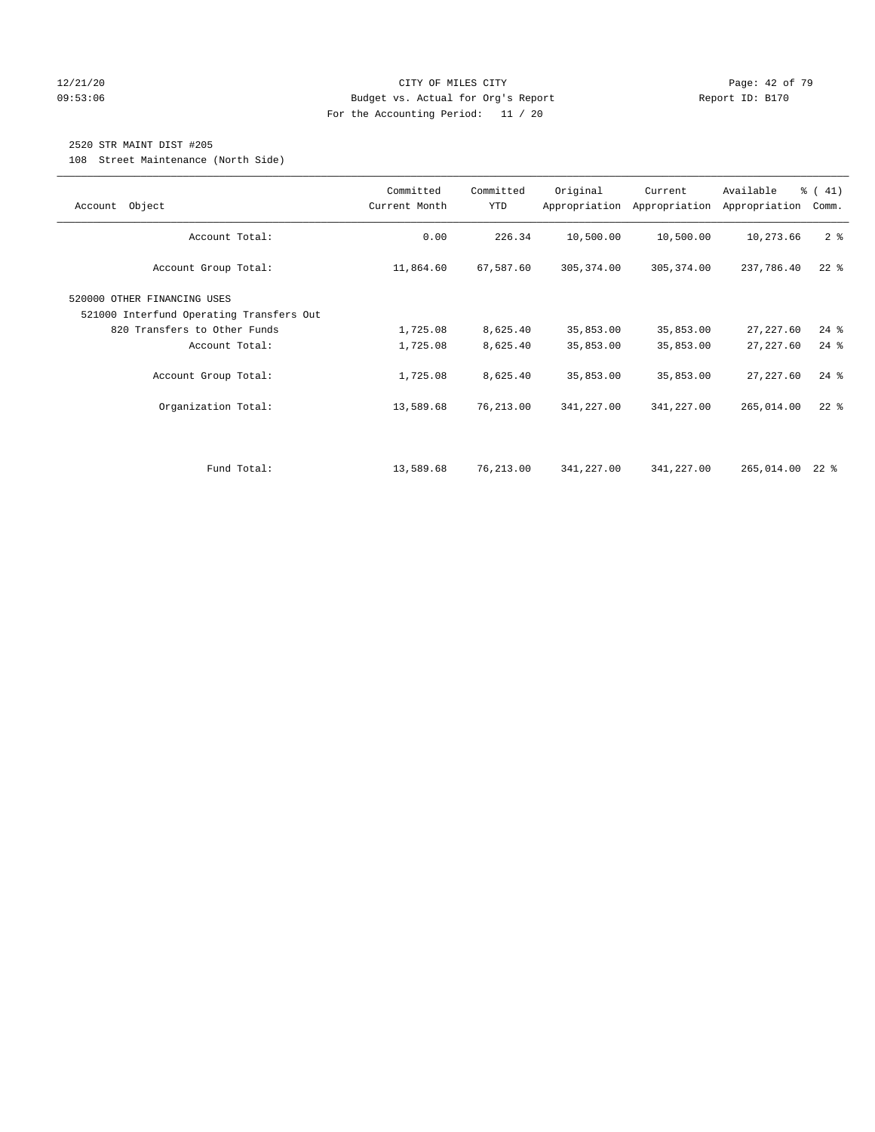### 12/21/20 **Page: 42 of 79** CITY OF MILES CITY **CITY** CITY **Page: 42 of 79** 09:53:06 Budget vs. Actual for Org's Report Report ID: B170 For the Accounting Period: 11 / 20

## 2520 STR MAINT DIST #205

108 Street Maintenance (North Side)

| Object<br>Account                                                       | Committed<br>Current Month | Committed<br>YTD | Original    | Current<br>Appropriation Appropriation | Available<br>Appropriation | $\frac{1}{6}$ ( 41)<br>Comm. |
|-------------------------------------------------------------------------|----------------------------|------------------|-------------|----------------------------------------|----------------------------|------------------------------|
| Account Total:                                                          | 0.00                       | 226.34           | 10,500.00   | 10,500.00                              | 10,273.66                  | 2 <sup>8</sup>               |
| Account Group Total:                                                    | 11,864.60                  | 67,587.60        | 305, 374.00 | 305, 374.00                            | 237,786.40                 | $22$ $%$                     |
| 520000 OTHER FINANCING USES<br>521000 Interfund Operating Transfers Out |                            |                  |             |                                        |                            |                              |
| 820 Transfers to Other Funds                                            | 1,725.08                   | 8,625.40         | 35,853.00   | 35,853.00                              | 27, 227.60                 | $24$ %                       |
| Account Total:                                                          | 1,725.08                   | 8,625.40         | 35,853.00   | 35,853.00                              | 27, 227.60                 | $24$ %                       |
| Account Group Total:                                                    | 1,725.08                   | 8,625.40         | 35,853.00   | 35,853.00                              | 27, 227.60                 | $24$ %                       |
| Organization Total:                                                     | 13,589.68                  | 76,213.00        | 341,227.00  | 341,227.00                             | 265,014.00                 | $22$ %                       |
|                                                                         |                            |                  |             |                                        |                            |                              |
| Fund Total:                                                             | 13,589.68                  | 76,213.00        | 341,227.00  | 341,227.00                             | 265,014.00                 | $22$ %                       |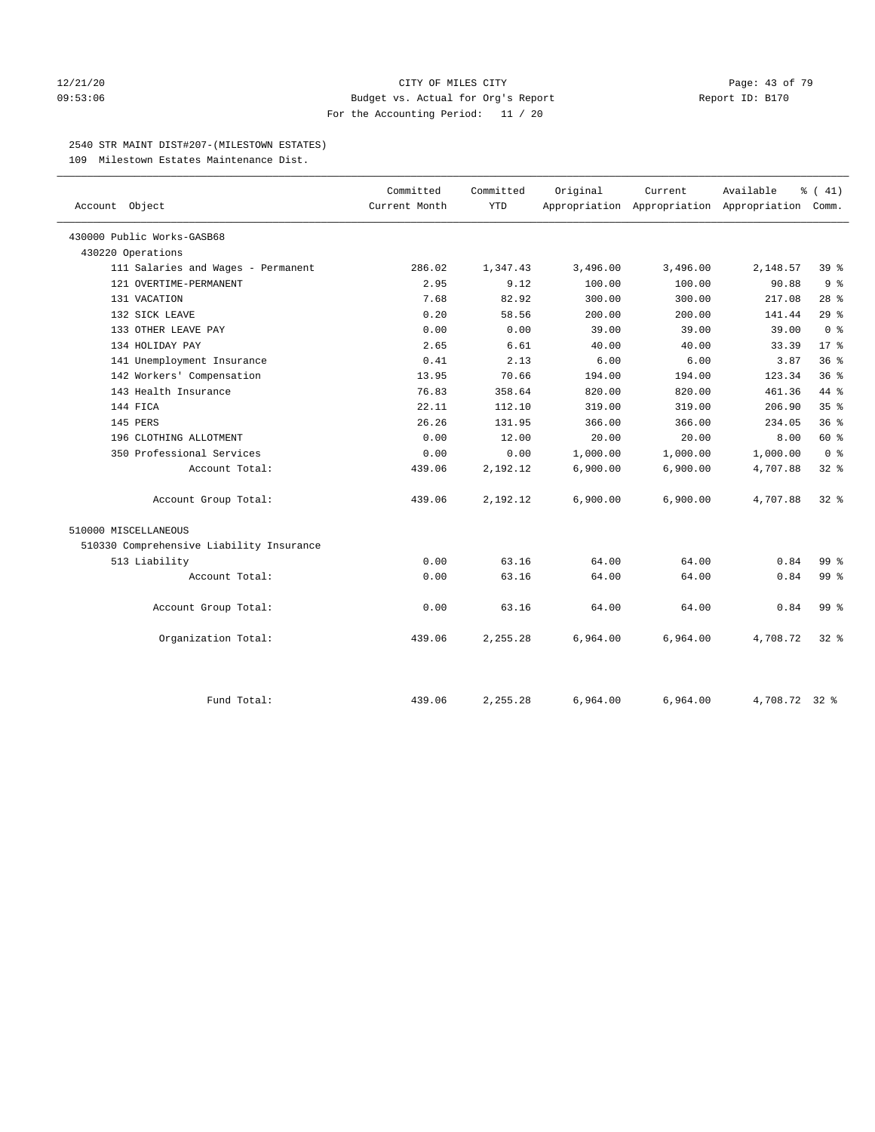### 12/21/20 **Page: 43 of 79** CITY OF MILES CITY **CITY** CITY **Page: 43 of 79** 09:53:06 Budget vs. Actual for Org's Report Changer Report ID: B170 For the Accounting Period: 11 / 20

### 2540 STR MAINT DIST#207-(MILESTOWN ESTATES)

109 Milestown Estates Maintenance Dist.

| Account Object                           | Committed<br>Current Month | Committed<br><b>YTD</b> | Original | Current  | Available<br>Appropriation Appropriation Appropriation Comm. | $\frac{1}{6}$ ( 41) |
|------------------------------------------|----------------------------|-------------------------|----------|----------|--------------------------------------------------------------|---------------------|
| 430000 Public Works-GASB68               |                            |                         |          |          |                                                              |                     |
| 430220 Operations                        |                            |                         |          |          |                                                              |                     |
| 111 Salaries and Wages - Permanent       | 286.02                     | 1,347.43                | 3,496.00 | 3,496.00 | 2,148.57                                                     | 39%                 |
| 121 OVERTIME-PERMANENT                   | 2.95                       | 9.12                    | 100.00   | 100.00   | 90.88                                                        | 9 <sup>8</sup>      |
| 131 VACATION                             | 7.68                       | 82.92                   | 300.00   | 300.00   | 217.08                                                       | $28$ %              |
| 132 SICK LEAVE                           | 0.20                       | 58.56                   | 200.00   | 200.00   | 141.44                                                       | 29%                 |
| 133 OTHER LEAVE PAY                      | 0.00                       | 0.00                    | 39.00    | 39.00    | 39.00                                                        | 0 <sup>8</sup>      |
| 134 HOLIDAY PAY                          | 2.65                       | 6.61                    | 40.00    | 40.00    | 33.39                                                        | $17*$               |
| 141 Unemployment Insurance               | 0.41                       | 2.13                    | 6.00     | 6.00     | 3.87                                                         | 36%                 |
| 142 Workers' Compensation                | 13.95                      | 70.66                   | 194.00   | 194.00   | 123.34                                                       | 36%                 |
| 143 Health Insurance                     | 76.83                      | 358.64                  | 820.00   | 820.00   | 461.36                                                       | 44 %                |
| 144 FICA                                 | 22.11                      | 112.10                  | 319.00   | 319.00   | 206.90                                                       | 35 <sup>8</sup>     |
| 145 PERS                                 | 26.26                      | 131.95                  | 366.00   | 366.00   | 234.05                                                       | 36%                 |
| 196 CLOTHING ALLOTMENT                   | 0.00                       | 12.00                   | 20.00    | 20.00    | 8.00                                                         | 60 %                |
| 350 Professional Services                | 0.00                       | 0.00                    | 1,000.00 | 1,000.00 | 1,000.00                                                     | 0 <sup>8</sup>      |
| Account Total:                           | 439.06                     | 2,192.12                | 6,900.00 | 6,900.00 | 4,707.88                                                     | 32%                 |
|                                          |                            |                         |          |          |                                                              |                     |
| Account Group Total:                     | 439.06                     | 2,192.12                | 6,900.00 | 6,900.00 | 4,707.88                                                     | $32*$               |
| 510000 MISCELLANEOUS                     |                            |                         |          |          |                                                              |                     |
| 510330 Comprehensive Liability Insurance |                            |                         |          |          |                                                              |                     |
| 513 Liability                            | 0.00                       | 63.16                   | 64.00    | 64.00    | 0.84                                                         | 99.8                |
| Account Total:                           | 0.00                       | 63.16                   | 64.00    | 64.00    | 0.84                                                         | 99 <sub>8</sub>     |
|                                          |                            |                         |          |          |                                                              |                     |
| Account Group Total:                     | 0.00                       | 63.16                   | 64.00    | 64.00    | 0.84                                                         | 99 <sup>8</sup>     |
| Organization Total:                      | 439.06                     | 2,255.28                | 6,964.00 | 6,964.00 | 4,708.72                                                     | $32*$               |
| Fund Total:                              | 439.06                     | 2,255.28                | 6,964.00 | 6,964.00 | 4,708.72 32 %                                                |                     |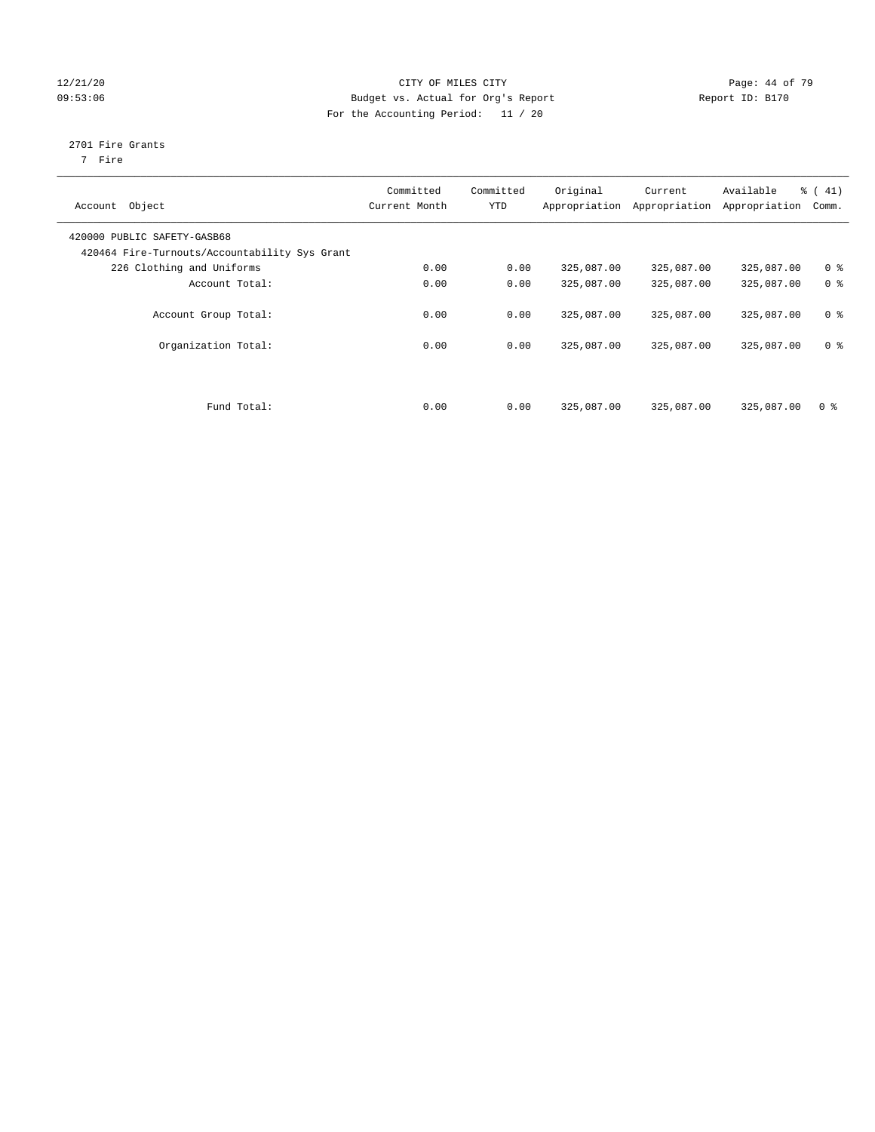### 12/21/20 **Page: 44 of 79** CITY OF MILES CITY **CITY** CITY **Page: 44 of 79** 09:53:06 Budget vs. Actual for Org's Report Changer Report ID: B170 For the Accounting Period: 11 / 20

# 2701 Fire Grants

7 Fire

| Object<br>Account                                                            | Committed<br>Current Month | Committed<br><b>YTD</b> | Original<br>Appropriation | Current<br>Appropriation | Available<br>Appropriation | % (41)<br>Comm. |
|------------------------------------------------------------------------------|----------------------------|-------------------------|---------------------------|--------------------------|----------------------------|-----------------|
| 420000 PUBLIC SAFETY-GASB68<br>420464 Fire-Turnouts/Accountability Sys Grant |                            |                         |                           |                          |                            |                 |
| 226 Clothing and Uniforms                                                    | 0.00                       | 0.00                    | 325,087.00                | 325,087.00               | 325,087.00                 | 0 <sup>8</sup>  |
| Account Total:                                                               | 0.00                       | 0.00                    | 325,087.00                | 325,087.00               | 325,087.00                 | 0 <sup>8</sup>  |
| Account Group Total:                                                         | 0.00                       | 0.00                    | 325,087.00                | 325,087.00               | 325,087.00                 | 0 <sup>8</sup>  |
| Organization Total:                                                          | 0.00                       | 0.00                    | 325,087.00                | 325,087.00               | 325,087.00                 | 0 <sup>8</sup>  |
| Fund Total:                                                                  | 0.00                       | 0.00                    | 325,087.00                | 325,087.00               | 325,087.00                 | 0 <sup>8</sup>  |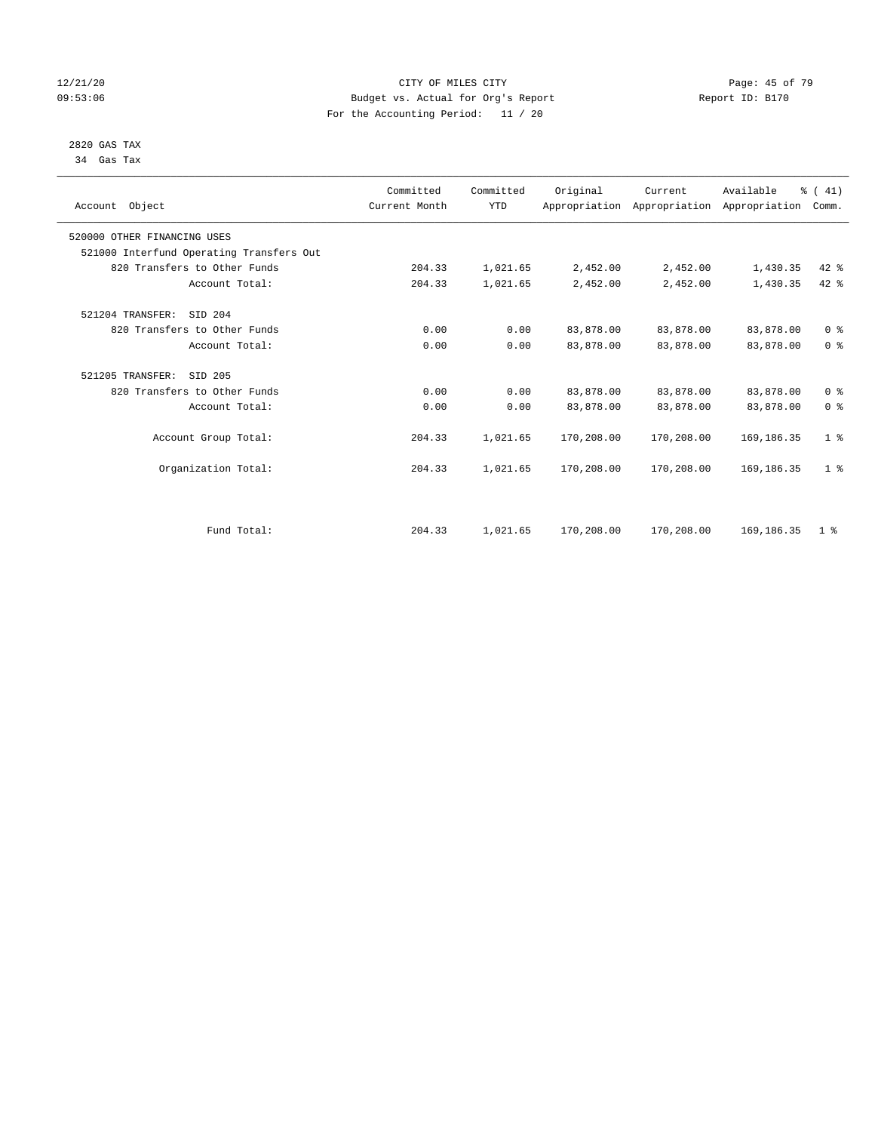### 12/21/20 **Page: 45 of 79** CITY OF MILES CITY **CITY** CITY **Page: 45 of 79** 09:53:06 Budget vs. Actual for Org's Report Report ID: B170 For the Accounting Period: 11 / 20

### 2820 GAS TAX 34 Gas Tax

| Account Object              |                                          | Committed<br>Current Month | Committed<br><b>YTD</b> | Original   | Current<br>Appropriation Appropriation Appropriation | Available    | % (41)<br>Comm. |
|-----------------------------|------------------------------------------|----------------------------|-------------------------|------------|------------------------------------------------------|--------------|-----------------|
| 520000 OTHER FINANCING USES |                                          |                            |                         |            |                                                      |              |                 |
|                             | 521000 Interfund Operating Transfers Out |                            |                         |            |                                                      |              |                 |
|                             | 820 Transfers to Other Funds             | 204.33                     | 1,021.65                | 2,452.00   | 2,452.00                                             | 1,430.35     | $42*$           |
|                             | Account Total:                           | 204.33                     | 1,021.65                | 2,452.00   | 2,452.00                                             | 1,430.35     | $42$ %          |
| 521204 TRANSFER:            | SID 204                                  |                            |                         |            |                                                      |              |                 |
|                             | 820 Transfers to Other Funds             | 0.00                       | 0.00                    | 83,878.00  | 83,878.00                                            | 83,878.00    | 0 <sup>8</sup>  |
|                             | Account Total:                           | 0.00                       | 0.00                    | 83,878.00  | 83,878.00                                            | 83,878.00    | 0 <sup>8</sup>  |
| 521205 TRANSFER:            | SID 205                                  |                            |                         |            |                                                      |              |                 |
|                             | 820 Transfers to Other Funds             | 0.00                       | 0.00                    | 83,878.00  | 83,878.00                                            | 83,878.00    | 0 <sup>8</sup>  |
|                             | Account Total:                           | 0.00                       | 0.00                    | 83,878.00  | 83,878.00                                            | 83,878.00    | 0 <sup>8</sup>  |
|                             | Account Group Total:                     | 204.33                     | 1,021.65                | 170,208.00 | 170,208.00                                           | 169, 186. 35 | 1 <sup>8</sup>  |
|                             | Organization Total:                      | 204.33                     | 1,021.65                | 170,208.00 | 170,208.00                                           | 169,186.35   | 1 <sup>8</sup>  |
|                             |                                          |                            |                         |            |                                                      |              |                 |
|                             | Fund Total:                              | 204.33                     | 1,021.65                | 170,208.00 | 170,208.00                                           | 169, 186. 35 | 1 <sup>8</sup>  |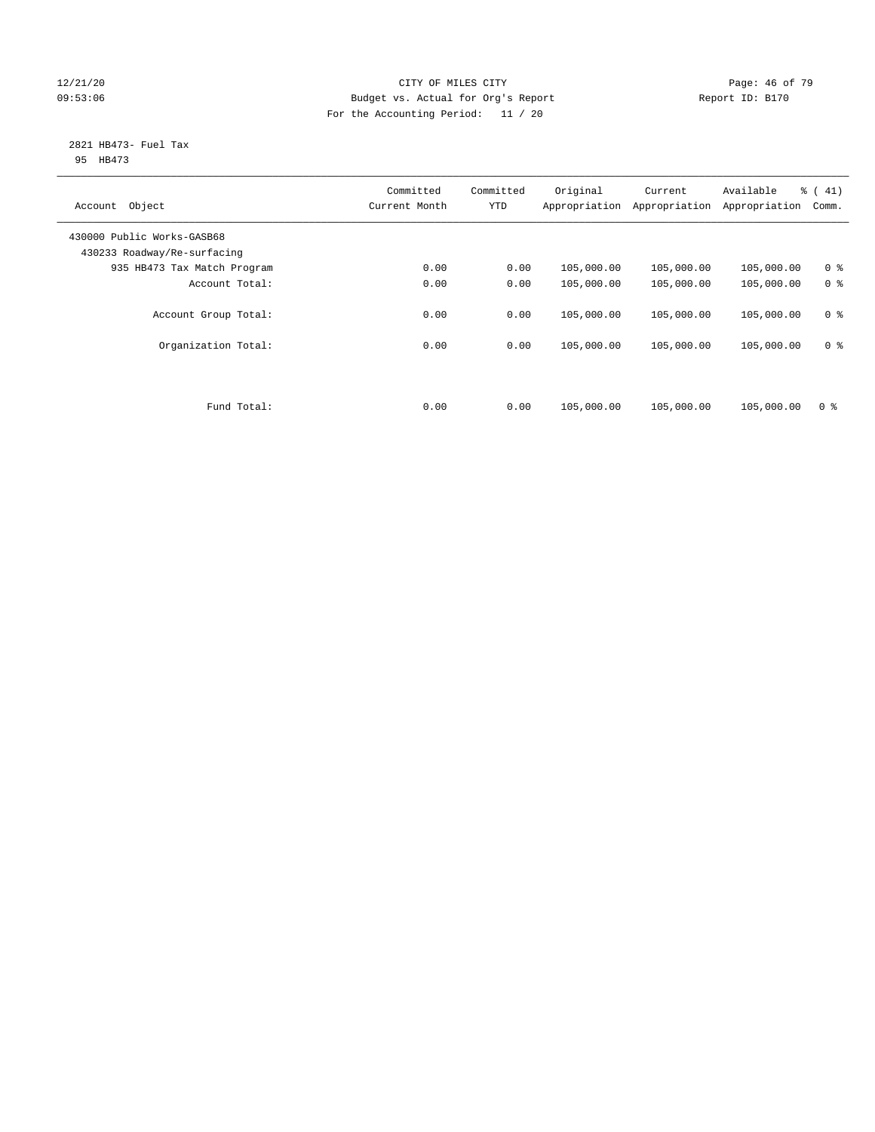### 12/21/20 **Page: 46 of 79** CITY OF MILES CITY **CITY** CITY **Page: 46 of 79** 09:53:06 Budget vs. Actual for Org's Report Changer Report ID: B170 For the Accounting Period: 11 / 20

### 2821 HB473- Fuel Tax 95 HB473

| Object<br>Account                                         | Committed<br>Current Month | Committed<br><b>YTD</b> | Original<br>Appropriation | Current<br>Appropriation | Available<br>Appropriation | % (41)<br>Comm. |
|-----------------------------------------------------------|----------------------------|-------------------------|---------------------------|--------------------------|----------------------------|-----------------|
| 430000 Public Works-GASB68<br>430233 Roadway/Re-surfacing |                            |                         |                           |                          |                            |                 |
| 935 HB473 Tax Match Program                               | 0.00                       | 0.00                    | 105,000.00                | 105,000.00               | 105,000.00                 | 0 <sup>8</sup>  |
| Account Total:                                            | 0.00                       | 0.00                    | 105,000.00                | 105,000.00               | 105,000.00                 | 0 <sup>8</sup>  |
| Account Group Total:                                      | 0.00                       | 0.00                    | 105,000.00                | 105,000.00               | 105,000.00                 | 0 <sup>8</sup>  |
| Organization Total:                                       | 0.00                       | 0.00                    | 105,000.00                | 105,000.00               | 105,000.00                 | 0 <sup>8</sup>  |
|                                                           |                            |                         |                           |                          |                            |                 |
| Fund Total:                                               | 0.00                       | 0.00                    | 105,000.00                | 105,000.00               | 105,000.00                 | 0 <sup>8</sup>  |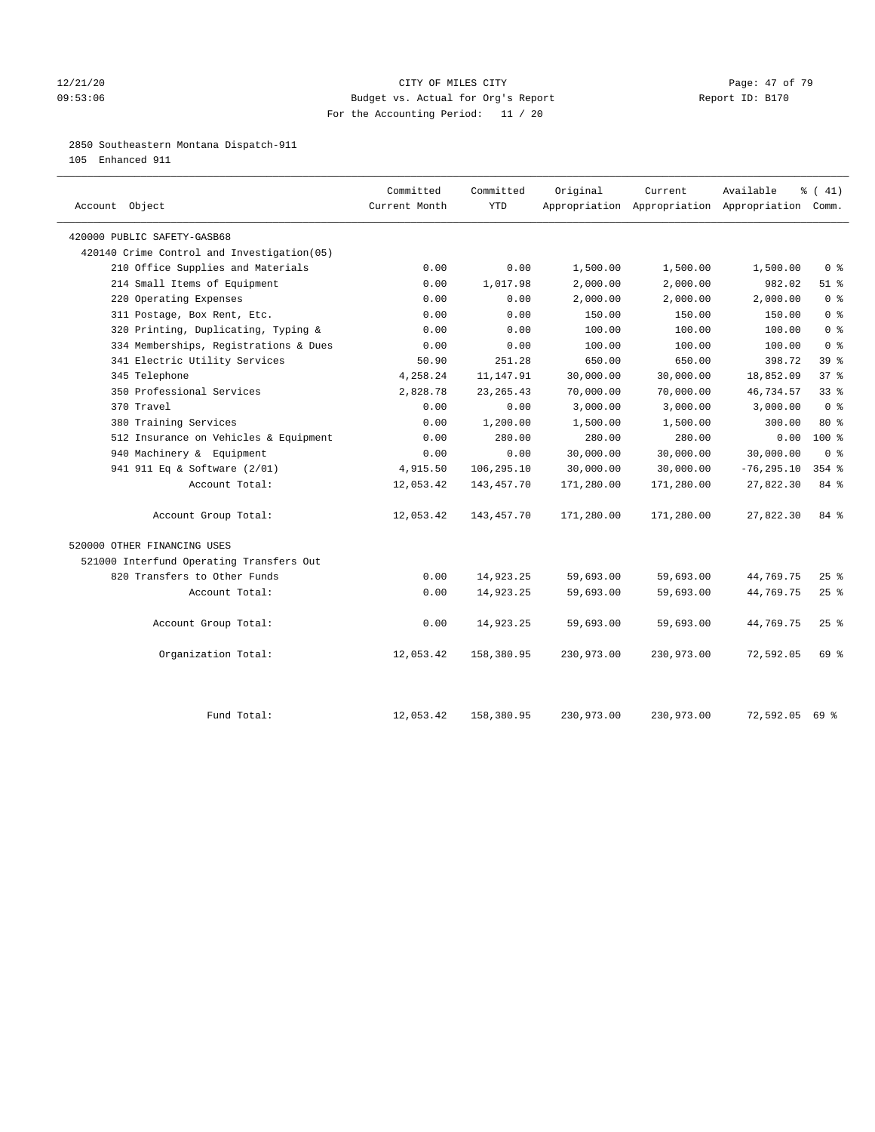### 12/21/20 Page: 47 of 79 09:53:06 Budget vs. Actual for Org's Report Report ID: B170 For the Accounting Period: 11 / 20

### 2850 Southeastern Montana Dispatch-911

105 Enhanced 911

| Account Object                              | Committed<br>Current Month | Committed<br><b>YTD</b> | Original   | Current    | Available<br>Appropriation Appropriation Appropriation Comm. | % (41)                             |
|---------------------------------------------|----------------------------|-------------------------|------------|------------|--------------------------------------------------------------|------------------------------------|
| 420000 PUBLIC SAFETY-GASB68                 |                            |                         |            |            |                                                              |                                    |
| 420140 Crime Control and Investigation (05) |                            |                         |            |            |                                                              |                                    |
| 210 Office Supplies and Materials           | 0.00                       | 0.00                    | 1,500.00   | 1,500.00   | 1,500.00                                                     | 0 <sup>8</sup>                     |
| 214 Small Items of Equipment                | 0.00                       | 1,017.98                | 2,000.00   | 2,000.00   | 982.02                                                       | $51$ %                             |
| 220 Operating Expenses                      | 0.00                       | 0.00                    | 2,000.00   | 2,000.00   | 2,000.00                                                     | $0 \text{ }$ $\text{ }$ $\text{ }$ |
| 311 Postage, Box Rent, Etc.                 | 0.00                       | 0.00                    | 150.00     | 150.00     | 150.00                                                       | 0 <sup>°</sup>                     |
| 320 Printing, Duplicating, Typing &         | 0.00                       | 0.00                    | 100.00     | 100.00     | 100.00                                                       | 0 <sup>8</sup>                     |
| 334 Memberships, Registrations & Dues       | 0.00                       | 0.00                    | 100.00     | 100.00     | 100.00                                                       | 0 <sup>8</sup>                     |
| 341 Electric Utility Services               | 50.90                      | 251.28                  | 650.00     | 650.00     | 398.72                                                       | 39 <sup>8</sup>                    |
| 345 Telephone                               | 4,258.24                   | 11, 147.91              | 30,000.00  | 30,000.00  | 18,852.09                                                    | 37 <sup>8</sup>                    |
| 350 Professional Services                   | 2,828.78                   | 23, 265. 43             | 70,000.00  | 70,000.00  | 46,734.57                                                    | 33 <sup>8</sup>                    |
| 370 Travel                                  | 0.00                       | 0.00                    | 3,000.00   | 3,000.00   | 3,000.00                                                     | 0 <sup>8</sup>                     |
| 380 Training Services                       | 0.00                       | 1,200.00                | 1,500.00   | 1,500.00   | 300.00                                                       | 80 %                               |
| 512 Insurance on Vehicles & Equipment       | 0.00                       | 280.00                  | 280.00     | 280.00     | 0.00                                                         | 100%                               |
| 940 Machinery & Equipment                   | 0.00                       | 0.00                    | 30,000.00  | 30,000.00  | 30,000.00                                                    | 0 <sup>8</sup>                     |
| 941 911 Eq & Software (2/01)                | 4,915.50                   | 106,295.10              | 30,000.00  | 30,000.00  | $-76, 295.10$                                                | $354$ $%$                          |
| Account Total:                              | 12,053.42                  | 143,457.70              | 171,280.00 | 171,280.00 | 27,822.30                                                    | 84 %                               |
| Account Group Total:                        | 12,053.42                  | 143, 457. 70            | 171,280.00 | 171,280.00 | 27,822.30                                                    | 84 %                               |
| 520000 OTHER FINANCING USES                 |                            |                         |            |            |                                                              |                                    |
| 521000 Interfund Operating Transfers Out    |                            |                         |            |            |                                                              |                                    |
| 820 Transfers to Other Funds                | 0.00                       | 14,923.25               | 59,693.00  | 59,693.00  | 44,769.75                                                    | $25$ %                             |
| Account Total:                              | 0.00                       | 14,923.25               | 59,693.00  | 59,693.00  | 44,769.75                                                    | 25%                                |
| Account Group Total:                        | 0.00                       | 14,923.25               | 59,693.00  | 59,693.00  | 44,769.75                                                    | 25%                                |
| Organization Total:                         | 12,053.42                  | 158,380.95              | 230,973.00 | 230,973.00 | 72,592.05                                                    | 69 %                               |
| Fund Total:                                 | 12,053.42                  | 158,380.95              | 230,973.00 | 230,973.00 | 72,592.05                                                    | 69 %                               |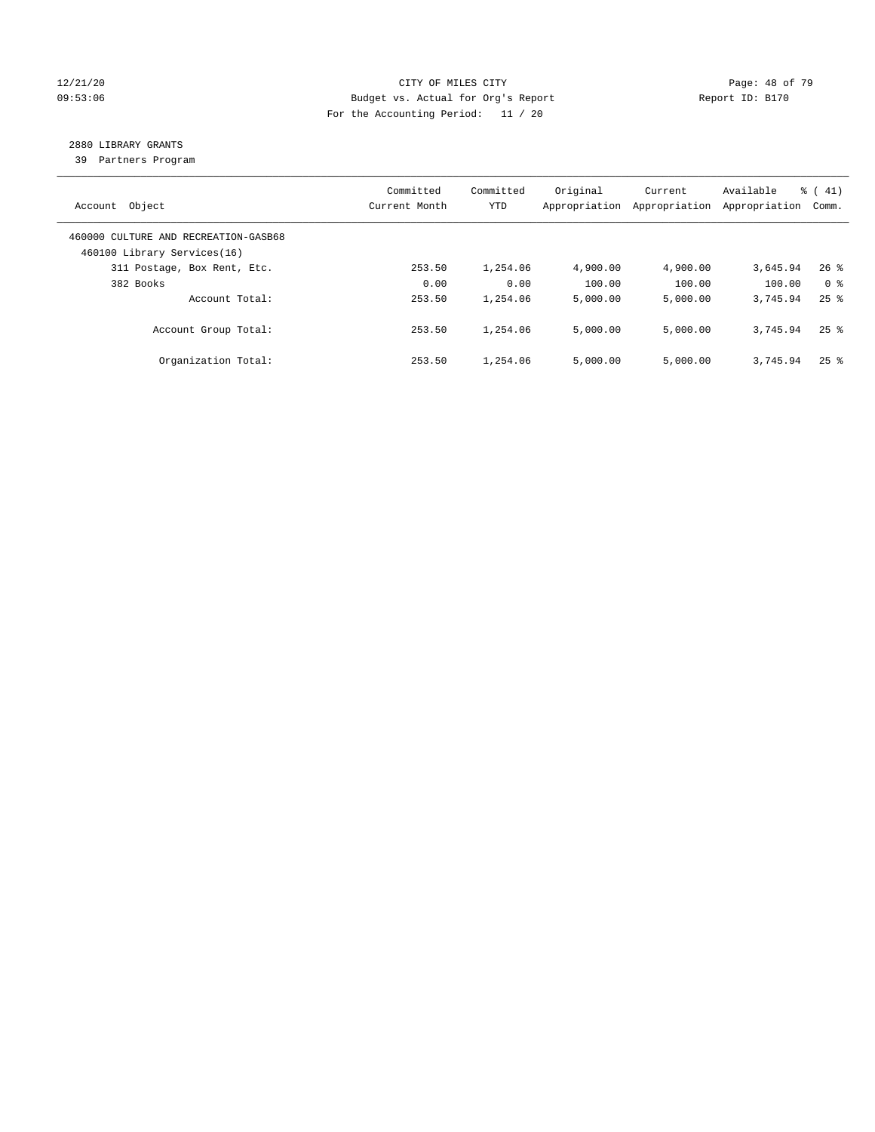### 12/21/20 **Page: 48 of 79** CITY OF MILES CITY **CITY Page: 48 of 79** 09:53:06 Budget vs. Actual for Org's Report Changer Report ID: B170 For the Accounting Period: 11 / 20

# 2880 LIBRARY GRANTS

39 Partners Program

| Account Object                                                      | Committed<br>Current Month | Committed<br><b>YTD</b> | Original<br>Appropriation | Current<br>Appropriation | Available<br>Appropriation | $\frac{1}{6}$ ( 41)<br>Comm. |
|---------------------------------------------------------------------|----------------------------|-------------------------|---------------------------|--------------------------|----------------------------|------------------------------|
| 460000 CULTURE AND RECREATION-GASB68<br>460100 Library Services(16) |                            |                         |                           |                          |                            |                              |
| 311 Postage, Box Rent, Etc.                                         | 253.50                     | 1,254.06                | 4,900.00                  | 4,900.00                 | 3,645.94                   | $26$ %                       |
| 382 Books                                                           | 0.00                       | 0.00                    | 100.00                    | 100.00                   | 100.00                     | 0 <sup>8</sup>               |
| Account Total:                                                      | 253.50                     | 1,254.06                | 5,000.00                  | 5,000.00                 | 3,745.94                   | $25$ $%$                     |
| Account Group Total:                                                | 253.50                     | 1,254.06                | 5,000.00                  | 5,000.00                 | 3,745.94                   | $25$ $\frac{6}{5}$           |
| Organization Total:                                                 | 253.50                     | 1,254.06                | 5.000.00                  | 5,000.00                 | 3,745.94                   | $25$ $\frac{6}{5}$           |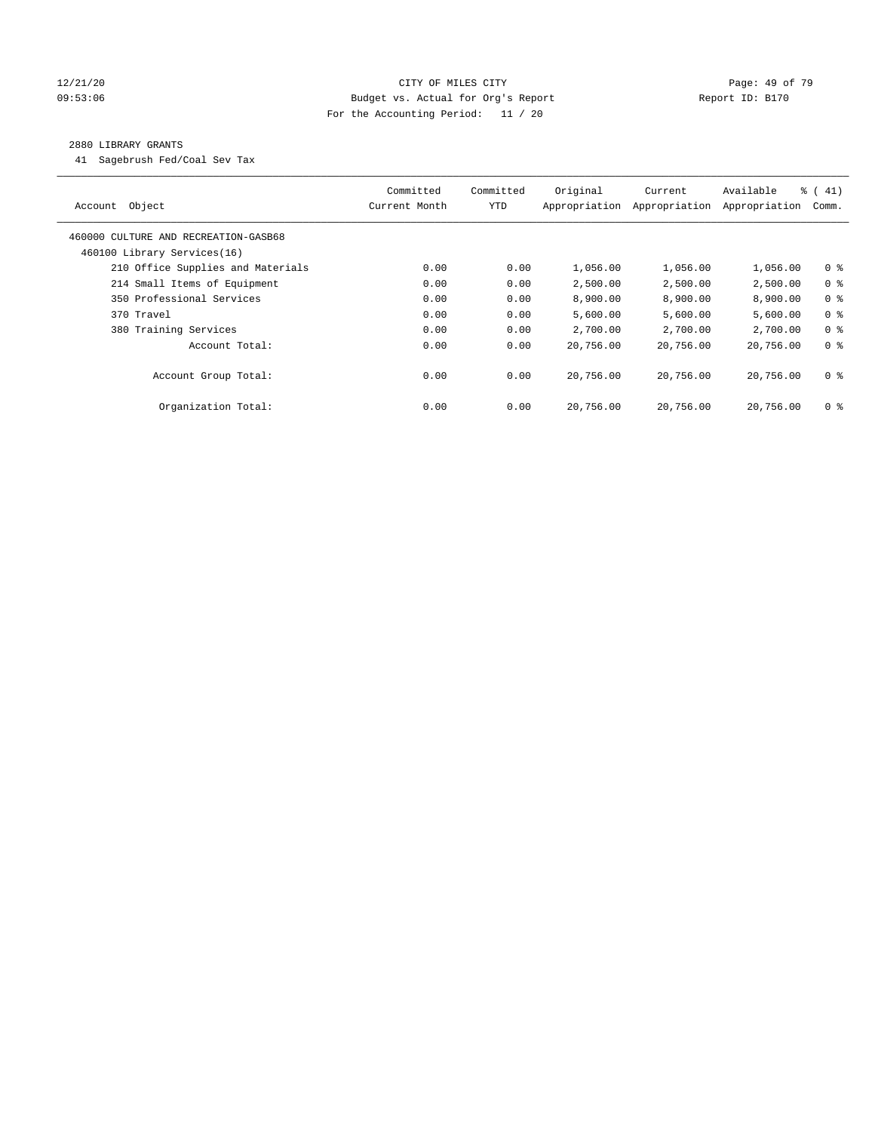### 12/21/20 **Page: 49 of 79** CITY OF MILES CITY **CITY** CITY **Page: 49 of 79** 09:53:06 Budget vs. Actual for Org's Report Changer Report ID: B170 For the Accounting Period: 11 / 20

### 2880 LIBRARY GRANTS

41 Sagebrush Fed/Coal Sev Tax

| Object<br>Account                    | Committed<br>Current Month | Committed<br><b>YTD</b> | Original<br>Appropriation | Current<br>Appropriation | Available<br>Appropriation | $\frac{1}{6}$ ( 41)<br>Comm. |
|--------------------------------------|----------------------------|-------------------------|---------------------------|--------------------------|----------------------------|------------------------------|
| 460000 CULTURE AND RECREATION-GASB68 |                            |                         |                           |                          |                            |                              |
| 460100 Library Services(16)          |                            |                         |                           |                          |                            |                              |
| 210 Office Supplies and Materials    | 0.00                       | 0.00                    | 1,056.00                  | 1,056.00                 | 1,056.00                   | 0 <sub>8</sub>               |
| 214 Small Items of Equipment         | 0.00                       | 0.00                    | 2,500.00                  | 2,500.00                 | 2,500.00                   | 0 <sup>8</sup>               |
| 350 Professional Services            | 0.00                       | 0.00                    | 8,900.00                  | 8,900.00                 | 8,900.00                   | 0 <sup>8</sup>               |
| 370 Travel                           | 0.00                       | 0.00                    | 5,600.00                  | 5,600.00                 | 5,600.00                   | 0 <sup>8</sup>               |
| 380 Training Services                | 0.00                       | 0.00                    | 2,700.00                  | 2,700.00                 | 2,700.00                   | 0 <sup>8</sup>               |
| Account Total:                       | 0.00                       | 0.00                    | 20,756.00                 | 20,756.00                | 20,756.00                  | 0 <sup>8</sup>               |
| Account Group Total:                 | 0.00                       | 0.00                    | 20,756.00                 | 20,756.00                | 20,756.00                  | 0 <sup>8</sup>               |
| Organization Total:                  | 0.00                       | 0.00                    | 20,756.00                 | 20,756.00                | 20,756.00                  | 0 %                          |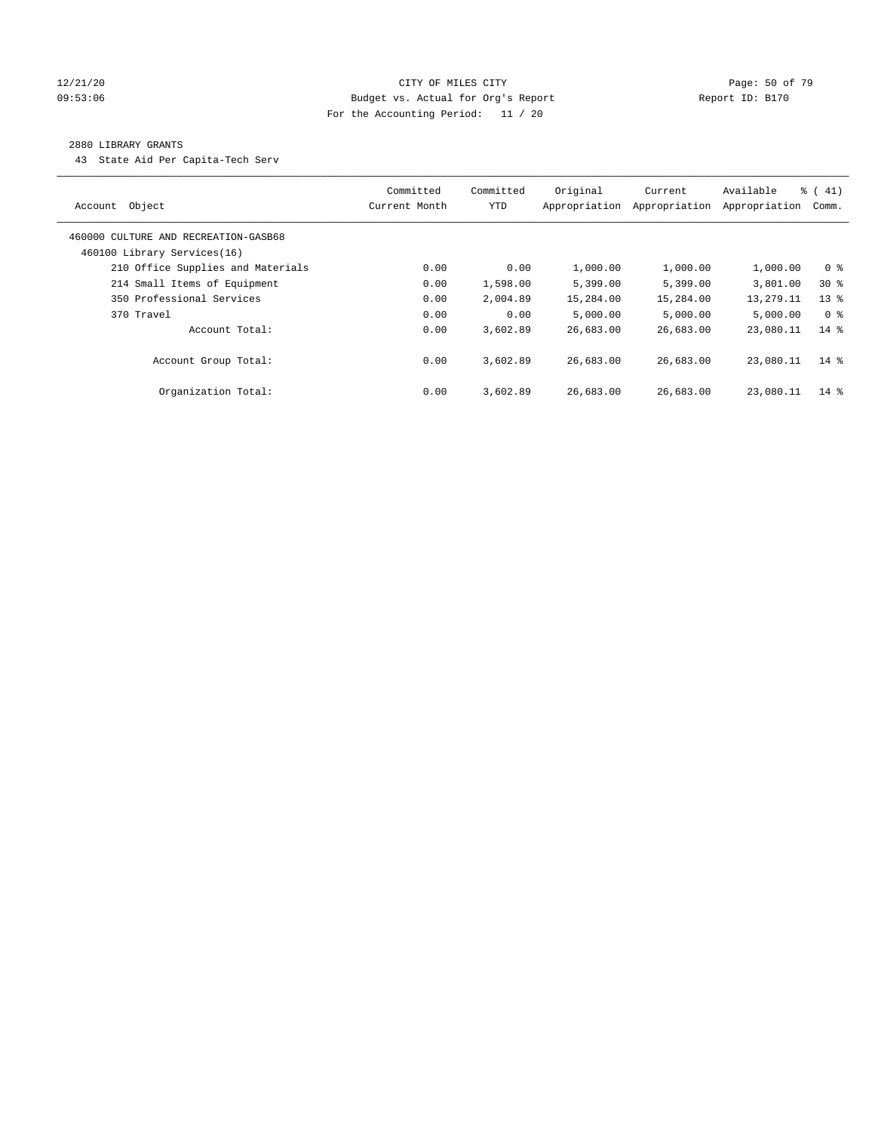### 12/21/20 Page: 50 of 79 09:53:06 Budget vs. Actual for Org's Report Changer Report ID: B170 For the Accounting Period: 11 / 20

### 2880 LIBRARY GRANTS

43 State Aid Per Capita-Tech Serv

| Object<br>Account                                                   | Committed<br>Current Month | Committed<br><b>YTD</b> | Original<br>Appropriation | Current<br>Appropriation | Available<br>Appropriation | $\frac{1}{6}$ (41)<br>Comm. |
|---------------------------------------------------------------------|----------------------------|-------------------------|---------------------------|--------------------------|----------------------------|-----------------------------|
| 460000 CULTURE AND RECREATION-GASB68<br>460100 Library Services(16) |                            |                         |                           |                          |                            |                             |
| 210 Office Supplies and Materials                                   | 0.00                       | 0.00                    | 1,000.00                  | 1,000.00                 | 1,000.00                   | 0 <sup>8</sup>              |
| 214 Small Items of Equipment                                        | 0.00                       | 1,598.00                | 5,399.00                  | 5,399.00                 | 3,801.00                   | $30*$                       |
| 350 Professional Services                                           | 0.00                       | 2,004.89                | 15,284.00                 | 15,284.00                | 13,279.11                  | $13*$                       |
| 370 Travel                                                          | 0.00                       | 0.00                    | 5.000.00                  | 5,000.00                 | 5.000.00                   | 0 <sup>8</sup>              |
| Account Total:                                                      | 0.00                       | 3,602.89                | 26,683.00                 | 26,683.00                | 23,080.11                  | $14*$                       |
| Account Group Total:                                                | 0.00                       | 3,602.89                | 26,683.00                 | 26,683.00                | 23,080.11                  | $14*$                       |
| Organization Total:                                                 | 0.00                       | 3,602.89                | 26,683.00                 | 26,683.00                | 23,080.11                  | $14*$                       |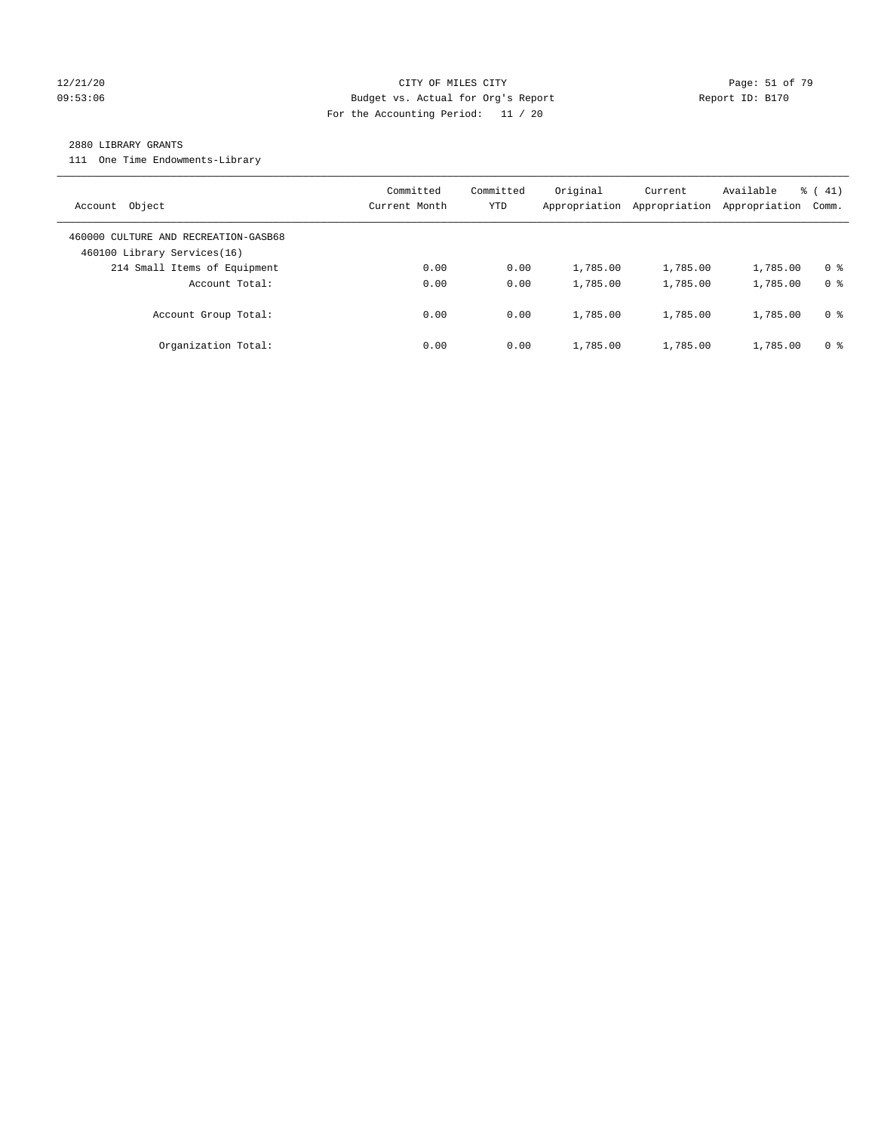### 12/21/20 **Page: 51 of 79** CITY OF MILES CITY **CITY** CITY **Page: 51 of 79** 09:53:06 Budget vs. Actual for Org's Report Communication (Report ID: B170 For the Accounting Period: 11 / 20

#### 2880 LIBRARY GRANTS

111 One Time Endowments-Library

| Object<br>Account                                                   | Committed<br>Current Month | Committed<br>YTD | Original<br>Appropriation | Current<br>Appropriation | Available<br>Appropriation | $\frac{1}{6}$ ( 41)<br>Comm. |
|---------------------------------------------------------------------|----------------------------|------------------|---------------------------|--------------------------|----------------------------|------------------------------|
| 460000 CULTURE AND RECREATION-GASB68<br>460100 Library Services(16) |                            |                  |                           |                          |                            |                              |
| 214 Small Items of Equipment                                        | 0.00                       | 0.00             | 1,785.00                  | 1,785.00                 | 1,785.00                   | 0 <sup>8</sup>               |
| Account Total:                                                      | 0.00                       | 0.00             | 1,785.00                  | 1,785.00                 | 1,785.00                   | 0 <sup>8</sup>               |
| Account Group Total:                                                | 0.00                       | 0.00             | 1,785.00                  | 1,785.00                 | 1,785.00                   | 0 <sup>8</sup>               |
| Organization Total:                                                 | 0.00                       | 0.00             | 1,785.00                  | 1,785.00                 | 1,785.00                   | 0 %                          |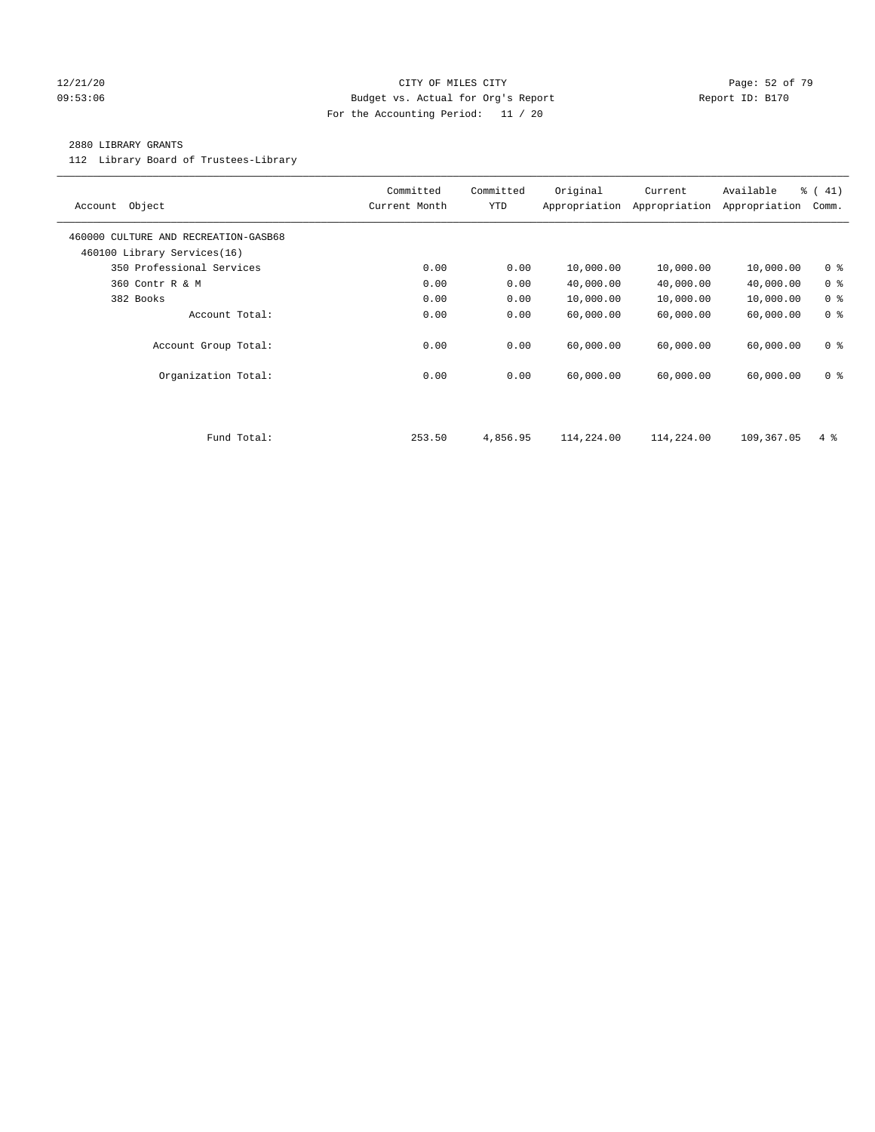### 12/21/20 Page: 52 of 79 09:53:06 Budget vs. Actual for Org's Report Report ID: B170 For the Accounting Period: 11 / 20

### 2880 LIBRARY GRANTS

112 Library Board of Trustees-Library

| Object<br>Account                                                   | Committed<br>Current Month | Committed<br><b>YTD</b> | Original<br>Appropriation | Current<br>Appropriation | Available<br>Appropriation | % (41)<br>Comm. |
|---------------------------------------------------------------------|----------------------------|-------------------------|---------------------------|--------------------------|----------------------------|-----------------|
| 460000 CULTURE AND RECREATION-GASB68<br>460100 Library Services(16) |                            |                         |                           |                          |                            |                 |
| 350 Professional Services                                           | 0.00                       | 0.00                    | 10,000.00                 | 10,000.00                | 10,000.00                  | 0 <sup>8</sup>  |
| 360 Contr R & M                                                     | 0.00                       | 0.00                    | 40,000.00                 | 40,000.00                | 40,000.00                  | 0 <sup>8</sup>  |
| 382 Books                                                           | 0.00                       | 0.00                    | 10,000.00                 | 10,000.00                | 10,000.00                  | 0 <sup>8</sup>  |
| Account Total:                                                      | 0.00                       | 0.00                    | 60,000.00                 | 60,000.00                | 60,000.00                  | 0 <sup>8</sup>  |
| Account Group Total:                                                | 0.00                       | 0.00                    | 60,000.00                 | 60,000.00                | 60,000.00                  | 0 <sup>8</sup>  |
| Organization Total:                                                 | 0.00                       | 0.00                    | 60,000.00                 | 60,000.00                | 60,000.00                  | 0 <sup>8</sup>  |
|                                                                     |                            |                         |                           |                          |                            |                 |
| Fund Total:                                                         | 253.50                     | 4,856.95                | 114,224.00                | 114,224.00               | 109,367.05                 | $4\degree$      |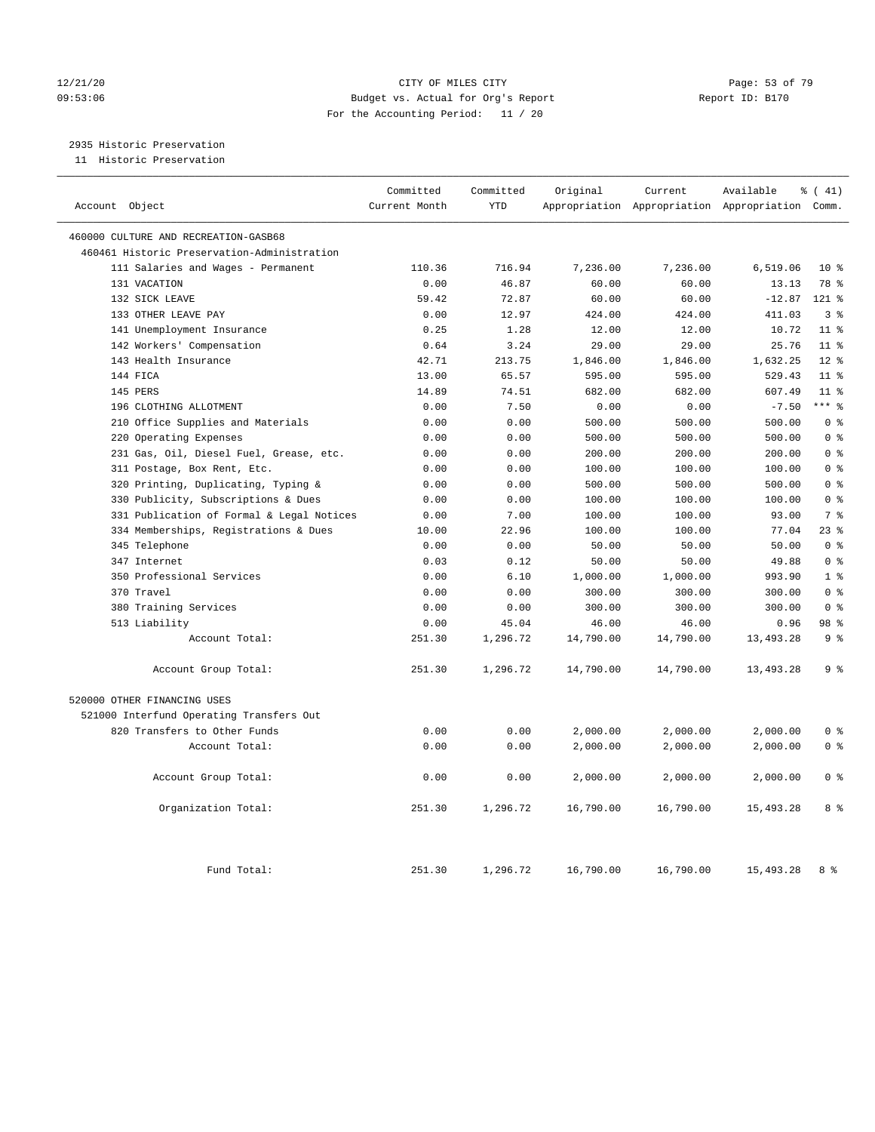### 12/21/20 Page: 53 of 79 09:53:06 Budget vs. Actual for Org's Report Report ID: B170 For the Accounting Period: 11 / 20

2935 Historic Preservation

11 Historic Preservation

| Account Object                              | Committed<br>Current Month | Committed<br><b>YTD</b> | Original  | Current<br>Appropriation Appropriation Appropriation Comm. | Available | % (41)          |
|---------------------------------------------|----------------------------|-------------------------|-----------|------------------------------------------------------------|-----------|-----------------|
| 460000 CULTURE AND RECREATION-GASB68        |                            |                         |           |                                                            |           |                 |
| 460461 Historic Preservation-Administration |                            |                         |           |                                                            |           |                 |
| 111 Salaries and Wages - Permanent          | 110.36                     | 716.94                  | 7,236.00  | 7,236.00                                                   | 6,519.06  | $10*$           |
| 131 VACATION                                | 0.00                       | 46.87                   | 60.00     | 60.00                                                      | 13.13     | 78 %            |
| 132 SICK LEAVE                              | 59.42                      | 72.87                   | 60.00     | 60.00                                                      | $-12.87$  | 121 %           |
| 133 OTHER LEAVE PAY                         | 0.00                       | 12.97                   | 424.00    | 424.00                                                     | 411.03    | 3 <sup>8</sup>  |
| 141 Unemployment Insurance                  | 0.25                       | 1.28                    | 12.00     | 12.00                                                      | 10.72     | 11 <sup>8</sup> |
| 142 Workers' Compensation                   | 0.64                       | 3.24                    | 29.00     | 29.00                                                      | 25.76     | $11$ %          |
| 143 Health Insurance                        | 42.71                      | 213.75                  | 1,846.00  | 1,846.00                                                   | 1,632.25  | $12*$           |
| 144 FICA                                    | 13.00                      | 65.57                   | 595.00    | 595.00                                                     | 529.43    | $11$ %          |
| 145 PERS                                    | 14.89                      | 74.51                   | 682.00    | 682.00                                                     | 607.49    | $11$ %          |
| 196 CLOTHING ALLOTMENT                      | 0.00                       | 7.50                    | 0.00      | 0.00                                                       | $-7.50$   | $***$ $_{8}$    |
| 210 Office Supplies and Materials           | 0.00                       | 0.00                    | 500.00    | 500.00                                                     | 500.00    | 0 <sup>8</sup>  |
| 220 Operating Expenses                      | 0.00                       | 0.00                    | 500.00    | 500.00                                                     | 500.00    | 0 <sup>8</sup>  |
| 231 Gas, Oil, Diesel Fuel, Grease, etc.     | 0.00                       | 0.00                    | 200.00    | 200.00                                                     | 200.00    | 0 <sup>8</sup>  |
| 311 Postage, Box Rent, Etc.                 | 0.00                       | 0.00                    | 100.00    | 100.00                                                     | 100.00    | 0 <sup>8</sup>  |
| 320 Printing, Duplicating, Typing &         | 0.00                       | 0.00                    | 500.00    | 500.00                                                     | 500.00    | 0 <sup>8</sup>  |
| 330 Publicity, Subscriptions & Dues         | 0.00                       | 0.00                    | 100.00    | 100.00                                                     | 100.00    | 0 <sup>8</sup>  |
| 331 Publication of Formal & Legal Notices   | 0.00                       | 7.00                    | 100.00    | 100.00                                                     | 93.00     | 7 <sup>°</sup>  |
| 334 Memberships, Registrations & Dues       | 10.00                      | 22.96                   | 100.00    | 100.00                                                     | 77.04     | 238             |
| 345 Telephone                               | 0.00                       | 0.00                    | 50.00     | 50.00                                                      | 50.00     | 0 <sup>8</sup>  |
| 347 Internet                                | 0.03                       | 0.12                    | 50.00     | 50.00                                                      | 49.88     | 0 <sup>8</sup>  |
| 350 Professional Services                   | 0.00                       | 6.10                    | 1,000.00  | 1,000.00                                                   | 993.90    | 1 <sup>8</sup>  |
| 370 Travel                                  | 0.00                       | 0.00                    | 300.00    | 300.00                                                     | 300.00    | 0 <sup>8</sup>  |
| 380 Training Services                       | 0.00                       | 0.00                    | 300.00    | 300.00                                                     | 300.00    | 0 <sup>8</sup>  |
| 513 Liability                               | 0.00                       | 45.04                   | 46.00     | 46.00                                                      | 0.96      | 98 %            |
| Account Total:                              | 251.30                     | 1,296.72                | 14,790.00 | 14,790.00                                                  | 13,493.28 | 9 <sup>°</sup>  |
| Account Group Total:                        | 251.30                     | 1,296.72                | 14,790.00 | 14,790.00                                                  | 13,493.28 | 9 <sup>°</sup>  |
| 520000 OTHER FINANCING USES                 |                            |                         |           |                                                            |           |                 |
| 521000 Interfund Operating Transfers Out    |                            |                         |           |                                                            |           |                 |
| 820 Transfers to Other Funds                | 0.00                       | 0.00                    | 2,000.00  | 2,000.00                                                   | 2,000.00  | 0 <sup>8</sup>  |
| Account Total:                              | 0.00                       | 0.00                    | 2,000.00  | 2,000.00                                                   | 2,000.00  | 0 <sup>8</sup>  |
| Account Group Total:                        | 0.00                       | 0.00                    | 2,000.00  | 2,000.00                                                   | 2,000.00  | 0 <sup>8</sup>  |
| Organization Total:                         | 251.30                     | 1,296.72                | 16,790.00 | 16,790.00                                                  | 15,493.28 | 8 %             |
| Fund Total:                                 | 251.30                     | 1,296.72                | 16,790.00 | 16,790.00                                                  | 15,493.28 | 8 %             |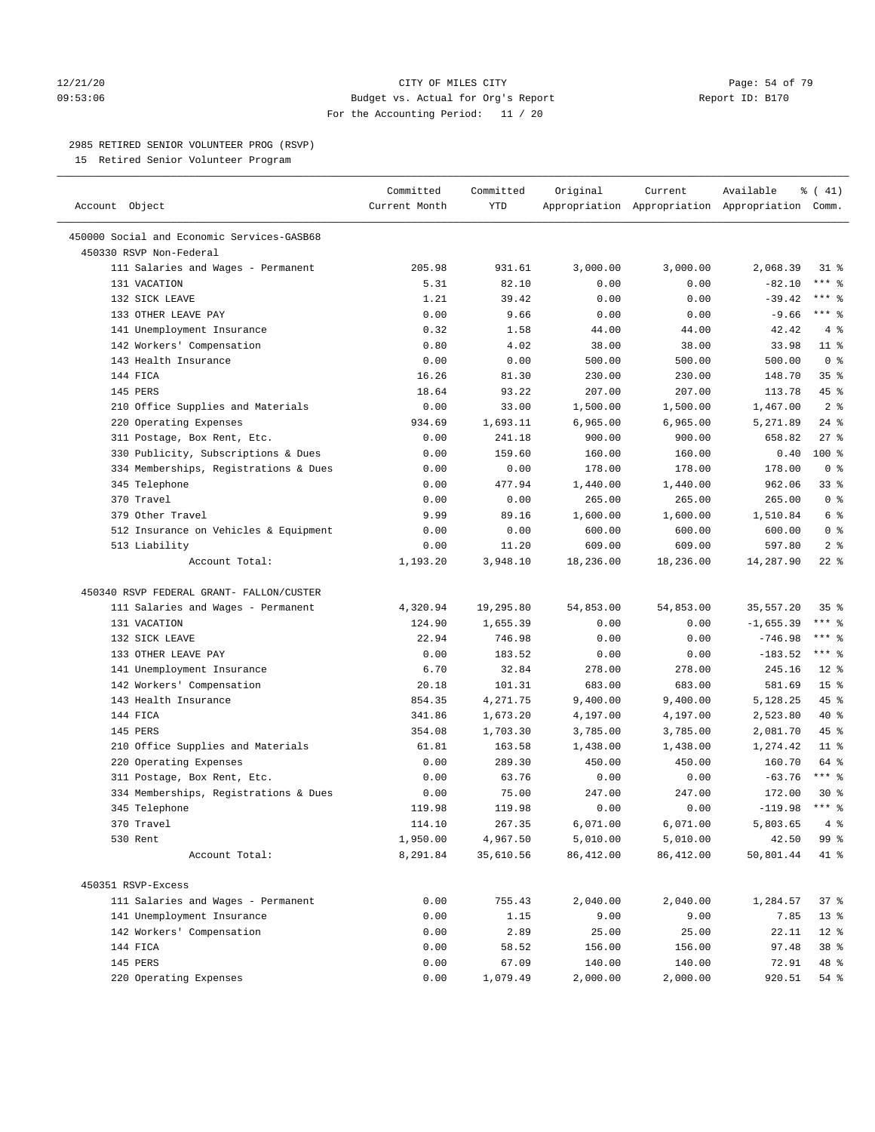### 12/21/20 **Page: 54 of 79** CITY OF MILES CITY **CITY** CITY **Page: 54 of 79** 09:53:06 Budget vs. Actual for Org's Report Changer Report ID: B170 For the Accounting Period: 11 / 20

————————————————————————————————————————————————————————————————————————————————————————————————————————————————————————————————————

### 2985 RETIRED SENIOR VOLUNTEER PROG (RSVP)

15 Retired Senior Volunteer Program

|                                            | Committed     | Committed | Original  | Current   | Available                                       | $\frac{1}{6}$ ( 41) |  |
|--------------------------------------------|---------------|-----------|-----------|-----------|-------------------------------------------------|---------------------|--|
| Account Object                             | Current Month | YTD       |           |           | Appropriation Appropriation Appropriation Comm. |                     |  |
| 450000 Social and Economic Services-GASB68 |               |           |           |           |                                                 |                     |  |
| 450330 RSVP Non-Federal                    |               |           |           |           |                                                 |                     |  |
| 111 Salaries and Wages - Permanent         | 205.98        | 931.61    | 3,000.00  | 3,000.00  | 2,068.39                                        | $31$ %              |  |
| 131 VACATION                               | 5.31          | 82.10     | 0.00      | 0.00      | $-82.10$                                        | $***$ $-$           |  |
| 132 SICK LEAVE                             | 1.21          | 39.42     | 0.00      | 0.00      | $-39.42$                                        | $***$ $%$           |  |
| 133 OTHER LEAVE PAY                        | 0.00          | 9.66      | 0.00      | 0.00      | $-9.66$                                         | $***$ $-$           |  |
| 141 Unemployment Insurance                 | 0.32          | 1.58      | 44.00     | 44.00     | 42.42                                           | 4%                  |  |
| 142 Workers' Compensation                  | 0.80          | 4.02      | 38.00     | 38.00     | 33.98                                           | $11$ %              |  |
| 143 Health Insurance                       | 0.00          | 0.00      | 500.00    | 500.00    | 500.00                                          | 0 <sup>8</sup>      |  |
| 144 FICA                                   | 16.26         | 81.30     | 230.00    | 230.00    | 148.70                                          | 35%                 |  |
| 145 PERS                                   | 18.64         | 93.22     | 207.00    | 207.00    | 113.78                                          | 45 %                |  |
| 210 Office Supplies and Materials          | 0.00          | 33.00     | 1,500.00  | 1,500.00  | 1,467.00                                        | 2 <sup>8</sup>      |  |
| 220 Operating Expenses                     | 934.69        | 1,693.11  | 6,965.00  | 6,965.00  | 5,271.89                                        | $24$ %              |  |
| 311 Postage, Box Rent, Etc.                | 0.00          | 241.18    | 900.00    | 900.00    | 658.82                                          | $27$ %              |  |
| 330 Publicity, Subscriptions & Dues        | 0.00          | 159.60    | 160.00    | 160.00    | 0.40                                            | $100*$              |  |
| 334 Memberships, Registrations & Dues      | 0.00          | 0.00      | 178.00    | 178.00    | 178.00                                          | 0 <sup>8</sup>      |  |
| 345 Telephone                              | 0.00          | 477.94    | 1,440.00  | 1,440.00  | 962.06                                          | 33 %                |  |
| 370 Travel                                 | 0.00          | 0.00      | 265.00    | 265.00    | 265.00                                          | 0 <sup>8</sup>      |  |
| 379 Other Travel                           | 9.99          | 89.16     | 1,600.00  | 1,600.00  | 1,510.84                                        | 6 %                 |  |
| 512 Insurance on Vehicles & Equipment      | 0.00          | 0.00      | 600.00    | 600.00    | 600.00                                          | 0 <sup>8</sup>      |  |
| 513 Liability                              | 0.00          | 11.20     | 609.00    | 609.00    | 597.80                                          | 2 <sup>8</sup>      |  |
| Account Total:                             | 1,193.20      | 3,948.10  | 18,236.00 | 18,236.00 | 14,287.90                                       | $22$ %              |  |
| 450340 RSVP FEDERAL GRANT- FALLON/CUSTER   |               |           |           |           |                                                 |                     |  |
| 111 Salaries and Wages - Permanent         | 4,320.94      | 19,295.80 | 54,853.00 | 54,853.00 | 35,557.20                                       | $35$ $\frac{6}{3}$  |  |
| 131 VACATION                               | 124.90        | 1,655.39  | 0.00      | 0.00      | $-1,655.39$                                     | $***$ $_{8}$        |  |
| 132 SICK LEAVE                             | 22.94         | 746.98    | 0.00      | 0.00      | $-746.98$                                       | $***$ $%$           |  |
| 133 OTHER LEAVE PAY                        | 0.00          | 183.52    | 0.00      | 0.00      | $-183.52$                                       | $***$ $-$           |  |
| 141 Unemployment Insurance                 | 6.70          | 32.84     | 278.00    | 278.00    | 245.16                                          | $12$ %              |  |
| 142 Workers' Compensation                  | 20.18         | 101.31    | 683.00    | 683.00    | 581.69                                          | 15 <sup>°</sup>     |  |
| 143 Health Insurance                       | 854.35        | 4,271.75  | 9,400.00  | 9,400.00  | 5,128.25                                        | 45 %                |  |
| 144 FICA                                   | 341.86        | 1,673.20  | 4,197.00  | 4,197.00  | 2,523.80                                        | 40 %                |  |
| 145 PERS                                   | 354.08        | 1,703.30  | 3,785.00  | 3,785.00  | 2,081.70                                        | 45 %                |  |
| 210 Office Supplies and Materials          | 61.81         | 163.58    | 1,438.00  | 1,438.00  | 1,274.42                                        | $11$ %              |  |
| 220 Operating Expenses                     | 0.00          | 289.30    | 450.00    | 450.00    | 160.70                                          | 64 %                |  |
| 311 Postage, Box Rent, Etc.                | 0.00          | 63.76     | 0.00      | 0.00      | $-63.76$                                        | $***$ $_{8}$        |  |
| 334 Memberships, Registrations & Dues      | 0.00          | 75.00     | 247.00    | 247.00    | 172.00                                          | $30*$               |  |
| 345 Telephone                              | 119.98        | 119.98    | 0.00      | 0.00      | $-119.98$                                       | $***$ $%$           |  |
| 370 Travel                                 | 114.10        | 267.35    | 6,071.00  | 6,071.00  | 5,803.65                                        | 4%                  |  |
| 530 Rent                                   | 1,950.00      | 4,967.50  | 5,010.00  | 5,010.00  | 42.50                                           | 99 %                |  |
| Account Total:                             | 8,291.84      | 35,610.56 | 86,412.00 | 86,412.00 | 50,801.44                                       | 41 %                |  |
| 450351 RSVP-Excess                         |               |           |           |           |                                                 |                     |  |
| 111 Salaries and Wages - Permanent         | 0.00          | 755.43    | 2,040.00  | 2,040.00  | 1,284.57                                        | 37%                 |  |
| 141 Unemployment Insurance                 | 0.00          | 1.15      | 9.00      | 9.00      | 7.85                                            | 13 <sup>°</sup>     |  |
| 142 Workers' Compensation                  | 0.00          | 2.89      | 25.00     | 25.00     | 22.11                                           | $12$ %              |  |
| 144 FICA                                   | 0.00          | 58.52     | 156.00    | 156.00    | 97.48                                           | 38 %                |  |
| 145 PERS                                   | 0.00          | 67.09     | 140.00    | 140.00    | 72.91                                           | 48 %                |  |
| 220 Operating Expenses                     | 0.00          | 1,079.49  | 2,000.00  | 2,000.00  | 920.51                                          | 54 %                |  |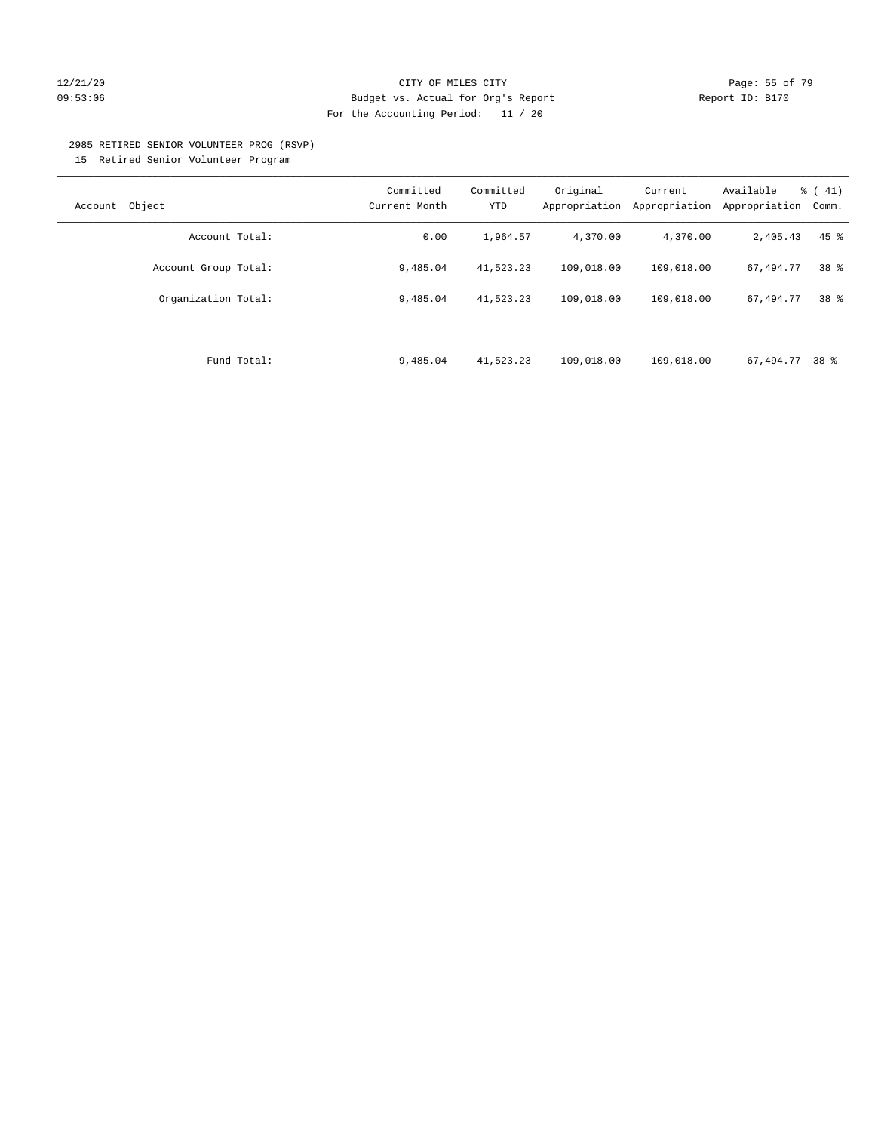### 12/21/20 **Page: 55 of 79** CITY OF MILES CITY **CITY** CITY **Page: 55 of 79** 09:53:06 Budget vs. Actual for Org's Report Report ID: B170 For the Accounting Period: 11 / 20

#### 2985 RETIRED SENIOR VOLUNTEER PROG (RSVP)

15 Retired Senior Volunteer Program

| Object<br>Account    | Committed<br>Current Month | Committed<br>YTD | Original<br>Appropriation | Current<br>Appropriation | Available<br>Appropriation | $\frac{1}{6}$ ( 41)<br>Comm. |
|----------------------|----------------------------|------------------|---------------------------|--------------------------|----------------------------|------------------------------|
| Account Total:       | 0.00                       | 1,964.57         | 4,370.00                  | 4,370.00                 | 2,405.43                   | $45$ $%$                     |
| Account Group Total: | 9,485.04                   | 41,523.23        | 109,018.00                | 109,018.00               | 67,494.77                  | 38 <sup>8</sup>              |
| Organization Total:  | 9,485.04                   | 41,523.23        | 109,018.00                | 109,018.00               | 67,494.77                  | 38 <sup>8</sup>              |
|                      |                            |                  |                           |                          |                            |                              |
| Fund Total:          | 9,485.04                   | 41,523.23        | 109,018.00                | 109,018.00               | 67,494.77                  | 38 %                         |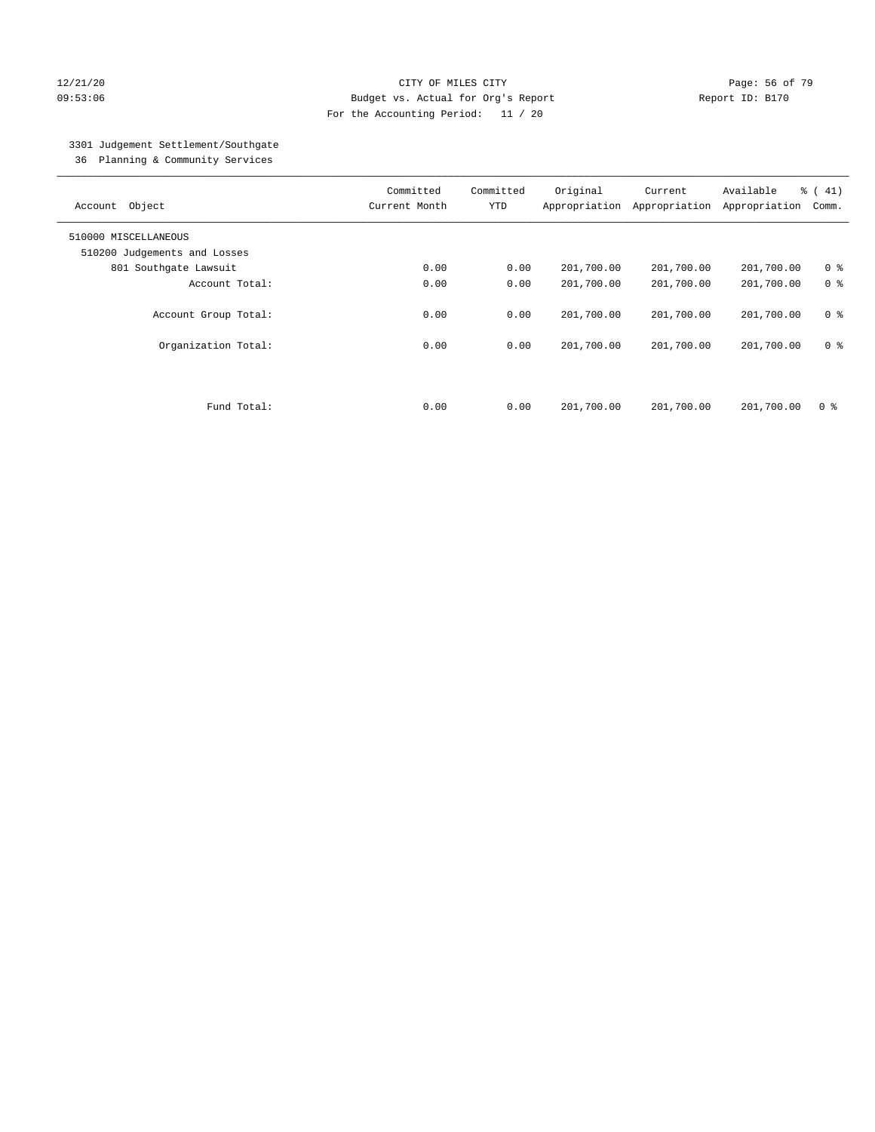### 12/21/20 **Page: 56 of 79** CITY OF MILES CITY **CITY** Page: 56 of 79 09:53:06 Budget vs. Actual for Org's Report Report ID: B170 For the Accounting Period: 11 / 20

# 3301 Judgement Settlement/Southgate

36 Planning & Community Services

| Account Object                              | Committed<br>Current Month | Committed<br><b>YTD</b> | Original<br>Appropriation | Current<br>Appropriation | Available<br>Appropriation | % (41)<br>Comm.                  |
|---------------------------------------------|----------------------------|-------------------------|---------------------------|--------------------------|----------------------------|----------------------------------|
| 510000 MISCELLANEOUS                        |                            |                         |                           |                          |                            |                                  |
| 510200 Judgements and Losses                |                            |                         |                           |                          |                            |                                  |
| 801 Southgate Lawsuit                       | 0.00                       | 0.00                    | 201,700.00                | 201,700.00               | 201,700.00                 | 0 <sup>8</sup>                   |
| Account Total:                              | 0.00                       | 0.00                    | 201,700.00                | 201,700.00               | 201,700.00                 | 0 <sup>8</sup>                   |
| Account Group Total:<br>Organization Total: | 0.00<br>0.00               | 0.00<br>0.00            | 201,700.00<br>201,700.00  | 201,700.00<br>201,700.00 | 201,700.00<br>201,700.00   | 0 <sup>8</sup><br>0 <sup>8</sup> |
| Fund Total:                                 | 0.00                       | 0.00                    | 201,700.00                | 201,700.00               | 201,700.00                 | 0 %                              |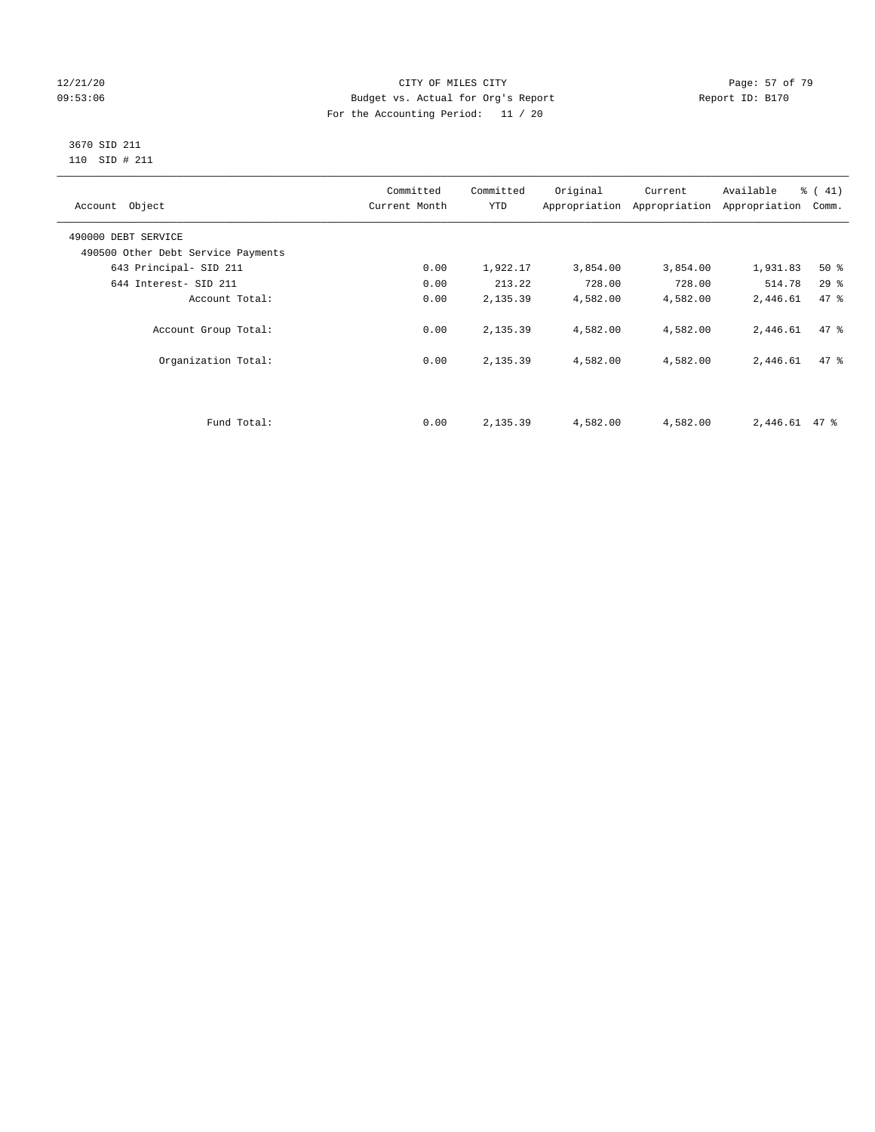### 12/21/20 Page: 57 of 79 09:53:06 Budget vs. Actual for Org's Report Changer Report ID: B170 For the Accounting Period: 11 / 20

### 3670 SID 211 110 SID # 211

| Account Object                     | Committed<br>Current Month | Committed<br><b>YTD</b> | Original | Current<br>Appropriation Appropriation | Available<br>Appropriation | % (41)<br>Comm. |
|------------------------------------|----------------------------|-------------------------|----------|----------------------------------------|----------------------------|-----------------|
| 490000 DEBT SERVICE                |                            |                         |          |                                        |                            |                 |
| 490500 Other Debt Service Payments |                            |                         |          |                                        |                            |                 |
| 643 Principal- SID 211             | 0.00                       | 1,922.17                | 3,854.00 | 3,854.00                               | 1,931.83                   | $50*$           |
| 644 Interest- SID 211              | 0.00                       | 213.22                  | 728.00   | 728.00                                 | 514.78                     | 29%             |
| Account Total:                     | 0.00                       | 2,135.39                | 4,582.00 | 4,582.00                               | 2,446.61                   | 47.8            |
| Account Group Total:               | 0.00                       | 2,135.39                | 4,582.00 | 4,582.00                               | 2,446.61                   | 47.8            |
| Organization Total:                | 0.00                       | 2,135.39                | 4,582.00 | 4,582.00                               | 2,446.61                   | 47.8            |
|                                    |                            |                         |          |                                        |                            |                 |
| Fund Total:                        | 0.00                       | 2,135.39                | 4,582.00 | 4,582.00                               | $2,446.61$ 47 %            |                 |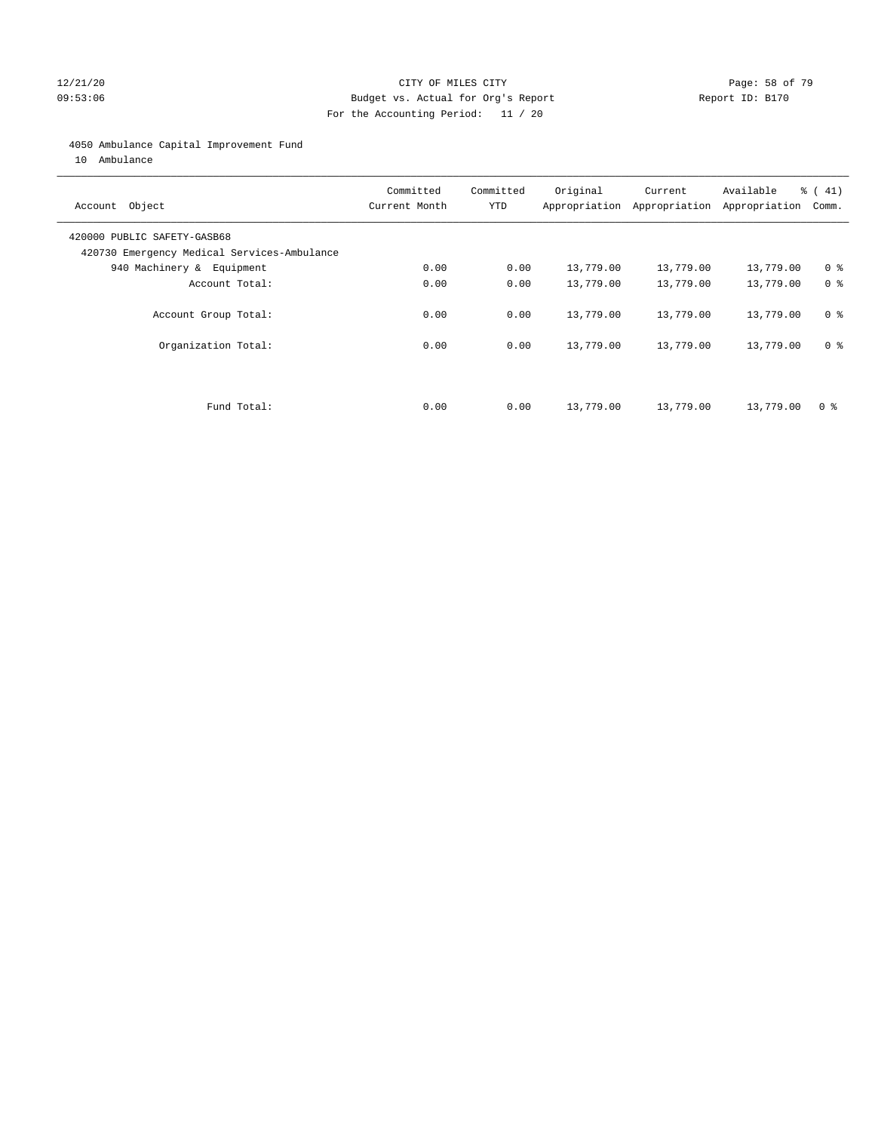### 12/21/20 Page: 58 of 79 09:53:06 Budget vs. Actual for Org's Report Report ID: B170 For the Accounting Period: 11 / 20

### 4050 Ambulance Capital Improvement Fund

10 Ambulance

| Account Object                                                             | Committed<br>Current Month | Committed<br><b>YTD</b> | Original  | Current<br>Appropriation Appropriation | Available<br>Appropriation | % (41)<br>Comm. |
|----------------------------------------------------------------------------|----------------------------|-------------------------|-----------|----------------------------------------|----------------------------|-----------------|
| 420000 PUBLIC SAFETY-GASB68<br>420730 Emergency Medical Services-Ambulance |                            |                         |           |                                        |                            |                 |
| 940 Machinery & Equipment                                                  | 0.00                       | 0.00                    | 13,779.00 | 13,779.00                              | 13,779.00                  | 0 <sup>8</sup>  |
| Account Total:                                                             | 0.00                       | 0.00                    | 13,779.00 | 13,779.00                              | 13,779.00                  | 0 <sup>8</sup>  |
| Account Group Total:                                                       | 0.00                       | 0.00                    | 13,779.00 | 13,779.00                              | 13,779.00                  | 0 <sup>8</sup>  |
| Organization Total:                                                        | 0.00                       | 0.00                    | 13,779.00 | 13,779.00                              | 13,779.00                  | 0 <sup>8</sup>  |
|                                                                            |                            |                         |           |                                        |                            |                 |
| Fund Total:                                                                | 0.00                       | 0.00                    | 13,779.00 | 13,779.00                              | 13,779.00                  | 0 %             |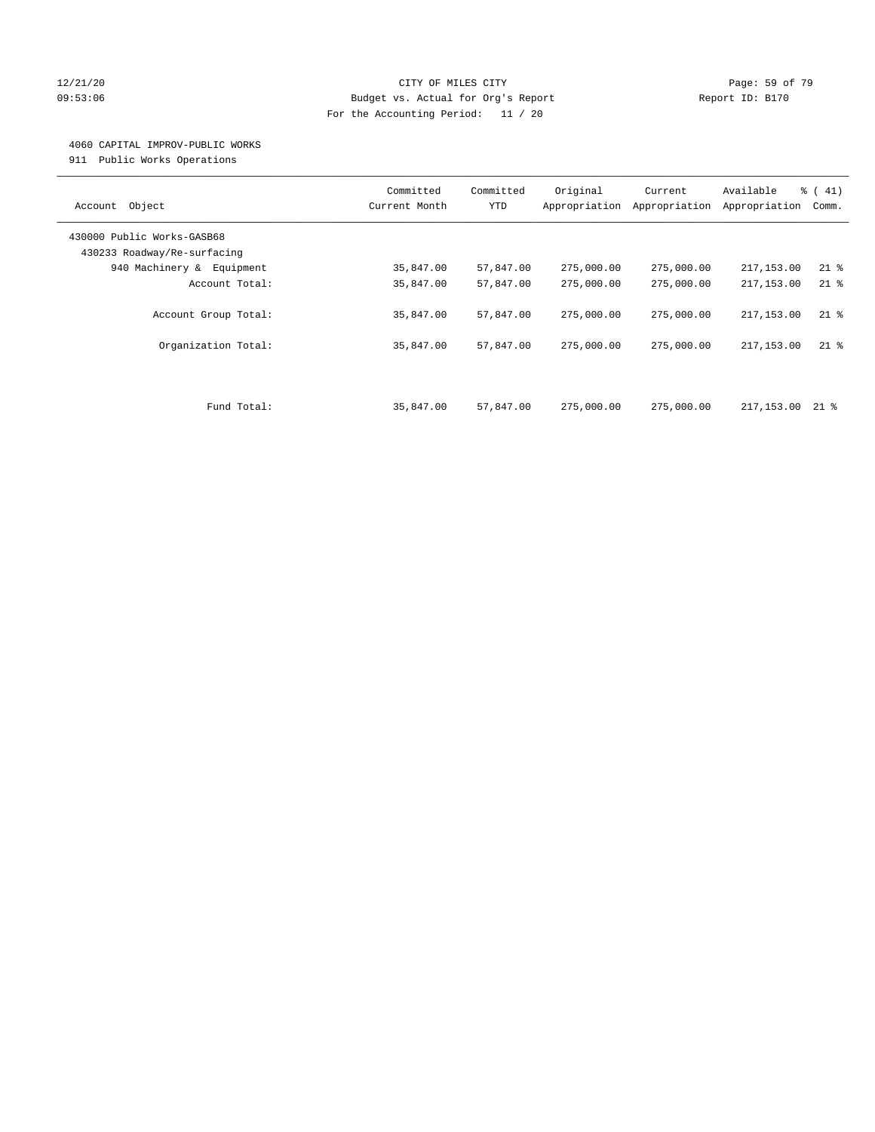### 12/21/20 **Page: 59 of 79** CITY OF MILES CITY **CITY** Page: 59 of 79 09:53:06 Budget vs. Actual for Org's Report Report ID: B170 For the Accounting Period: 11 / 20

### 4060 CAPITAL IMPROV-PUBLIC WORKS

911 Public Works Operations

| Object<br>Account                                         | Committed<br>Current Month | Committed<br><b>YTD</b> | Original<br>Appropriation | Current<br>Appropriation | Available<br>Appropriation | % (41)<br>Comm. |
|-----------------------------------------------------------|----------------------------|-------------------------|---------------------------|--------------------------|----------------------------|-----------------|
| 430000 Public Works-GASB68<br>430233 Roadway/Re-surfacing |                            |                         |                           |                          |                            |                 |
| 940 Machinery & Equipment                                 | 35,847.00                  | 57,847.00               | 275,000.00                | 275,000.00               | 217,153.00                 | $21$ %          |
| Account Total:                                            | 35,847.00                  | 57,847.00               | 275,000.00                | 275,000.00               | 217,153.00                 | $21$ %          |
| Account Group Total:                                      | 35,847.00                  | 57,847.00               | 275,000.00                | 275,000.00               | 217,153.00                 | $21$ %          |
| Organization Total:                                       | 35,847.00                  | 57,847.00               | 275,000.00                | 275,000.00               | 217,153.00                 | $21$ %          |
| Fund Total:                                               | 35,847.00                  | 57,847.00               | 275,000.00                | 275,000.00               | 217,153.00                 | 21 %            |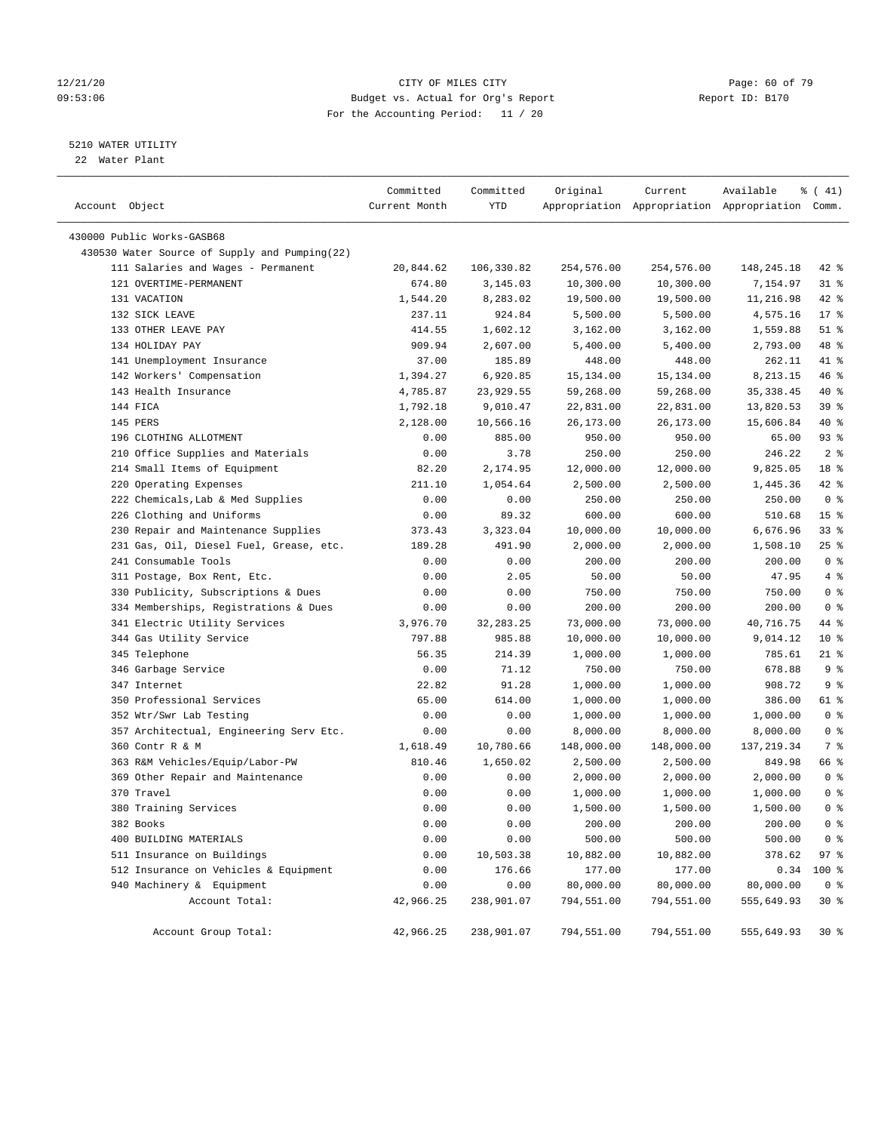### 12/21/20 Page: 60 of 79 09:53:06 Budget vs. Actual for Org's Report Report ID: B170 For the Accounting Period: 11 / 20

————————————————————————————————————————————————————————————————————————————————————————————————————————————————————————————————————

### 5210 WATER UTILITY

22 Water Plant

|                                               | Committed     | Committed   | Original   | Current    | Available                                       | $\frac{1}{6}$ ( 41) |
|-----------------------------------------------|---------------|-------------|------------|------------|-------------------------------------------------|---------------------|
| Account Object                                | Current Month | YTD         |            |            | Appropriation Appropriation Appropriation Comm. |                     |
| 430000 Public Works-GASB68                    |               |             |            |            |                                                 |                     |
| 430530 Water Source of Supply and Pumping(22) |               |             |            |            |                                                 |                     |
| 111 Salaries and Wages - Permanent            | 20,844.62     | 106,330.82  | 254,576.00 | 254,576.00 | 148,245.18                                      | 42 %                |
| 121 OVERTIME-PERMANENT                        | 674.80        | 3,145.03    | 10,300.00  | 10,300.00  | 7,154.97                                        | $31$ %              |
| 131 VACATION                                  | 1,544.20      | 8,283.02    | 19,500.00  | 19,500.00  | 11,216.98                                       | $42$ %              |
| 132 SICK LEAVE                                | 237.11        | 924.84      | 5,500.00   | 5,500.00   | 4,575.16                                        | $17*$               |
| 133 OTHER LEAVE PAY                           | 414.55        | 1,602.12    | 3,162.00   | 3,162.00   | 1,559.88                                        | $51$ %              |
| 134 HOLIDAY PAY                               | 909.94        | 2,607.00    | 5,400.00   | 5,400.00   | 2,793.00                                        | 48 %                |
| 141 Unemployment Insurance                    | 37.00         | 185.89      | 448.00     | 448.00     | 262.11                                          | 41 %                |
| 142 Workers' Compensation                     | 1,394.27      | 6,920.85    | 15,134.00  | 15,134.00  | 8,213.15                                        | 46 %                |
| 143 Health Insurance                          | 4,785.87      | 23,929.55   | 59,268.00  | 59,268.00  | 35, 338.45                                      | 40 %                |
| 144 FICA                                      | 1,792.18      | 9,010.47    | 22,831.00  | 22,831.00  | 13,820.53                                       | 39%                 |
| 145 PERS                                      | 2,128.00      | 10,566.16   | 26,173.00  | 26,173.00  | 15,606.84                                       | 40 %                |
| 196 CLOTHING ALLOTMENT                        | 0.00          | 885.00      | 950.00     | 950.00     | 65.00                                           | 93%                 |
| 210 Office Supplies and Materials             | 0.00          | 3.78        | 250.00     | 250.00     | 246.22                                          | 2 <sup>8</sup>      |
| 214 Small Items of Equipment                  | 82.20         | 2,174.95    | 12,000.00  | 12,000.00  | 9,825.05                                        | 18 %                |
| 220 Operating Expenses                        | 211.10        | 1,054.64    | 2,500.00   | 2,500.00   | 1,445.36                                        | $42$ %              |
| 222 Chemicals, Lab & Med Supplies             | 0.00          | 0.00        | 250.00     | 250.00     | 250.00                                          | 0 <sup>8</sup>      |
| 226 Clothing and Uniforms                     | 0.00          | 89.32       | 600.00     | 600.00     | 510.68                                          | 15 <sup>8</sup>     |
| 230 Repair and Maintenance Supplies           | 373.43        | 3,323.04    | 10,000.00  | 10,000.00  | 6,676.96                                        | 33%                 |
| 231 Gas, Oil, Diesel Fuel, Grease, etc.       | 189.28        | 491.90      | 2,000.00   | 2,000.00   | 1,508.10                                        | $25$ %              |
| 241 Consumable Tools                          | 0.00          | 0.00        | 200.00     | 200.00     | 200.00                                          | 0 <sup>8</sup>      |
| 311 Postage, Box Rent, Etc.                   | 0.00          | 2.05        | 50.00      | 50.00      | 47.95                                           | 4%                  |
| 330 Publicity, Subscriptions & Dues           | 0.00          | 0.00        | 750.00     | 750.00     | 750.00                                          | 0 <sup>8</sup>      |
| 334 Memberships, Registrations & Dues         | 0.00          | 0.00        | 200.00     | 200.00     | 200.00                                          | 0 <sup>8</sup>      |
| 341 Electric Utility Services                 | 3,976.70      | 32, 283. 25 | 73,000.00  | 73,000.00  | 40,716.75                                       | 44 %                |
| 344 Gas Utility Service                       | 797.88        | 985.88      | 10,000.00  | 10,000.00  | 9,014.12                                        | $10*$               |
| 345 Telephone                                 | 56.35         | 214.39      | 1,000.00   | 1,000.00   | 785.61                                          | $21$ %              |
| 346 Garbage Service                           | 0.00          | 71.12       | 750.00     | 750.00     | 678.88                                          | 9%                  |
| 347 Internet                                  | 22.82         | 91.28       | 1,000.00   | 1,000.00   | 908.72                                          | 9%                  |
| 350 Professional Services                     | 65.00         | 614.00      | 1,000.00   | 1,000.00   | 386.00                                          | 61 %                |
| 352 Wtr/Swr Lab Testing                       | 0.00          | 0.00        | 1,000.00   | 1,000.00   | 1,000.00                                        | 0 <sup>8</sup>      |
| 357 Architectual, Engineering Serv Etc.       | 0.00          | 0.00        | 8,000.00   | 8,000.00   | 8,000.00                                        | 0 <sup>8</sup>      |
| 360 Contr R & M                               | 1,618.49      | 10,780.66   | 148,000.00 | 148,000.00 | 137, 219.34                                     | 7 %                 |
| 363 R&M Vehicles/Equip/Labor-PW               | 810.46        | 1,650.02    | 2,500.00   | 2,500.00   | 849.98                                          | 66 %                |
| 369 Other Repair and Maintenance              | 0.00          | 0.00        | 2,000.00   | 2,000.00   | 2,000.00                                        | 0 <sup>8</sup>      |
| 370 Travel                                    | 0.00          | 0.00        | 1,000.00   | 1,000.00   | 1,000.00                                        | 0 <sup>8</sup>      |
| 380 Training Services                         | 0.00          | 0.00        | 1,500.00   | 1,500.00   | 1,500.00                                        | 0 <sup>8</sup>      |
| 382 Books                                     | 0.00          | 0.00        | 200.00     | 200.00     | 200.00                                          | 0 <sup>8</sup>      |
| 400 BUILDING MATERIALS                        | 0.00          | 0.00        | 500.00     | 500.00     | 500.00                                          | 0 <sup>8</sup>      |
| 511 Insurance on Buildings                    | 0.00          | 10,503.38   | 10,882.00  | 10,882.00  | 378.62                                          | 97%                 |
| 512 Insurance on Vehicles & Equipment         | 0.00          | 176.66      | 177.00     | 177.00     | 0.34                                            | 100 %               |
| 940 Machinery & Equipment                     | 0.00          | 0.00        | 80,000.00  | 80,000.00  | 80,000.00                                       | 0 <sup>8</sup>      |
| Account Total:                                | 42,966.25     | 238,901.07  | 794,551.00 | 794,551.00 | 555,649.93                                      | $30*$               |
| Account Group Total:                          | 42,966.25     | 238,901.07  | 794,551.00 | 794,551.00 | 555,649.93                                      | 30%                 |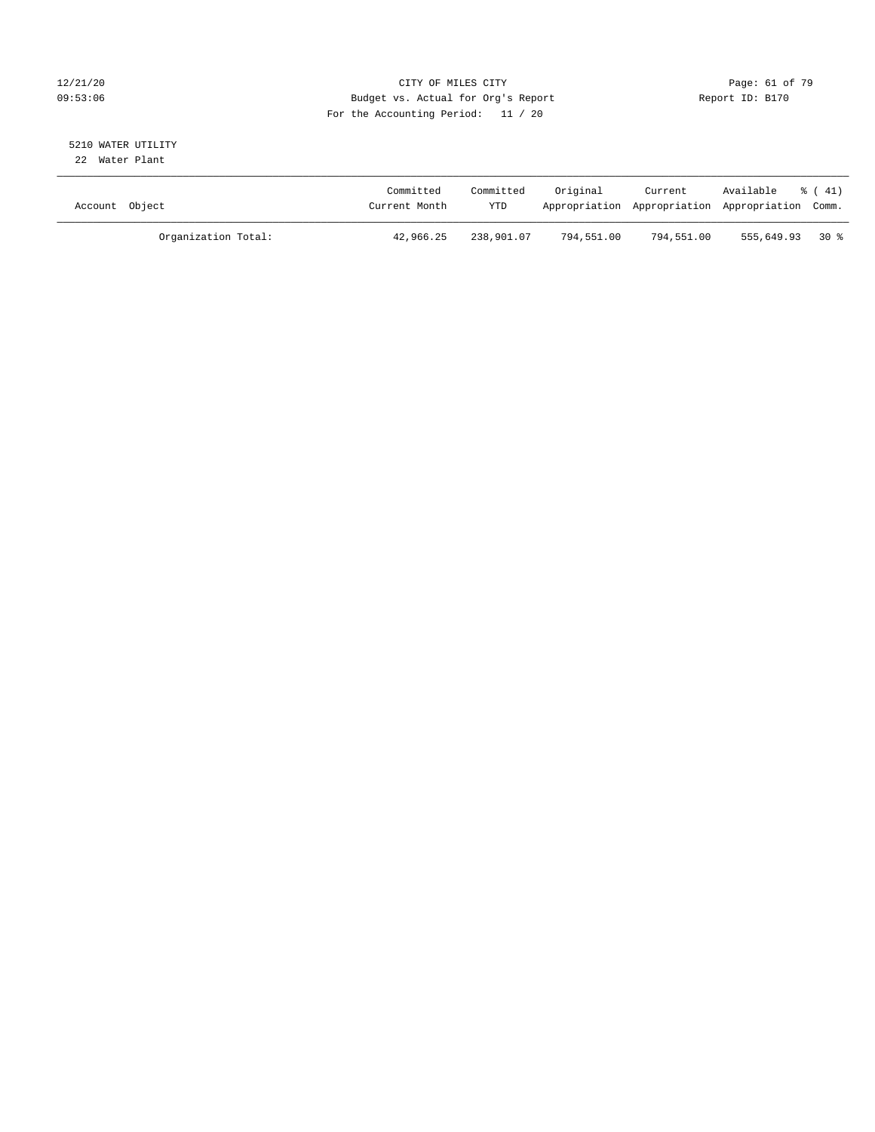### 12/21/20 **Page: 61 of 79** CITY OF MILES CITY **CITY** CITY **Page: 61 of 79** 09:53:06 Budget vs. Actual for Org's Report Report ID: B170 For the Accounting Period: 11 / 20

### 5210 WATER UTILITY 22 Water Plant

| Account Object |                     | Committed<br>Current Month | Committed<br><b>YTD</b> | Original   | Current    | Available<br>Appropriation Appropriation Appropriation Comm. | % ( 41) |
|----------------|---------------------|----------------------------|-------------------------|------------|------------|--------------------------------------------------------------|---------|
|                | Organization Total: | 42,966.25                  | 238,901.07              | 794,551.00 | 794,551.00 | 555,649.93 30 %                                              |         |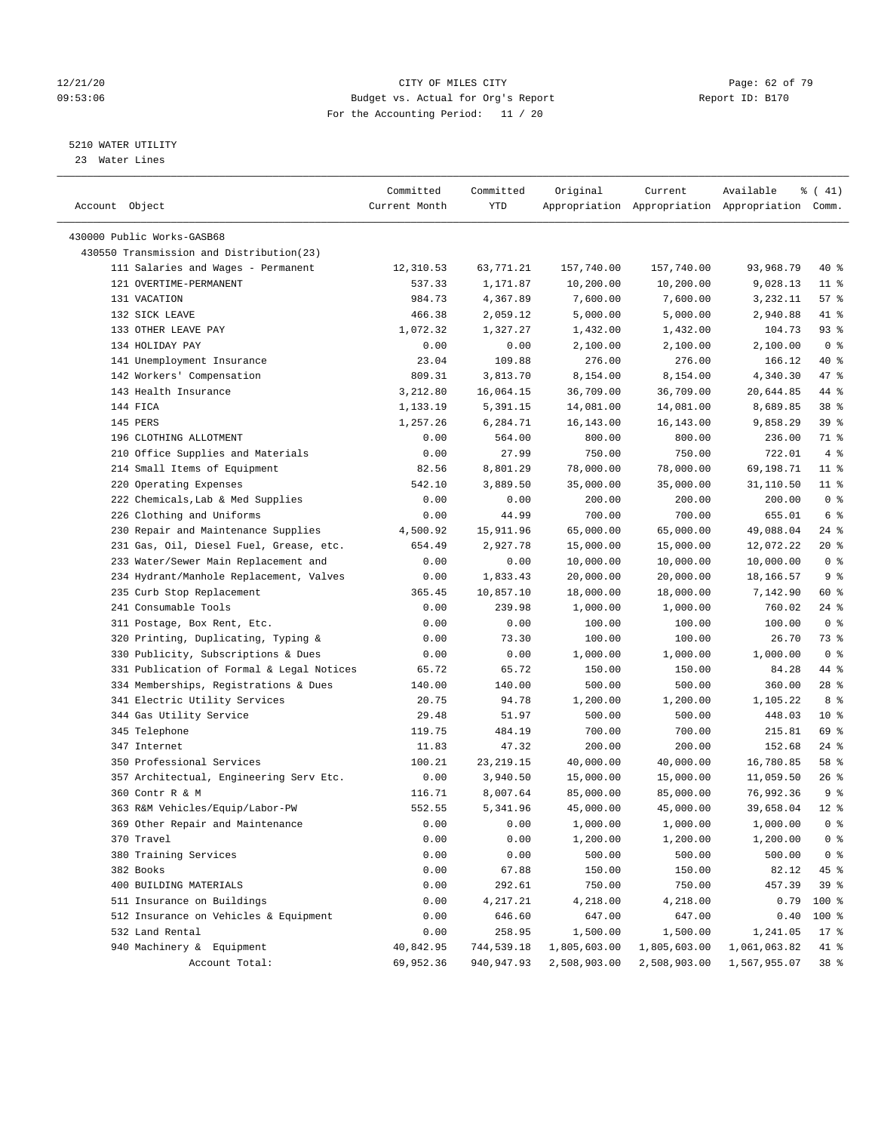### 12/21/20 **Page: 62 of 79** CITY OF MILES CITY **CITY Page: 62 of 79** 09:53:06 Budget vs. Actual for Org's Report Report ID: B170 For the Accounting Period: 11 / 20

————————————————————————————————————————————————————————————————————————————————————————————————————————————————————————————————————

### 5210 WATER UTILITY

23 Water Lines

|                                           | Committed     | Committed    | Original     | Current                                         | Available    | ៖ ( 41)         |
|-------------------------------------------|---------------|--------------|--------------|-------------------------------------------------|--------------|-----------------|
| Account Object                            | Current Month | YTD          |              | Appropriation Appropriation Appropriation Comm. |              |                 |
|                                           |               |              |              |                                                 |              |                 |
| 430000 Public Works-GASB68                |               |              |              |                                                 |              |                 |
| 430550 Transmission and Distribution(23)  |               |              |              |                                                 |              |                 |
| 111 Salaries and Wages - Permanent        | 12,310.53     | 63,771.21    | 157,740.00   | 157,740.00                                      | 93,968.79    | 40 %            |
| 121 OVERTIME-PERMANENT                    | 537.33        | 1,171.87     | 10,200.00    | 10,200.00                                       | 9,028.13     | $11$ %          |
| 131 VACATION                              | 984.73        | 4,367.89     | 7,600.00     | 7,600.00                                        | 3,232.11     | 57%             |
| 132 SICK LEAVE                            | 466.38        | 2,059.12     | 5,000.00     | 5,000.00                                        | 2,940.88     | 41 %            |
| 133 OTHER LEAVE PAY                       | 1,072.32      | 1,327.27     | 1,432.00     | 1,432.00                                        | 104.73       | 93%             |
| 134 HOLIDAY PAY                           | 0.00          | 0.00         | 2,100.00     | 2,100.00                                        | 2,100.00     | 0 <sup>8</sup>  |
| 141 Unemployment Insurance                | 23.04         | 109.88       | 276.00       | 276.00                                          | 166.12       | 40 %            |
| 142 Workers' Compensation                 | 809.31        | 3,813.70     | 8,154.00     | 8,154.00                                        | 4,340.30     | 47 %            |
| 143 Health Insurance                      | 3,212.80      | 16,064.15    | 36,709.00    | 36,709.00                                       | 20,644.85    | 44 %            |
| 144 FICA                                  | 1,133.19      | 5,391.15     | 14,081.00    | 14,081.00                                       | 8,689.85     | 38 %            |
| 145 PERS                                  | 1,257.26      | 6,284.71     | 16,143.00    | 16,143.00                                       | 9,858.29     | 39%             |
| 196 CLOTHING ALLOTMENT                    | 0.00          | 564.00       | 800.00       | 800.00                                          | 236.00       | 71 %            |
| 210 Office Supplies and Materials         | 0.00          | 27.99        | 750.00       | 750.00                                          | 722.01       | 4%              |
| 214 Small Items of Equipment              | 82.56         | 8,801.29     | 78,000.00    | 78,000.00                                       | 69,198.71    | $11$ %          |
| 220 Operating Expenses                    | 542.10        | 3,889.50     | 35,000.00    | 35,000.00                                       | 31,110.50    | $11$ %          |
| 222 Chemicals, Lab & Med Supplies         | 0.00          | 0.00         | 200.00       | 200.00                                          | 200.00       | 0 <sup>8</sup>  |
| 226 Clothing and Uniforms                 | 0.00          | 44.99        | 700.00       | 700.00                                          | 655.01       | 6 <sup>8</sup>  |
| 230 Repair and Maintenance Supplies       | 4,500.92      | 15,911.96    | 65,000.00    | 65,000.00                                       | 49,088.04    | $24$ %          |
| 231 Gas, Oil, Diesel Fuel, Grease, etc.   | 654.49        | 2,927.78     | 15,000.00    | 15,000.00                                       | 12,072.22    | $20*$           |
| 233 Water/Sewer Main Replacement and      | 0.00          | 0.00         | 10,000.00    | 10,000.00                                       | 10,000.00    | 0 <sup>8</sup>  |
| 234 Hydrant/Manhole Replacement, Valves   | 0.00          | 1,833.43     | 20,000.00    | 20,000.00                                       | 18,166.57    | 9 <sup>°</sup>  |
| 235 Curb Stop Replacement                 | 365.45        | 10,857.10    | 18,000.00    | 18,000.00                                       | 7,142.90     | 60 %            |
| 241 Consumable Tools                      | 0.00          | 239.98       | 1,000.00     | 1,000.00                                        | 760.02       | $24$ %          |
| 311 Postage, Box Rent, Etc.               | 0.00          | 0.00         | 100.00       | 100.00                                          | 100.00       | 0 <sup>8</sup>  |
| 320 Printing, Duplicating, Typing &       | 0.00          | 73.30        | 100.00       | 100.00                                          | 26.70        | 73 %            |
| 330 Publicity, Subscriptions & Dues       | 0.00          | 0.00         | 1,000.00     | 1,000.00                                        | 1,000.00     | 0 <sup>8</sup>  |
| 331 Publication of Formal & Legal Notices | 65.72         | 65.72        | 150.00       | 150.00                                          | 84.28        | 44 %            |
| 334 Memberships, Registrations & Dues     | 140.00        | 140.00       | 500.00       | 500.00                                          | 360.00       | 28 %            |
| 341 Electric Utility Services             | 20.75         | 94.78        | 1,200.00     | 1,200.00                                        | 1,105.22     | 8 %             |
| 344 Gas Utility Service                   | 29.48         | 51.97        | 500.00       | 500.00                                          | 448.03       | $10*$           |
| 345 Telephone                             | 119.75        | 484.19       | 700.00       | 700.00                                          | 215.81       | 69 %            |
| 347 Internet                              | 11.83         | 47.32        | 200.00       | 200.00                                          | 152.68       | $24$ %          |
| 350 Professional Services                 | 100.21        | 23, 219. 15  | 40,000.00    | 40,000.00                                       | 16,780.85    | 58 %            |
| 357 Architectual, Engineering Serv Etc.   | 0.00          | 3,940.50     | 15,000.00    | 15,000.00                                       | 11,059.50    | $26$ %          |
| 360 Contr R & M                           | 116.71        | 8,007.64     | 85,000.00    | 85,000.00                                       | 76,992.36    | 9%              |
| 363 R&M Vehicles/Equip/Labor-PW           | 552.55        | 5,341.96     | 45,000.00    | 45,000.00                                       | 39,658.04    | $12*$           |
| 369 Other Repair and Maintenance          | 0.00          | 0.00         | 1,000.00     | 1,000.00                                        | 1,000.00     | 0 <sup>8</sup>  |
| 370 Travel                                | 0.00          | 0.00         | 1,200.00     | 1,200.00                                        | 1,200.00     | 0 <sup>8</sup>  |
| 380 Training Services                     | 0.00          | 0.00         | 500.00       | 500.00                                          | 500.00       | 0 <sup>8</sup>  |
| 382 Books                                 | 0.00          | 67.88        | 150.00       | 150.00                                          | 82.12        | 45 %            |
| 400 BUILDING MATERIALS                    | 0.00          | 292.61       | 750.00       | 750.00                                          | 457.39       | 39%             |
| 511 Insurance on Buildings                | 0.00          | 4,217.21     | 4,218.00     | 4,218.00                                        | 0.79         | 100 %           |
| 512 Insurance on Vehicles & Equipment     | 0.00          | 646.60       | 647.00       | 647.00                                          | 0.40         | $100$ %         |
| 532 Land Rental                           | 0.00          | 258.95       | 1,500.00     | 1,500.00                                        | 1,241.05     | $17$ %          |
| 940 Machinery & Equipment                 | 40,842.95     | 744,539.18   | 1,805,603.00 | 1,805,603.00                                    | 1,061,063.82 | 41 %            |
| Account Total:                            | 69,952.36     | 940, 947. 93 |              | 2,508,903.00                                    |              | 38 <sup>8</sup> |
|                                           |               |              | 2,508,903.00 |                                                 | 1,567,955.07 |                 |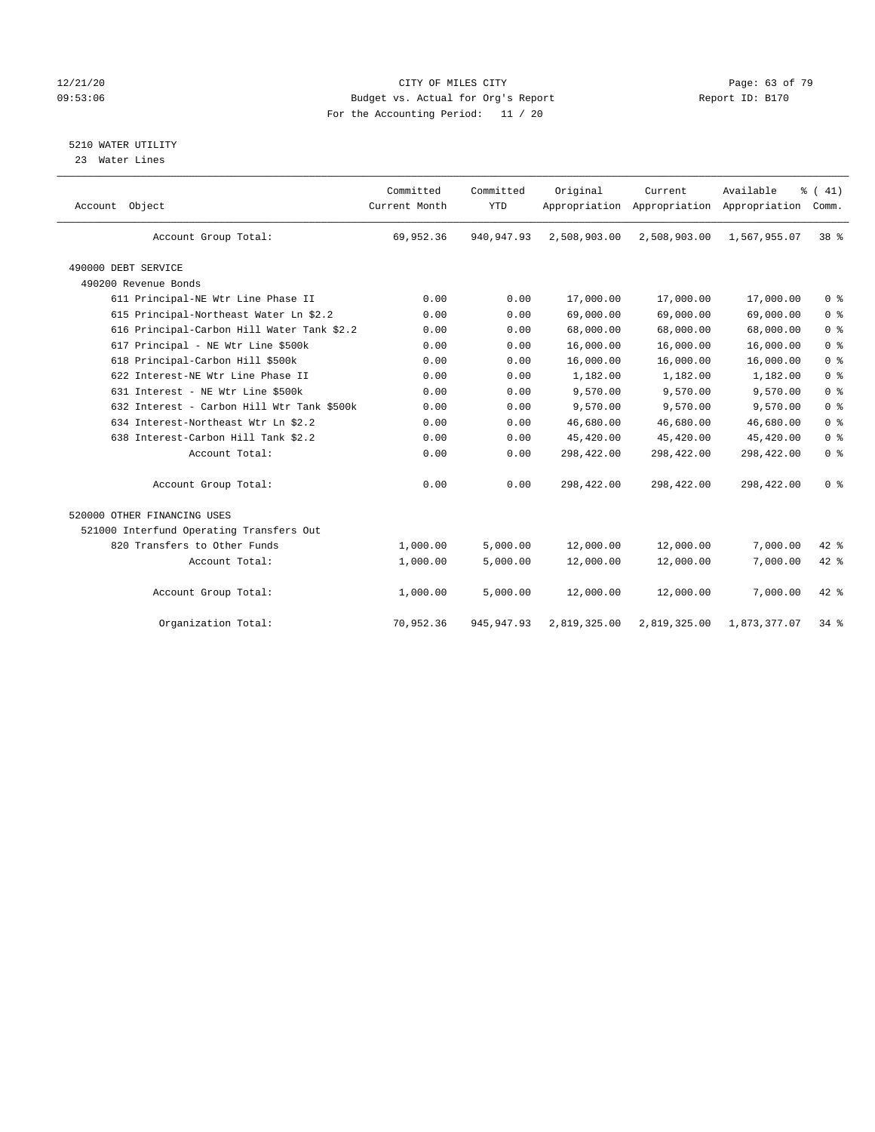### 12/21/20 Page: 63 of 79 09:53:06 Budget vs. Actual for Org's Report Changer Report ID: B170 For the Accounting Period: 11 / 20

## 5210 WATER UTILITY

23 Water Lines

| Account Object                             | Committed<br>Current Month | Committed<br><b>YTD</b> | Original     | Current<br>Appropriation Appropriation Appropriation | Available    | % (41)<br>Comm. |  |
|--------------------------------------------|----------------------------|-------------------------|--------------|------------------------------------------------------|--------------|-----------------|--|
| Account Group Total:                       | 69,952.36                  | 940, 947. 93            | 2,508,903.00 | 2,508,903.00                                         | 1,567,955.07 | 38 <sup>8</sup> |  |
| 490000 DEBT SERVICE                        |                            |                         |              |                                                      |              |                 |  |
| 490200 Revenue Bonds                       |                            |                         |              |                                                      |              |                 |  |
| 611 Principal-NE Wtr Line Phase II         | 0.00                       | 0.00                    | 17,000.00    | 17,000.00                                            | 17,000.00    | 0 <sup>8</sup>  |  |
| 615 Principal-Northeast Water Ln \$2.2     | 0.00                       | 0.00                    | 69,000.00    | 69,000.00                                            | 69,000.00    | 0 <sup>8</sup>  |  |
| 616 Principal-Carbon Hill Water Tank \$2.2 | 0.00                       | 0.00                    | 68,000.00    | 68,000.00                                            | 68,000.00    | 0 <sup>8</sup>  |  |
| 617 Principal - NE Wtr Line \$500k         | 0.00                       | 0.00                    | 16,000.00    | 16,000.00                                            | 16,000.00    | 0 <sup>8</sup>  |  |
| 618 Principal-Carbon Hill \$500k           | 0.00                       | 0.00                    | 16,000.00    | 16,000.00                                            | 16,000.00    | 0 <sup>8</sup>  |  |
| 622 Interest-NE Wtr Line Phase II          | 0.00                       | 0.00                    | 1,182.00     | 1,182.00                                             | 1,182.00     | 0 <sup>8</sup>  |  |
| 631 Interest - NE Wtr Line \$500k          | 0.00                       | 0.00                    | 9,570.00     | 9,570.00                                             | 9,570.00     | 0 <sup>8</sup>  |  |
| 632 Interest - Carbon Hill Wtr Tank \$500k | 0.00                       | 0.00                    | 9,570.00     | 9,570.00                                             | 9,570.00     | 0 <sup>8</sup>  |  |
| 634 Interest-Northeast Wtr Ln \$2.2        | 0.00                       | 0.00                    | 46,680.00    | 46,680.00                                            | 46,680.00    | 0 <sup>8</sup>  |  |
| 638 Interest-Carbon Hill Tank \$2.2        | 0.00                       | 0.00                    | 45,420.00    | 45,420.00                                            | 45,420.00    | 0 <sup>8</sup>  |  |
| Account Total:                             | 0.00                       | 0.00                    | 298,422.00   | 298,422.00                                           | 298,422.00   | 0 <sup>8</sup>  |  |
| Account Group Total:                       | 0.00                       | 0.00                    | 298,422.00   | 298,422.00                                           | 298,422.00   | 0 <sup>8</sup>  |  |
| 520000 OTHER FINANCING USES                |                            |                         |              |                                                      |              |                 |  |
| 521000 Interfund Operating Transfers Out   |                            |                         |              |                                                      |              |                 |  |
| 820 Transfers to Other Funds               | 1,000.00                   | 5,000.00                | 12,000.00    | 12,000.00                                            | 7,000.00     | $42*$           |  |
| Account Total:                             | 1,000.00                   | 5,000.00                | 12,000.00    | 12,000.00                                            | 7,000.00     | 42 %            |  |
| Account Group Total:                       | 1,000.00                   | 5,000.00                | 12,000.00    | 12,000.00                                            | 7,000.00     | 42 %            |  |
| Organization Total:                        | 70,952.36                  | 945, 947.93             | 2,819,325.00 | 2,819,325.00                                         | 1,873,377.07 | $34$ $8$        |  |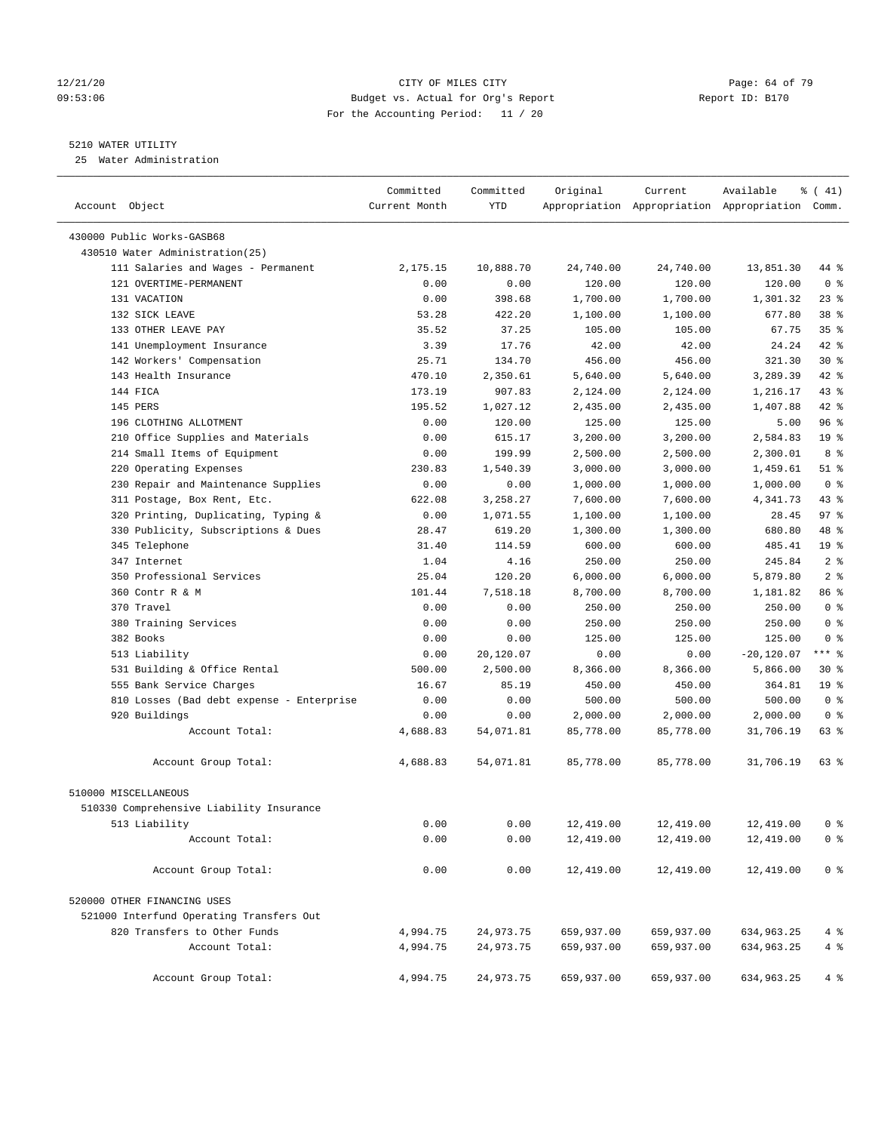### 12/21/20 **Page: 64 of 79** CITY OF MILES CITY **CITY** CITY **Page: 64 of 79** 09:53:06 Budget vs. Actual for Org's Report Report ID: B170 For the Accounting Period: 11 / 20

————————————————————————————————————————————————————————————————————————————————————————————————————————————————————————————————————

### 5210 WATER UTILITY

25 Water Administration

|                                           | Committed     | Committed | Original   | Current    | Available                                       | ៖ ( 41)         |
|-------------------------------------------|---------------|-----------|------------|------------|-------------------------------------------------|-----------------|
| Account Object                            | Current Month | YTD       |            |            | Appropriation Appropriation Appropriation Comm. |                 |
| 430000 Public Works-GASB68                |               |           |            |            |                                                 |                 |
| 430510 Water Administration(25)           |               |           |            |            |                                                 |                 |
| 111 Salaries and Wages - Permanent        | 2,175.15      | 10,888.70 | 24,740.00  | 24,740.00  | 13,851.30                                       | 44 %            |
| 121 OVERTIME-PERMANENT                    | 0.00          | 0.00      | 120.00     | 120.00     | 120.00                                          | 0 <sup>8</sup>  |
| 131 VACATION                              | 0.00          | 398.68    | 1,700.00   | 1,700.00   | 1,301.32                                        | $23$ $%$        |
| 132 SICK LEAVE                            | 53.28         | 422.20    | 1,100.00   | 1,100.00   | 677.80                                          | 38 <sup>8</sup> |
| 133 OTHER LEAVE PAY                       | 35.52         | 37.25     | 105.00     | 105.00     | 67.75                                           | 35%             |
| 141 Unemployment Insurance                | 3.39          | 17.76     | 42.00      | 42.00      | 24.24                                           | $42$ %          |
| 142 Workers' Compensation                 | 25.71         | 134.70    | 456.00     | 456.00     | 321.30                                          | $30*$           |
| 143 Health Insurance                      | 470.10        | 2,350.61  | 5,640.00   | 5,640.00   | 3,289.39                                        | $42$ %          |
| 144 FICA                                  | 173.19        | 907.83    | 2,124.00   | 2,124.00   | 1,216.17                                        | 43 %            |
| 145 PERS                                  | 195.52        | 1,027.12  | 2,435.00   | 2,435.00   | 1,407.88                                        | 42 %            |
| 196 CLOTHING ALLOTMENT                    | 0.00          | 120.00    | 125.00     | 125.00     | 5.00                                            | 96%             |
| 210 Office Supplies and Materials         | 0.00          | 615.17    | 3,200.00   | 3,200.00   | 2,584.83                                        | 19 <sup>°</sup> |
| 214 Small Items of Equipment              | 0.00          | 199.99    | 2,500.00   | 2,500.00   | 2,300.01                                        | 8 %             |
| 220 Operating Expenses                    | 230.83        | 1,540.39  | 3,000.00   | 3,000.00   | 1,459.61                                        | $51$ %          |
| 230 Repair and Maintenance Supplies       | 0.00          | 0.00      | 1,000.00   | 1,000.00   | 1,000.00                                        | 0 <sup>8</sup>  |
| 311 Postage, Box Rent, Etc.               | 622.08        | 3,258.27  | 7,600.00   | 7,600.00   | 4,341.73                                        | $43$ %          |
| 320 Printing, Duplicating, Typing &       | 0.00          | 1,071.55  | 1,100.00   | 1,100.00   | 28.45                                           | 97%             |
| 330 Publicity, Subscriptions & Dues       | 28.47         | 619.20    | 1,300.00   | 1,300.00   | 680.80                                          | 48 %            |
| 345 Telephone                             | 31.40         | 114.59    | 600.00     | 600.00     | 485.41                                          | 19 <sup>°</sup> |
| 347 Internet                              | 1.04          | 4.16      | 250.00     | 250.00     | 245.84                                          | 2 <sup>°</sup>  |
| 350 Professional Services                 | 25.04         | 120.20    | 6,000.00   | 6,000.00   | 5,879.80                                        | 2 <sup>8</sup>  |
| 360 Contr R & M                           | 101.44        | 7,518.18  | 8,700.00   | 8,700.00   | 1,181.82                                        | 86 %            |
| 370 Travel                                | 0.00          | 0.00      | 250.00     | 250.00     | 250.00                                          | 0 <sup>8</sup>  |
| 380 Training Services                     | 0.00          | 0.00      | 250.00     | 250.00     | 250.00                                          | 0 <sup>8</sup>  |
| 382 Books                                 | 0.00          | 0.00      | 125.00     | 125.00     | 125.00                                          | 0 <sup>8</sup>  |
| 513 Liability                             | 0.00          | 20,120.07 | 0.00       | 0.00       | $-20,120.07$                                    | $***$ $-$       |
| 531 Building & Office Rental              | 500.00        | 2,500.00  | 8,366.00   | 8,366.00   | 5,866.00                                        | $30*$           |
| 555 Bank Service Charges                  | 16.67         | 85.19     | 450.00     | 450.00     | 364.81                                          | 19 <sup>°</sup> |
| 810 Losses (Bad debt expense - Enterprise | 0.00          | 0.00      | 500.00     | 500.00     | 500.00                                          | 0 <sup>8</sup>  |
| 920 Buildings                             | 0.00          | 0.00      | 2,000.00   | 2,000.00   | 2,000.00                                        | 0 <sup>8</sup>  |
| Account Total:                            | 4,688.83      | 54,071.81 | 85,778.00  | 85,778.00  | 31,706.19                                       | 63 %            |
| Account Group Total:                      | 4,688.83      | 54,071.81 | 85,778.00  | 85,778.00  | 31,706.19                                       | 63 %            |
| 510000 MISCELLANEOUS                      |               |           |            |            |                                                 |                 |
| 510330 Comprehensive Liability Insurance  |               |           |            |            |                                                 |                 |
| 513 Liability                             | 0.00          | 0.00      | 12,419.00  | 12,419.00  | 12,419.00                                       | 0 %             |
| Account Total:                            | 0.00          | 0.00      | 12,419.00  | 12,419.00  | 12,419.00                                       | 0 <sup>8</sup>  |
| Account Group Total:                      | 0.00          | 0.00      | 12,419.00  | 12,419.00  | 12,419.00                                       | 0 <sup>8</sup>  |
| 520000 OTHER FINANCING USES               |               |           |            |            |                                                 |                 |
| 521000 Interfund Operating Transfers Out  |               |           |            |            |                                                 |                 |
| 820 Transfers to Other Funds              | 4,994.75      | 24,973.75 | 659,937.00 | 659,937.00 | 634,963.25                                      | 4%              |
| Account Total:                            | 4,994.75      | 24,973.75 | 659,937.00 | 659,937.00 | 634,963.25                                      | 4%              |
| Account Group Total:                      | 4,994.75      | 24,973.75 | 659,937.00 | 659,937.00 | 634,963.25                                      | $4\degree$      |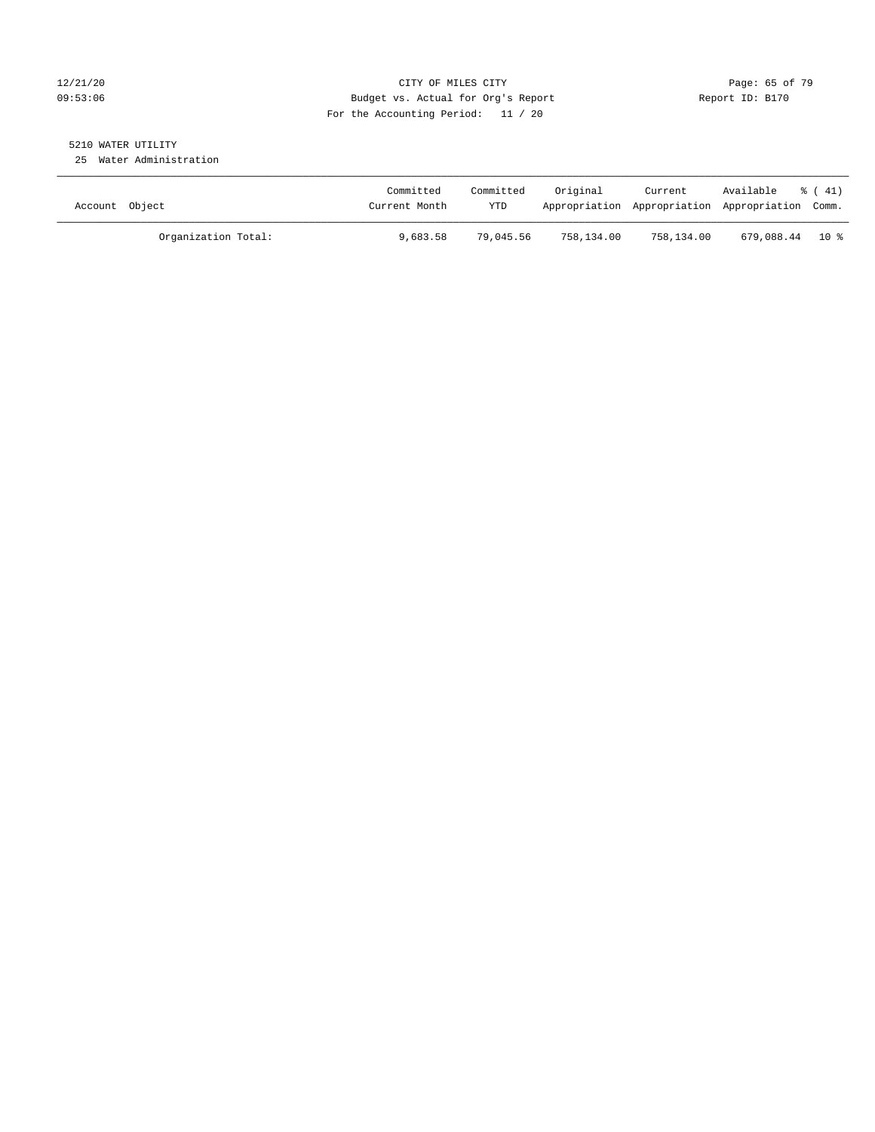### 12/21/20 Page: 65 of 79 09:53:06 Budget vs. Actual for Org's Report Report ID: B170 For the Accounting Period: 11 / 20

# 5210 WATER UTILITY

25 Water Administration

| Account Object      | Committed<br>Current Month | Committed<br><b>YTD</b> | Original   | Current    | Available<br>Appropriation Appropriation Appropriation Comm. | $\frac{1}{6}$ (41) |
|---------------------|----------------------------|-------------------------|------------|------------|--------------------------------------------------------------|--------------------|
| Organization Total: | 9,683.58                   | 79,045.56               | 758,134.00 | 758,134.00 | 679,088.44 10%                                               |                    |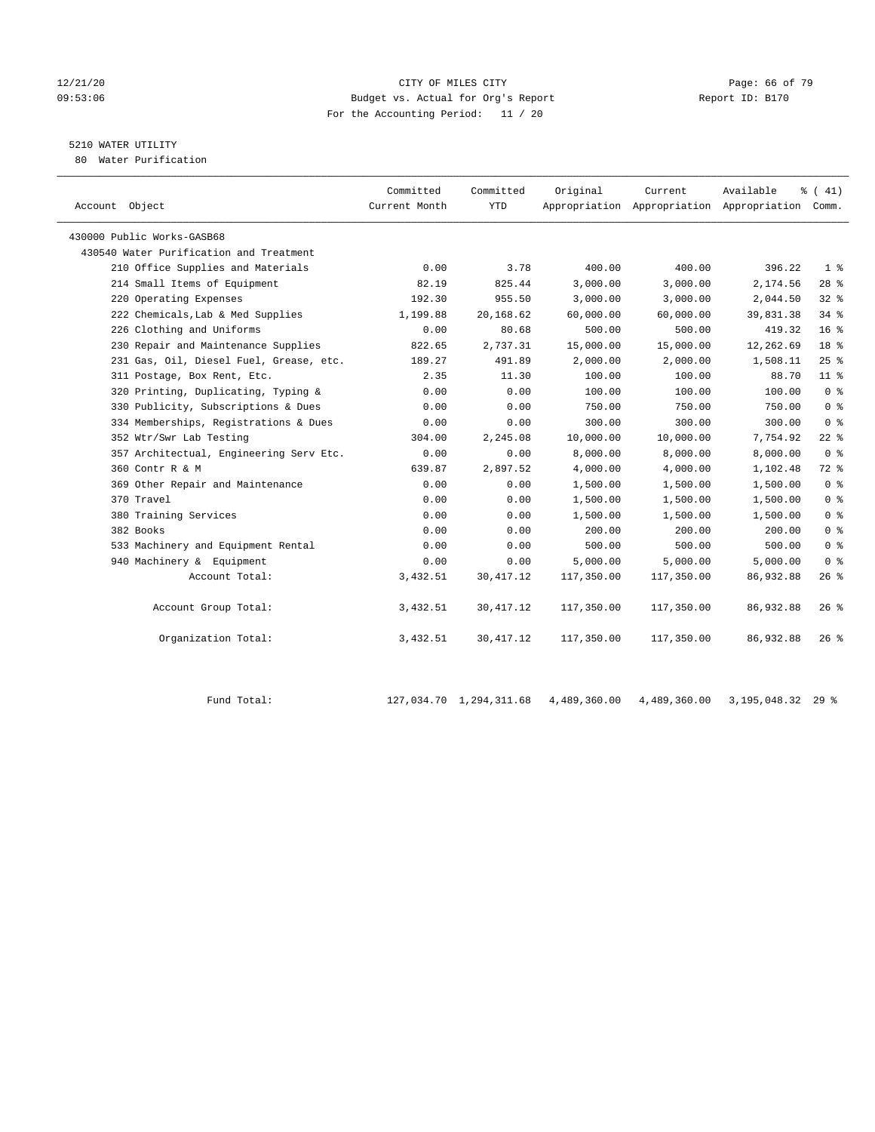### 12/21/20 **Page: 66 of 79** CITY OF MILES CITY **CITY** CITY **Page: 66 of 79** 09:53:06 Budget vs. Actual for Org's Report Communication (Report ID: B170 For the Accounting Period: 11 / 20

# 5210 WATER UTILITY

80 Water Purification

| Account Object                          | Committed<br>Current Month | Committed<br><b>YTD</b> | Original   | Current    | Available<br>Appropriation Appropriation Appropriation Comm. | $\frac{1}{6}$ ( 41) |
|-----------------------------------------|----------------------------|-------------------------|------------|------------|--------------------------------------------------------------|---------------------|
| 430000 Public Works-GASB68              |                            |                         |            |            |                                                              |                     |
| 430540 Water Purification and Treatment |                            |                         |            |            |                                                              |                     |
| 210 Office Supplies and Materials       | 0.00                       | 3.78                    | 400.00     | 400.00     | 396.22                                                       | 1 <sup>°</sup>      |
| 214 Small Items of Equipment            | 82.19                      | 825.44                  | 3,000.00   | 3,000.00   | 2,174.56                                                     | $28$ %              |
| 220 Operating Expenses                  | 192.30                     | 955.50                  | 3,000.00   | 3,000.00   | 2,044.50                                                     | 328                 |
| 222 Chemicals, Lab & Med Supplies       | 1,199.88                   | 20,168.62               | 60,000.00  | 60,000.00  | 39,831.38                                                    | 34%                 |
| 226 Clothing and Uniforms               | 0.00                       | 80.68                   | 500.00     | 500.00     | 419.32                                                       | 16 <sup>°</sup>     |
| 230 Repair and Maintenance Supplies     | 822.65                     | 2,737.31                | 15,000.00  | 15,000.00  | 12,262.69                                                    | 18 <sup>8</sup>     |
| 231 Gas, Oil, Diesel Fuel, Grease, etc. | 189.27                     | 491.89                  | 2,000.00   | 2,000.00   | 1,508.11                                                     | 25%                 |
| 311 Postage, Box Rent, Etc.             | 2.35                       | 11.30                   | 100.00     | 100.00     | 88.70                                                        | $11$ %              |
| 320 Printing, Duplicating, Typing &     | 0.00                       | 0.00                    | 100.00     | 100.00     | 100.00                                                       | 0 <sup>8</sup>      |
| 330 Publicity, Subscriptions & Dues     | 0.00                       | 0.00                    | 750.00     | 750.00     | 750.00                                                       | 0 <sup>8</sup>      |
| 334 Memberships, Registrations & Dues   | 0.00                       | 0.00                    | 300.00     | 300.00     | 300.00                                                       | 0 <sup>8</sup>      |
| 352 Wtr/Swr Lab Testing                 | 304.00                     | 2,245.08                | 10,000.00  | 10,000.00  | 7,754.92                                                     | $22$ %              |
| 357 Architectual, Engineering Serv Etc. | 0.00                       | 0.00                    | 8,000.00   | 8,000.00   | 8,000.00                                                     | 0 <sup>8</sup>      |
| 360 Contr R & M                         | 639.87                     | 2,897.52                | 4,000.00   | 4,000.00   | 1,102.48                                                     | $72$ $%$            |
| 369 Other Repair and Maintenance        | 0.00                       | 0.00                    | 1,500.00   | 1,500.00   | 1,500.00                                                     | 0 <sup>8</sup>      |
| 370 Travel                              | 0.00                       | 0.00                    | 1,500.00   | 1,500.00   | 1,500.00                                                     | 0 <sup>8</sup>      |
| 380 Training Services                   | 0.00                       | 0.00                    | 1,500.00   | 1,500.00   | 1,500.00                                                     | 0 <sup>8</sup>      |
| 382 Books                               | 0.00                       | 0.00                    | 200.00     | 200.00     | 200.00                                                       | 0 <sup>8</sup>      |
| 533 Machinery and Equipment Rental      | 0.00                       | 0.00                    | 500.00     | 500.00     | 500.00                                                       | 0 <sup>8</sup>      |
| 940 Machinery & Equipment               | 0.00                       | 0.00                    | 5,000.00   | 5,000.00   | 5,000.00                                                     | 0 <sup>8</sup>      |
| Account Total:                          | 3,432.51                   | 30,417.12               | 117,350.00 | 117,350.00 | 86,932.88                                                    | 26%                 |
| Account Group Total:                    | 3,432.51                   | 30, 417.12              | 117,350.00 | 117,350.00 | 86,932.88                                                    | $26$ %              |
| Organization Total:                     | 3,432.51                   | 30, 417.12              | 117,350.00 | 117,350.00 | 86,932.88                                                    | $26$ %              |

| Fund Total: | 127,034.70  1,294,311.68  4,489,360.00  4,489,360.00 |  | 3,195,048.32 29 % |
|-------------|------------------------------------------------------|--|-------------------|
|             |                                                      |  |                   |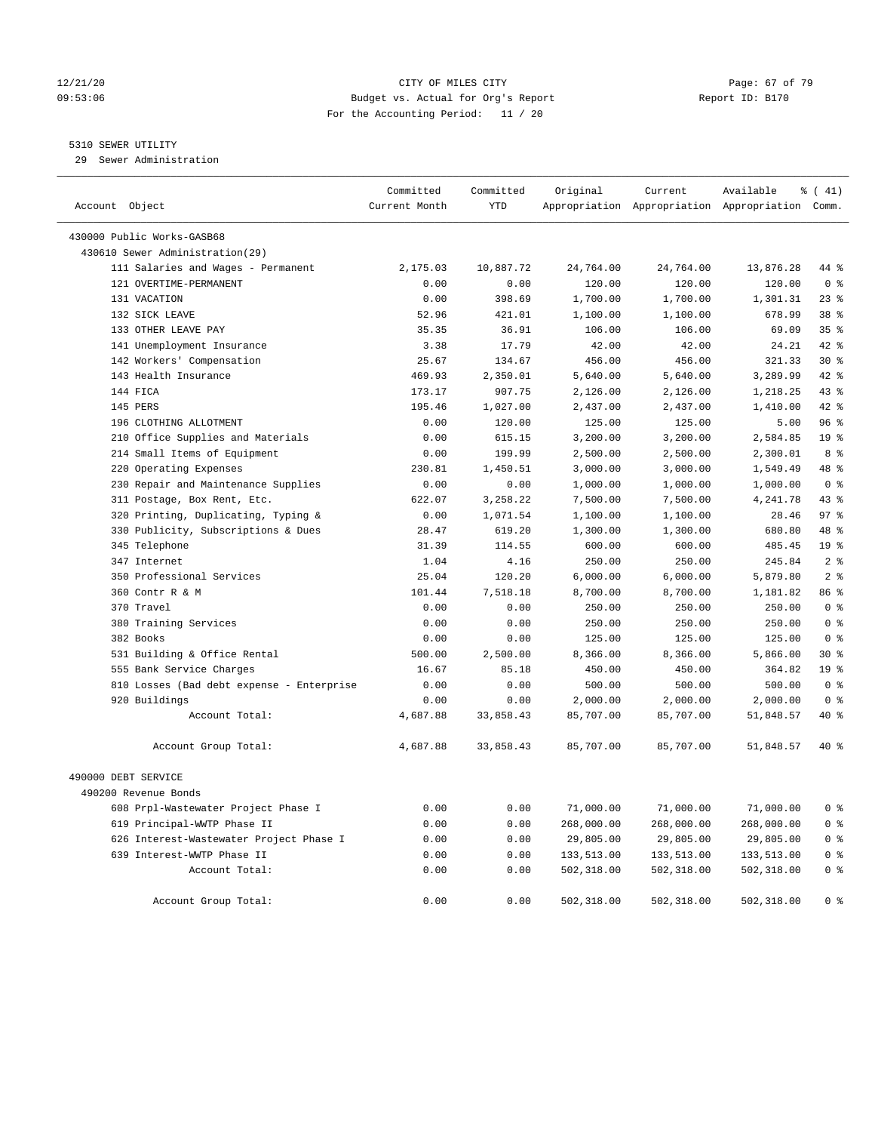### 12/21/20 Page: 67 of 79 09:53:06 Budget vs. Actual for Org's Report Report ID: B170 For the Accounting Period: 11 / 20

### 5310 SEWER UTILITY

29 Sewer Administration

| Account Object                                               | Committed<br>Current Month | Committed<br><b>YTD</b> | Original            | Current             | Available<br>Appropriation Appropriation Appropriation Comm. | $\frac{1}{6}$ ( 41)     |
|--------------------------------------------------------------|----------------------------|-------------------------|---------------------|---------------------|--------------------------------------------------------------|-------------------------|
|                                                              |                            |                         |                     |                     |                                                              |                         |
| 430000 Public Works-GASB68                                   |                            |                         |                     |                     |                                                              |                         |
| 430610 Sewer Administration(29)                              |                            |                         |                     |                     |                                                              |                         |
| 111 Salaries and Wages - Permanent<br>121 OVERTIME-PERMANENT | 2,175.03<br>0.00           | 10,887.72<br>0.00       | 24,764.00<br>120.00 | 24,764.00<br>120.00 | 13,876.28<br>120.00                                          | 44 %<br>0 <sup>8</sup>  |
| 131 VACATION                                                 |                            | 398.69                  |                     |                     |                                                              | 23%                     |
|                                                              | 0.00<br>52.96              |                         | 1,700.00            | 1,700.00            | 1,301.31                                                     | 38 <sup>8</sup>         |
| 132 SICK LEAVE                                               |                            | 421.01                  | 1,100.00            | 1,100.00            | 678.99                                                       |                         |
| 133 OTHER LEAVE PAY                                          | 35.35                      | 36.91                   | 106.00              | 106.00              | 69.09                                                        | 35%                     |
| 141 Unemployment Insurance                                   | 3.38<br>25.67              | 17.79<br>134.67         | 42.00<br>456.00     | 42.00<br>456.00     | 24.21<br>321.33                                              | 42 %<br>$30*$           |
| 142 Workers' Compensation<br>143 Health Insurance            |                            |                         |                     |                     |                                                              | 42 %                    |
|                                                              | 469.93                     | 2,350.01                | 5,640.00            | 5,640.00            | 3,289.99                                                     |                         |
| 144 FICA                                                     | 173.17                     | 907.75                  | 2,126.00            | 2,126.00            | 1,218.25                                                     | 43 %<br>$42*$           |
| 145 PERS                                                     | 195.46                     | 1,027.00                | 2,437.00            | 2,437.00            | 1,410.00                                                     |                         |
| 196 CLOTHING ALLOTMENT                                       | 0.00                       | 120.00                  | 125.00              | 125.00              | 5.00                                                         | 96%<br>19 <sup>°</sup>  |
| 210 Office Supplies and Materials                            | 0.00                       | 615.15                  | 3,200.00            | 3,200.00            | 2,584.85                                                     | 8 %                     |
| 214 Small Items of Equipment                                 | 0.00                       | 199.99                  | 2,500.00            | 2,500.00            | 2,300.01                                                     |                         |
| 220 Operating Expenses                                       | 230.81                     | 1,450.51                | 3,000.00            | 3,000.00            | 1,549.49                                                     | 48 %                    |
| 230 Repair and Maintenance Supplies                          | 0.00                       | 0.00                    | 1,000.00            | 1,000.00            | 1,000.00                                                     | 0 <sup>8</sup>          |
| 311 Postage, Box Rent, Etc.                                  | 622.07                     | 3,258.22                | 7,500.00            | 7,500.00            | 4,241.78                                                     | 43%                     |
| 320 Printing, Duplicating, Typing &                          | 0.00                       | 1,071.54                | 1,100.00            | 1,100.00            | 28.46                                                        | 97 <sup>8</sup>         |
| 330 Publicity, Subscriptions & Dues                          | 28.47                      | 619.20                  | 1,300.00            | 1,300.00            | 680.80                                                       | 48 %                    |
| 345 Telephone                                                | 31.39                      | 114.55                  | 600.00              | 600.00              | 485.45                                                       | 19 <sup>°</sup>         |
| 347 Internet                                                 | 1.04                       | 4.16                    | 250.00              | 250.00              | 245.84                                                       | 2 <sup>8</sup>          |
| 350 Professional Services                                    | 25.04                      | 120.20                  | 6,000.00            | 6,000.00            | 5,879.80                                                     | 2 <sup>°</sup>          |
| 360 Contr R & M                                              | 101.44                     | 7,518.18                | 8,700.00            | 8,700.00            | 1,181.82                                                     | 86 %                    |
| 370 Travel                                                   | 0.00                       | 0.00                    | 250.00              | 250.00              | 250.00                                                       | 0 <sup>8</sup>          |
| 380 Training Services                                        | 0.00                       | 0.00                    | 250.00              | 250.00              | 250.00                                                       | $0 \text{ }$ $\text{ }$ |
| 382 Books                                                    | 0.00                       | 0.00                    | 125.00              | 125.00              | 125.00                                                       | 0 <sup>8</sup>          |
| 531 Building & Office Rental                                 | 500.00                     | 2,500.00                | 8,366.00            | 8,366.00            | 5,866.00                                                     | $30*$                   |
| 555 Bank Service Charges                                     | 16.67                      | 85.18                   | 450.00              | 450.00              | 364.82                                                       | 19 <sup>°</sup>         |
| 810 Losses (Bad debt expense - Enterprise                    | 0.00                       | 0.00                    | 500.00              | 500.00              | 500.00                                                       | 0 <sup>8</sup>          |
| 920 Buildings                                                | 0.00                       | 0.00                    | 2,000.00            | 2,000.00            | 2,000.00                                                     | 0 <sup>8</sup>          |
| Account Total:                                               | 4,687.88                   | 33,858.43               | 85,707.00           | 85,707.00           | 51,848.57                                                    | 40 %                    |
| Account Group Total:                                         | 4,687.88                   | 33,858.43               | 85,707.00           | 85,707.00           | 51,848.57                                                    | $40*$                   |
| 490000 DEBT SERVICE                                          |                            |                         |                     |                     |                                                              |                         |
| 490200 Revenue Bonds                                         |                            |                         |                     |                     |                                                              |                         |
| 608 Prpl-Wastewater Project Phase I                          | 0.00                       | 0.00                    | 71,000.00           | 71,000.00           | 71,000.00                                                    | 0 <sup>8</sup>          |
| 619 Principal-WWTP Phase II                                  | 0.00                       | 0.00                    | 268,000.00          | 268,000.00          | 268,000.00                                                   | 0 <sup>8</sup>          |
| 626 Interest-Wastewater Project Phase I                      | 0.00                       | 0.00                    | 29,805.00           | 29,805.00           | 29,805.00                                                    | 0 <sup>8</sup>          |
| 639 Interest-WWTP Phase II                                   | 0.00                       | 0.00                    | 133,513.00          | 133,513.00          | 133,513.00                                                   | 0 <sup>8</sup>          |
| Account Total:                                               | 0.00                       | 0.00                    | 502,318.00          | 502,318.00          | 502,318.00                                                   | 0 <sup>8</sup>          |
|                                                              |                            |                         |                     |                     |                                                              |                         |
| Account Group Total:                                         | 0.00                       | 0.00                    | 502,318.00          | 502,318.00          | 502,318.00                                                   | 0 <sup>8</sup>          |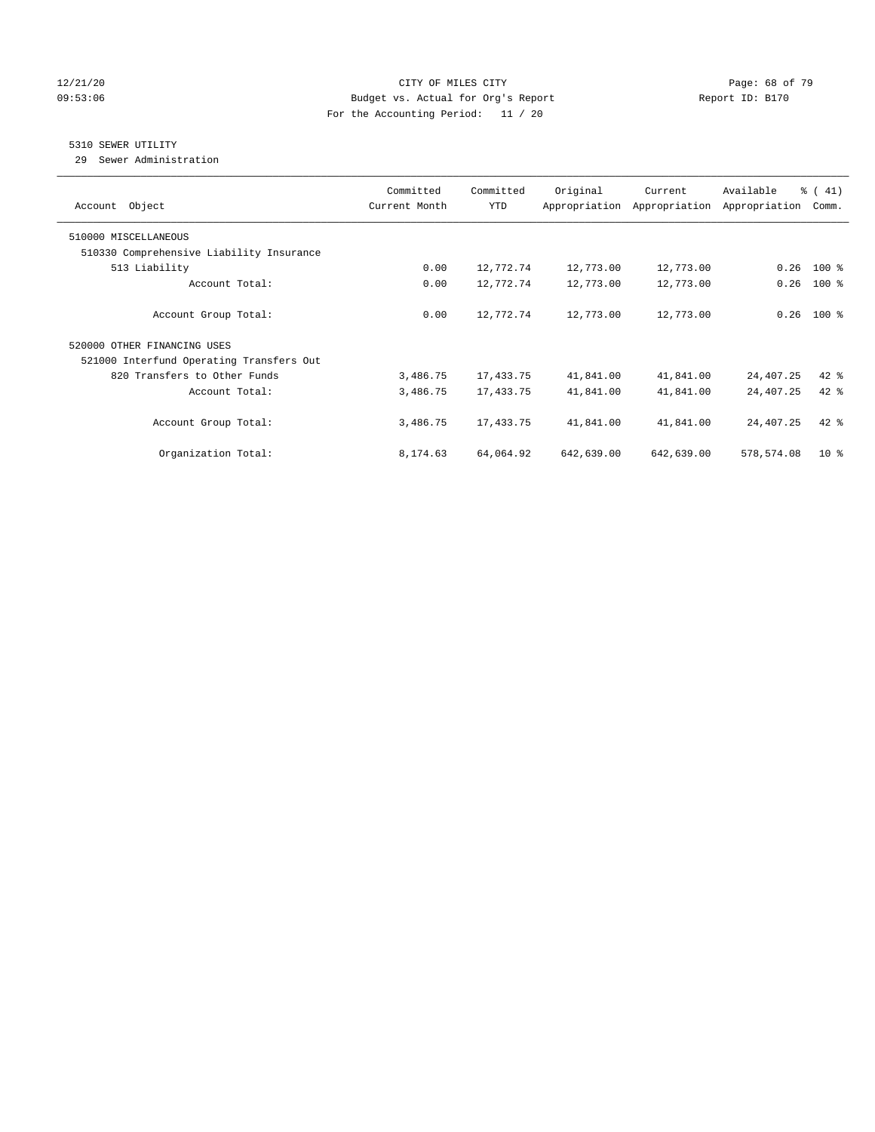### 12/21/20 Page: 68 of 79 09:53:06 Budget vs. Actual for Org's Report Changer Report ID: B170 For the Accounting Period: 11 / 20

## 5310 SEWER UTILITY

29 Sewer Administration

| Object<br>Account                        | Committed<br>Current Month | Committed<br><b>YTD</b> | Original   | Current<br>Appropriation Appropriation | Available<br>Appropriation | $\frac{1}{6}$ ( 41)<br>Comm. |
|------------------------------------------|----------------------------|-------------------------|------------|----------------------------------------|----------------------------|------------------------------|
| 510000 MISCELLANEOUS                     |                            |                         |            |                                        |                            |                              |
| 510330 Comprehensive Liability Insurance |                            |                         |            |                                        |                            |                              |
| 513 Liability                            | 0.00                       | 12,772.74               | 12,773.00  | 12,773.00                              | 0.26                       | $100$ %                      |
| Account Total:                           | 0.00                       | 12,772.74               | 12,773.00  | 12,773.00                              | 0.26                       | $100$ %                      |
| Account Group Total:                     | 0.00                       | 12,772.74               | 12,773.00  | 12,773.00                              | 0.26                       | $100$ %                      |
| 520000 OTHER FINANCING USES              |                            |                         |            |                                        |                            |                              |
| 521000 Interfund Operating Transfers Out |                            |                         |            |                                        |                            |                              |
| 820 Transfers to Other Funds             | 3,486.75                   | 17,433.75               | 41,841.00  | 41,841.00                              | 24,407.25                  | $42$ %                       |
| Account Total:                           | 3,486.75                   | 17,433.75               | 41,841.00  | 41,841.00                              | 24,407.25                  | $42$ %                       |
| Account Group Total:                     | 3,486.75                   | 17,433.75               | 41,841.00  | 41,841.00                              | 24,407.25                  | $42$ $%$                     |
| Organization Total:                      | 8,174.63                   | 64,064.92               | 642,639.00 | 642,639.00                             | 578,574.08                 | $10*$                        |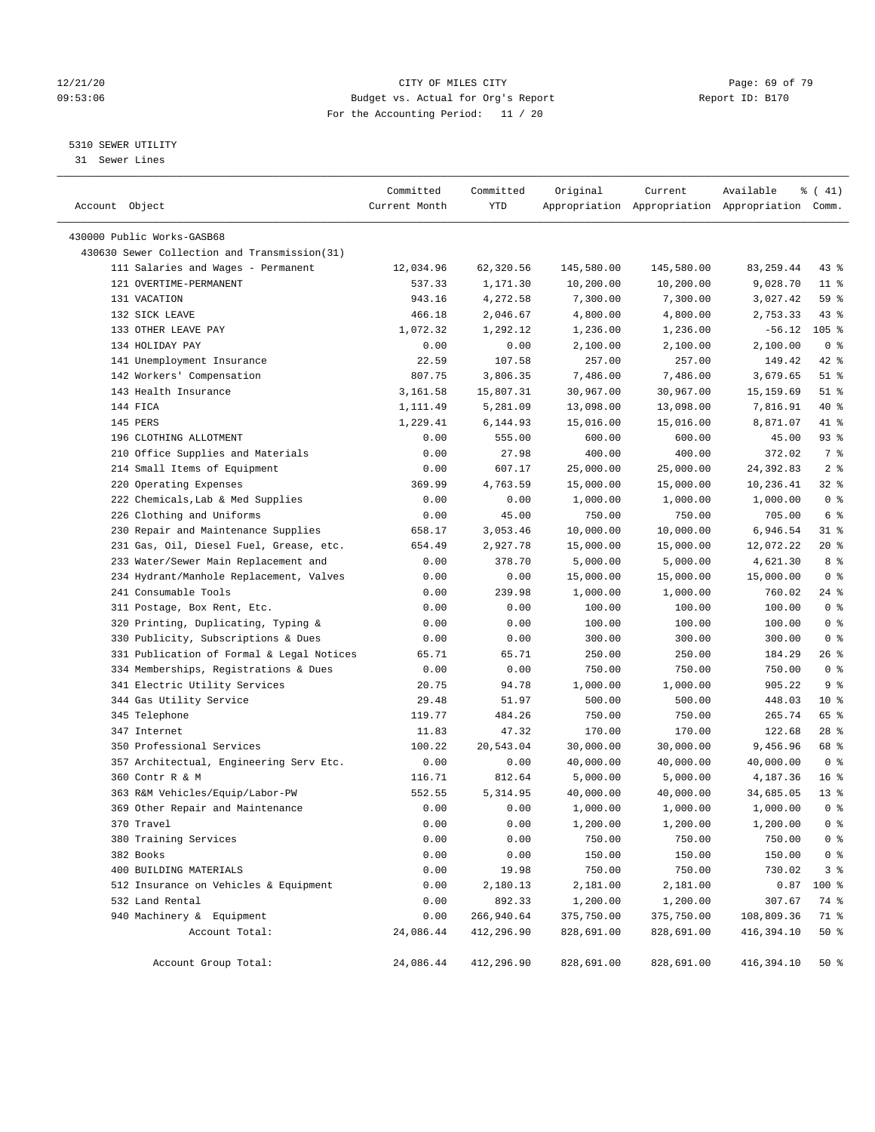### 12/21/20 Page: 69 of 79 09:53:06 Budget vs. Actual for Org's Report Report ID: B170 For the Accounting Period: 11 / 20

————————————————————————————————————————————————————————————————————————————————————————————————————————————————————————————————————

## 5310 SEWER UTILITY

31 Sewer Lines

|                                                              | Committed     | Committed  | Original   | Current    | Available                                       | $\frac{1}{6}$ ( 41)    |
|--------------------------------------------------------------|---------------|------------|------------|------------|-------------------------------------------------|------------------------|
| Account Object                                               | Current Month | YTD        |            |            | Appropriation Appropriation Appropriation Comm. |                        |
|                                                              |               |            |            |            |                                                 |                        |
| 430000 Public Works-GASB68                                   |               |            |            |            |                                                 |                        |
| 430630 Sewer Collection and Transmission(31)                 |               |            |            |            |                                                 |                        |
| 111 Salaries and Wages - Permanent<br>121 OVERTIME-PERMANENT | 12,034.96     | 62,320.56  | 145,580.00 | 145,580.00 | 83, 259.44                                      | 43 %                   |
|                                                              | 537.33        | 1,171.30   | 10,200.00  | 10,200.00  | 9,028.70                                        | $11$ %                 |
| 131 VACATION                                                 | 943.16        | 4,272.58   | 7,300.00   | 7,300.00   | 3,027.42                                        | 59 %                   |
| 132 SICK LEAVE                                               | 466.18        | 2,046.67   | 4,800.00   | 4,800.00   | 2,753.33                                        | $43$ %                 |
| 133 OTHER LEAVE PAY                                          | 1,072.32      | 1,292.12   | 1,236.00   | 1,236.00   | $-56.12$                                        | $105$ %                |
| 134 HOLIDAY PAY                                              | 0.00          | 0.00       | 2,100.00   | 2,100.00   | 2,100.00                                        | 0 <sup>8</sup><br>42 % |
| 141 Unemployment Insurance                                   | 22.59         | 107.58     | 257.00     | 257.00     | 149.42                                          |                        |
| 142 Workers' Compensation                                    | 807.75        | 3,806.35   | 7,486.00   | 7,486.00   | 3,679.65                                        | $51$ %                 |
| 143 Health Insurance                                         | 3,161.58      | 15,807.31  | 30,967.00  | 30,967.00  | 15,159.69                                       | $51$ %                 |
| 144 FICA                                                     | 1,111.49      | 5,281.09   | 13,098.00  | 13,098.00  | 7,816.91                                        | 40 %                   |
| 145 PERS                                                     | 1,229.41      | 6,144.93   | 15,016.00  | 15,016.00  | 8,871.07                                        | 41 %                   |
| 196 CLOTHING ALLOTMENT                                       | 0.00          | 555.00     | 600.00     | 600.00     | 45.00                                           | 93 %                   |
| 210 Office Supplies and Materials                            | 0.00          | 27.98      | 400.00     | 400.00     | 372.02                                          | 7 %                    |
| 214 Small Items of Equipment                                 | 0.00          | 607.17     | 25,000.00  | 25,000.00  | 24,392.83                                       | 2 <sup>°</sup>         |
| 220 Operating Expenses                                       | 369.99        | 4,763.59   | 15,000.00  | 15,000.00  | 10,236.41                                       | $32$ $%$               |
| 222 Chemicals, Lab & Med Supplies                            | 0.00          | 0.00       | 1,000.00   | 1,000.00   | 1,000.00                                        | 0 <sup>8</sup>         |
| 226 Clothing and Uniforms                                    | 0.00          | 45.00      | 750.00     | 750.00     | 705.00                                          | 6 <sup>°</sup>         |
| 230 Repair and Maintenance Supplies                          | 658.17        | 3,053.46   | 10,000.00  | 10,000.00  | 6,946.54                                        | 31 %                   |
| 231 Gas, Oil, Diesel Fuel, Grease, etc.                      | 654.49        | 2,927.78   | 15,000.00  | 15,000.00  | 12,072.22                                       | $20*$                  |
| 233 Water/Sewer Main Replacement and                         | 0.00          | 378.70     | 5,000.00   | 5,000.00   | 4,621.30                                        | 8%                     |
| 234 Hydrant/Manhole Replacement, Valves                      | 0.00          | 0.00       | 15,000.00  | 15,000.00  | 15,000.00                                       | 0 <sup>8</sup>         |
| 241 Consumable Tools                                         | 0.00          | 239.98     | 1,000.00   | 1,000.00   | 760.02                                          | 24 %                   |
| 311 Postage, Box Rent, Etc.                                  | 0.00          | 0.00       | 100.00     | 100.00     | 100.00                                          | 0 <sup>8</sup>         |
| 320 Printing, Duplicating, Typing &                          | 0.00          | 0.00       | 100.00     | 100.00     | 100.00                                          | 0 <sup>8</sup>         |
| 330 Publicity, Subscriptions & Dues                          | 0.00          | 0.00       | 300.00     | 300.00     | 300.00                                          | 0 <sup>8</sup>         |
| 331 Publication of Formal & Legal Notices                    | 65.71         | 65.71      | 250.00     | 250.00     | 184.29                                          | 26 %                   |
| 334 Memberships, Registrations & Dues                        | 0.00          | 0.00       | 750.00     | 750.00     | 750.00                                          | 0 <sup>8</sup>         |
| 341 Electric Utility Services                                | 20.75         | 94.78      | 1,000.00   | 1,000.00   | 905.22                                          | 9 <sup>°</sup>         |
| 344 Gas Utility Service                                      | 29.48         | 51.97      | 500.00     | 500.00     | 448.03                                          | $10*$                  |
| 345 Telephone                                                | 119.77        | 484.26     | 750.00     | 750.00     | 265.74                                          | 65 %                   |
| 347 Internet                                                 | 11.83         | 47.32      | 170.00     | 170.00     | 122.68                                          | $28$ %                 |
| 350 Professional Services                                    | 100.22        | 20,543.04  | 30,000.00  | 30,000.00  | 9,456.96                                        | 68 %                   |
| 357 Architectual, Engineering Serv Etc.                      | 0.00          | 0.00       | 40,000.00  | 40,000.00  | 40,000.00                                       | 0 <sup>8</sup>         |
| 360 Contr R & M                                              | 116.71        | 812.64     | 5,000.00   | 5,000.00   | 4,187.36                                        | 16 <sup>8</sup>        |
| 363 R&M Vehicles/Equip/Labor-PW                              | 552.55        | 5, 314.95  | 40,000.00  | 40,000.00  | 34,685.05                                       | $13*$                  |
| 369 Other Repair and Maintenance                             | 0.00          | 0.00       | 1,000.00   | 1,000.00   | 1,000.00                                        | 0 <sup>8</sup>         |
| 370 Travel                                                   | 0.00          | 0.00       | 1,200.00   | 1,200.00   | 1,200.00                                        | $0$ %                  |
| 380 Training Services                                        | 0.00          | 0.00       | 750.00     | 750.00     | 750.00                                          | 0 <sup>8</sup>         |
| 382 Books                                                    | 0.00          | 0.00       | 150.00     | 150.00     | 150.00                                          | 0 <sup>8</sup>         |
| 400 BUILDING MATERIALS                                       | 0.00          | 19.98      | 750.00     | 750.00     | 730.02                                          | 3 <sup>°</sup>         |
| 512 Insurance on Vehicles & Equipment                        | 0.00          | 2,180.13   | 2,181.00   | 2,181.00   | 0.87                                            | 100 %                  |
| 532 Land Rental                                              | 0.00          | 892.33     | 1,200.00   | 1,200.00   | 307.67                                          | 74 %                   |
| 940 Machinery & Equipment                                    | 0.00          | 266,940.64 | 375,750.00 | 375,750.00 | 108,809.36                                      | 71 %                   |
| Account Total:                                               | 24,086.44     | 412,296.90 | 828,691.00 | 828,691.00 | 416,394.10                                      | 50%                    |
| Account Group Total:                                         | 24,086.44     | 412,296.90 | 828,691.00 | 828,691.00 | 416,394.10                                      | $50*$                  |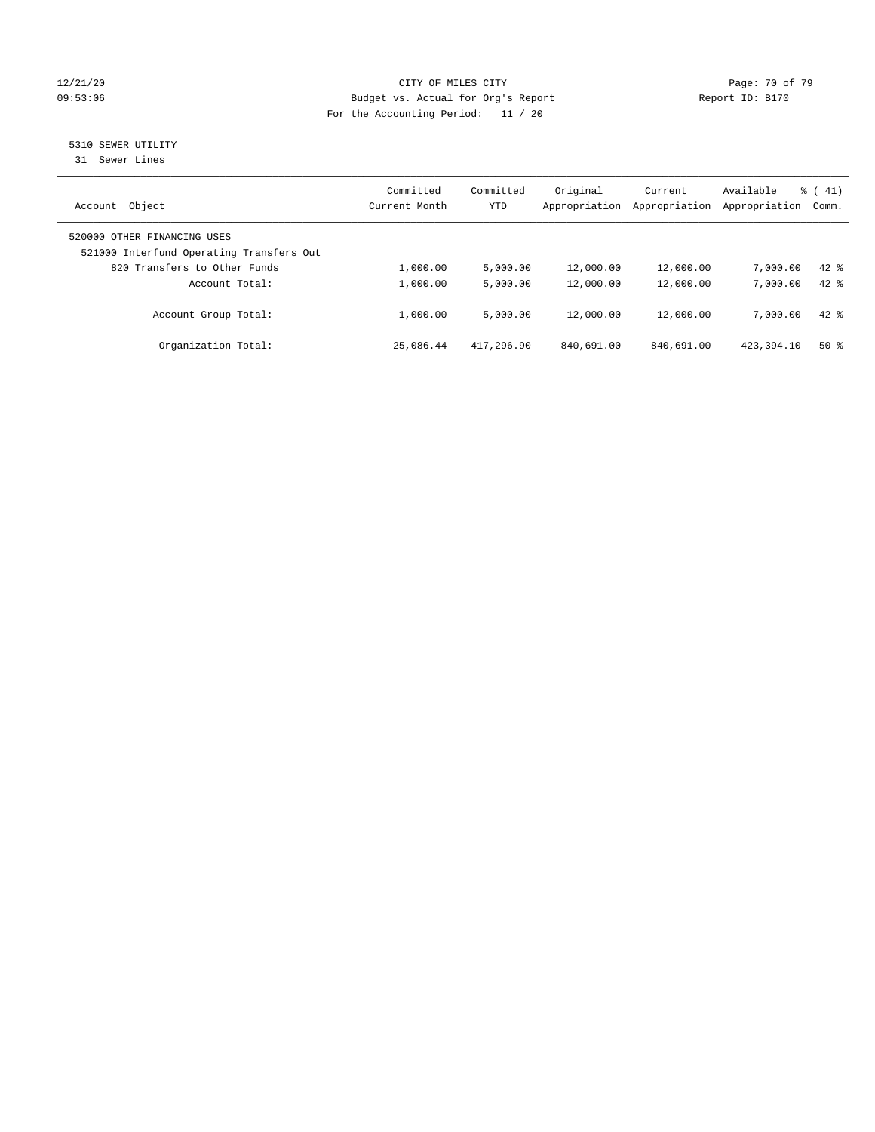### 12/21/20 Page: 70 of 79 09:53:06 Budget vs. Actual for Org's Report Changer Report ID: B170 For the Accounting Period: 11 / 20

# 5310 SEWER UTILITY

31 Sewer Lines

| Object<br>Account                                                       | Committed<br>Current Month | Committed<br><b>YTD</b> | Original<br>Appropriation | Current<br>Appropriation | Available<br>Appropriation | $\frac{1}{6}$ ( 41)<br>Comm. |
|-------------------------------------------------------------------------|----------------------------|-------------------------|---------------------------|--------------------------|----------------------------|------------------------------|
| 520000 OTHER FINANCING USES<br>521000 Interfund Operating Transfers Out |                            |                         |                           |                          |                            |                              |
| 820 Transfers to Other Funds                                            | 1,000.00                   | 5.000.00                | 12,000.00                 | 12,000.00                | 7,000.00                   | $42$ $%$                     |
| Account Total:                                                          | 1,000.00                   | 5,000.00                | 12,000.00                 | 12,000.00                | 7,000.00                   | $42*$                        |
| Account Group Total:                                                    | 1,000.00                   | 5,000.00                | 12,000.00                 | 12,000.00                | 7,000.00                   | $42*$                        |
| Organization Total:                                                     | 25,086.44                  | 417,296.90              | 840,691.00                | 840,691.00               | 423, 394. 10               | $50*$                        |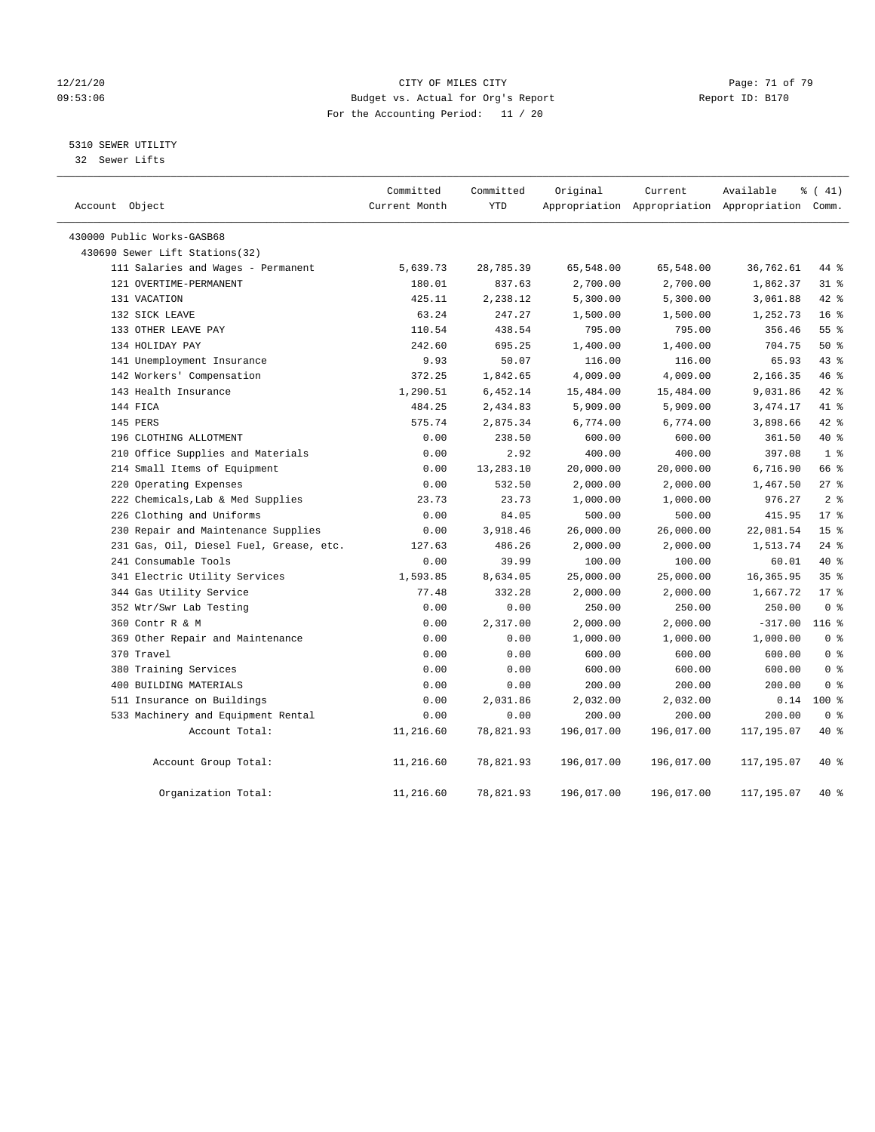### 12/21/20 Page: 71 of 79 09:53:06 Budget vs. Actual for Org's Report Changer Report ID: B170 For the Accounting Period: 11 / 20

5310 SEWER UTILITY

32 Sewer Lifts

| Account Object                          | Committed<br>Current Month | Committed<br><b>YTD</b> | Original   | Current    | Available<br>Appropriation Appropriation Appropriation Comm. | % (41)          |
|-----------------------------------------|----------------------------|-------------------------|------------|------------|--------------------------------------------------------------|-----------------|
| 430000 Public Works-GASB68              |                            |                         |            |            |                                                              |                 |
| 430690 Sewer Lift Stations(32)          |                            |                         |            |            |                                                              |                 |
| 111 Salaries and Wages - Permanent      | 5,639.73                   | 28,785.39               | 65,548.00  | 65,548.00  | 36,762.61                                                    | 44 %            |
| 121 OVERTIME-PERMANENT                  | 180.01                     | 837.63                  | 2,700.00   | 2,700.00   | 1,862.37                                                     | $31$ %          |
| 131 VACATION                            | 425.11                     | 2,238.12                | 5,300.00   | 5,300.00   | 3,061.88                                                     | $42$ %          |
| 132 SICK LEAVE                          | 63.24                      | 247.27                  | 1,500.00   | 1,500.00   | 1,252.73                                                     | 16 <sup>°</sup> |
| 133 OTHER LEAVE PAY                     | 110.54                     | 438.54                  | 795.00     | 795.00     | 356.46                                                       | 55 <sup>8</sup> |
| 134 HOLIDAY PAY                         | 242.60                     | 695.25                  | 1,400.00   | 1,400.00   | 704.75                                                       | 50%             |
| 141 Unemployment Insurance              | 9.93                       | 50.07                   | 116.00     | 116.00     | 65.93                                                        | 43 %            |
| 142 Workers' Compensation               | 372.25                     | 1,842.65                | 4,009.00   | 4,009.00   | 2,166.35                                                     | 46 %            |
| 143 Health Insurance                    | 1,290.51                   | 6,452.14                | 15,484.00  | 15,484.00  | 9,031.86                                                     | 42 %            |
| 144 FICA                                | 484.25                     | 2,434.83                | 5,909.00   | 5,909.00   | 3, 474. 17                                                   | 41 %            |
| 145 PERS                                | 575.74                     | 2,875.34                | 6,774.00   | 6,774.00   | 3,898.66                                                     | $42$ $%$        |
| 196 CLOTHING ALLOTMENT                  | 0.00                       | 238.50                  | 600.00     | 600.00     | 361.50                                                       | $40*$           |
| 210 Office Supplies and Materials       | 0.00                       | 2.92                    | 400.00     | 400.00     | 397.08                                                       | 1 <sup>8</sup>  |
| 214 Small Items of Equipment            | 0.00                       | 13,283.10               | 20,000.00  | 20,000.00  | 6,716.90                                                     | 66 %            |
| 220 Operating Expenses                  | 0.00                       | 532.50                  | 2,000.00   | 2,000.00   | 1,467.50                                                     | $27$ %          |
| 222 Chemicals, Lab & Med Supplies       | 23.73                      | 23.73                   | 1,000.00   | 1,000.00   | 976.27                                                       | 2 <sup>8</sup>  |
| 226 Clothing and Uniforms               | 0.00                       | 84.05                   | 500.00     | 500.00     | 415.95                                                       | $17*$           |
| 230 Repair and Maintenance Supplies     | 0.00                       | 3,918.46                | 26,000.00  | 26,000.00  | 22,081.54                                                    | 15 <sup>°</sup> |
| 231 Gas, Oil, Diesel Fuel, Grease, etc. | 127.63                     | 486.26                  | 2,000.00   | 2,000.00   | 1,513.74                                                     | 24%             |
| 241 Consumable Tools                    | 0.00                       | 39.99                   | 100.00     | 100.00     | 60.01                                                        | $40*$           |
| 341 Electric Utility Services           | 1,593.85                   | 8,634.05                | 25,000.00  | 25,000.00  | 16, 365.95                                                   | 35%             |
| 344 Gas Utility Service                 | 77.48                      | 332.28                  | 2,000.00   | 2,000.00   | 1,667.72                                                     | $17*$           |
| 352 Wtr/Swr Lab Testing                 | 0.00                       | 0.00                    | 250.00     | 250.00     | 250.00                                                       | 0 <sup>8</sup>  |
| 360 Contr R & M                         | 0.00                       | 2,317.00                | 2,000.00   | 2,000.00   | $-317.00$                                                    | $116$ %         |
| 369 Other Repair and Maintenance        | 0.00                       | 0.00                    | 1,000.00   | 1,000.00   | 1,000.00                                                     | 0 <sup>8</sup>  |
| 370 Travel                              | 0.00                       | 0.00                    | 600.00     | 600.00     | 600.00                                                       | 0 <sup>8</sup>  |
| 380 Training Services                   | 0.00                       | 0.00                    | 600.00     | 600.00     | 600.00                                                       | 0 <sup>8</sup>  |
| 400 BUILDING MATERIALS                  | 0.00                       | 0.00                    | 200.00     | 200.00     | 200.00                                                       | 0 <sup>8</sup>  |
| 511 Insurance on Buildings              | 0.00                       | 2,031.86                | 2,032.00   | 2,032.00   | 0.14                                                         | $100*$          |
| 533 Machinery and Equipment Rental      | 0.00                       | 0.00                    | 200.00     | 200.00     | 200.00                                                       | 0 <sup>8</sup>  |
| Account Total:                          | 11,216.60                  | 78,821.93               | 196,017.00 | 196,017.00 | 117,195.07                                                   | $40*$           |
| Account Group Total:                    | 11,216.60                  | 78,821.93               | 196,017.00 | 196,017.00 | 117,195.07                                                   | 40 %            |
| Organization Total:                     | 11,216.60                  | 78,821.93               | 196,017.00 | 196,017.00 | 117,195.07                                                   | 40 %            |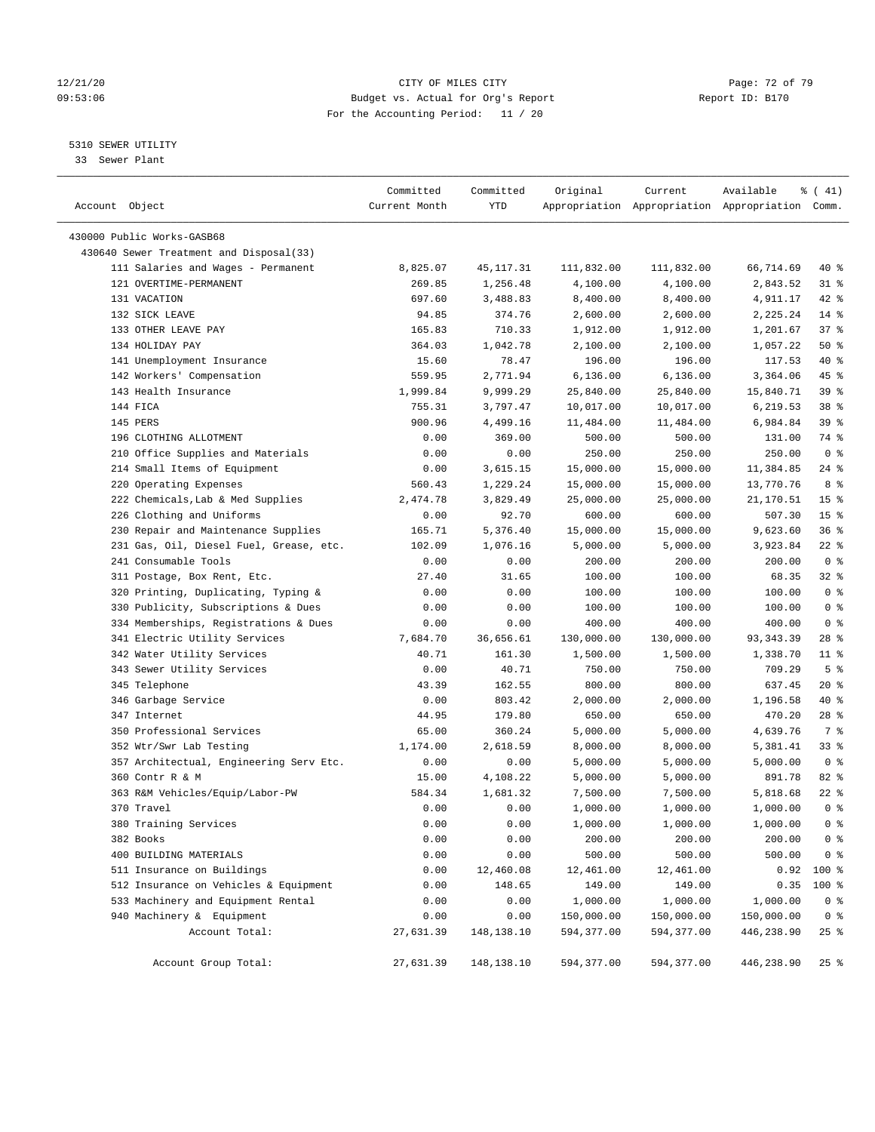### 12/21/20 Page: 72 of 79 09:53:06 Budget vs. Actual for Org's Report Report ID: B170 For the Accounting Period: 11 / 20

————————————————————————————————————————————————————————————————————————————————————————————————————————————————————————————————————

### 5310 SEWER UTILITY

33 Sewer Plant

|                                         | Committed         | Committed  | Original                 | Current                  | Available                                       | ៖ ( 41)                 |
|-----------------------------------------|-------------------|------------|--------------------------|--------------------------|-------------------------------------------------|-------------------------|
| Account Object                          | Current Month     | YTD        |                          |                          | Appropriation Appropriation Appropriation Comm. |                         |
| 430000 Public Works-GASB68              |                   |            |                          |                          |                                                 |                         |
| 430640 Sewer Treatment and Disposal(33) |                   |            |                          |                          |                                                 |                         |
| 111 Salaries and Wages - Permanent      | 8,825.07          | 45,117.31  | 111,832.00               | 111,832.00               | 66,714.69                                       | 40 %                    |
| 121 OVERTIME-PERMANENT                  | 269.85            | 1,256.48   | 4,100.00                 | 4,100.00                 | 2,843.52                                        | $31$ %                  |
| 131 VACATION                            | 697.60            | 3,488.83   | 8,400.00                 | 8,400.00                 | 4,911.17                                        | $42$ %                  |
| 132 SICK LEAVE                          | 94.85             | 374.76     | 2,600.00                 | 2,600.00                 | 2,225.24                                        | $14*$                   |
| 133 OTHER LEAVE PAY                     | 165.83            | 710.33     | 1,912.00                 | 1,912.00                 | 1,201.67                                        | 37%                     |
| 134 HOLIDAY PAY                         | 364.03            | 1,042.78   | 2,100.00                 | 2,100.00                 | 1,057.22                                        | 50%                     |
| 141 Unemployment Insurance              | 15.60             | 78.47      | 196.00                   | 196.00                   | 117.53                                          | 40 %                    |
| 142 Workers' Compensation               | 559.95            | 2,771.94   | 6,136.00                 | 6,136.00                 | 3,364.06                                        | 45 %                    |
| 143 Health Insurance                    | 1,999.84          | 9,999.29   | 25,840.00                | 25,840.00                | 15,840.71                                       | 39%                     |
| 144 FICA                                | 755.31            | 3,797.47   | 10,017.00                | 10,017.00                | 6,219.53                                        | 38 %                    |
| 145 PERS                                | 900.96            | 4,499.16   | 11,484.00                | 11,484.00                | 6,984.84                                        | 39 %                    |
| 196 CLOTHING ALLOTMENT                  | 0.00              | 369.00     | 500.00                   | 500.00                   | 131.00                                          | 74 %                    |
| 210 Office Supplies and Materials       | 0.00              | 0.00       | 250.00                   | 250.00                   | 250.00                                          | 0 <sup>8</sup>          |
| 214 Small Items of Equipment            | 0.00              | 3,615.15   | 15,000.00                | 15,000.00                | 11,384.85                                       | $24$ %                  |
| 220 Operating Expenses                  | 560.43            | 1,229.24   | 15,000.00                | 15,000.00                | 13,770.76                                       | 8 %                     |
| 222 Chemicals, Lab & Med Supplies       | 2,474.78          | 3,829.49   | 25,000.00                | 25,000.00                | 21,170.51                                       | 15 <sup>°</sup>         |
| 226 Clothing and Uniforms               | 0.00              | 92.70      | 600.00                   | 600.00                   | 507.30                                          | 15 <sup>°</sup>         |
| 230 Repair and Maintenance Supplies     | 165.71            | 5,376.40   | 15,000.00                | 15,000.00                | 9,623.60                                        | 36%                     |
| 231 Gas, Oil, Diesel Fuel, Grease, etc. | 102.09            | 1,076.16   | 5,000.00                 | 5,000.00                 | 3,923.84                                        | $22$ %                  |
| 241 Consumable Tools                    | 0.00              | 0.00       | 200.00                   | 200.00                   | 200.00                                          | 0 <sup>8</sup>          |
| 311 Postage, Box Rent, Etc.             | 27.40             | 31.65      | 100.00                   | 100.00                   | 68.35                                           | $32$ $%$                |
| 320 Printing, Duplicating, Typing &     | 0.00              | 0.00       | 100.00                   | 100.00                   | 100.00                                          | 0 <sup>8</sup>          |
| 330 Publicity, Subscriptions & Dues     | 0.00              | 0.00       | 100.00                   | 100.00                   | 100.00                                          | 0 <sup>8</sup>          |
| 334 Memberships, Registrations & Dues   | 0.00              | 0.00       | 400.00                   | 400.00                   | 400.00                                          | 0 <sup>8</sup>          |
| 341 Electric Utility Services           | 7,684.70          | 36,656.61  | 130,000.00               | 130,000.00               | 93, 343.39                                      | $28$ %                  |
| 342 Water Utility Services              | 40.71             | 161.30     | 1,500.00                 | 1,500.00                 | 1,338.70                                        | $11$ %                  |
| 343 Sewer Utility Services              | 0.00              | 40.71      | 750.00                   | 750.00                   | 709.29                                          | 5 <sup>°</sup>          |
| 345 Telephone                           | 43.39             | 162.55     | 800.00                   | 800.00                   | 637.45                                          | $20*$                   |
| 346 Garbage Service                     | 0.00              | 803.42     | 2,000.00                 | 2,000.00                 | 1,196.58                                        | 40 %                    |
| 347 Internet                            | 44.95             | 179.80     | 650.00                   | 650.00                   | 470.20                                          | $28$ %                  |
| 350 Professional Services               | 65.00             | 360.24     | 5,000.00                 | 5,000.00                 | 4,639.76                                        | 7 %                     |
| 352 Wtr/Swr Lab Testing                 | 1,174.00          | 2,618.59   | 8,000.00                 | 8,000.00                 | 5,381.41                                        | $33$ $%$                |
| 357 Architectual, Engineering Serv Etc. | 0.00              | 0.00       | 5,000.00                 | 5,000.00                 | 5,000.00                                        | 0 <sup>8</sup>          |
| 360 Contr R & M                         | 15.00             | 4,108.22   | 5,000.00                 | 5,000.00                 | 891.78                                          | $82$ $%$                |
| 363 R&M Vehicles/Equip/Labor-PW         | 584.34            | 1,681.32   | 7,500.00                 | 7,500.00                 | 5,818.68                                        | $22$ %                  |
| 370 Travel                              | 0.00              | 0.00       | 1,000.00                 | 1,000.00                 | 1,000.00                                        | 0 <sup>8</sup>          |
| 380 Training Services                   | 0.00              | 0.00       | 1,000.00                 | 1,000.00                 | 1,000.00                                        | 0 <sup>8</sup>          |
| 382 Books                               | 0.00              | 0.00       | 200.00                   | 200.00                   | 200.00                                          | 0 <sup>8</sup>          |
| 400 BUILDING MATERIALS                  | 0.00              | 0.00       | 500.00                   | 500.00                   | 500.00                                          | $0$ %                   |
| 511 Insurance on Buildings              | 0.00              | 12,460.08  | 12,461.00                | 12,461.00                | 0.92                                            | $100*$                  |
| 512 Insurance on Vehicles & Equipment   | 0.00              | 148.65     | 149.00                   | 149.00                   | 0.35                                            |                         |
| 533 Machinery and Equipment Rental      | 0.00              | 0.00       | 1,000.00                 |                          | 1,000.00                                        | 100 %<br>0 <sup>8</sup> |
| 940 Machinery & Equipment               |                   |            |                          | 1,000.00                 |                                                 |                         |
|                                         | 0.00<br>27,631.39 | 0.00       | 150,000.00<br>594,377.00 | 150,000.00<br>594,377.00 | 150,000.00<br>446,238.90                        | 0 <sup>8</sup>          |
| Account Total:                          |                   | 148,138.10 |                          |                          |                                                 | $25$ $%$                |
| Account Group Total:                    | 27,631.39         | 148,138.10 | 594,377.00               | 594,377.00               | 446,238.90                                      | $25$ %                  |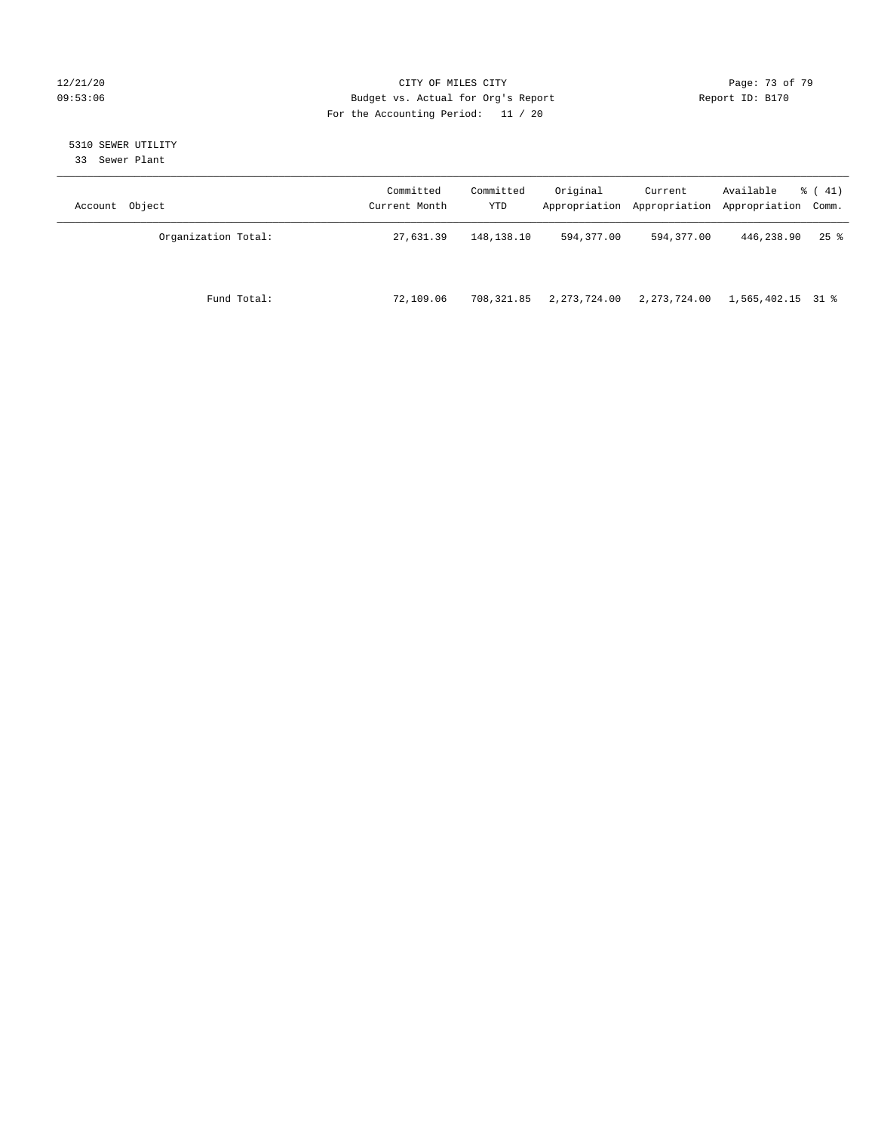### 12/21/20 Page: 73 of 79 09:53:06 Budget vs. Actual for Org's Report Changer Report ID: B170 For the Accounting Period: 11 / 20

# 5310 SEWER UTILITY

33 Sewer Plant

| Account Object      | Committed<br>Current Month | Committed<br>YTD | Original     | Current      | Available<br>Appropriation Appropriation Appropriation Comm. | $\frac{1}{6}$ ( 41) |
|---------------------|----------------------------|------------------|--------------|--------------|--------------------------------------------------------------|---------------------|
| Organization Total: | 27,631.39                  | 148,138.10       | 594,377.00   | 594,377.00   | 446,238.90                                                   | $25$ $\frac{6}{5}$  |
| Fund Total:         | 72,109.06                  | 708,321.85       | 2,273,724.00 | 2,273,724.00 | 1,565,402.15 31 %                                            |                     |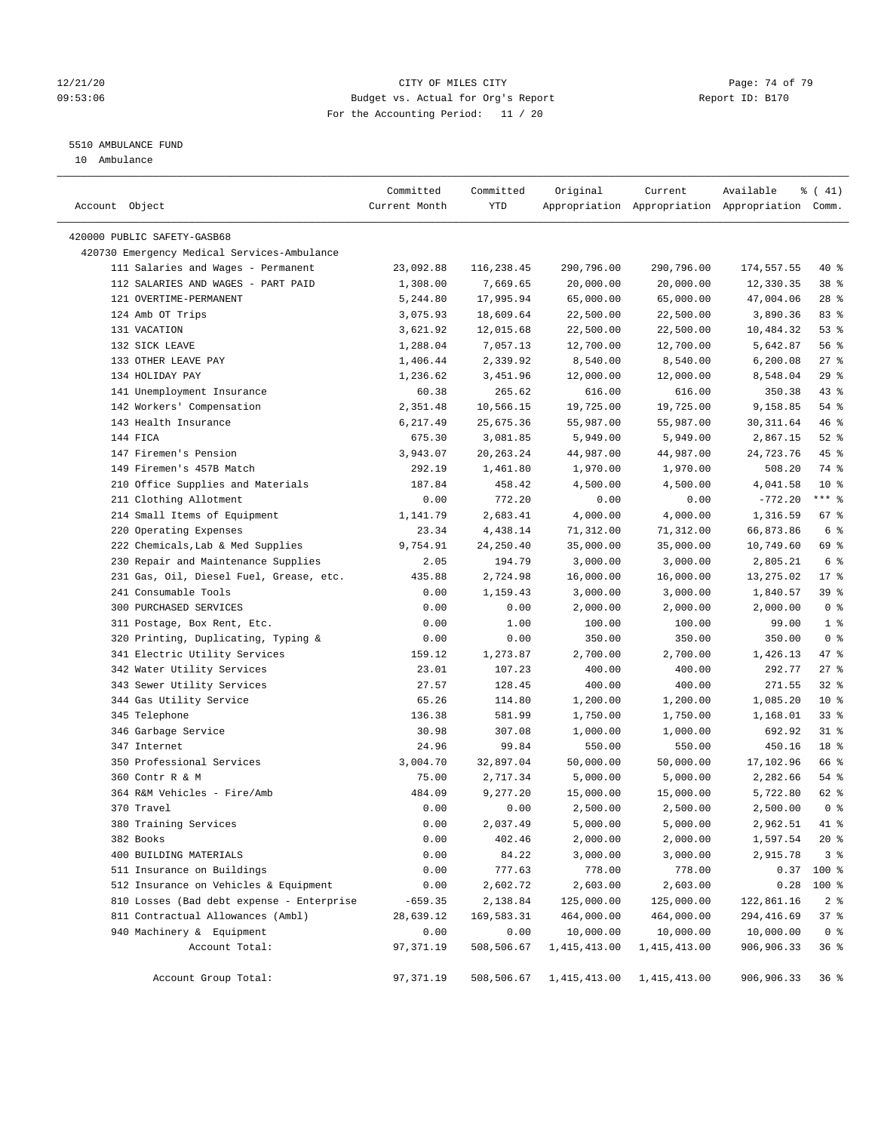### $12/21/20$  Page: 74 of 79 09:53:06 Budget vs. Actual for Org's Report Changer Report ID: B170 For the Accounting Period: 11 / 20

————————————————————————————————————————————————————————————————————————————————————————————————————————————————————————————————————

# 5510 AMBULANCE FUND

10 Ambulance

|                                                              | Committed     | Committed   | Original       | Current                                         | Available  | $\frac{1}{6}$ ( 41)     |
|--------------------------------------------------------------|---------------|-------------|----------------|-------------------------------------------------|------------|-------------------------|
| Account Object                                               | Current Month | YTD         |                | Appropriation Appropriation Appropriation Comm. |            |                         |
|                                                              |               |             |                |                                                 |            |                         |
| 420000 PUBLIC SAFETY-GASB68                                  |               |             |                |                                                 |            |                         |
| 420730 Emergency Medical Services-Ambulance                  | 23,092.88     |             |                |                                                 |            |                         |
| 111 Salaries and Wages - Permanent                           |               | 116,238.45  | 290,796.00     | 290,796.00                                      | 174,557.55 | 40 %<br>38 <sup>8</sup> |
| 112 SALARIES AND WAGES - PART PAID<br>121 OVERTIME-PERMANENT | 1,308.00      | 7,669.65    | 20,000.00      | 20,000.00                                       | 12,330.35  | $28$ %                  |
|                                                              | 5,244.80      | 17,995.94   | 65,000.00      | 65,000.00                                       | 47,004.06  |                         |
| 124 Amb OT Trips                                             | 3,075.93      | 18,609.64   | 22,500.00      | 22,500.00                                       | 3,890.36   | 83%                     |
| 131 VACATION                                                 | 3,621.92      | 12,015.68   | 22,500.00      | 22,500.00                                       | 10,484.32  | 53%                     |
| 132 SICK LEAVE                                               | 1,288.04      | 7,057.13    | 12,700.00      | 12,700.00                                       | 5,642.87   | 56%                     |
| 133 OTHER LEAVE PAY                                          | 1,406.44      | 2,339.92    | 8,540.00       | 8,540.00                                        | 6,200.08   | $27$ %                  |
| 134 HOLIDAY PAY                                              | 1,236.62      | 3,451.96    | 12,000.00      | 12,000.00                                       | 8,548.04   | $29$ %                  |
| 141 Unemployment Insurance                                   | 60.38         | 265.62      | 616.00         | 616.00                                          | 350.38     | 43 %                    |
| 142 Workers' Compensation                                    | 2,351.48      | 10,566.15   | 19,725.00      | 19,725.00                                       | 9,158.85   | $54$ %                  |
| 143 Health Insurance                                         | 6,217.49      | 25,675.36   | 55,987.00      | 55,987.00                                       | 30, 311.64 | 46 %                    |
| 144 FICA                                                     | 675.30        | 3,081.85    | 5,949.00       | 5,949.00                                        | 2,867.15   | $52$ $%$                |
| 147 Firemen's Pension                                        | 3,943.07      | 20, 263. 24 | 44,987.00      | 44,987.00                                       | 24,723.76  | 45 %                    |
| 149 Firemen's 457B Match                                     | 292.19        | 1,461.80    | 1,970.00       | 1,970.00                                        | 508.20     | 74 %                    |
| 210 Office Supplies and Materials                            | 187.84        | 458.42      | 4,500.00       | 4,500.00                                        | 4,041.58   | $10*$                   |
| 211 Clothing Allotment                                       | 0.00          | 772.20      | 0.00           | 0.00                                            | $-772.20$  | $***$ $_{8}$            |
| 214 Small Items of Equipment                                 | 1,141.79      | 2,683.41    | 4,000.00       | 4,000.00                                        | 1,316.59   | 67%                     |
| 220 Operating Expenses                                       | 23.34         | 4,438.14    | 71,312.00      | 71,312.00                                       | 66,873.86  | 6 <sup>°</sup>          |
| 222 Chemicals, Lab & Med Supplies                            | 9,754.91      | 24,250.40   | 35,000.00      | 35,000.00                                       | 10,749.60  | 69 %                    |
| 230 Repair and Maintenance Supplies                          | 2.05          | 194.79      | 3,000.00       | 3,000.00                                        | 2,805.21   | 6 %                     |
| 231 Gas, Oil, Diesel Fuel, Grease, etc.                      | 435.88        | 2,724.98    | 16,000.00      | 16,000.00                                       | 13,275.02  | $17*$                   |
| 241 Consumable Tools                                         | 0.00          | 1,159.43    | 3,000.00       | 3,000.00                                        | 1,840.57   | 39%                     |
| 300 PURCHASED SERVICES                                       | 0.00          | 0.00        | 2,000.00       | 2,000.00                                        | 2,000.00   | 0 <sup>8</sup>          |
| 311 Postage, Box Rent, Etc.                                  | 0.00          | 1.00        | 100.00         | 100.00                                          | 99.00      | 1 <sup>8</sup>          |
| 320 Printing, Duplicating, Typing &                          | 0.00          | 0.00        | 350.00         | 350.00                                          | 350.00     | 0 <sup>8</sup>          |
| 341 Electric Utility Services                                | 159.12        | 1,273.87    | 2,700.00       | 2,700.00                                        | 1,426.13   | 47 %                    |
| 342 Water Utility Services                                   | 23.01         | 107.23      | 400.00         | 400.00                                          | 292.77     | $27$ %                  |
| 343 Sewer Utility Services                                   | 27.57         | 128.45      | 400.00         | 400.00                                          | 271.55     | 32%                     |
| 344 Gas Utility Service                                      | 65.26         | 114.80      | 1,200.00       | 1,200.00                                        | 1,085.20   | $10*$                   |
| 345 Telephone                                                | 136.38        | 581.99      | 1,750.00       | 1,750.00                                        | 1,168.01   | 33%                     |
| 346 Garbage Service                                          | 30.98         | 307.08      | 1,000.00       | 1,000.00                                        | 692.92     | $31$ %                  |
| 347 Internet                                                 | 24.96         | 99.84       | 550.00         | 550.00                                          | 450.16     | 18 %                    |
| 350 Professional Services                                    | 3,004.70      | 32,897.04   | 50,000.00      | 50,000.00                                       | 17,102.96  | 66 %                    |
| 360 Contr R & M                                              | 75.00         | 2,717.34    | 5,000.00       | 5,000.00                                        | 2,282.66   | $54$ %                  |
| 364 R&M Vehicles - Fire/Amb                                  | 484.09        | 9,277.20    | 15,000.00      | 15,000.00                                       | 5,722.80   | 62 %                    |
| 370 Travel                                                   | 0.00          | 0.00        | 2,500.00       | 2,500.00                                        | 2,500.00   | 0 <sup>8</sup>          |
| 380 Training Services                                        | 0.00          | 2,037.49    | 5,000.00       | 5,000.00                                        | 2,962.51   | 41 %                    |
| 382 Books                                                    | 0.00          | 402.46      | 2,000.00       | 2,000.00                                        | 1,597.54   | $20*$                   |
| 400 BUILDING MATERIALS                                       | 0.00          | 84.22       | 3,000.00       | 3,000.00                                        | 2,915.78   | 3 <sup>8</sup>          |
| 511 Insurance on Buildings                                   | 0.00          | 777.63      | 778.00         | 778.00                                          |            | $0.37$ 100 %            |
| 512 Insurance on Vehicles & Equipment                        | 0.00          | 2,602.72    | 2,603.00       | 2,603.00                                        | 0.28       | 100 %                   |
| 810 Losses (Bad debt expense - Enterprise                    | $-659.35$     | 2,138.84    | 125,000.00     | 125,000.00                                      | 122,861.16 | 2 <sup>8</sup>          |
| 811 Contractual Allowances (Ambl)                            | 28,639.12     | 169,583.31  | 464,000.00     | 464,000.00                                      | 294,416.69 | 37%                     |
| 940 Machinery & Equipment                                    | 0.00          | 0.00        | 10,000.00      | 10,000.00                                       | 10,000.00  | 0 <sup>8</sup>          |
| Account Total:                                               | 97, 371.19    | 508,506.67  | 1, 415, 413.00 | 1, 415, 413.00                                  | 906,906.33 | 36%                     |
|                                                              |               |             |                |                                                 |            |                         |
| Account Group Total:                                         | 97,371.19     | 508,506.67  | 1,415,413.00   | 1,415,413.00                                    | 906,906.33 | 36 <sup>8</sup>         |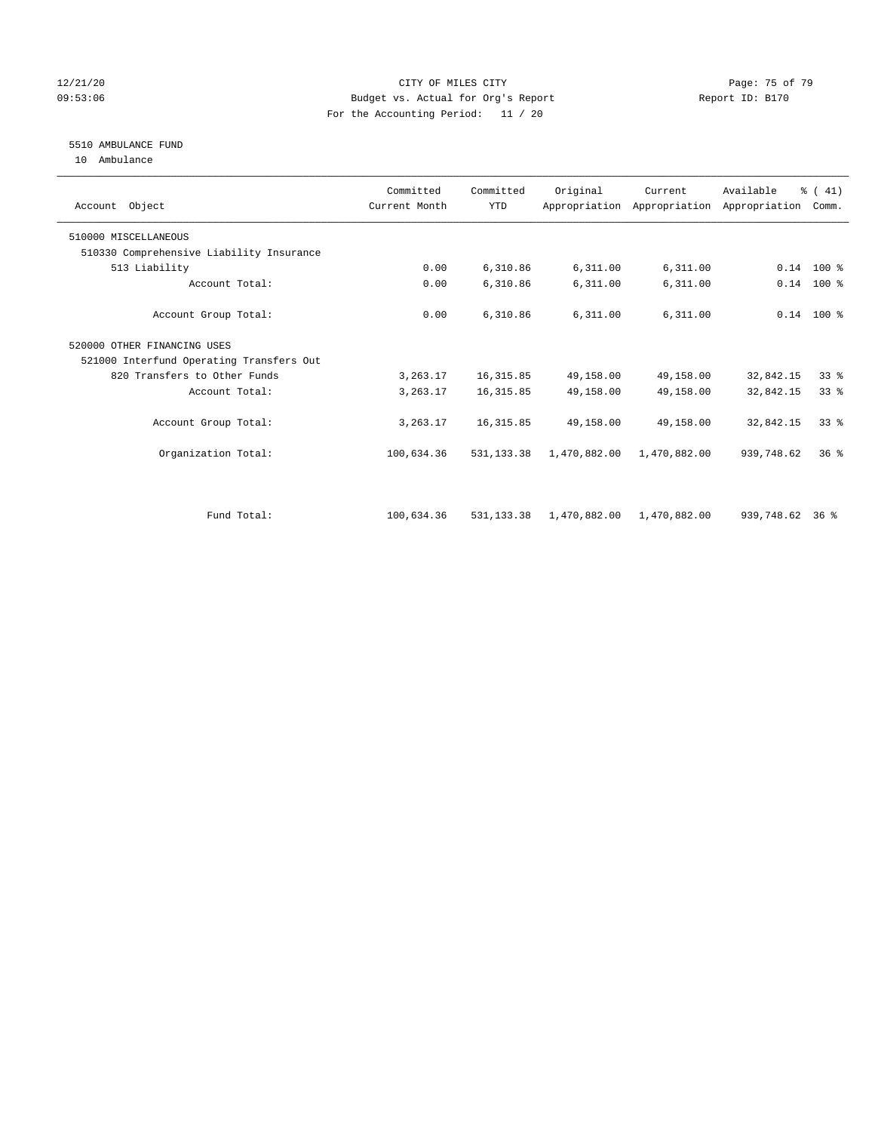### 12/21/20 Page: 75 of 79 09:53:06 Budget vs. Actual for Org's Report Changer Report ID: B170 For the Accounting Period: 11 / 20

# 5510 AMBULANCE FUND

10 Ambulance

| Account Object                           | Committed<br>Current Month | Committed<br><b>YTD</b> | Original     | Current      | Available<br>Appropriation Appropriation Appropriation | % (41)<br>Comm. |  |
|------------------------------------------|----------------------------|-------------------------|--------------|--------------|--------------------------------------------------------|-----------------|--|
| 510000 MISCELLANEOUS                     |                            |                         |              |              |                                                        |                 |  |
| 510330 Comprehensive Liability Insurance |                            |                         |              |              |                                                        |                 |  |
| 513 Liability                            | 0.00                       | 6,310.86                | 6,311.00     | 6,311.00     |                                                        | $0.14$ 100 %    |  |
| Account Total:                           | 0.00                       | 6,310.86                | 6,311.00     | 6,311.00     | 0.14                                                   | 100 %           |  |
| Account Group Total:                     | 0.00                       | 6,310.86                | 6,311.00     | 6,311.00     |                                                        | $0.14$ 100 %    |  |
| 520000 OTHER FINANCING USES              |                            |                         |              |              |                                                        |                 |  |
| 521000 Interfund Operating Transfers Out |                            |                         |              |              |                                                        |                 |  |
| 820 Transfers to Other Funds             | 3,263.17                   | 16, 315.85              | 49,158.00    | 49,158.00    | 32,842.15                                              | 33%             |  |
| Account Total:                           | 3,263.17                   | 16, 315.85              | 49,158.00    | 49,158.00    | 32,842.15                                              | $33*$           |  |
| Account Group Total:                     | 3,263.17                   | 16, 315.85              | 49,158.00    | 49,158.00    | 32,842.15                                              | $33*$           |  |
| Organization Total:                      | 100,634.36                 | 531, 133, 38            | 1,470,882.00 | 1,470,882.00 | 939,748.62                                             | 36 <sup>8</sup> |  |
|                                          |                            |                         |              |              |                                                        |                 |  |
| Fund Total:                              | 100,634.36                 | 531, 133, 38            | 1,470,882.00 | 1,470,882.00 | 939,748.62 36 %                                        |                 |  |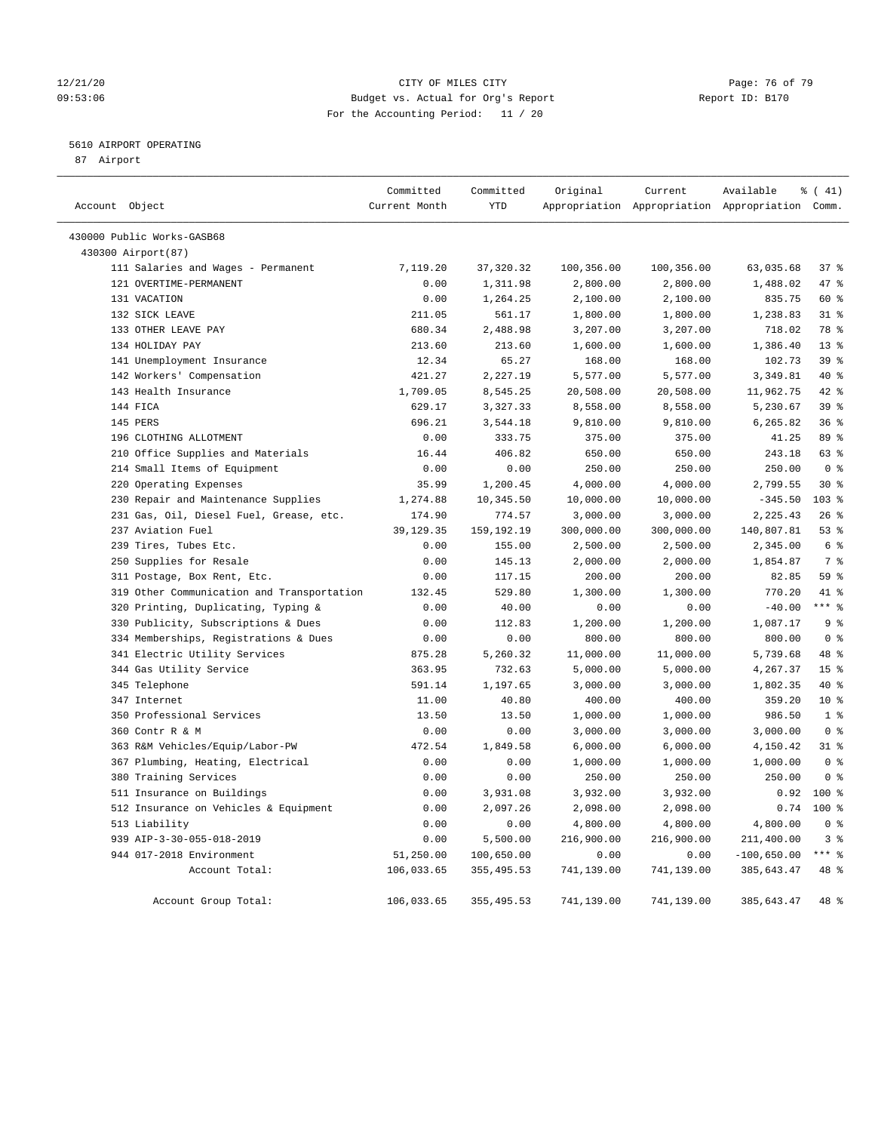### 12/21/20 **Page: 76 of 79** CITY OF MILES CITY **CITY** CITY **Page: 76 of 79** 09:53:06 Budget vs. Actual for Org's Report Changer Report ID: B170 For the Accounting Period: 11 / 20

## 5610 AIRPORT OPERATING

87 Airport

| Account Object                             | Committed<br>Current Month | Committed<br><b>YTD</b> | Original   | Current    | Available<br>Appropriation Appropriation Appropriation Comm. | % (41)           |
|--------------------------------------------|----------------------------|-------------------------|------------|------------|--------------------------------------------------------------|------------------|
|                                            |                            |                         |            |            |                                                              |                  |
| 430000 Public Works-GASB68                 |                            |                         |            |            |                                                              |                  |
| 430300 Airport(87)                         |                            |                         |            |            |                                                              |                  |
| 111 Salaries and Wages - Permanent         | 7,119.20                   | 37, 320.32              | 100,356.00 | 100,356.00 | 63,035.68                                                    | 37%              |
| 121 OVERTIME-PERMANENT                     | 0.00                       | 1,311.98                | 2,800.00   | 2,800.00   | 1,488.02                                                     | 47 %             |
| 131 VACATION                               | 0.00                       | 1,264.25                | 2,100.00   | 2,100.00   | 835.75                                                       | 60 %             |
| 132 SICK LEAVE                             | 211.05                     | 561.17                  | 1,800.00   | 1,800.00   | 1,238.83                                                     | $31$ %           |
| 133 OTHER LEAVE PAY                        | 680.34                     | 2,488.98                | 3,207.00   | 3,207.00   | 718.02                                                       | 78 %             |
| 134 HOLIDAY PAY                            | 213.60                     | 213.60                  | 1,600.00   | 1,600.00   | 1,386.40                                                     | 13 <sup>8</sup>  |
| 141 Unemployment Insurance                 | 12.34                      | 65.27                   | 168.00     | 168.00     | 102.73                                                       | 39 %             |
| 142 Workers' Compensation                  | 421.27                     | 2,227.19                | 5,577.00   | 5,577.00   | 3,349.81                                                     | 40 %             |
| 143 Health Insurance                       | 1,709.05                   | 8,545.25                | 20,508.00  | 20,508.00  | 11,962.75                                                    | $42*$            |
| 144 FICA                                   | 629.17                     | 3,327.33                | 8,558.00   | 8,558.00   | 5,230.67                                                     | 39 <sup>8</sup>  |
| 145 PERS                                   | 696.21                     | 3,544.18                | 9,810.00   | 9,810.00   | 6,265.82                                                     | 36%              |
| 196 CLOTHING ALLOTMENT                     | 0.00                       | 333.75                  | 375.00     | 375.00     | 41.25                                                        | 89 %             |
| 210 Office Supplies and Materials          | 16.44                      | 406.82                  | 650.00     | 650.00     | 243.18                                                       | 63 %             |
| 214 Small Items of Equipment               | 0.00                       | 0.00                    | 250.00     | 250.00     | 250.00                                                       | 0 <sup>8</sup>   |
| 220 Operating Expenses                     | 35.99                      | 1,200.45                | 4,000.00   | 4,000.00   | 2,799.55                                                     | $30*$            |
| 230 Repair and Maintenance Supplies        | 1,274.88                   | 10,345.50               | 10,000.00  | 10,000.00  | $-345.50$                                                    | 103 <sub>8</sub> |
| 231 Gas, Oil, Diesel Fuel, Grease, etc.    | 174.90                     | 774.57                  | 3,000.00   | 3,000.00   | 2,225.43                                                     | 26%              |
| 237 Aviation Fuel                          | 39,129.35                  | 159,192.19              | 300,000.00 | 300,000.00 | 140,807.81                                                   | 53%              |
| 239 Tires, Tubes Etc.                      | 0.00                       | 155.00                  | 2,500.00   | 2,500.00   | 2,345.00                                                     | 6 %              |
| 250 Supplies for Resale                    | 0.00                       | 145.13                  | 2,000.00   | 2,000.00   | 1,854.87                                                     | 7 <sup>°</sup>   |
| 311 Postage, Box Rent, Etc.                | 0.00                       | 117.15                  | 200.00     | 200.00     | 82.85                                                        | 59 %             |
| 319 Other Communication and Transportation | 132.45                     | 529.80                  | 1,300.00   | 1,300.00   | 770.20                                                       | 41.8             |
| 320 Printing, Duplicating, Typing &        | 0.00                       | 40.00                   | 0.00       | 0.00       | $-40.00$                                                     | $***$ $_{8}$     |
| 330 Publicity, Subscriptions & Dues        | 0.00                       | 112.83                  | 1,200.00   | 1,200.00   | 1,087.17                                                     | 9 <sup>°</sup>   |
| 334 Memberships, Registrations & Dues      | 0.00                       | 0.00                    | 800.00     | 800.00     | 800.00                                                       | 0 <sup>8</sup>   |
| 341 Electric Utility Services              | 875.28                     | 5,260.32                | 11,000.00  | 11,000.00  | 5,739.68                                                     | 48 %             |
| 344 Gas Utility Service                    | 363.95                     | 732.63                  | 5,000.00   | 5,000.00   | 4,267.37                                                     | 15 <sup>°</sup>  |
| 345 Telephone                              | 591.14                     | 1,197.65                | 3,000.00   | 3,000.00   | 1,802.35                                                     | $40*$            |
| 347 Internet                               | 11.00                      | 40.80                   | 400.00     | 400.00     | 359.20                                                       | $10*$            |
| 350 Professional Services                  | 13.50                      | 13.50                   | 1,000.00   | 1,000.00   | 986.50                                                       | 1 <sup>8</sup>   |
| 360 Contr R & M                            | 0.00                       | 0.00                    | 3,000.00   | 3,000.00   | 3,000.00                                                     | 0 <sup>8</sup>   |
| 363 R&M Vehicles/Equip/Labor-PW            | 472.54                     | 1,849.58                | 6,000.00   | 6,000.00   | 4,150.42                                                     | $31$ %           |
| 367 Plumbing, Heating, Electrical          | 0.00                       | 0.00                    | 1,000.00   | 1,000.00   | 1,000.00                                                     | 0 <sup>8</sup>   |
| 380 Training Services                      | 0.00                       | 0.00                    | 250.00     | 250.00     | 250.00                                                       | 0 <sup>8</sup>   |
| 511 Insurance on Buildings                 | 0.00                       | 3,931.08                | 3,932.00   | 3,932.00   | 0.92                                                         | $100*$           |
| 512 Insurance on Vehicles & Equipment      | 0.00                       | 2,097.26                | 2,098.00   | 2,098.00   | 0.74                                                         | $100*$           |
| 513 Liability                              | 0.00                       | 0.00                    | 4,800.00   | 4,800.00   | 4,800.00                                                     | 0 <sup>8</sup>   |
| 939 AIP-3-30-055-018-2019                  | 0.00                       | 5,500.00                | 216,900.00 | 216,900.00 | 211,400.00                                                   | 3%               |
| 944 017-2018 Environment                   | 51,250.00                  | 100,650.00              | 0.00       | 0.00       | $-100,650.00$                                                | $***$ $%$        |
| Account Total:                             | 106,033.65                 | 355,495.53              | 741,139.00 | 741,139.00 | 385,643.47                                                   | 48 %             |
|                                            |                            |                         |            |            |                                                              |                  |
| Account Group Total:                       | 106,033.65                 | 355, 495.53             | 741,139.00 | 741,139.00 | 385,643.47                                                   | 48 %             |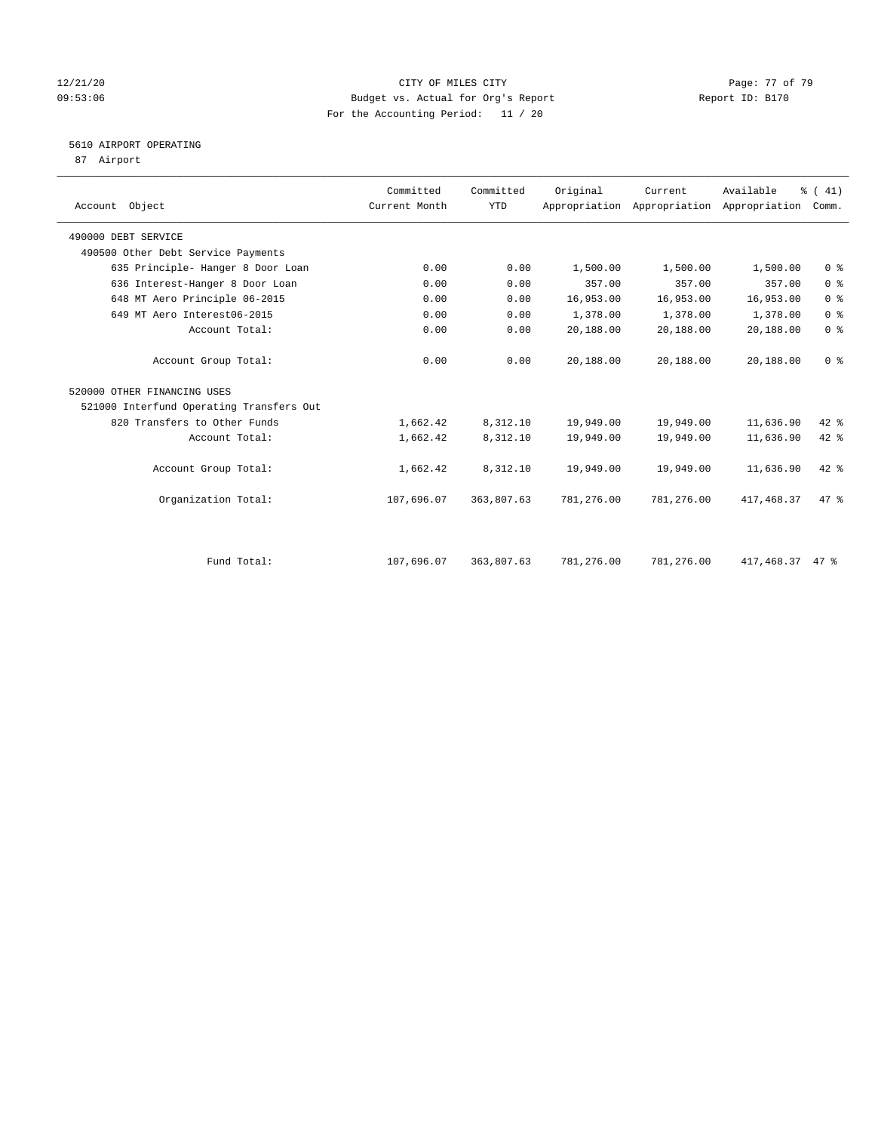### 12/21/20 **Page: 77 of 79** CITY OF MILES CITY **CITY** Page: 77 of 79 09:53:06 Budget vs. Actual for Org's Report Constanting Report ID: B170 For the Accounting Period: 11 / 20

# 5610 AIRPORT OPERATING

87 Airport

| Object<br>Account                        | Committed<br>Current Month | Committed<br><b>YTD</b> | Original   | Current    | Available<br>Appropriation Appropriation Appropriation | % (41)<br>Comm. |
|------------------------------------------|----------------------------|-------------------------|------------|------------|--------------------------------------------------------|-----------------|
| 490000 DEBT SERVICE                      |                            |                         |            |            |                                                        |                 |
| 490500 Other Debt Service Payments       |                            |                         |            |            |                                                        |                 |
| 635 Principle- Hanger 8 Door Loan        | 0.00                       | 0.00                    | 1,500.00   | 1,500.00   | 1,500.00                                               | 0 <sup>8</sup>  |
| 636 Interest-Hanger 8 Door Loan          | 0.00                       | 0.00                    | 357.00     | 357.00     | 357.00                                                 | 0 <sup>8</sup>  |
| 648 MT Aero Principle 06-2015            | 0.00                       | 0.00                    | 16,953.00  | 16,953.00  | 16,953.00                                              | 0 <sup>8</sup>  |
| 649 MT Aero Interest06-2015              | 0.00                       | 0.00                    | 1,378.00   | 1,378.00   | 1,378.00                                               | 0 <sup>8</sup>  |
| Account Total:                           | 0.00                       | 0.00                    | 20,188.00  | 20,188.00  | 20,188.00                                              | 0 <sup>8</sup>  |
| Account Group Total:                     | 0.00                       | 0.00                    | 20,188.00  | 20,188.00  | 20,188.00                                              | 0 <sup>8</sup>  |
| 520000 OTHER FINANCING USES              |                            |                         |            |            |                                                        |                 |
| 521000 Interfund Operating Transfers Out |                            |                         |            |            |                                                        |                 |
| 820 Transfers to Other Funds             | 1,662.42                   | 8,312.10                | 19,949.00  | 19,949.00  | 11,636.90                                              | 42 %            |
| Account Total:                           | 1,662.42                   | 8,312.10                | 19,949.00  | 19,949.00  | 11,636.90                                              | 42 %            |
| Account Group Total:                     | 1,662.42                   | 8,312.10                | 19,949.00  | 19,949.00  | 11,636.90                                              | $42$ %          |
| Organization Total:                      | 107,696.07                 | 363,807.63              | 781,276.00 | 781,276.00 | 417,468.37                                             | 47.8            |
|                                          |                            |                         |            |            |                                                        |                 |
| Fund Total:                              | 107,696.07                 | 363,807.63              | 781,276.00 | 781,276.00 | 417,468.37                                             | 47 %            |